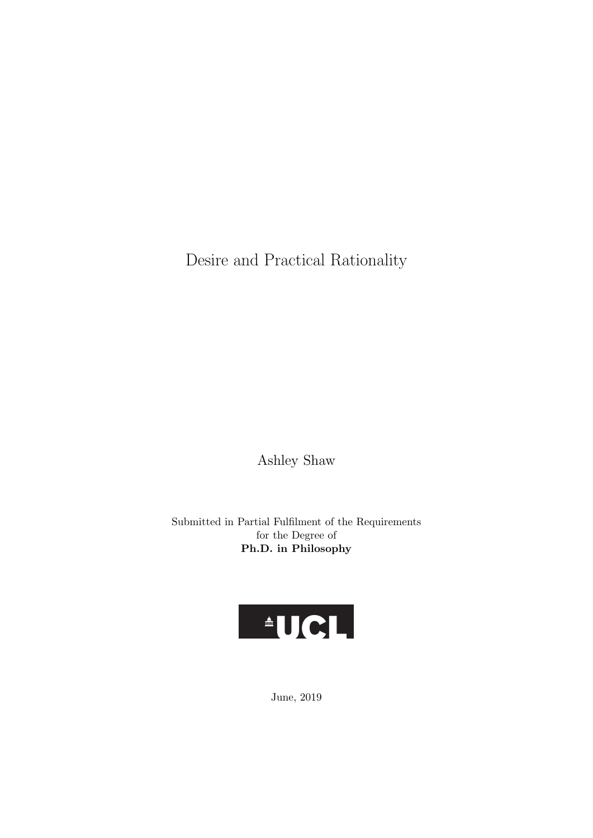Desire and Practical Rationality

Ashley Shaw

Submitted in Partial Fulfilment of the Requirements for the Degree of Ph.D. in Philosophy



June, 2019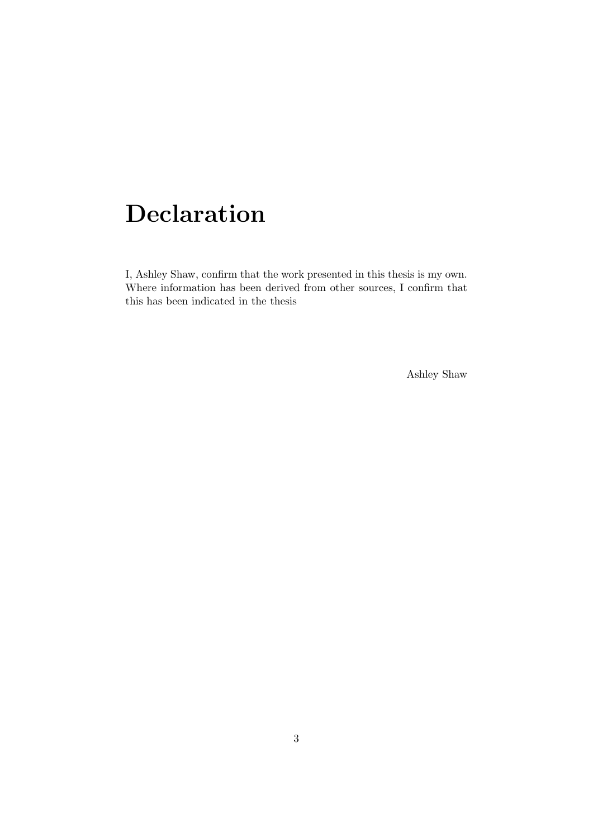## Declaration

I, Ashley Shaw, confirm that the work presented in this thesis is my own. Where information has been derived from other sources, I confirm that this has been indicated in the thesis

Ashley Shaw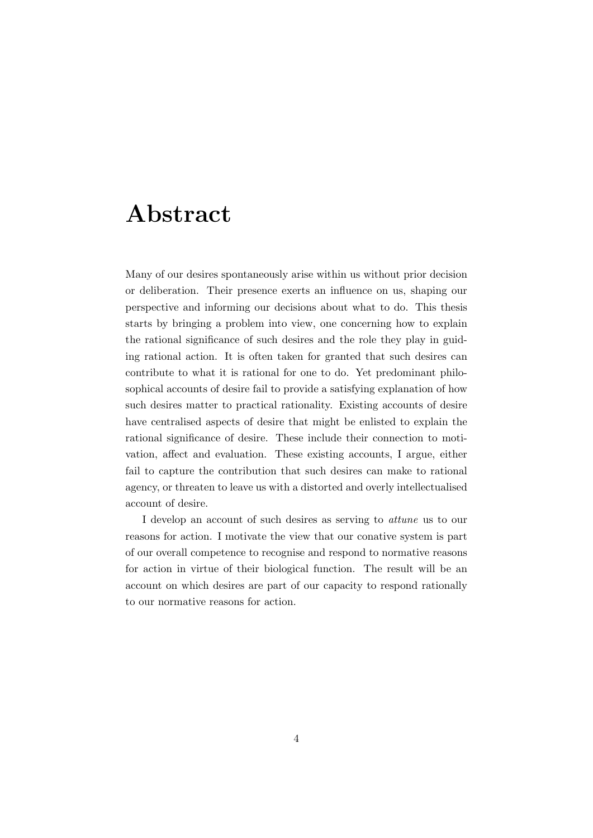## Abstract

Many of our desires spontaneously arise within us without prior decision or deliberation. Their presence exerts an influence on us, shaping our perspective and informing our decisions about what to do. This thesis starts by bringing a problem into view, one concerning how to explain the rational significance of such desires and the role they play in guiding rational action. It is often taken for granted that such desires can contribute to what it is rational for one to do. Yet predominant philosophical accounts of desire fail to provide a satisfying explanation of how such desires matter to practical rationality. Existing accounts of desire have centralised aspects of desire that might be enlisted to explain the rational significance of desire. These include their connection to motivation, affect and evaluation. These existing accounts, I argue, either fail to capture the contribution that such desires can make to rational agency, or threaten to leave us with a distorted and overly intellectualised account of desire.

I develop an account of such desires as serving to attune us to our reasons for action. I motivate the view that our conative system is part of our overall competence to recognise and respond to normative reasons for action in virtue of their biological function. The result will be an account on which desires are part of our capacity to respond rationally to our normative reasons for action.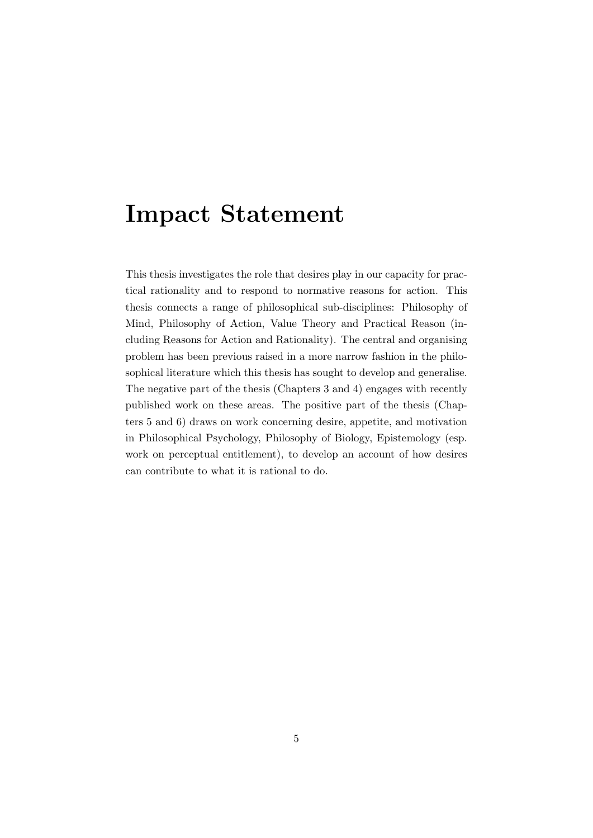### Impact Statement

This thesis investigates the role that desires play in our capacity for practical rationality and to respond to normative reasons for action. This thesis connects a range of philosophical sub-disciplines: Philosophy of Mind, Philosophy of Action, Value Theory and Practical Reason (including Reasons for Action and Rationality). The central and organising problem has been previous raised in a more narrow fashion in the philosophical literature which this thesis has sought to develop and generalise. The negative part of the thesis (Chapters 3 and 4) engages with recently published work on these areas. The positive part of the thesis (Chapters 5 and 6) draws on work concerning desire, appetite, and motivation in Philosophical Psychology, Philosophy of Biology, Epistemology (esp. work on perceptual entitlement), to develop an account of how desires can contribute to what it is rational to do.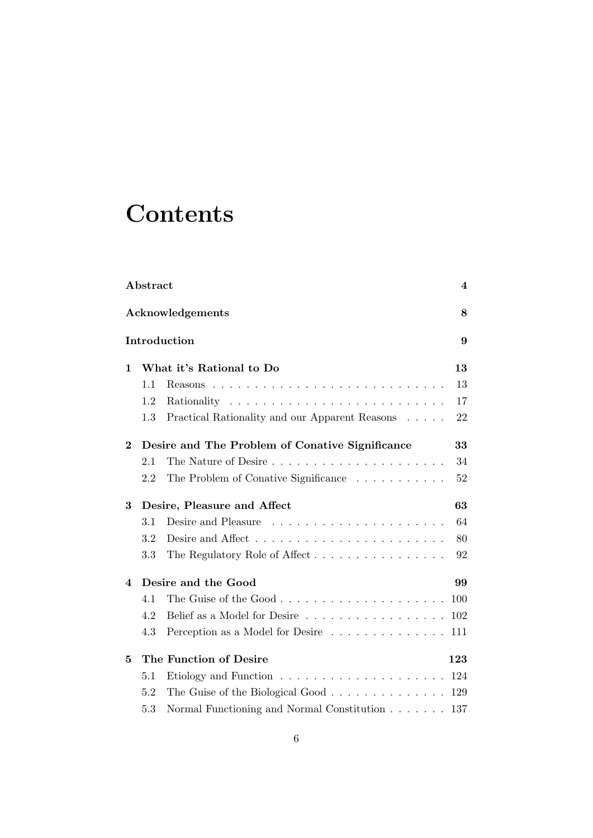## **Contents**

| Abstract          |                                                 |                                                                   |     |  |  |
|-------------------|-------------------------------------------------|-------------------------------------------------------------------|-----|--|--|
|                   | Acknowledgements                                |                                                                   |     |  |  |
| Introduction<br>9 |                                                 |                                                                   |     |  |  |
| 1                 |                                                 | What it's Rational to Do                                          | 13  |  |  |
|                   | 1.1                                             |                                                                   | 13  |  |  |
|                   | 1.2                                             |                                                                   | 17  |  |  |
|                   | 1.3                                             | Practical Rationality and our Apparent Reasons                    | 22  |  |  |
| $\bf{2}$          | Desire and The Problem of Conative Significance |                                                                   |     |  |  |
|                   | 2.1                                             |                                                                   | 34  |  |  |
|                   | 2.2                                             | The Problem of Conative Significance                              | 52  |  |  |
| 3                 | Desire, Pleasure and Affect                     |                                                                   |     |  |  |
|                   | 3.1                                             |                                                                   | 64  |  |  |
|                   | 3.2                                             |                                                                   | 80  |  |  |
|                   | 3.3                                             | The Regulatory Role of Affect                                     | 92  |  |  |
| 4                 |                                                 | Desire and the Good                                               | 99  |  |  |
|                   | 4.1                                             |                                                                   | 100 |  |  |
|                   | 4.2                                             | Belief as a Model for Desire                                      | 102 |  |  |
|                   | 4.3                                             | Perception as a Model for Desire                                  | 111 |  |  |
| 5                 |                                                 | The Function of Desire                                            | 123 |  |  |
|                   | 5.1                                             | Etiology and Function $\ldots \ldots \ldots \ldots \ldots \ldots$ | 124 |  |  |
|                   | 5.2                                             | The Guise of the Biological Good                                  | 129 |  |  |
|                   | 5.3                                             | Normal Functioning and Normal Constitution                        | 137 |  |  |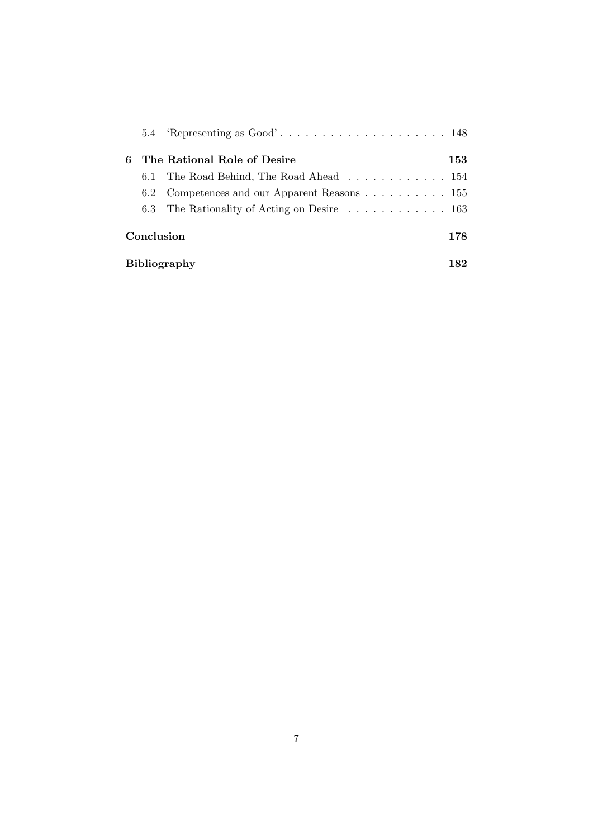|                     |               | 5.4 Representing as $Good' \dots \dots \dots \dots \dots \dots \dots \dots \dots$ |     |  |
|---------------------|---------------|-----------------------------------------------------------------------------------|-----|--|
| 6                   |               | The Rational Role of Desire                                                       | 153 |  |
|                     | 6.1           | The Road Behind, The Road Ahead 154                                               |     |  |
|                     | $6.2^{\circ}$ | Competences and our Apparent Reasons 155                                          |     |  |
|                     |               | 6.3 The Rationality of Acting on Desire $\dots \dots \dots \dots \dots \dots$     |     |  |
| Conclusion          |               |                                                                                   |     |  |
| <b>Bibliography</b> |               |                                                                                   |     |  |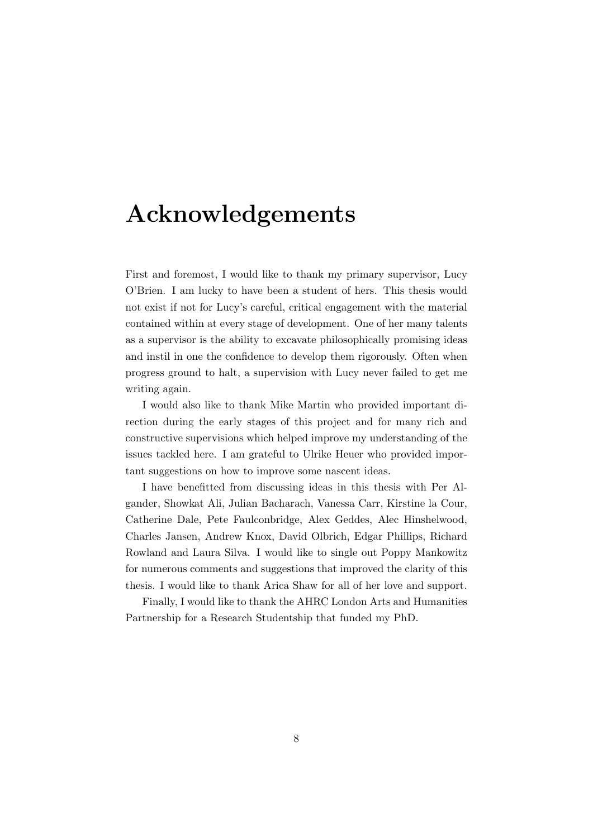## Acknowledgements

First and foremost, I would like to thank my primary supervisor, Lucy O'Brien. I am lucky to have been a student of hers. This thesis would not exist if not for Lucy's careful, critical engagement with the material contained within at every stage of development. One of her many talents as a supervisor is the ability to excavate philosophically promising ideas and instil in one the confidence to develop them rigorously. Often when progress ground to halt, a supervision with Lucy never failed to get me writing again.

I would also like to thank Mike Martin who provided important direction during the early stages of this project and for many rich and constructive supervisions which helped improve my understanding of the issues tackled here. I am grateful to Ulrike Heuer who provided important suggestions on how to improve some nascent ideas.

I have benefitted from discussing ideas in this thesis with Per Algander, Showkat Ali, Julian Bacharach, Vanessa Carr, Kirstine la Cour, Catherine Dale, Pete Faulconbridge, Alex Geddes, Alec Hinshelwood, Charles Jansen, Andrew Knox, David Olbrich, Edgar Phillips, Richard Rowland and Laura Silva. I would like to single out Poppy Mankowitz for numerous comments and suggestions that improved the clarity of this thesis. I would like to thank Arica Shaw for all of her love and support.

Finally, I would like to thank the AHRC London Arts and Humanities Partnership for a Research Studentship that funded my PhD.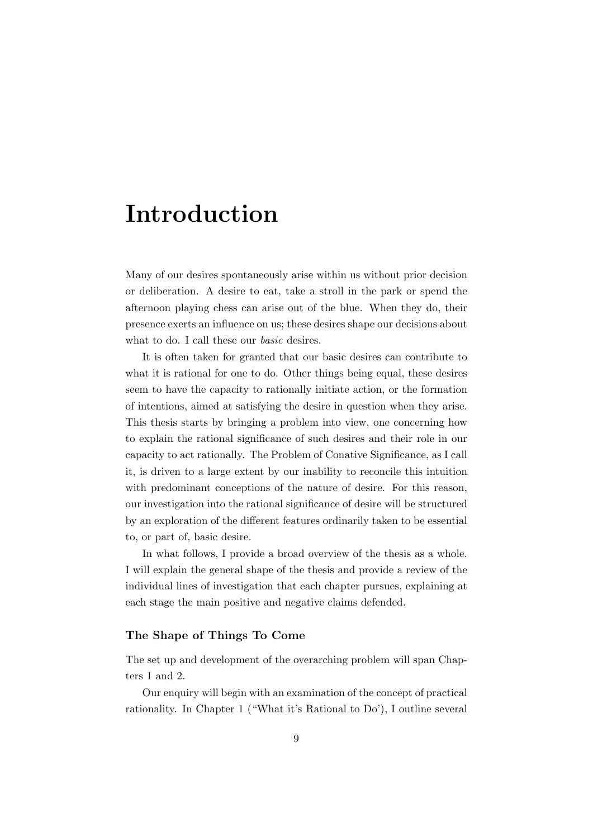## Introduction

Many of our desires spontaneously arise within us without prior decision or deliberation. A desire to eat, take a stroll in the park or spend the afternoon playing chess can arise out of the blue. When they do, their presence exerts an influence on us; these desires shape our decisions about what to do. I call these our *basic* desires.

It is often taken for granted that our basic desires can contribute to what it is rational for one to do. Other things being equal, these desires seem to have the capacity to rationally initiate action, or the formation of intentions, aimed at satisfying the desire in question when they arise. This thesis starts by bringing a problem into view, one concerning how to explain the rational significance of such desires and their role in our capacity to act rationally. The Problem of Conative Significance, as I call it, is driven to a large extent by our inability to reconcile this intuition with predominant conceptions of the nature of desire. For this reason, our investigation into the rational significance of desire will be structured by an exploration of the different features ordinarily taken to be essential to, or part of, basic desire.

In what follows, I provide a broad overview of the thesis as a whole. I will explain the general shape of the thesis and provide a review of the individual lines of investigation that each chapter pursues, explaining at each stage the main positive and negative claims defended.

#### The Shape of Things To Come

The set up and development of the overarching problem will span Chapters 1 and 2.

Our enquiry will begin with an examination of the concept of practical rationality. In Chapter 1 ("What it's Rational to Do'), I outline several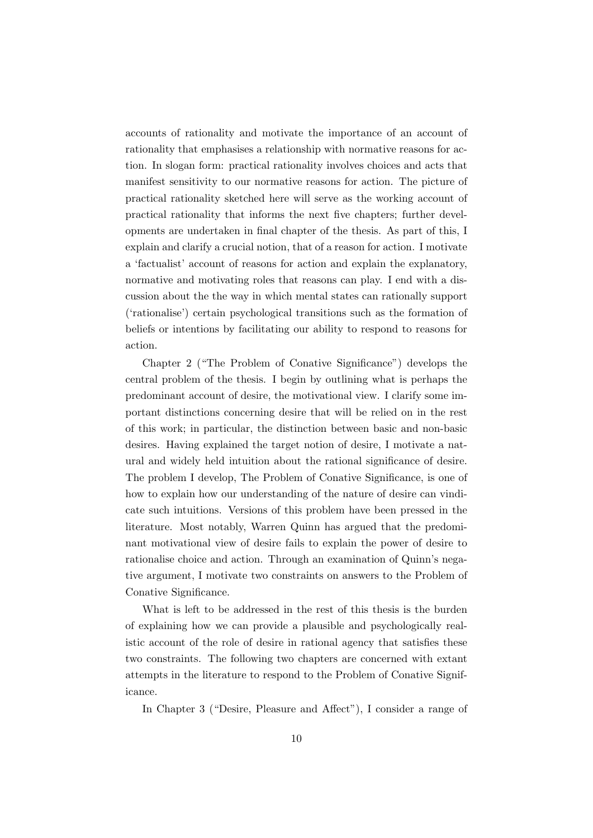accounts of rationality and motivate the importance of an account of rationality that emphasises a relationship with normative reasons for action. In slogan form: practical rationality involves choices and acts that manifest sensitivity to our normative reasons for action. The picture of practical rationality sketched here will serve as the working account of practical rationality that informs the next five chapters; further developments are undertaken in final chapter of the thesis. As part of this, I explain and clarify a crucial notion, that of a reason for action. I motivate a 'factualist' account of reasons for action and explain the explanatory, normative and motivating roles that reasons can play. I end with a discussion about the the way in which mental states can rationally support ('rationalise') certain psychological transitions such as the formation of beliefs or intentions by facilitating our ability to respond to reasons for action.

Chapter 2 ("The Problem of Conative Significance") develops the central problem of the thesis. I begin by outlining what is perhaps the predominant account of desire, the motivational view. I clarify some important distinctions concerning desire that will be relied on in the rest of this work; in particular, the distinction between basic and non-basic desires. Having explained the target notion of desire, I motivate a natural and widely held intuition about the rational significance of desire. The problem I develop, The Problem of Conative Significance, is one of how to explain how our understanding of the nature of desire can vindicate such intuitions. Versions of this problem have been pressed in the literature. Most notably, Warren Quinn has argued that the predominant motivational view of desire fails to explain the power of desire to rationalise choice and action. Through an examination of Quinn's negative argument, I motivate two constraints on answers to the Problem of Conative Significance.

What is left to be addressed in the rest of this thesis is the burden of explaining how we can provide a plausible and psychologically realistic account of the role of desire in rational agency that satisfies these two constraints. The following two chapters are concerned with extant attempts in the literature to respond to the Problem of Conative Significance.

In Chapter 3 ("Desire, Pleasure and Affect"), I consider a range of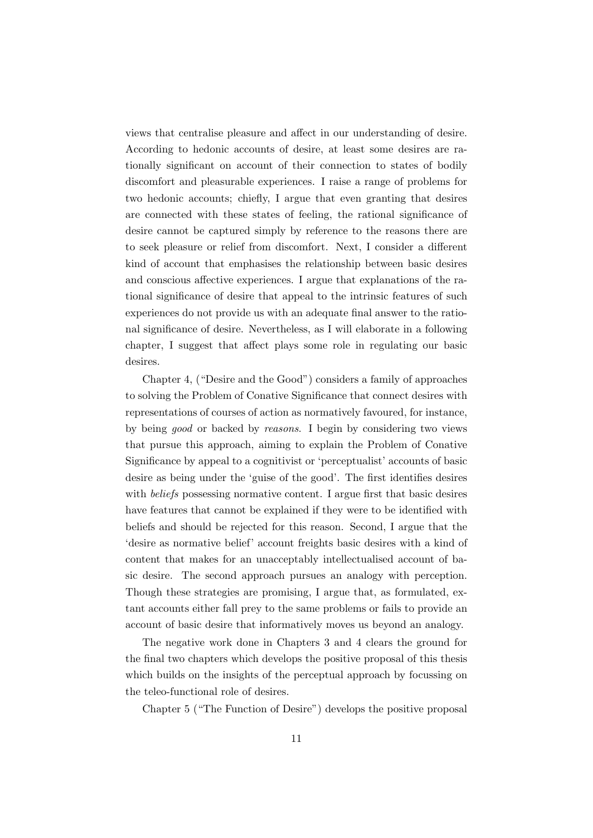views that centralise pleasure and affect in our understanding of desire. According to hedonic accounts of desire, at least some desires are rationally significant on account of their connection to states of bodily discomfort and pleasurable experiences. I raise a range of problems for two hedonic accounts; chiefly, I argue that even granting that desires are connected with these states of feeling, the rational significance of desire cannot be captured simply by reference to the reasons there are to seek pleasure or relief from discomfort. Next, I consider a different kind of account that emphasises the relationship between basic desires and conscious affective experiences. I argue that explanations of the rational significance of desire that appeal to the intrinsic features of such experiences do not provide us with an adequate final answer to the rational significance of desire. Nevertheless, as I will elaborate in a following chapter, I suggest that affect plays some role in regulating our basic desires.

Chapter 4, ("Desire and the Good") considers a family of approaches to solving the Problem of Conative Significance that connect desires with representations of courses of action as normatively favoured, for instance, by being good or backed by reasons. I begin by considering two views that pursue this approach, aiming to explain the Problem of Conative Significance by appeal to a cognitivist or 'perceptualist' accounts of basic desire as being under the 'guise of the good'. The first identifies desires with *beliefs* possessing normative content. I argue first that basic desires have features that cannot be explained if they were to be identified with beliefs and should be rejected for this reason. Second, I argue that the 'desire as normative belief' account freights basic desires with a kind of content that makes for an unacceptably intellectualised account of basic desire. The second approach pursues an analogy with perception. Though these strategies are promising, I argue that, as formulated, extant accounts either fall prey to the same problems or fails to provide an account of basic desire that informatively moves us beyond an analogy.

The negative work done in Chapters 3 and 4 clears the ground for the final two chapters which develops the positive proposal of this thesis which builds on the insights of the perceptual approach by focussing on the teleo-functional role of desires.

Chapter 5 ("The Function of Desire") develops the positive proposal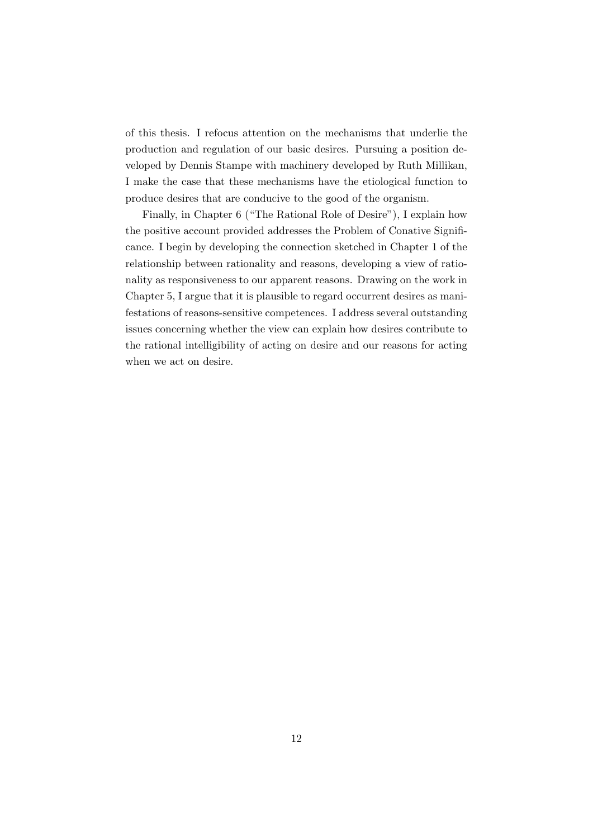of this thesis. I refocus attention on the mechanisms that underlie the production and regulation of our basic desires. Pursuing a position developed by Dennis Stampe with machinery developed by Ruth Millikan, I make the case that these mechanisms have the etiological function to produce desires that are conducive to the good of the organism.

Finally, in Chapter 6 ("The Rational Role of Desire"), I explain how the positive account provided addresses the Problem of Conative Significance. I begin by developing the connection sketched in Chapter 1 of the relationship between rationality and reasons, developing a view of rationality as responsiveness to our apparent reasons. Drawing on the work in Chapter 5, I argue that it is plausible to regard occurrent desires as manifestations of reasons-sensitive competences. I address several outstanding issues concerning whether the view can explain how desires contribute to the rational intelligibility of acting on desire and our reasons for acting when we act on desire.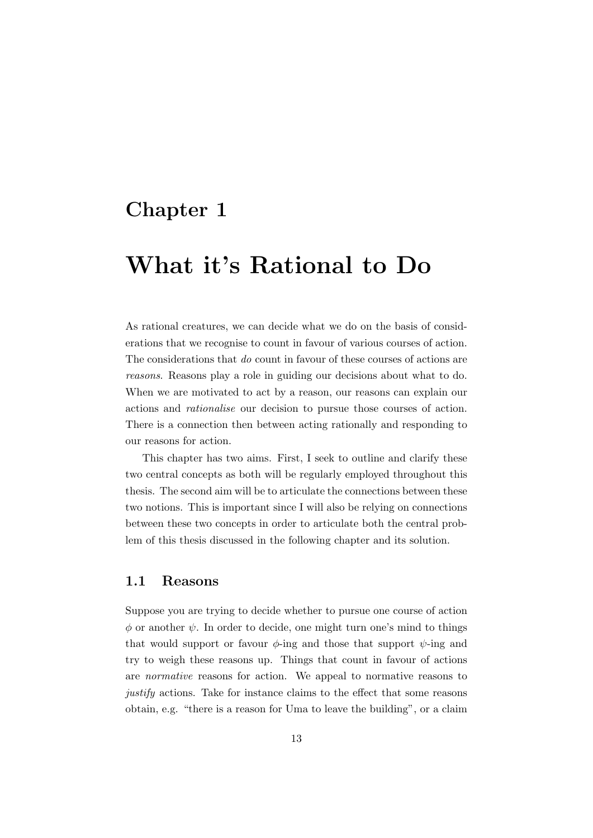### Chapter 1

## What it's Rational to Do

As rational creatures, we can decide what we do on the basis of considerations that we recognise to count in favour of various courses of action. The considerations that do count in favour of these courses of actions are reasons. Reasons play a role in guiding our decisions about what to do. When we are motivated to act by a reason, our reasons can explain our actions and rationalise our decision to pursue those courses of action. There is a connection then between acting rationally and responding to our reasons for action.

This chapter has two aims. First, I seek to outline and clarify these two central concepts as both will be regularly employed throughout this thesis. The second aim will be to articulate the connections between these two notions. This is important since I will also be relying on connections between these two concepts in order to articulate both the central problem of this thesis discussed in the following chapter and its solution.

### 1.1 Reasons

Suppose you are trying to decide whether to pursue one course of action  $\phi$  or another  $\psi$ . In order to decide, one might turn one's mind to things that would support or favour  $\phi$ -ing and those that support  $\psi$ -ing and try to weigh these reasons up. Things that count in favour of actions are normative reasons for action. We appeal to normative reasons to justify actions. Take for instance claims to the effect that some reasons obtain, e.g. "there is a reason for Uma to leave the building", or a claim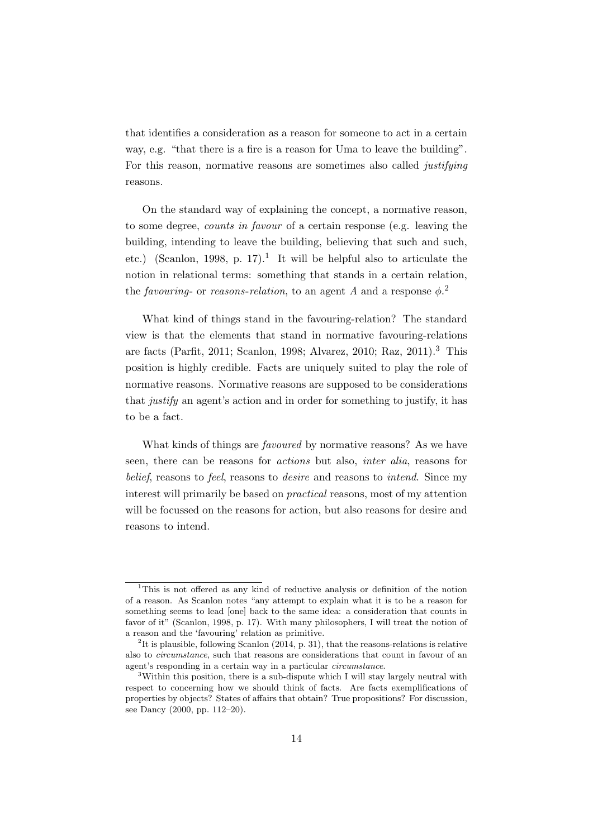that identifies a consideration as a reason for someone to act in a certain way, e.g. "that there is a fire is a reason for Uma to leave the building". For this reason, normative reasons are sometimes also called justifying reasons.

On the standard way of explaining the concept, a normative reason, to some degree, counts in favour of a certain response (e.g. leaving the building, intending to leave the building, believing that such and such, etc.) (Scanlon, 1998, p. 17).<sup>1</sup> It will be helpful also to articulate the notion in relational terms: something that stands in a certain relation, the favouring- or reasons-relation, to an agent A and a response  $\phi$ <sup>2</sup>

What kind of things stand in the favouring-relation? The standard view is that the elements that stand in normative favouring-relations are facts (Parfit, 2011; Scanlon, 1998; Alvarez, 2010; Raz, 2011).<sup>3</sup> This position is highly credible. Facts are uniquely suited to play the role of normative reasons. Normative reasons are supposed to be considerations that justify an agent's action and in order for something to justify, it has to be a fact.

What kinds of things are favoured by normative reasons? As we have seen, there can be reasons for actions but also, inter alia, reasons for belief, reasons to feel, reasons to desire and reasons to intend. Since my interest will primarily be based on practical reasons, most of my attention will be focussed on the reasons for action, but also reasons for desire and reasons to intend.

<sup>1</sup>This is not offered as any kind of reductive analysis or definition of the notion of a reason. As Scanlon notes "any attempt to explain what it is to be a reason for something seems to lead [one] back to the same idea: a consideration that counts in favor of it" (Scanlon, 1998, p. 17). With many philosophers, I will treat the notion of a reason and the 'favouring' relation as primitive.

<sup>&</sup>lt;sup>2</sup>It is plausible, following Scanlon  $(2014, p. 31)$ , that the reasons-relations is relative also to circumstance, such that reasons are considerations that count in favour of an agent's responding in a certain way in a particular circumstance.

<sup>&</sup>lt;sup>3</sup>Within this position, there is a sub-dispute which I will stay largely neutral with respect to concerning how we should think of facts. Are facts exemplifications of properties by objects? States of affairs that obtain? True propositions? For discussion, see Dancy (2000, pp. 112–20).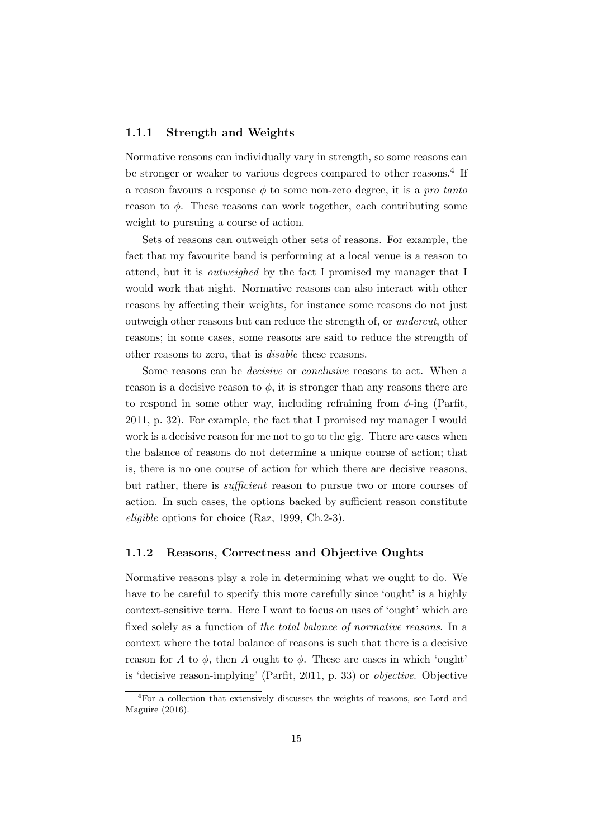#### 1.1.1 Strength and Weights

Normative reasons can individually vary in strength, so some reasons can be stronger or weaker to various degrees compared to other reasons.<sup>4</sup> If a reason favours a response  $\phi$  to some non-zero degree, it is a pro tanto reason to  $\phi$ . These reasons can work together, each contributing some weight to pursuing a course of action.

Sets of reasons can outweigh other sets of reasons. For example, the fact that my favourite band is performing at a local venue is a reason to attend, but it is outweighed by the fact I promised my manager that I would work that night. Normative reasons can also interact with other reasons by affecting their weights, for instance some reasons do not just outweigh other reasons but can reduce the strength of, or undercut, other reasons; in some cases, some reasons are said to reduce the strength of other reasons to zero, that is disable these reasons.

Some reasons can be decisive or conclusive reasons to act. When a reason is a decisive reason to  $\phi$ , it is stronger than any reasons there are to respond in some other way, including refraining from  $\phi$ -ing (Parfit, 2011, p. 32). For example, the fact that I promised my manager I would work is a decisive reason for me not to go to the gig. There are cases when the balance of reasons do not determine a unique course of action; that is, there is no one course of action for which there are decisive reasons, but rather, there is *sufficient* reason to pursue two or more courses of action. In such cases, the options backed by sufficient reason constitute eligible options for choice (Raz, 1999, Ch.2-3).

#### 1.1.2 Reasons, Correctness and Objective Oughts

Normative reasons play a role in determining what we ought to do. We have to be careful to specify this more carefully since 'ought' is a highly context-sensitive term. Here I want to focus on uses of 'ought' which are fixed solely as a function of the total balance of normative reasons. In a context where the total balance of reasons is such that there is a decisive reason for A to  $\phi$ , then A ought to  $\phi$ . These are cases in which 'ought' is 'decisive reason-implying' (Parfit, 2011, p. 33) or objective. Objective

<sup>&</sup>lt;sup>4</sup>For a collection that extensively discusses the weights of reasons, see Lord and Maguire (2016).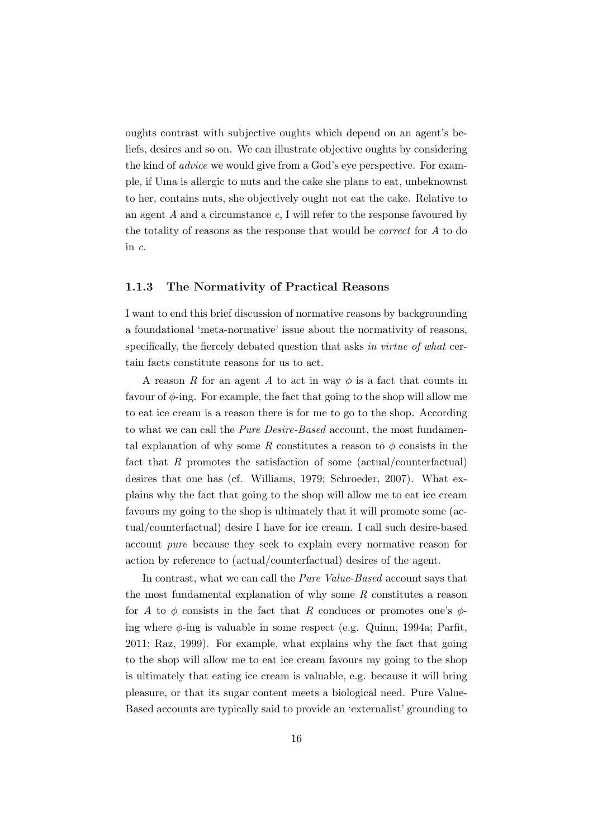oughts contrast with subjective oughts which depend on an agent's beliefs, desires and so on. We can illustrate objective oughts by considering the kind of advice we would give from a God's eye perspective. For example, if Uma is allergic to nuts and the cake she plans to eat, unbeknownst to her, contains nuts, she objectively ought not eat the cake. Relative to an agent A and a circumstance c, I will refer to the response favoured by the totality of reasons as the response that would be correct for A to do in c.

#### 1.1.3 The Normativity of Practical Reasons

I want to end this brief discussion of normative reasons by backgrounding a foundational 'meta-normative' issue about the normativity of reasons, specifically, the fiercely debated question that asks in virtue of what certain facts constitute reasons for us to act.

A reason R for an agent A to act in way  $\phi$  is a fact that counts in favour of  $\phi$ -ing. For example, the fact that going to the shop will allow me to eat ice cream is a reason there is for me to go to the shop. According to what we can call the *Pure Desire-Based* account, the most fundamental explanation of why some R constitutes a reason to  $\phi$  consists in the fact that  $R$  promotes the satisfaction of some (actual/counterfactual) desires that one has (cf. Williams, 1979; Schroeder, 2007). What explains why the fact that going to the shop will allow me to eat ice cream favours my going to the shop is ultimately that it will promote some (actual/counterfactual) desire I have for ice cream. I call such desire-based account pure because they seek to explain every normative reason for action by reference to (actual/counterfactual) desires of the agent.

In contrast, what we can call the *Pure Value-Based* account says that the most fundamental explanation of why some R constitutes a reason for A to  $\phi$  consists in the fact that R conduces or promotes one's  $\phi$ ing where  $\phi$ -ing is valuable in some respect (e.g. Quinn, 1994a; Parfit, 2011; Raz, 1999). For example, what explains why the fact that going to the shop will allow me to eat ice cream favours my going to the shop is ultimately that eating ice cream is valuable, e.g. because it will bring pleasure, or that its sugar content meets a biological need. Pure Value-Based accounts are typically said to provide an 'externalist' grounding to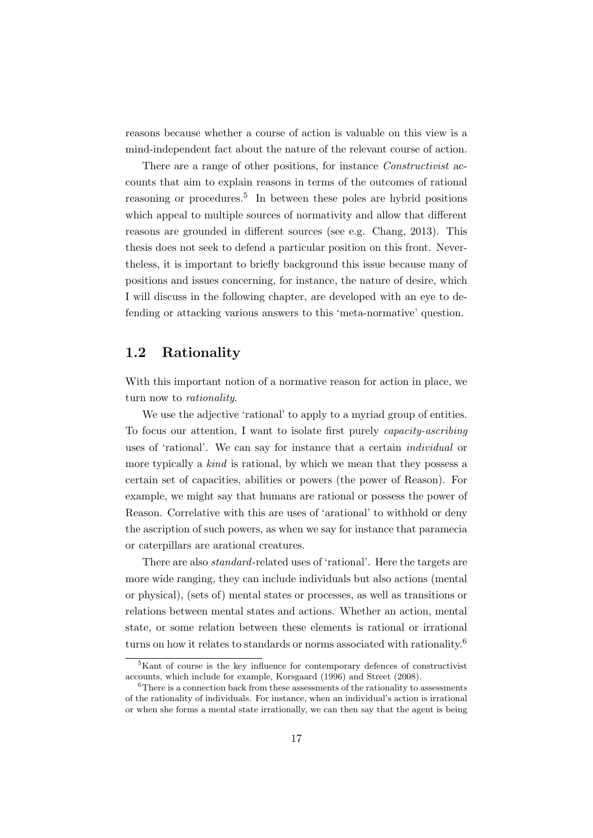reasons because whether a course of action is valuable on this view is a mind-independent fact about the nature of the relevant course of action.

There are a range of other positions, for instance *Constructivist* accounts that aim to explain reasons in terms of the outcomes of rational reasoning or procedures.<sup>5</sup> In between these poles are hybrid positions which appeal to multiple sources of normativity and allow that different reasons are grounded in different sources (see e.g. Chang, 2013). This thesis does not seek to defend a particular position on this front. Nevertheless, it is important to briefly background this issue because many of positions and issues concerning, for instance, the nature of desire, which I will discuss in the following chapter, are developed with an eye to defending or attacking various answers to this 'meta-normative' question.

### 1.2 Rationality

With this important notion of a normative reason for action in place, we turn now to rationality.

We use the adjective 'rational' to apply to a myriad group of entities. To focus our attention, I want to isolate first purely capacity-ascribing uses of 'rational'. We can say for instance that a certain individual or more typically a kind is rational, by which we mean that they possess a certain set of capacities, abilities or powers (the power of Reason). For example, we might say that humans are rational or possess the power of Reason. Correlative with this are uses of 'arational' to withhold or deny the ascription of such powers, as when we say for instance that paramecia or caterpillars are arational creatures.

There are also standard-related uses of 'rational'. Here the targets are more wide ranging, they can include individuals but also actions (mental or physical), (sets of) mental states or processes, as well as transitions or relations between mental states and actions. Whether an action, mental state, or some relation between these elements is rational or irrational turns on how it relates to standards or norms associated with rationality.<sup>6</sup>

<sup>&</sup>lt;sup>5</sup>Kant of course is the key influence for contemporary defences of constructivist accounts, which include for example, Korsgaard (1996) and Street (2008).

 ${}^{6}$ There is a connection back from these assessments of the rationality to assessments of the rationality of individuals. For instance, when an individual's action is irrational or when she forms a mental state irrationally, we can then say that the agent is being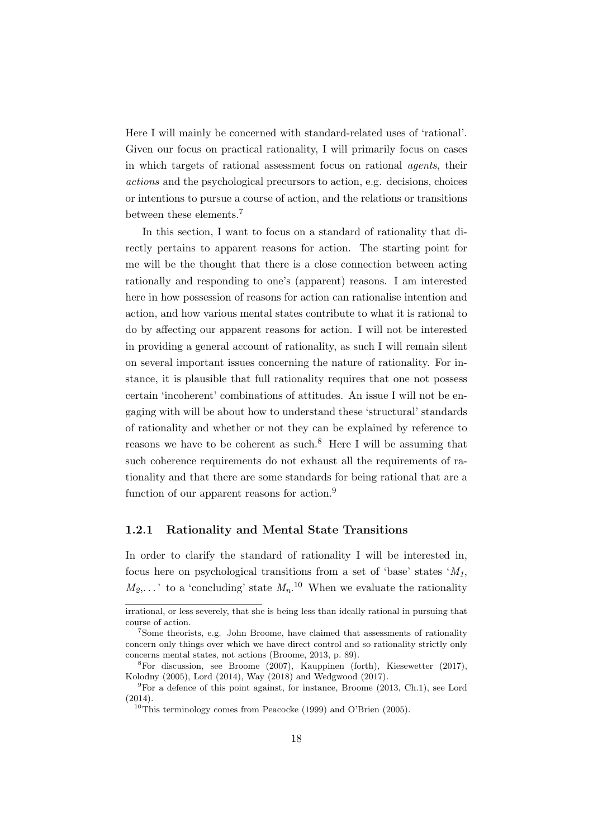Here I will mainly be concerned with standard-related uses of 'rational'. Given our focus on practical rationality, I will primarily focus on cases in which targets of rational assessment focus on rational agents, their actions and the psychological precursors to action, e.g. decisions, choices or intentions to pursue a course of action, and the relations or transitions between these elements.<sup>7</sup>

In this section, I want to focus on a standard of rationality that directly pertains to apparent reasons for action. The starting point for me will be the thought that there is a close connection between acting rationally and responding to one's (apparent) reasons. I am interested here in how possession of reasons for action can rationalise intention and action, and how various mental states contribute to what it is rational to do by affecting our apparent reasons for action. I will not be interested in providing a general account of rationality, as such I will remain silent on several important issues concerning the nature of rationality. For instance, it is plausible that full rationality requires that one not possess certain 'incoherent' combinations of attitudes. An issue I will not be engaging with will be about how to understand these 'structural' standards of rationality and whether or not they can be explained by reference to reasons we have to be coherent as such.<sup>8</sup> Here I will be assuming that such coherence requirements do not exhaust all the requirements of rationality and that there are some standards for being rational that are a function of our apparent reasons for action.<sup>9</sup>

#### 1.2.1 Rationality and Mental State Transitions

In order to clarify the standard of rationality I will be interested in, focus here on psychological transitions from a set of 'base' states  $^tM_1$ ,  $M_2, \ldots$  ' to a 'concluding' state  $M_n$ .<sup>10</sup> When we evaluate the rationality

irrational, or less severely, that she is being less than ideally rational in pursuing that course of action.

<sup>&</sup>lt;sup>7</sup>Some theorists, e.g. John Broome, have claimed that assessments of rationality concern only things over which we have direct control and so rationality strictly only concerns mental states, not actions (Broome, 2013, p. 89).

<sup>8</sup>For discussion, see Broome (2007), Kauppinen (forth), Kiesewetter (2017), Kolodny (2005), Lord (2014), Way (2018) and Wedgwood (2017).

 ${}^{9}$ For a defence of this point against, for instance, Broome (2013, Ch.1), see Lord (2014).

<sup>&</sup>lt;sup>10</sup>This terminology comes from Peacocke  $(1999)$  and O'Brien  $(2005)$ .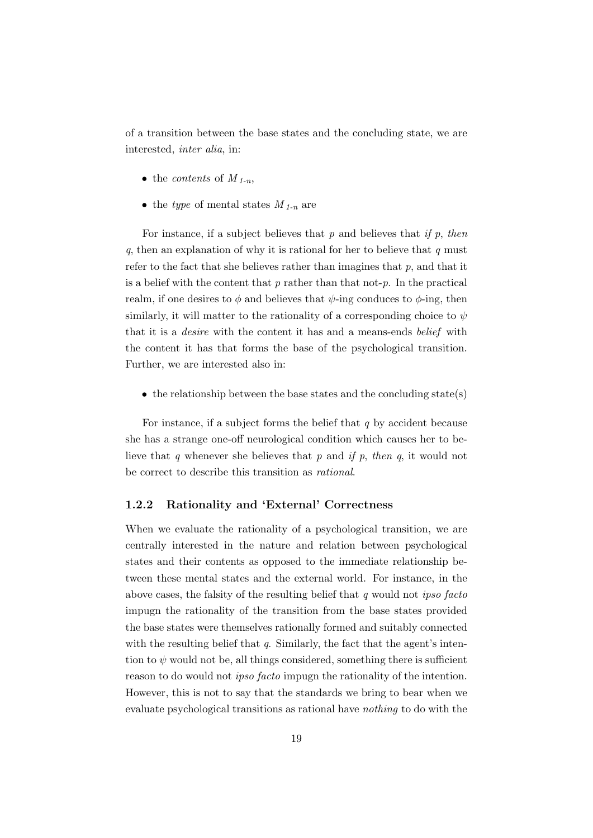of a transition between the base states and the concluding state, we are interested, inter alia, in:

- the *contents* of  $M_{1-n}$ ,
- the type of mental states  $M_{1-n}$  are

For instance, if a subject believes that  $p$  and believes that if  $p$ , then q, then an explanation of why it is rational for her to believe that  $q$  must refer to the fact that she believes rather than imagines that  $p$ , and that it is a belief with the content that  $p$  rather than that not- $p$ . In the practical realm, if one desires to  $\phi$  and believes that  $\psi$ -ing conduces to  $\phi$ -ing, then similarly, it will matter to the rationality of a corresponding choice to  $\psi$ that it is a desire with the content it has and a means-ends belief with the content it has that forms the base of the psychological transition. Further, we are interested also in:

• the relationship between the base states and the concluding state(s)

For instance, if a subject forms the belief that  $q$  by accident because she has a strange one-off neurological condition which causes her to believe that  $q$  whenever she believes that  $p$  and if  $p$ , then  $q$ , it would not be correct to describe this transition as rational.

#### 1.2.2 Rationality and 'External' Correctness

When we evaluate the rationality of a psychological transition, we are centrally interested in the nature and relation between psychological states and their contents as opposed to the immediate relationship between these mental states and the external world. For instance, in the above cases, the falsity of the resulting belief that  $q$  would not *ipso facto* impugn the rationality of the transition from the base states provided the base states were themselves rationally formed and suitably connected with the resulting belief that  $q$ . Similarly, the fact that the agent's intention to  $\psi$  would not be, all things considered, something there is sufficient reason to do would not ipso facto impugn the rationality of the intention. However, this is not to say that the standards we bring to bear when we evaluate psychological transitions as rational have nothing to do with the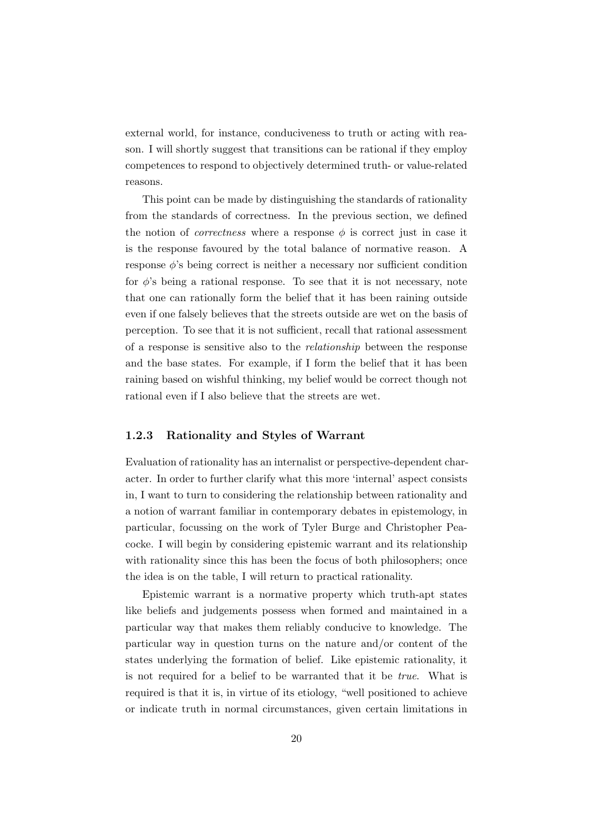external world, for instance, conduciveness to truth or acting with reason. I will shortly suggest that transitions can be rational if they employ competences to respond to objectively determined truth- or value-related reasons.

This point can be made by distinguishing the standards of rationality from the standards of correctness. In the previous section, we defined the notion of *correctness* where a response  $\phi$  is correct just in case it is the response favoured by the total balance of normative reason. A response  $\phi$ 's being correct is neither a necessary nor sufficient condition for  $\phi$ 's being a rational response. To see that it is not necessary, note that one can rationally form the belief that it has been raining outside even if one falsely believes that the streets outside are wet on the basis of perception. To see that it is not sufficient, recall that rational assessment of a response is sensitive also to the relationship between the response and the base states. For example, if I form the belief that it has been raining based on wishful thinking, my belief would be correct though not rational even if I also believe that the streets are wet.

#### 1.2.3 Rationality and Styles of Warrant

Evaluation of rationality has an internalist or perspective-dependent character. In order to further clarify what this more 'internal' aspect consists in, I want to turn to considering the relationship between rationality and a notion of warrant familiar in contemporary debates in epistemology, in particular, focussing on the work of Tyler Burge and Christopher Peacocke. I will begin by considering epistemic warrant and its relationship with rationality since this has been the focus of both philosophers; once the idea is on the table, I will return to practical rationality.

Epistemic warrant is a normative property which truth-apt states like beliefs and judgements possess when formed and maintained in a particular way that makes them reliably conducive to knowledge. The particular way in question turns on the nature and/or content of the states underlying the formation of belief. Like epistemic rationality, it is not required for a belief to be warranted that it be true. What is required is that it is, in virtue of its etiology, "well positioned to achieve or indicate truth in normal circumstances, given certain limitations in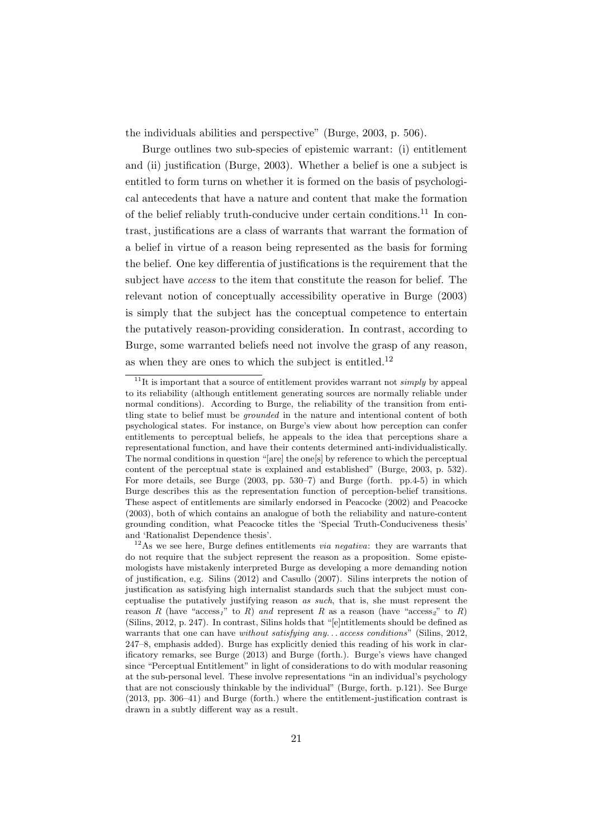the individuals abilities and perspective" (Burge, 2003, p. 506).

Burge outlines two sub-species of epistemic warrant: (i) entitlement and (ii) justification (Burge, 2003). Whether a belief is one a subject is entitled to form turns on whether it is formed on the basis of psychological antecedents that have a nature and content that make the formation of the belief reliably truth-conducive under certain conditions.<sup>11</sup> In contrast, justifications are a class of warrants that warrant the formation of a belief in virtue of a reason being represented as the basis for forming the belief. One key differentia of justifications is the requirement that the subject have access to the item that constitute the reason for belief. The relevant notion of conceptually accessibility operative in Burge (2003) is simply that the subject has the conceptual competence to entertain the putatively reason-providing consideration. In contrast, according to Burge, some warranted beliefs need not involve the grasp of any reason, as when they are ones to which the subject is entitled.<sup>12</sup>

 $11$ <sup>II</sup>It is important that a source of entitlement provides warrant not *simply* by appeal to its reliability (although entitlement generating sources are normally reliable under normal conditions). According to Burge, the reliability of the transition from entitling state to belief must be grounded in the nature and intentional content of both psychological states. For instance, on Burge's view about how perception can confer entitlements to perceptual beliefs, he appeals to the idea that perceptions share a representational function, and have their contents determined anti-individualistically. The normal conditions in question "[are] the one[s] by reference to which the perceptual content of the perceptual state is explained and established" (Burge, 2003, p. 532). For more details, see Burge (2003, pp. 530–7) and Burge (forth. pp.4-5) in which Burge describes this as the representation function of perception-belief transitions. These aspect of entitlements are similarly endorsed in Peacocke (2002) and Peacocke (2003), both of which contains an analogue of both the reliability and nature-content grounding condition, what Peacocke titles the 'Special Truth-Conduciveness thesis' and 'Rationalist Dependence thesis'.

 $12$ As we see here, Burge defines entitlements *via negativa*: they are warrants that do not require that the subject represent the reason as a proposition. Some epistemologists have mistakenly interpreted Burge as developing a more demanding notion of justification, e.g. Silins (2012) and Casullo (2007). Silins interprets the notion of justification as satisfying high internalist standards such that the subject must conceptualise the putatively justifying reason as such, that is, she must represent the reason R (have " $\arccos_1$ " to R) and represent R as a reason (have " $\arccos_2$ " to R) (Silins, 2012, p. 247). In contrast, Silins holds that "[e]ntitlements should be defined as warrants that one can have without satisfying any... access conditions" (Silins, 2012, 247–8, emphasis added). Burge has explicitly denied this reading of his work in clarificatory remarks, see Burge (2013) and Burge (forth.). Burge's views have changed since "Perceptual Entitlement" in light of considerations to do with modular reasoning at the sub-personal level. These involve representations "in an individual's psychology that are not consciously thinkable by the individual" (Burge, forth. p.121). See Burge (2013, pp. 306–41) and Burge (forth.) where the entitlement-justification contrast is drawn in a subtly different way as a result.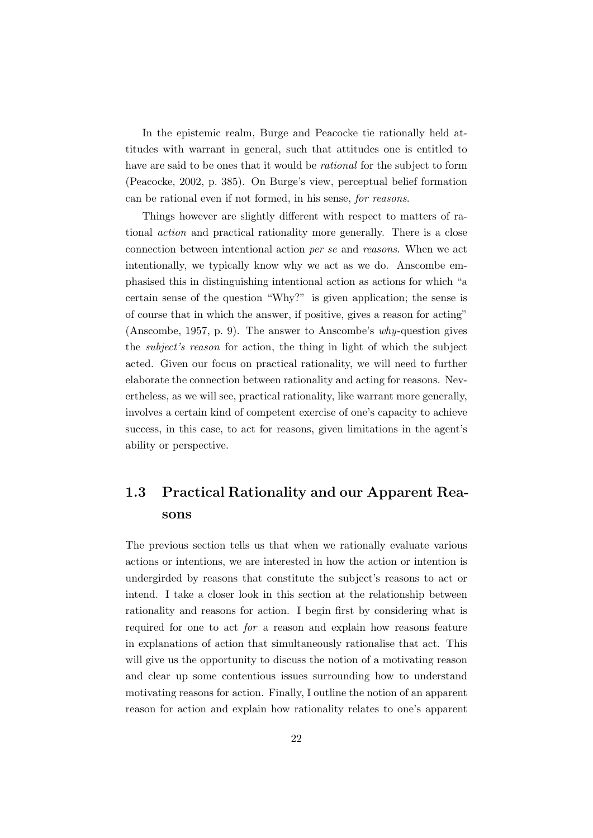In the epistemic realm, Burge and Peacocke tie rationally held attitudes with warrant in general, such that attitudes one is entitled to have are said to be ones that it would be rational for the subject to form (Peacocke, 2002, p. 385). On Burge's view, perceptual belief formation can be rational even if not formed, in his sense, for reasons.

Things however are slightly different with respect to matters of rational action and practical rationality more generally. There is a close connection between intentional action per se and reasons. When we act intentionally, we typically know why we act as we do. Anscombe emphasised this in distinguishing intentional action as actions for which "a certain sense of the question "Why?" is given application; the sense is of course that in which the answer, if positive, gives a reason for acting" (Anscombe, 1957, p. 9). The answer to Anscombe's why-question gives the subject's reason for action, the thing in light of which the subject acted. Given our focus on practical rationality, we will need to further elaborate the connection between rationality and acting for reasons. Nevertheless, as we will see, practical rationality, like warrant more generally, involves a certain kind of competent exercise of one's capacity to achieve success, in this case, to act for reasons, given limitations in the agent's ability or perspective.

### 1.3 Practical Rationality and our Apparent Reasons

The previous section tells us that when we rationally evaluate various actions or intentions, we are interested in how the action or intention is undergirded by reasons that constitute the subject's reasons to act or intend. I take a closer look in this section at the relationship between rationality and reasons for action. I begin first by considering what is required for one to act for a reason and explain how reasons feature in explanations of action that simultaneously rationalise that act. This will give us the opportunity to discuss the notion of a motivating reason and clear up some contentious issues surrounding how to understand motivating reasons for action. Finally, I outline the notion of an apparent reason for action and explain how rationality relates to one's apparent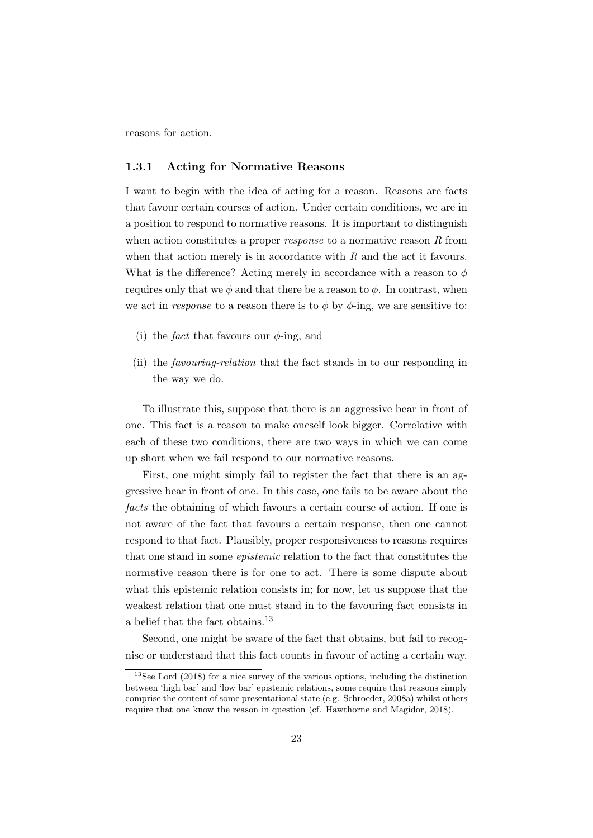reasons for action.

#### 1.3.1 Acting for Normative Reasons

I want to begin with the idea of acting for a reason. Reasons are facts that favour certain courses of action. Under certain conditions, we are in a position to respond to normative reasons. It is important to distinguish when action constitutes a proper *response* to a normative reason  $R$  from when that action merely is in accordance with  $R$  and the act it favours. What is the difference? Acting merely in accordance with a reason to  $\phi$ requires only that we  $\phi$  and that there be a reason to  $\phi$ . In contrast, when we act in response to a reason there is to  $\phi$  by  $\phi$ -ing, we are sensitive to:

- (i) the *fact* that favours our  $\phi$ -ing, and
- (ii) the favouring-relation that the fact stands in to our responding in the way we do.

To illustrate this, suppose that there is an aggressive bear in front of one. This fact is a reason to make oneself look bigger. Correlative with each of these two conditions, there are two ways in which we can come up short when we fail respond to our normative reasons.

First, one might simply fail to register the fact that there is an aggressive bear in front of one. In this case, one fails to be aware about the facts the obtaining of which favours a certain course of action. If one is not aware of the fact that favours a certain response, then one cannot respond to that fact. Plausibly, proper responsiveness to reasons requires that one stand in some epistemic relation to the fact that constitutes the normative reason there is for one to act. There is some dispute about what this epistemic relation consists in; for now, let us suppose that the weakest relation that one must stand in to the favouring fact consists in a belief that the fact obtains.<sup>13</sup>

Second, one might be aware of the fact that obtains, but fail to recognise or understand that this fact counts in favour of acting a certain way.

<sup>13</sup>See Lord (2018) for a nice survey of the various options, including the distinction between 'high bar' and 'low bar' epistemic relations, some require that reasons simply comprise the content of some presentational state (e.g. Schroeder, 2008a) whilst others require that one know the reason in question (cf. Hawthorne and Magidor, 2018).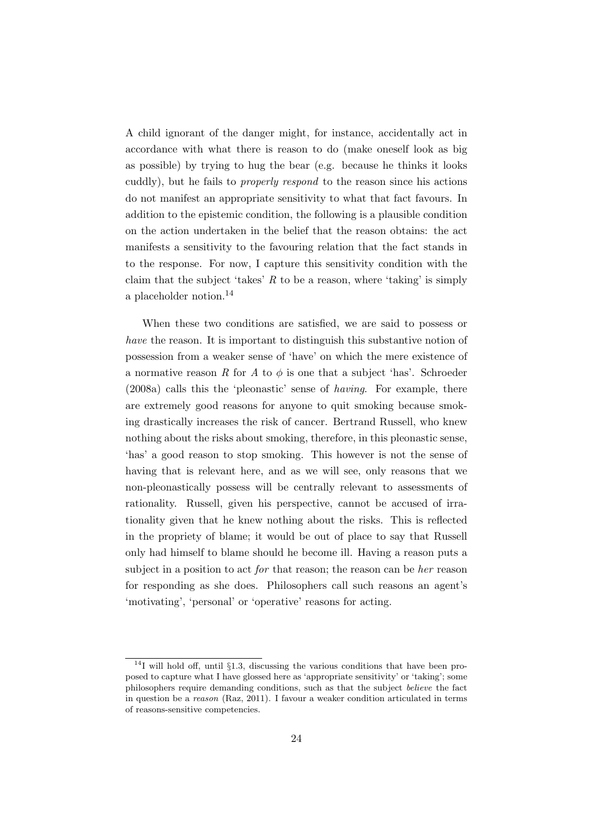A child ignorant of the danger might, for instance, accidentally act in accordance with what there is reason to do (make oneself look as big as possible) by trying to hug the bear (e.g. because he thinks it looks cuddly), but he fails to properly respond to the reason since his actions do not manifest an appropriate sensitivity to what that fact favours. In addition to the epistemic condition, the following is a plausible condition on the action undertaken in the belief that the reason obtains: the act manifests a sensitivity to the favouring relation that the fact stands in to the response. For now, I capture this sensitivity condition with the claim that the subject 'takes'  $R$  to be a reason, where 'taking' is simply a placeholder notion.<sup>14</sup>

When these two conditions are satisfied, we are said to possess or have the reason. It is important to distinguish this substantive notion of possession from a weaker sense of 'have' on which the mere existence of a normative reason R for A to  $\phi$  is one that a subject 'has'. Schroeder (2008a) calls this the 'pleonastic' sense of having. For example, there are extremely good reasons for anyone to quit smoking because smoking drastically increases the risk of cancer. Bertrand Russell, who knew nothing about the risks about smoking, therefore, in this pleonastic sense, 'has' a good reason to stop smoking. This however is not the sense of having that is relevant here, and as we will see, only reasons that we non-pleonastically possess will be centrally relevant to assessments of rationality. Russell, given his perspective, cannot be accused of irrationality given that he knew nothing about the risks. This is reflected in the propriety of blame; it would be out of place to say that Russell only had himself to blame should he become ill. Having a reason puts a subject in a position to act for that reason; the reason can be her reason for responding as she does. Philosophers call such reasons an agent's 'motivating', 'personal' or 'operative' reasons for acting.

 $14$ I will hold off, until §1.3, discussing the various conditions that have been proposed to capture what I have glossed here as 'appropriate sensitivity' or 'taking'; some philosophers require demanding conditions, such as that the subject believe the fact in question be a reason (Raz, 2011). I favour a weaker condition articulated in terms of reasons-sensitive competencies.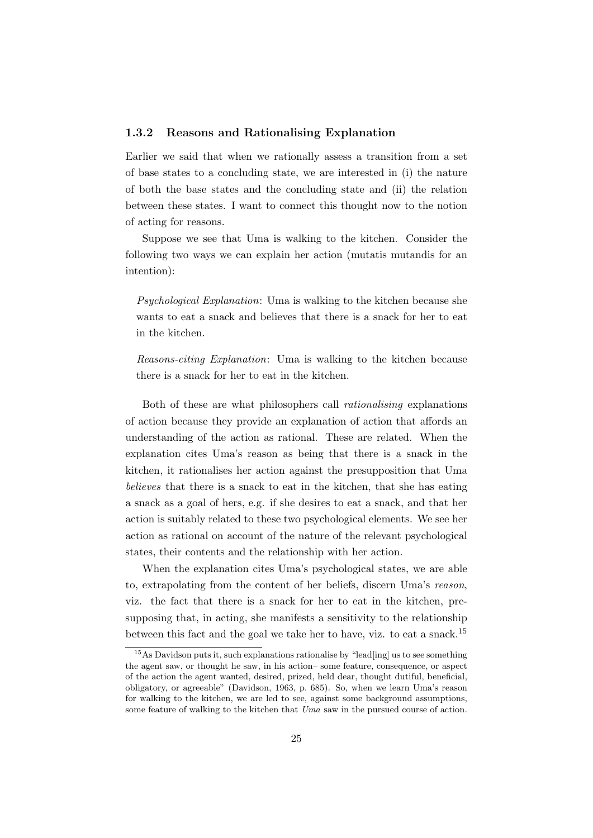#### 1.3.2 Reasons and Rationalising Explanation

Earlier we said that when we rationally assess a transition from a set of base states to a concluding state, we are interested in (i) the nature of both the base states and the concluding state and (ii) the relation between these states. I want to connect this thought now to the notion of acting for reasons.

Suppose we see that Uma is walking to the kitchen. Consider the following two ways we can explain her action (mutatis mutandis for an intention):

Psychological Explanation: Uma is walking to the kitchen because she wants to eat a snack and believes that there is a snack for her to eat in the kitchen.

Reasons-citing Explanation: Uma is walking to the kitchen because there is a snack for her to eat in the kitchen.

Both of these are what philosophers call rationalising explanations of action because they provide an explanation of action that affords an understanding of the action as rational. These are related. When the explanation cites Uma's reason as being that there is a snack in the kitchen, it rationalises her action against the presupposition that Uma believes that there is a snack to eat in the kitchen, that she has eating a snack as a goal of hers, e.g. if she desires to eat a snack, and that her action is suitably related to these two psychological elements. We see her action as rational on account of the nature of the relevant psychological states, their contents and the relationship with her action.

When the explanation cites Uma's psychological states, we are able to, extrapolating from the content of her beliefs, discern Uma's reason, viz. the fact that there is a snack for her to eat in the kitchen, presupposing that, in acting, she manifests a sensitivity to the relationship between this fact and the goal we take her to have, viz. to eat a snack.<sup>15</sup>

<sup>&</sup>lt;sup>15</sup>As Davidson puts it, such explanations rationalise by "lead[ing] us to see something the agent saw, or thought he saw, in his action– some feature, consequence, or aspect of the action the agent wanted, desired, prized, held dear, thought dutiful, beneficial, obligatory, or agreeable" (Davidson, 1963, p. 685). So, when we learn Uma's reason for walking to the kitchen, we are led to see, against some background assumptions, some feature of walking to the kitchen that Uma saw in the pursued course of action.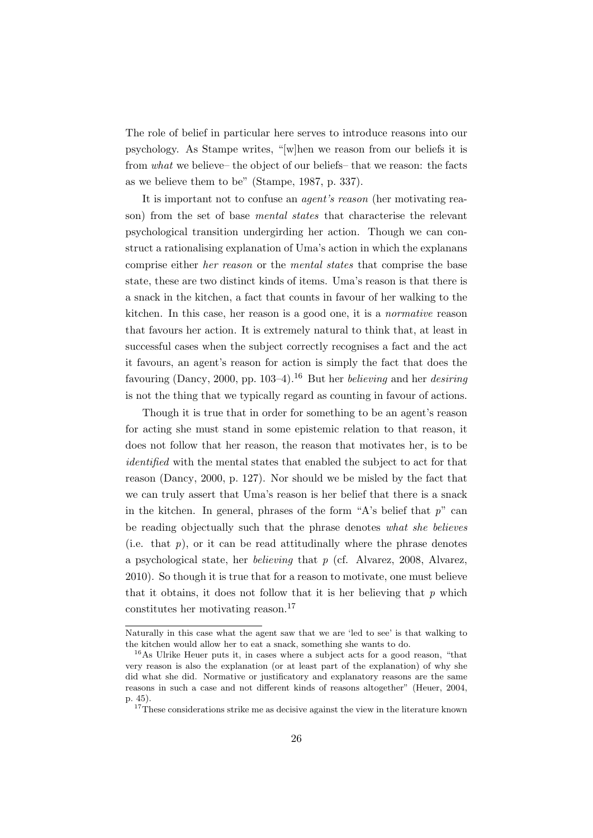The role of belief in particular here serves to introduce reasons into our psychology. As Stampe writes, "[w]hen we reason from our beliefs it is from what we believe– the object of our beliefs– that we reason: the facts as we believe them to be" (Stampe, 1987, p. 337).

It is important not to confuse an *agent's reason* (her motivating reason) from the set of base mental states that characterise the relevant psychological transition undergirding her action. Though we can construct a rationalising explanation of Uma's action in which the explanans comprise either her reason or the mental states that comprise the base state, these are two distinct kinds of items. Uma's reason is that there is a snack in the kitchen, a fact that counts in favour of her walking to the kitchen. In this case, her reason is a good one, it is a normative reason that favours her action. It is extremely natural to think that, at least in successful cases when the subject correctly recognises a fact and the act it favours, an agent's reason for action is simply the fact that does the favouring (Dancy, 2000, pp. 103–4).<sup>16</sup> But her *believing* and her *desiring* is not the thing that we typically regard as counting in favour of actions.

Though it is true that in order for something to be an agent's reason for acting she must stand in some epistemic relation to that reason, it does not follow that her reason, the reason that motivates her, is to be identified with the mental states that enabled the subject to act for that reason (Dancy, 2000, p. 127). Nor should we be misled by the fact that we can truly assert that Uma's reason is her belief that there is a snack in the kitchen. In general, phrases of the form "A's belief that  $p$ " can be reading objectually such that the phrase denotes what she believes (i.e. that  $p$ ), or it can be read attitudinally where the phrase denotes a psychological state, her *believing* that  $p$  (cf. Alvarez, 2008, Alvarez, 2010). So though it is true that for a reason to motivate, one must believe that it obtains, it does not follow that it is her believing that  $p$  which constitutes her motivating reason.<sup>17</sup>

Naturally in this case what the agent saw that we are 'led to see' is that walking to the kitchen would allow her to eat a snack, something she wants to do.

<sup>16</sup>As Ulrike Heuer puts it, in cases where a subject acts for a good reason, "that very reason is also the explanation (or at least part of the explanation) of why she did what she did. Normative or justificatory and explanatory reasons are the same reasons in such a case and not different kinds of reasons altogether" (Heuer, 2004, p. 45).

 $17$ <sup>17</sup>These considerations strike me as decisive against the view in the literature known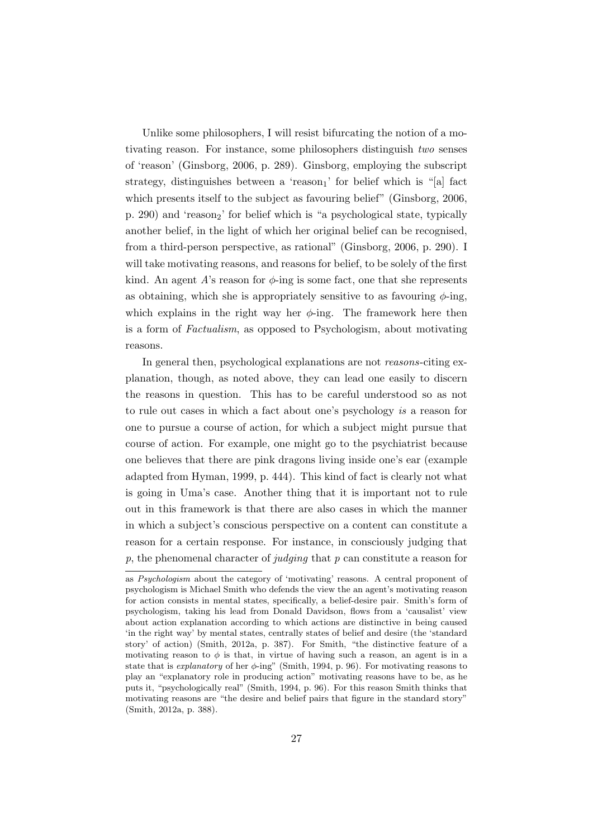Unlike some philosophers, I will resist bifurcating the notion of a motivating reason. For instance, some philosophers distinguish two senses of 'reason' (Ginsborg, 2006, p. 289). Ginsborg, employing the subscript strategy, distinguishes between a 'reason<sub>1</sub>' for belief which is "[a] fact which presents itself to the subject as favouring belief" (Ginsborg, 2006, p. 290) and 'reason<sub>2</sub>' for belief which is "a psychological state, typically another belief, in the light of which her original belief can be recognised, from a third-person perspective, as rational" (Ginsborg, 2006, p. 290). I will take motivating reasons, and reasons for belief, to be solely of the first kind. An agent A's reason for  $\phi$ -ing is some fact, one that she represents as obtaining, which she is appropriately sensitive to as favouring  $\phi$ -ing, which explains in the right way her  $\phi$ -ing. The framework here then is a form of Factualism, as opposed to Psychologism, about motivating reasons.

In general then, psychological explanations are not *reasons*-citing explanation, though, as noted above, they can lead one easily to discern the reasons in question. This has to be careful understood so as not to rule out cases in which a fact about one's psychology is a reason for one to pursue a course of action, for which a subject might pursue that course of action. For example, one might go to the psychiatrist because one believes that there are pink dragons living inside one's ear (example adapted from Hyman, 1999, p. 444). This kind of fact is clearly not what is going in Uma's case. Another thing that it is important not to rule out in this framework is that there are also cases in which the manner in which a subject's conscious perspective on a content can constitute a reason for a certain response. For instance, in consciously judging that p, the phenomenal character of judging that  $p$  can constitute a reason for

as Psychologism about the category of 'motivating' reasons. A central proponent of psychologism is Michael Smith who defends the view the an agent's motivating reason for action consists in mental states, specifically, a belief-desire pair. Smith's form of psychologism, taking his lead from Donald Davidson, flows from a 'causalist' view about action explanation according to which actions are distinctive in being caused 'in the right way' by mental states, centrally states of belief and desire (the 'standard story' of action) (Smith, 2012a, p. 387). For Smith, "the distinctive feature of a motivating reason to  $\phi$  is that, in virtue of having such a reason, an agent is in a state that is *explanatory* of her  $\phi$ -ing" (Smith, 1994, p. 96). For motivating reasons to play an "explanatory role in producing action" motivating reasons have to be, as he puts it, "psychologically real" (Smith, 1994, p. 96). For this reason Smith thinks that motivating reasons are "the desire and belief pairs that figure in the standard story" (Smith, 2012a, p. 388).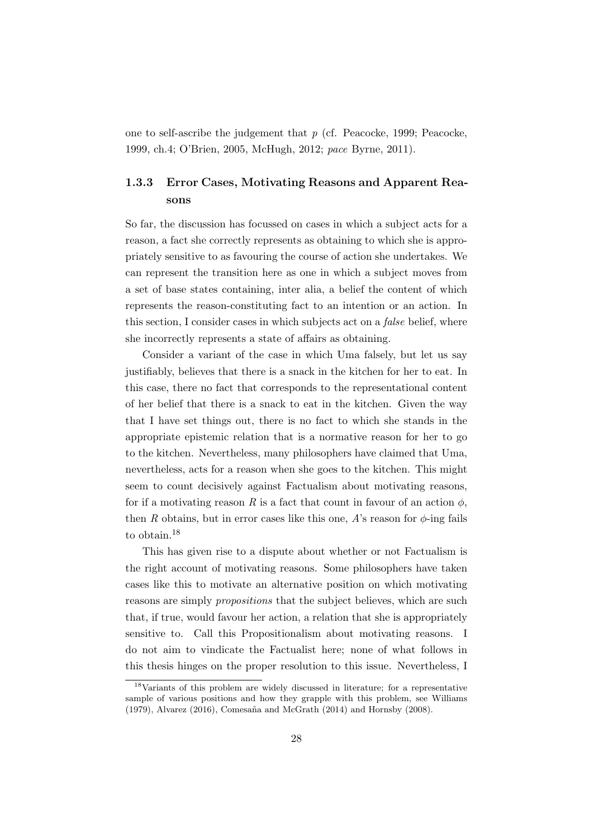one to self-ascribe the judgement that  $p$  (cf. Peacocke, 1999; Peacocke, 1999, ch.4; O'Brien, 2005, McHugh, 2012; pace Byrne, 2011).

### 1.3.3 Error Cases, Motivating Reasons and Apparent Reasons

So far, the discussion has focussed on cases in which a subject acts for a reason, a fact she correctly represents as obtaining to which she is appropriately sensitive to as favouring the course of action she undertakes. We can represent the transition here as one in which a subject moves from a set of base states containing, inter alia, a belief the content of which represents the reason-constituting fact to an intention or an action. In this section, I consider cases in which subjects act on a false belief, where she incorrectly represents a state of affairs as obtaining.

Consider a variant of the case in which Uma falsely, but let us say justifiably, believes that there is a snack in the kitchen for her to eat. In this case, there no fact that corresponds to the representational content of her belief that there is a snack to eat in the kitchen. Given the way that I have set things out, there is no fact to which she stands in the appropriate epistemic relation that is a normative reason for her to go to the kitchen. Nevertheless, many philosophers have claimed that Uma, nevertheless, acts for a reason when she goes to the kitchen. This might seem to count decisively against Factualism about motivating reasons, for if a motivating reason R is a fact that count in favour of an action  $\phi$ . then R obtains, but in error cases like this one, A's reason for  $\phi$ -ing fails to obtain.<sup>18</sup>

This has given rise to a dispute about whether or not Factualism is the right account of motivating reasons. Some philosophers have taken cases like this to motivate an alternative position on which motivating reasons are simply propositions that the subject believes, which are such that, if true, would favour her action, a relation that she is appropriately sensitive to. Call this Propositionalism about motivating reasons. I do not aim to vindicate the Factualist here; none of what follows in this thesis hinges on the proper resolution to this issue. Nevertheless, I

<sup>18</sup>Variants of this problem are widely discussed in literature; for a representative sample of various positions and how they grapple with this problem, see Williams  $(1979)$ , Alvarez  $(2016)$ , Comesaña and McGrath  $(2014)$  and Hornsby  $(2008)$ .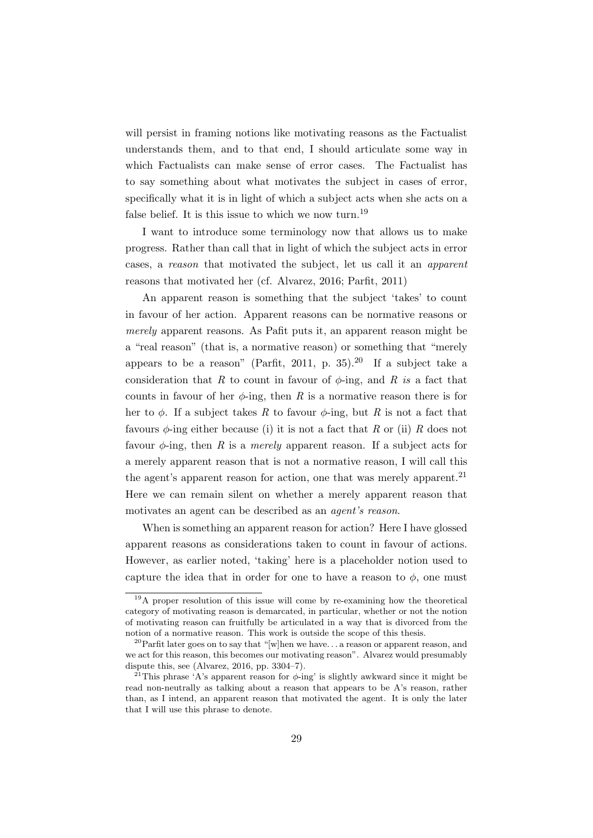will persist in framing notions like motivating reasons as the Factualist understands them, and to that end, I should articulate some way in which Factualists can make sense of error cases. The Factualist has to say something about what motivates the subject in cases of error, specifically what it is in light of which a subject acts when she acts on a false belief. It is this issue to which we now turn.<sup>19</sup>

I want to introduce some terminology now that allows us to make progress. Rather than call that in light of which the subject acts in error cases, a reason that motivated the subject, let us call it an apparent reasons that motivated her (cf. Alvarez, 2016; Parfit, 2011)

An apparent reason is something that the subject 'takes' to count in favour of her action. Apparent reasons can be normative reasons or merely apparent reasons. As Pafit puts it, an apparent reason might be a "real reason" (that is, a normative reason) or something that "merely appears to be a reason" (Parfit, 2011, p. 35).<sup>20</sup> If a subject take a consideration that R to count in favour of  $\phi$ -ing, and R is a fact that counts in favour of her  $\phi$ -ing, then R is a normative reason there is for her to  $\phi$ . If a subject takes R to favour  $\phi$ -ing, but R is not a fact that favours  $\phi$ -ing either because (i) it is not a fact that R or (ii) R does not favour  $\phi$ -ing, then R is a *merely* apparent reason. If a subject acts for a merely apparent reason that is not a normative reason, I will call this the agent's apparent reason for action, one that was merely apparent.<sup>21</sup> Here we can remain silent on whether a merely apparent reason that motivates an agent can be described as an agent's reason.

When is something an apparent reason for action? Here I have glossed apparent reasons as considerations taken to count in favour of actions. However, as earlier noted, 'taking' here is a placeholder notion used to capture the idea that in order for one to have a reason to  $\phi$ , one must

<sup>&</sup>lt;sup>19</sup>A proper resolution of this issue will come by re-examining how the theoretical category of motivating reason is demarcated, in particular, whether or not the notion of motivating reason can fruitfully be articulated in a way that is divorced from the notion of a normative reason. This work is outside the scope of this thesis.

<sup>&</sup>lt;sup>20</sup>Parfit later goes on to say that "[w]hen we have... a reason or apparent reason, and we act for this reason, this becomes our motivating reason". Alvarez would presumably dispute this, see (Alvarez, 2016, pp. 3304–7).

<sup>&</sup>lt;sup>21</sup>This phrase 'A's apparent reason for  $\phi$ -ing' is slightly awkward since it might be read non-neutrally as talking about a reason that appears to be A's reason, rather than, as I intend, an apparent reason that motivated the agent. It is only the later that I will use this phrase to denote.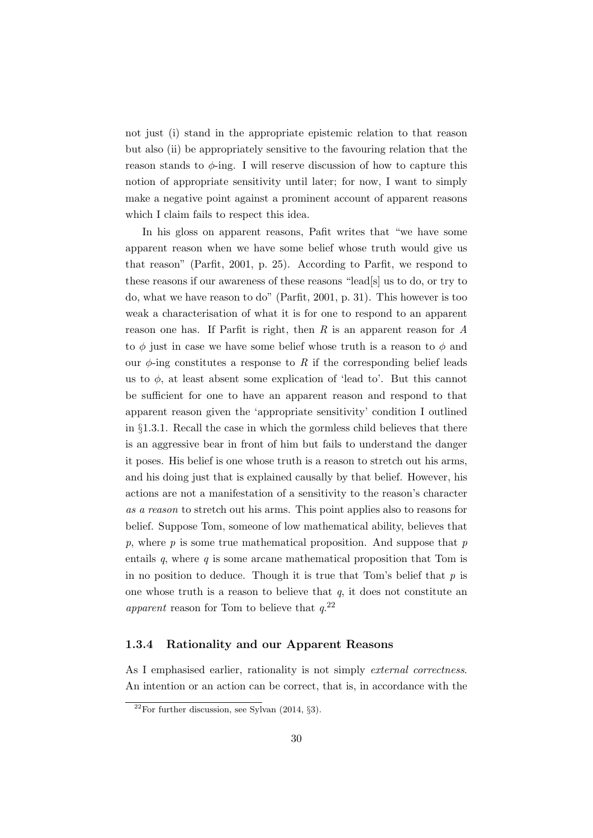not just (i) stand in the appropriate epistemic relation to that reason but also (ii) be appropriately sensitive to the favouring relation that the reason stands to  $\phi$ -ing. I will reserve discussion of how to capture this notion of appropriate sensitivity until later; for now, I want to simply make a negative point against a prominent account of apparent reasons which I claim fails to respect this idea.

In his gloss on apparent reasons, Pafit writes that "we have some apparent reason when we have some belief whose truth would give us that reason" (Parfit, 2001, p. 25). According to Parfit, we respond to these reasons if our awareness of these reasons "lead[s] us to do, or try to do, what we have reason to do" (Parfit, 2001, p. 31). This however is too weak a characterisation of what it is for one to respond to an apparent reason one has. If Parfit is right, then  $R$  is an apparent reason for  $A$ to  $\phi$  just in case we have some belief whose truth is a reason to  $\phi$  and our  $\phi$ -ing constitutes a response to R if the corresponding belief leads us to  $\phi$ , at least absent some explication of 'lead to'. But this cannot be sufficient for one to have an apparent reason and respond to that apparent reason given the 'appropriate sensitivity' condition I outlined in §1.3.1. Recall the case in which the gormless child believes that there is an aggressive bear in front of him but fails to understand the danger it poses. His belief is one whose truth is a reason to stretch out his arms, and his doing just that is explained causally by that belief. However, his actions are not a manifestation of a sensitivity to the reason's character as a reason to stretch out his arms. This point applies also to reasons for belief. Suppose Tom, someone of low mathematical ability, believes that p, where  $p$  is some true mathematical proposition. And suppose that  $p$ entails  $q$ , where  $q$  is some arcane mathematical proposition that Tom is in no position to deduce. Though it is true that Tom's belief that  $p$  is one whose truth is a reason to believe that  $q$ , it does not constitute an apparent reason for Tom to believe that  $q^{22}$ 

#### 1.3.4 Rationality and our Apparent Reasons

As I emphasised earlier, rationality is not simply *external correctness*. An intention or an action can be correct, that is, in accordance with the

 $22$ For further discussion, see Sylvan (2014, §3).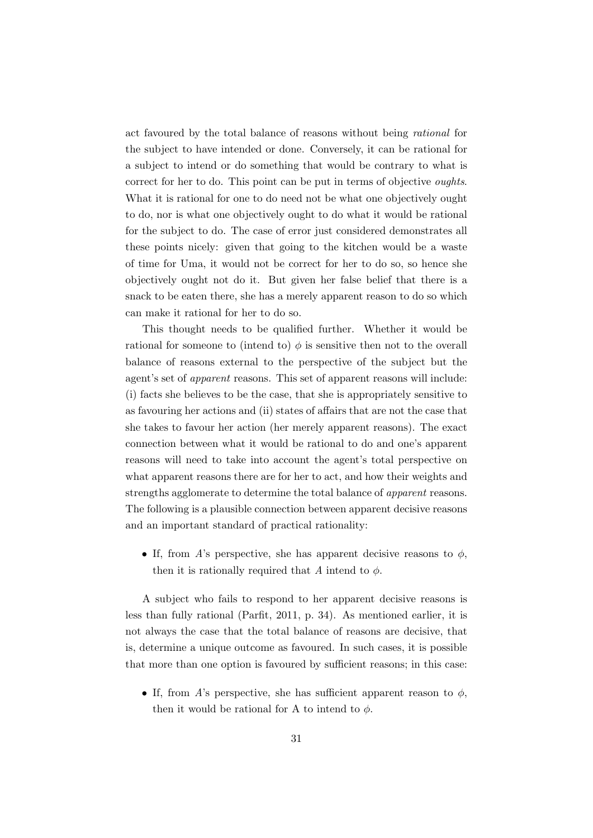act favoured by the total balance of reasons without being rational for the subject to have intended or done. Conversely, it can be rational for a subject to intend or do something that would be contrary to what is correct for her to do. This point can be put in terms of objective oughts. What it is rational for one to do need not be what one objectively ought to do, nor is what one objectively ought to do what it would be rational for the subject to do. The case of error just considered demonstrates all these points nicely: given that going to the kitchen would be a waste of time for Uma, it would not be correct for her to do so, so hence she objectively ought not do it. But given her false belief that there is a snack to be eaten there, she has a merely apparent reason to do so which can make it rational for her to do so.

This thought needs to be qualified further. Whether it would be rational for someone to (intend to)  $\phi$  is sensitive then not to the overall balance of reasons external to the perspective of the subject but the agent's set of apparent reasons. This set of apparent reasons will include: (i) facts she believes to be the case, that she is appropriately sensitive to as favouring her actions and (ii) states of affairs that are not the case that she takes to favour her action (her merely apparent reasons). The exact connection between what it would be rational to do and one's apparent reasons will need to take into account the agent's total perspective on what apparent reasons there are for her to act, and how their weights and strengths agglomerate to determine the total balance of apparent reasons. The following is a plausible connection between apparent decisive reasons and an important standard of practical rationality:

• If, from A's perspective, she has apparent decisive reasons to  $\phi$ , then it is rationally required that A intend to  $\phi$ .

A subject who fails to respond to her apparent decisive reasons is less than fully rational (Parfit, 2011, p. 34). As mentioned earlier, it is not always the case that the total balance of reasons are decisive, that is, determine a unique outcome as favoured. In such cases, it is possible that more than one option is favoured by sufficient reasons; in this case:

• If, from A's perspective, she has sufficient apparent reason to  $\phi$ , then it would be rational for A to intend to  $\phi$ .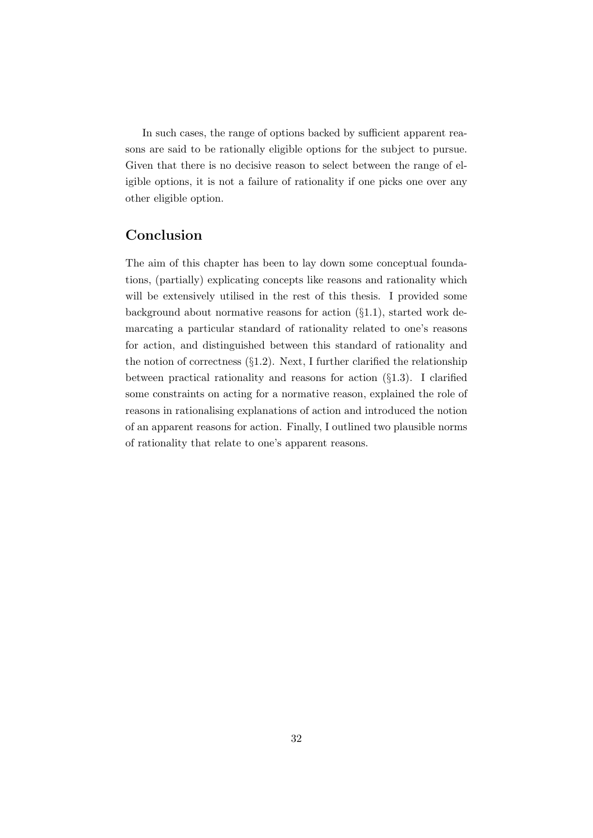In such cases, the range of options backed by sufficient apparent reasons are said to be rationally eligible options for the subject to pursue. Given that there is no decisive reason to select between the range of eligible options, it is not a failure of rationality if one picks one over any other eligible option.

### Conclusion

The aim of this chapter has been to lay down some conceptual foundations, (partially) explicating concepts like reasons and rationality which will be extensively utilised in the rest of this thesis. I provided some background about normative reasons for action  $(\S1.1)$ , started work demarcating a particular standard of rationality related to one's reasons for action, and distinguished between this standard of rationality and the notion of correctness  $(\S1.2)$ . Next, I further clarified the relationship between practical rationality and reasons for action  $(\S1.3)$ . I clarified some constraints on acting for a normative reason, explained the role of reasons in rationalising explanations of action and introduced the notion of an apparent reasons for action. Finally, I outlined two plausible norms of rationality that relate to one's apparent reasons.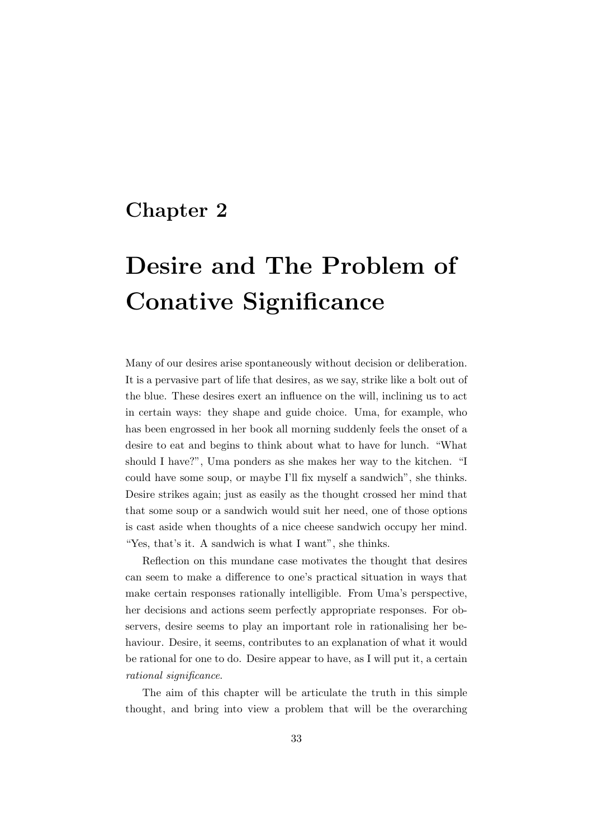### Chapter 2

# Desire and The Problem of Conative Significance

Many of our desires arise spontaneously without decision or deliberation. It is a pervasive part of life that desires, as we say, strike like a bolt out of the blue. These desires exert an influence on the will, inclining us to act in certain ways: they shape and guide choice. Uma, for example, who has been engrossed in her book all morning suddenly feels the onset of a desire to eat and begins to think about what to have for lunch. "What should I have?", Uma ponders as she makes her way to the kitchen. "I could have some soup, or maybe I'll fix myself a sandwich", she thinks. Desire strikes again; just as easily as the thought crossed her mind that that some soup or a sandwich would suit her need, one of those options is cast aside when thoughts of a nice cheese sandwich occupy her mind. "Yes, that's it. A sandwich is what I want", she thinks.

Reflection on this mundane case motivates the thought that desires can seem to make a difference to one's practical situation in ways that make certain responses rationally intelligible. From Uma's perspective, her decisions and actions seem perfectly appropriate responses. For observers, desire seems to play an important role in rationalising her behaviour. Desire, it seems, contributes to an explanation of what it would be rational for one to do. Desire appear to have, as I will put it, a certain rational significance.

The aim of this chapter will be articulate the truth in this simple thought, and bring into view a problem that will be the overarching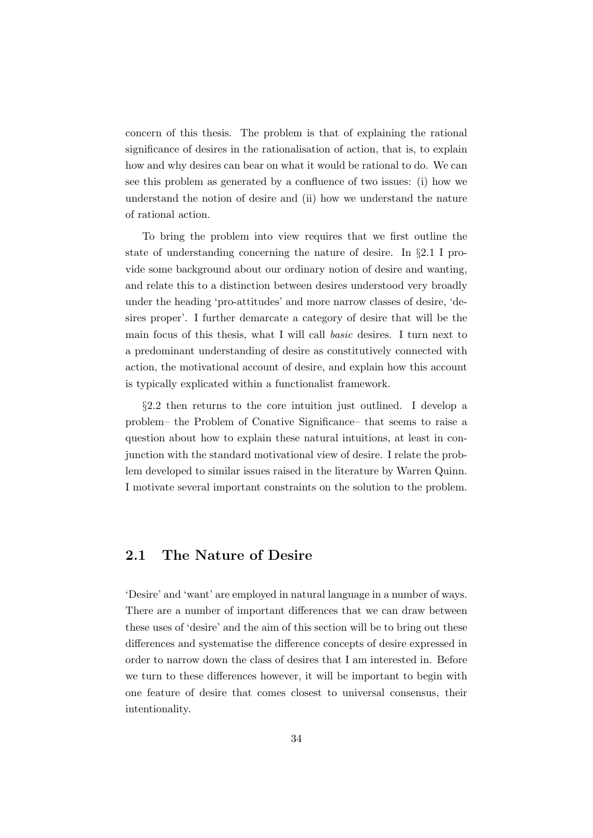concern of this thesis. The problem is that of explaining the rational significance of desires in the rationalisation of action, that is, to explain how and why desires can bear on what it would be rational to do. We can see this problem as generated by a confluence of two issues: (i) how we understand the notion of desire and (ii) how we understand the nature of rational action.

To bring the problem into view requires that we first outline the state of understanding concerning the nature of desire. In §2.1 I provide some background about our ordinary notion of desire and wanting, and relate this to a distinction between desires understood very broadly under the heading 'pro-attitudes' and more narrow classes of desire, 'desires proper'. I further demarcate a category of desire that will be the main focus of this thesis, what I will call basic desires. I turn next to a predominant understanding of desire as constitutively connected with action, the motivational account of desire, and explain how this account is typically explicated within a functionalist framework.

§2.2 then returns to the core intuition just outlined. I develop a problem– the Problem of Conative Significance– that seems to raise a question about how to explain these natural intuitions, at least in conjunction with the standard motivational view of desire. I relate the problem developed to similar issues raised in the literature by Warren Quinn. I motivate several important constraints on the solution to the problem.

#### 2.1 The Nature of Desire

'Desire' and 'want' are employed in natural language in a number of ways. There are a number of important differences that we can draw between these uses of 'desire' and the aim of this section will be to bring out these differences and systematise the difference concepts of desire expressed in order to narrow down the class of desires that I am interested in. Before we turn to these differences however, it will be important to begin with one feature of desire that comes closest to universal consensus, their intentionality.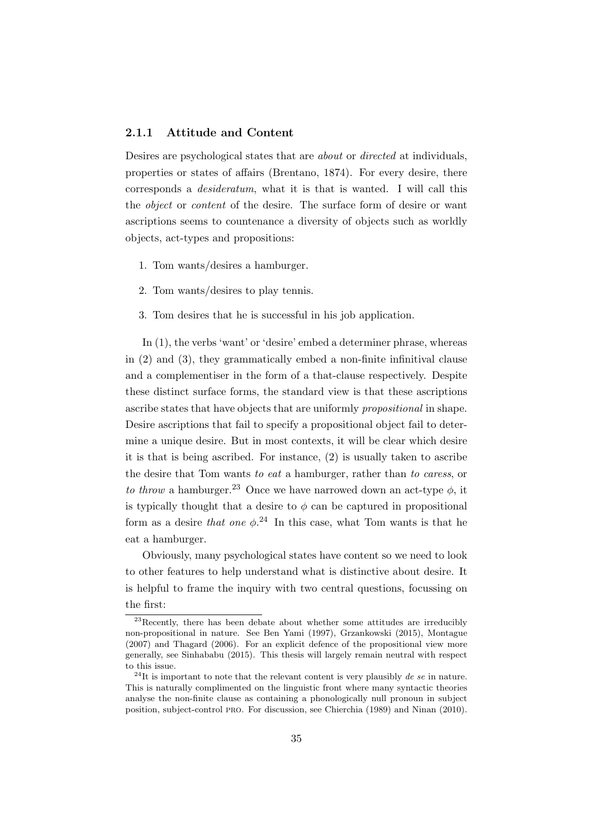#### 2.1.1 Attitude and Content

Desires are psychological states that are about or directed at individuals, properties or states of affairs (Brentano, 1874). For every desire, there corresponds a desideratum, what it is that is wanted. I will call this the object or content of the desire. The surface form of desire or want ascriptions seems to countenance a diversity of objects such as worldly objects, act-types and propositions:

- 1. Tom wants/desires a hamburger.
- 2. Tom wants/desires to play tennis.
- 3. Tom desires that he is successful in his job application.

In (1), the verbs 'want' or 'desire' embed a determiner phrase, whereas in (2) and (3), they grammatically embed a non-finite infinitival clause and a complementiser in the form of a that-clause respectively. Despite these distinct surface forms, the standard view is that these ascriptions ascribe states that have objects that are uniformly propositional in shape. Desire ascriptions that fail to specify a propositional object fail to determine a unique desire. But in most contexts, it will be clear which desire it is that is being ascribed. For instance, (2) is usually taken to ascribe the desire that Tom wants to eat a hamburger, rather than to caress, or to throw a hamburger.<sup>23</sup> Once we have narrowed down an act-type  $\phi$ , it is typically thought that a desire to  $\phi$  can be captured in propositional form as a desire that one  $\phi$ <sup>24</sup>. In this case, what Tom wants is that he eat a hamburger.

Obviously, many psychological states have content so we need to look to other features to help understand what is distinctive about desire. It is helpful to frame the inquiry with two central questions, focussing on the first:

 $^{23}$ Recently, there has been debate about whether some attitudes are irreducibly non-propositional in nature. See Ben Yami (1997), Grzankowski (2015), Montague (2007) and Thagard (2006). For an explicit defence of the propositional view more generally, see Sinhababu (2015). This thesis will largely remain neutral with respect to this issue.

 $^{24}$ It is important to note that the relevant content is very plausibly de se in nature. This is naturally complimented on the linguistic front where many syntactic theories analyse the non-finite clause as containing a phonologically null pronoun in subject position, subject-control pro. For discussion, see Chierchia (1989) and Ninan (2010).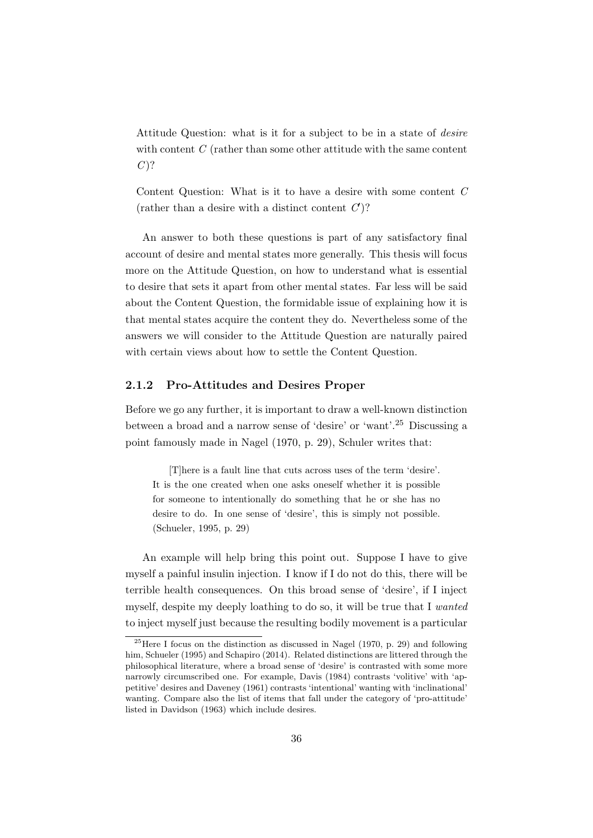Attitude Question: what is it for a subject to be in a state of *desire* with content  $C$  (rather than some other attitude with the same content  $C$ ?

Content Question: What is it to have a desire with some content C (rather than a desire with a distinct content  $C$ )?

An answer to both these questions is part of any satisfactory final account of desire and mental states more generally. This thesis will focus more on the Attitude Question, on how to understand what is essential to desire that sets it apart from other mental states. Far less will be said about the Content Question, the formidable issue of explaining how it is that mental states acquire the content they do. Nevertheless some of the answers we will consider to the Attitude Question are naturally paired with certain views about how to settle the Content Question.

#### 2.1.2 Pro-Attitudes and Desires Proper

Before we go any further, it is important to draw a well-known distinction between a broad and a narrow sense of 'desire' or 'want'.<sup>25</sup> Discussing a point famously made in Nagel (1970, p. 29), Schuler writes that:

[T]here is a fault line that cuts across uses of the term 'desire'. It is the one created when one asks oneself whether it is possible for someone to intentionally do something that he or she has no desire to do. In one sense of 'desire', this is simply not possible. (Schueler, 1995, p. 29)

An example will help bring this point out. Suppose I have to give myself a painful insulin injection. I know if I do not do this, there will be terrible health consequences. On this broad sense of 'desire', if I inject myself, despite my deeply loathing to do so, it will be true that I wanted to inject myself just because the resulting bodily movement is a particular

 $25$  Here I focus on the distinction as discussed in Nagel (1970, p. 29) and following him, Schueler (1995) and Schapiro (2014). Related distinctions are littered through the philosophical literature, where a broad sense of 'desire' is contrasted with some more narrowly circumscribed one. For example, Davis (1984) contrasts 'volitive' with 'appetitive' desires and Daveney (1961) contrasts 'intentional' wanting with 'inclinational' wanting. Compare also the list of items that fall under the category of 'pro-attitude' listed in Davidson (1963) which include desires.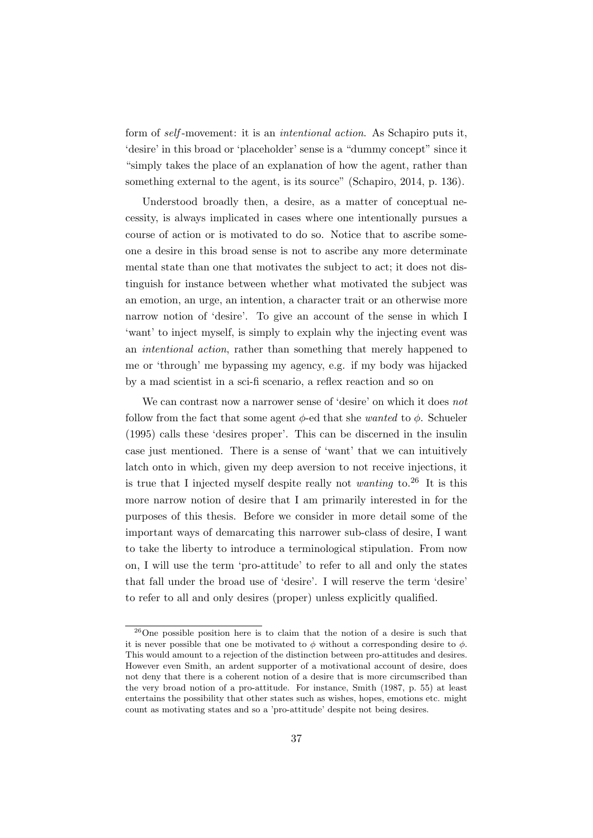form of self -movement: it is an intentional action. As Schapiro puts it, 'desire' in this broad or 'placeholder' sense is a "dummy concept" since it "simply takes the place of an explanation of how the agent, rather than something external to the agent, is its source" (Schapiro, 2014, p. 136).

Understood broadly then, a desire, as a matter of conceptual necessity, is always implicated in cases where one intentionally pursues a course of action or is motivated to do so. Notice that to ascribe someone a desire in this broad sense is not to ascribe any more determinate mental state than one that motivates the subject to act; it does not distinguish for instance between whether what motivated the subject was an emotion, an urge, an intention, a character trait or an otherwise more narrow notion of 'desire'. To give an account of the sense in which I 'want' to inject myself, is simply to explain why the injecting event was an intentional action, rather than something that merely happened to me or 'through' me bypassing my agency, e.g. if my body was hijacked by a mad scientist in a sci-fi scenario, a reflex reaction and so on

We can contrast now a narrower sense of 'desire' on which it does not follow from the fact that some agent  $\phi$ -ed that she *wanted* to  $\phi$ . Schueler (1995) calls these 'desires proper'. This can be discerned in the insulin case just mentioned. There is a sense of 'want' that we can intuitively latch onto in which, given my deep aversion to not receive injections, it is true that I injected myself despite really not wanting to.<sup>26</sup> It is this more narrow notion of desire that I am primarily interested in for the purposes of this thesis. Before we consider in more detail some of the important ways of demarcating this narrower sub-class of desire, I want to take the liberty to introduce a terminological stipulation. From now on, I will use the term 'pro-attitude' to refer to all and only the states that fall under the broad use of 'desire'. I will reserve the term 'desire' to refer to all and only desires (proper) unless explicitly qualified.

<sup>26</sup>One possible position here is to claim that the notion of a desire is such that it is never possible that one be motivated to  $\phi$  without a corresponding desire to  $\phi$ . This would amount to a rejection of the distinction between pro-attitudes and desires. However even Smith, an ardent supporter of a motivational account of desire, does not deny that there is a coherent notion of a desire that is more circumscribed than the very broad notion of a pro-attitude. For instance, Smith (1987, p. 55) at least entertains the possibility that other states such as wishes, hopes, emotions etc. might count as motivating states and so a 'pro-attitude' despite not being desires.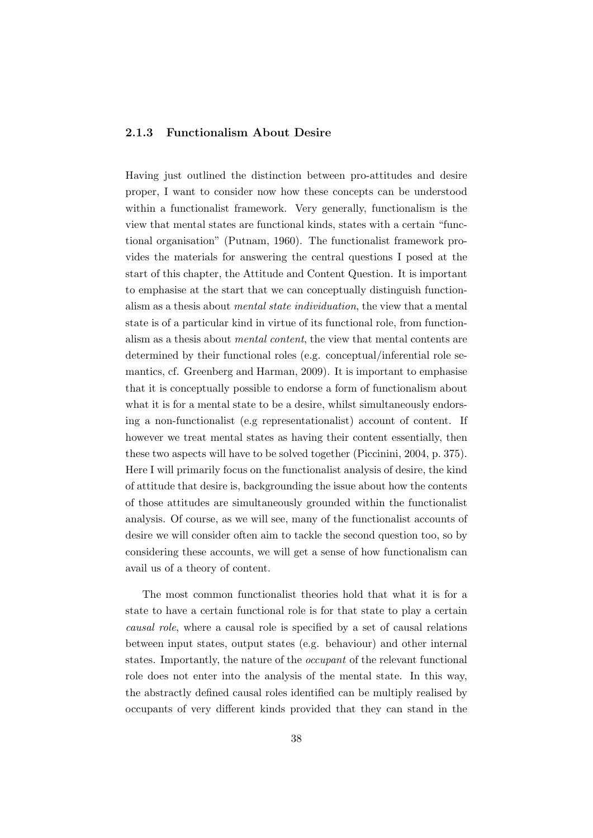### 2.1.3 Functionalism About Desire

Having just outlined the distinction between pro-attitudes and desire proper, I want to consider now how these concepts can be understood within a functionalist framework. Very generally, functionalism is the view that mental states are functional kinds, states with a certain "functional organisation" (Putnam, 1960). The functionalist framework provides the materials for answering the central questions I posed at the start of this chapter, the Attitude and Content Question. It is important to emphasise at the start that we can conceptually distinguish functionalism as a thesis about mental state individuation, the view that a mental state is of a particular kind in virtue of its functional role, from functionalism as a thesis about mental content, the view that mental contents are determined by their functional roles (e.g. conceptual/inferential role semantics, cf. Greenberg and Harman, 2009). It is important to emphasise that it is conceptually possible to endorse a form of functionalism about what it is for a mental state to be a desire, whilst simultaneously endorsing a non-functionalist (e.g representationalist) account of content. If however we treat mental states as having their content essentially, then these two aspects will have to be solved together (Piccinini, 2004, p. 375). Here I will primarily focus on the functionalist analysis of desire, the kind of attitude that desire is, backgrounding the issue about how the contents of those attitudes are simultaneously grounded within the functionalist analysis. Of course, as we will see, many of the functionalist accounts of desire we will consider often aim to tackle the second question too, so by considering these accounts, we will get a sense of how functionalism can avail us of a theory of content.

The most common functionalist theories hold that what it is for a state to have a certain functional role is for that state to play a certain causal role, where a causal role is specified by a set of causal relations between input states, output states (e.g. behaviour) and other internal states. Importantly, the nature of the occupant of the relevant functional role does not enter into the analysis of the mental state. In this way, the abstractly defined causal roles identified can be multiply realised by occupants of very different kinds provided that they can stand in the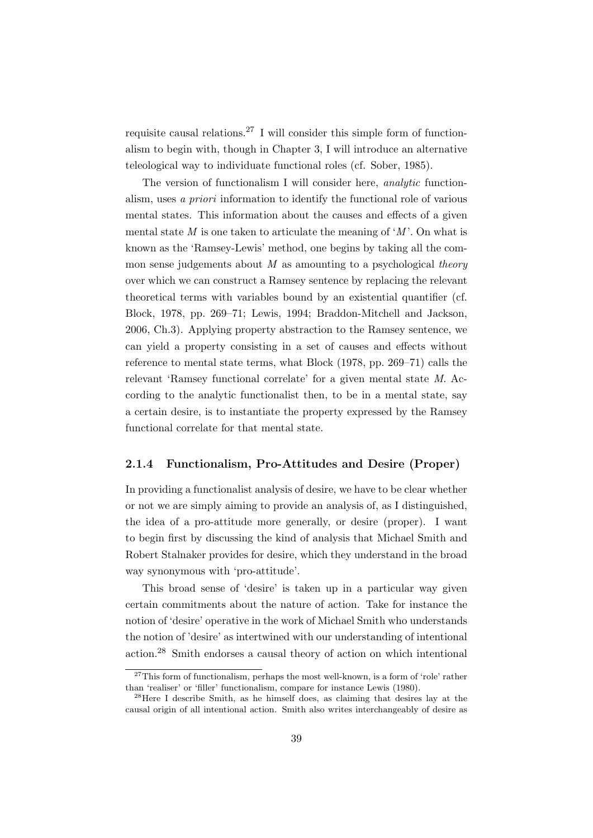requisite causal relations.<sup>27</sup> I will consider this simple form of functionalism to begin with, though in Chapter 3, I will introduce an alternative teleological way to individuate functional roles (cf. Sober, 1985).

The version of functionalism I will consider here, analytic functionalism, uses a priori information to identify the functional role of various mental states. This information about the causes and effects of a given mental state  $M$  is one taken to articulate the meaning of  $M'$ . On what is known as the 'Ramsey-Lewis' method, one begins by taking all the common sense judgements about  $M$  as amounting to a psychological theory over which we can construct a Ramsey sentence by replacing the relevant theoretical terms with variables bound by an existential quantifier (cf. Block, 1978, pp. 269–71; Lewis, 1994; Braddon-Mitchell and Jackson, 2006, Ch.3). Applying property abstraction to the Ramsey sentence, we can yield a property consisting in a set of causes and effects without reference to mental state terms, what Block (1978, pp. 269–71) calls the relevant 'Ramsey functional correlate' for a given mental state M. According to the analytic functionalist then, to be in a mental state, say a certain desire, is to instantiate the property expressed by the Ramsey functional correlate for that mental state.

### 2.1.4 Functionalism, Pro-Attitudes and Desire (Proper)

In providing a functionalist analysis of desire, we have to be clear whether or not we are simply aiming to provide an analysis of, as I distinguished, the idea of a pro-attitude more generally, or desire (proper). I want to begin first by discussing the kind of analysis that Michael Smith and Robert Stalnaker provides for desire, which they understand in the broad way synonymous with 'pro-attitude'.

This broad sense of 'desire' is taken up in a particular way given certain commitments about the nature of action. Take for instance the notion of 'desire' operative in the work of Michael Smith who understands the notion of 'desire' as intertwined with our understanding of intentional action.<sup>28</sup> Smith endorses a causal theory of action on which intentional

 $27$ This form of functionalism, perhaps the most well-known, is a form of 'role' rather than 'realiser' or 'filler' functionalism, compare for instance Lewis (1980).

 $^{28}$ Here I describe Smith, as he himself does, as claiming that desires lay at the causal origin of all intentional action. Smith also writes interchangeably of desire as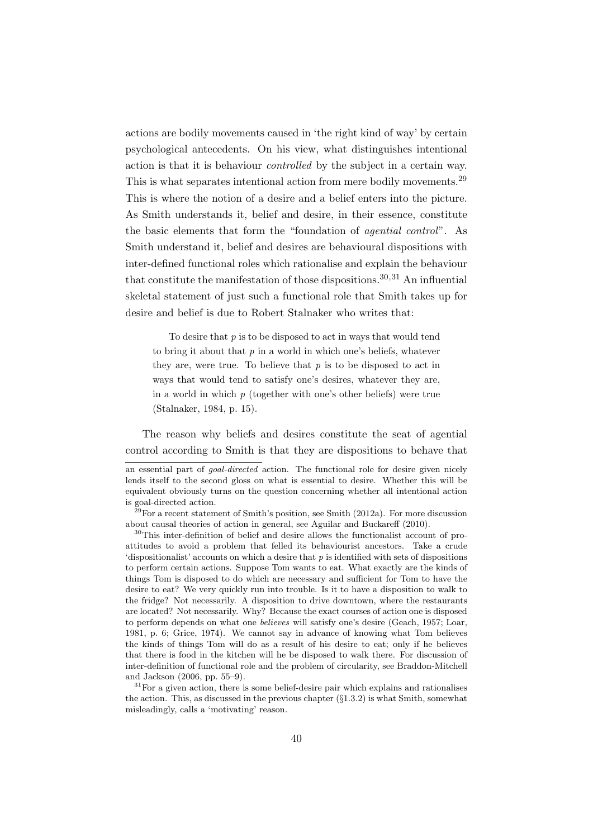actions are bodily movements caused in 'the right kind of way' by certain psychological antecedents. On his view, what distinguishes intentional action is that it is behaviour controlled by the subject in a certain way. This is what separates intentional action from mere bodily movements.<sup>29</sup> This is where the notion of a desire and a belief enters into the picture. As Smith understands it, belief and desire, in their essence, constitute the basic elements that form the "foundation of agential control". As Smith understand it, belief and desires are behavioural dispositions with inter-defined functional roles which rationalise and explain the behaviour that constitute the manifestation of those dispositions.<sup>30,31</sup> An influential skeletal statement of just such a functional role that Smith takes up for desire and belief is due to Robert Stalnaker who writes that:

To desire that  $p$  is to be disposed to act in ways that would tend to bring it about that  $p$  in a world in which one's beliefs, whatever they are, were true. To believe that  $p$  is to be disposed to act in ways that would tend to satisfy one's desires, whatever they are, in a world in which  $p$  (together with one's other beliefs) were true (Stalnaker, 1984, p. 15).

The reason why beliefs and desires constitute the seat of agential control according to Smith is that they are dispositions to behave that

an essential part of goal-directed action. The functional role for desire given nicely lends itself to the second gloss on what is essential to desire. Whether this will be equivalent obviously turns on the question concerning whether all intentional action is goal-directed action.

 $29$ For a recent statement of Smith's position, see Smith (2012a). For more discussion about causal theories of action in general, see Aguilar and Buckareff (2010).

<sup>30</sup>This inter-definition of belief and desire allows the functionalist account of proattitudes to avoid a problem that felled its behaviourist ancestors. Take a crude 'dispositionalist' accounts on which a desire that  $p$  is identified with sets of dispositions to perform certain actions. Suppose Tom wants to eat. What exactly are the kinds of things Tom is disposed to do which are necessary and sufficient for Tom to have the desire to eat? We very quickly run into trouble. Is it to have a disposition to walk to the fridge? Not necessarily. A disposition to drive downtown, where the restaurants are located? Not necessarily. Why? Because the exact courses of action one is disposed to perform depends on what one believes will satisfy one's desire (Geach, 1957; Loar, 1981, p. 6; Grice, 1974). We cannot say in advance of knowing what Tom believes the kinds of things Tom will do as a result of his desire to eat; only if he believes that there is food in the kitchen will he be disposed to walk there. For discussion of inter-definition of functional role and the problem of circularity, see Braddon-Mitchell and Jackson (2006, pp. 55–9).

 $31$  For a given action, there is some belief-desire pair which explains and rationalises the action. This, as discussed in the previous chapter  $(\S1.3.2)$  is what Smith, somewhat misleadingly, calls a 'motivating' reason.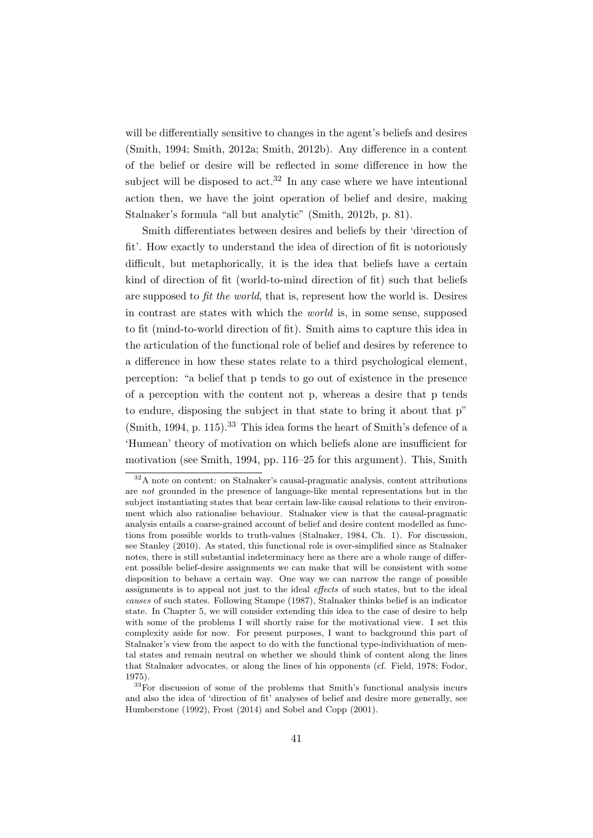will be differentially sensitive to changes in the agent's beliefs and desires (Smith, 1994; Smith, 2012a; Smith, 2012b). Any difference in a content of the belief or desire will be reflected in some difference in how the subject will be disposed to act.<sup>32</sup> In any case where we have intentional action then, we have the joint operation of belief and desire, making Stalnaker's formula "all but analytic" (Smith, 2012b, p. 81).

Smith differentiates between desires and beliefs by their 'direction of fit'. How exactly to understand the idea of direction of fit is notoriously difficult, but metaphorically, it is the idea that beliefs have a certain kind of direction of fit (world-to-mind direction of fit) such that beliefs are supposed to fit the world, that is, represent how the world is. Desires in contrast are states with which the world is, in some sense, supposed to fit (mind-to-world direction of fit). Smith aims to capture this idea in the articulation of the functional role of belief and desires by reference to a difference in how these states relate to a third psychological element, perception: "a belief that p tends to go out of existence in the presence of a perception with the content not p, whereas a desire that p tends to endure, disposing the subject in that state to bring it about that p"  $(Smith, 1994, p. 115).$ <sup>33</sup> This idea forms the heart of Smith's defence of a 'Humean' theory of motivation on which beliefs alone are insufficient for motivation (see Smith, 1994, pp. 116–25 for this argument). This, Smith

<sup>32</sup>A note on content: on Stalnaker's causal-pragmatic analysis, content attributions are not grounded in the presence of language-like mental representations but in the subject instantiating states that bear certain law-like causal relations to their environment which also rationalise behaviour. Stalnaker view is that the causal-pragmatic analysis entails a coarse-grained account of belief and desire content modelled as functions from possible worlds to truth-values (Stalnaker, 1984, Ch. 1). For discussion, see Stanley (2010). As stated, this functional role is over-simplified since as Stalnaker notes, there is still substantial indeterminacy here as there are a whole range of different possible belief-desire assignments we can make that will be consistent with some disposition to behave a certain way. One way we can narrow the range of possible assignments is to appeal not just to the ideal effects of such states, but to the ideal causes of such states. Following Stampe (1987), Stalnaker thinks belief is an indicator state. In Chapter 5, we will consider extending this idea to the case of desire to help with some of the problems I will shortly raise for the motivational view. I set this complexity aside for now. For present purposes, I want to background this part of Stalnaker's view from the aspect to do with the functional type-individuation of mental states and remain neutral on whether we should think of content along the lines that Stalnaker advocates, or along the lines of his opponents (cf. Field, 1978; Fodor, 1975).

<sup>&</sup>lt;sup>33</sup>For discussion of some of the problems that Smith's functional analysis incurs and also the idea of 'direction of fit' analyses of belief and desire more generally, see Humberstone (1992), Frost (2014) and Sobel and Copp (2001).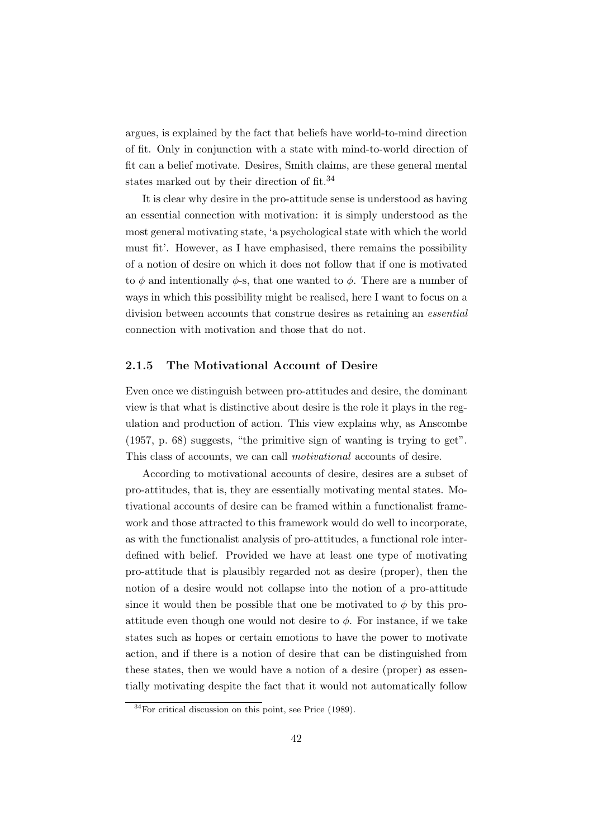argues, is explained by the fact that beliefs have world-to-mind direction of fit. Only in conjunction with a state with mind-to-world direction of fit can a belief motivate. Desires, Smith claims, are these general mental states marked out by their direction of fit.<sup>34</sup>

It is clear why desire in the pro-attitude sense is understood as having an essential connection with motivation: it is simply understood as the most general motivating state, 'a psychological state with which the world must fit'. However, as I have emphasised, there remains the possibility of a notion of desire on which it does not follow that if one is motivated to  $\phi$  and intentionally  $\phi$ -s, that one wanted to  $\phi$ . There are a number of ways in which this possibility might be realised, here I want to focus on a division between accounts that construe desires as retaining an essential connection with motivation and those that do not.

### 2.1.5 The Motivational Account of Desire

Even once we distinguish between pro-attitudes and desire, the dominant view is that what is distinctive about desire is the role it plays in the regulation and production of action. This view explains why, as Anscombe (1957, p. 68) suggests, "the primitive sign of wanting is trying to get". This class of accounts, we can call motivational accounts of desire.

According to motivational accounts of desire, desires are a subset of pro-attitudes, that is, they are essentially motivating mental states. Motivational accounts of desire can be framed within a functionalist framework and those attracted to this framework would do well to incorporate, as with the functionalist analysis of pro-attitudes, a functional role interdefined with belief. Provided we have at least one type of motivating pro-attitude that is plausibly regarded not as desire (proper), then the notion of a desire would not collapse into the notion of a pro-attitude since it would then be possible that one be motivated to  $\phi$  by this proattitude even though one would not desire to  $\phi$ . For instance, if we take states such as hopes or certain emotions to have the power to motivate action, and if there is a notion of desire that can be distinguished from these states, then we would have a notion of a desire (proper) as essentially motivating despite the fact that it would not automatically follow

 $34$ For critical discussion on this point, see Price (1989).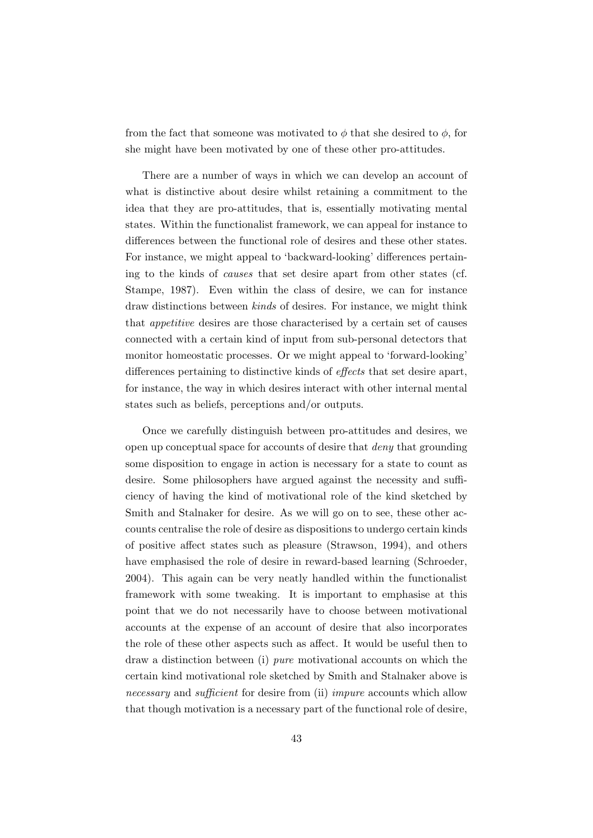from the fact that someone was motivated to  $\phi$  that she desired to  $\phi$ , for she might have been motivated by one of these other pro-attitudes.

There are a number of ways in which we can develop an account of what is distinctive about desire whilst retaining a commitment to the idea that they are pro-attitudes, that is, essentially motivating mental states. Within the functionalist framework, we can appeal for instance to differences between the functional role of desires and these other states. For instance, we might appeal to 'backward-looking' differences pertaining to the kinds of causes that set desire apart from other states (cf. Stampe, 1987). Even within the class of desire, we can for instance draw distinctions between kinds of desires. For instance, we might think that appetitive desires are those characterised by a certain set of causes connected with a certain kind of input from sub-personal detectors that monitor homeostatic processes. Or we might appeal to 'forward-looking' differences pertaining to distinctive kinds of effects that set desire apart, for instance, the way in which desires interact with other internal mental states such as beliefs, perceptions and/or outputs.

Once we carefully distinguish between pro-attitudes and desires, we open up conceptual space for accounts of desire that deny that grounding some disposition to engage in action is necessary for a state to count as desire. Some philosophers have argued against the necessity and sufficiency of having the kind of motivational role of the kind sketched by Smith and Stalnaker for desire. As we will go on to see, these other accounts centralise the role of desire as dispositions to undergo certain kinds of positive affect states such as pleasure (Strawson, 1994), and others have emphasised the role of desire in reward-based learning (Schroeder, 2004). This again can be very neatly handled within the functionalist framework with some tweaking. It is important to emphasise at this point that we do not necessarily have to choose between motivational accounts at the expense of an account of desire that also incorporates the role of these other aspects such as affect. It would be useful then to draw a distinction between (i) pure motivational accounts on which the certain kind motivational role sketched by Smith and Stalnaker above is necessary and sufficient for desire from (ii) *impure* accounts which allow that though motivation is a necessary part of the functional role of desire,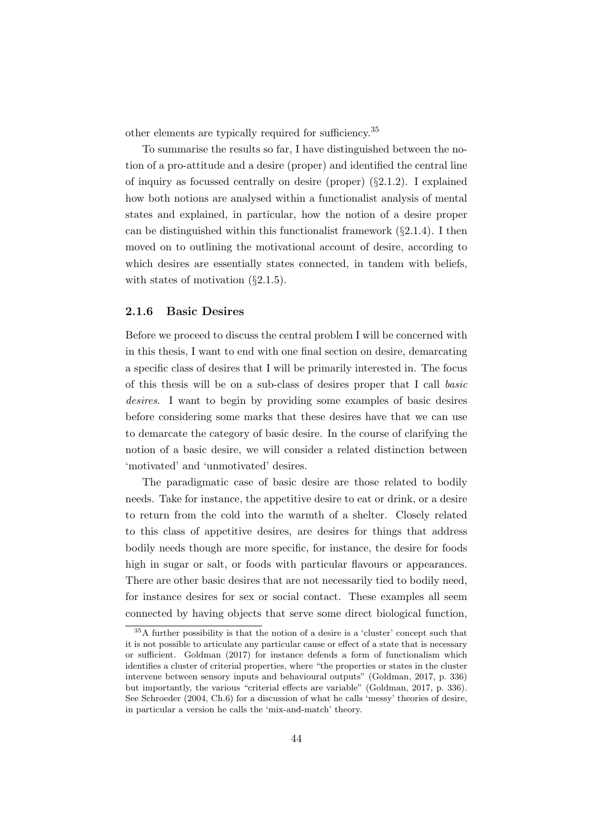other elements are typically required for sufficiency.<sup>35</sup>

To summarise the results so far, I have distinguished between the notion of a pro-attitude and a desire (proper) and identified the central line of inquiry as focussed centrally on desire (proper) (§2.1.2). I explained how both notions are analysed within a functionalist analysis of mental states and explained, in particular, how the notion of a desire proper can be distinguished within this functionalist framework  $(\S 2.1.4)$ . I then moved on to outlining the motivational account of desire, according to which desires are essentially states connected, in tandem with beliefs, with states of motivation  $(\S 2.1.5)$ .

### 2.1.6 Basic Desires

Before we proceed to discuss the central problem I will be concerned with in this thesis, I want to end with one final section on desire, demarcating a specific class of desires that I will be primarily interested in. The focus of this thesis will be on a sub-class of desires proper that I call basic desires. I want to begin by providing some examples of basic desires before considering some marks that these desires have that we can use to demarcate the category of basic desire. In the course of clarifying the notion of a basic desire, we will consider a related distinction between 'motivated' and 'unmotivated' desires.

The paradigmatic case of basic desire are those related to bodily needs. Take for instance, the appetitive desire to eat or drink, or a desire to return from the cold into the warmth of a shelter. Closely related to this class of appetitive desires, are desires for things that address bodily needs though are more specific, for instance, the desire for foods high in sugar or salt, or foods with particular flavours or appearances. There are other basic desires that are not necessarily tied to bodily need, for instance desires for sex or social contact. These examples all seem connected by having objects that serve some direct biological function,

<sup>35</sup>A further possibility is that the notion of a desire is a 'cluster' concept such that it is not possible to articulate any particular cause or effect of a state that is necessary or sufficient. Goldman (2017) for instance defends a form of functionalism which identifies a cluster of criterial properties, where "the properties or states in the cluster intervene between sensory inputs and behavioural outputs" (Goldman, 2017, p. 336) but importantly, the various "criterial effects are variable" (Goldman, 2017, p. 336). See Schroeder (2004, Ch.6) for a discussion of what he calls 'messy' theories of desire, in particular a version he calls the 'mix-and-match' theory.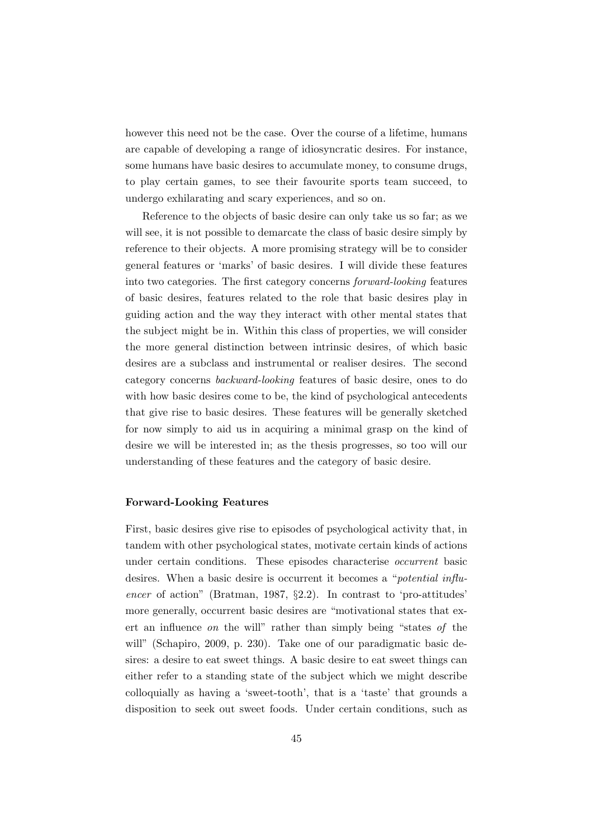however this need not be the case. Over the course of a lifetime, humans are capable of developing a range of idiosyncratic desires. For instance, some humans have basic desires to accumulate money, to consume drugs, to play certain games, to see their favourite sports team succeed, to undergo exhilarating and scary experiences, and so on.

Reference to the objects of basic desire can only take us so far; as we will see, it is not possible to demarcate the class of basic desire simply by reference to their objects. A more promising strategy will be to consider general features or 'marks' of basic desires. I will divide these features into two categories. The first category concerns forward-looking features of basic desires, features related to the role that basic desires play in guiding action and the way they interact with other mental states that the subject might be in. Within this class of properties, we will consider the more general distinction between intrinsic desires, of which basic desires are a subclass and instrumental or realiser desires. The second category concerns backward-looking features of basic desire, ones to do with how basic desires come to be, the kind of psychological antecedents that give rise to basic desires. These features will be generally sketched for now simply to aid us in acquiring a minimal grasp on the kind of desire we will be interested in; as the thesis progresses, so too will our understanding of these features and the category of basic desire.

### Forward-Looking Features

First, basic desires give rise to episodes of psychological activity that, in tandem with other psychological states, motivate certain kinds of actions under certain conditions. These episodes characterise occurrent basic desires. When a basic desire is occurrent it becomes a "potential influencer of action" (Bratman, 1987, §2.2). In contrast to 'pro-attitudes' more generally, occurrent basic desires are "motivational states that exert an influence on the will" rather than simply being "states of the will" (Schapiro, 2009, p. 230). Take one of our paradigmatic basic desires: a desire to eat sweet things. A basic desire to eat sweet things can either refer to a standing state of the subject which we might describe colloquially as having a 'sweet-tooth', that is a 'taste' that grounds a disposition to seek out sweet foods. Under certain conditions, such as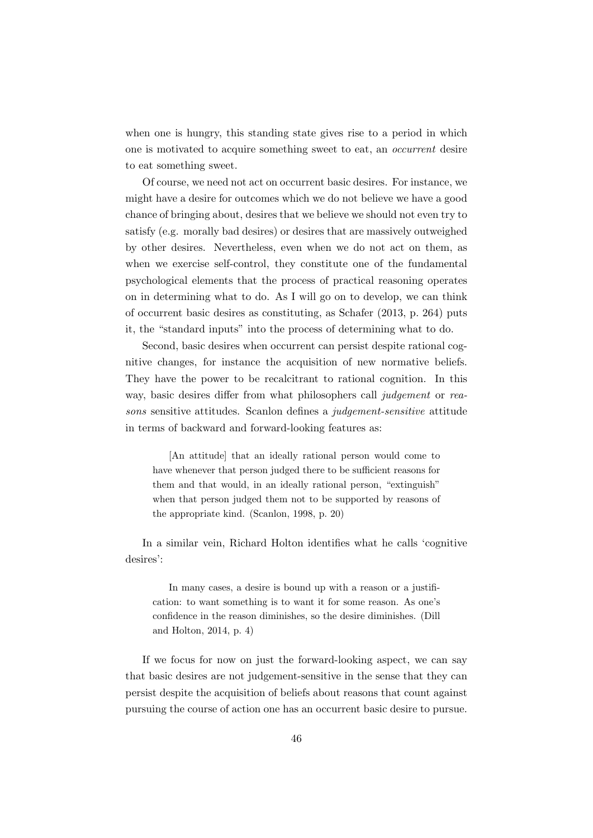when one is hungry, this standing state gives rise to a period in which one is motivated to acquire something sweet to eat, an occurrent desire to eat something sweet.

Of course, we need not act on occurrent basic desires. For instance, we might have a desire for outcomes which we do not believe we have a good chance of bringing about, desires that we believe we should not even try to satisfy (e.g. morally bad desires) or desires that are massively outweighed by other desires. Nevertheless, even when we do not act on them, as when we exercise self-control, they constitute one of the fundamental psychological elements that the process of practical reasoning operates on in determining what to do. As I will go on to develop, we can think of occurrent basic desires as constituting, as Schafer (2013, p. 264) puts it, the "standard inputs" into the process of determining what to do.

Second, basic desires when occurrent can persist despite rational cognitive changes, for instance the acquisition of new normative beliefs. They have the power to be recalcitrant to rational cognition. In this way, basic desires differ from what philosophers call judgement or reasons sensitive attitudes. Scanlon defines a judgement-sensitive attitude in terms of backward and forward-looking features as:

[An attitude] that an ideally rational person would come to have whenever that person judged there to be sufficient reasons for them and that would, in an ideally rational person, "extinguish" when that person judged them not to be supported by reasons of the appropriate kind. (Scanlon, 1998, p. 20)

In a similar vein, Richard Holton identifies what he calls 'cognitive desires':

In many cases, a desire is bound up with a reason or a justification: to want something is to want it for some reason. As one's confidence in the reason diminishes, so the desire diminishes. (Dill and Holton, 2014, p. 4)

If we focus for now on just the forward-looking aspect, we can say that basic desires are not judgement-sensitive in the sense that they can persist despite the acquisition of beliefs about reasons that count against pursuing the course of action one has an occurrent basic desire to pursue.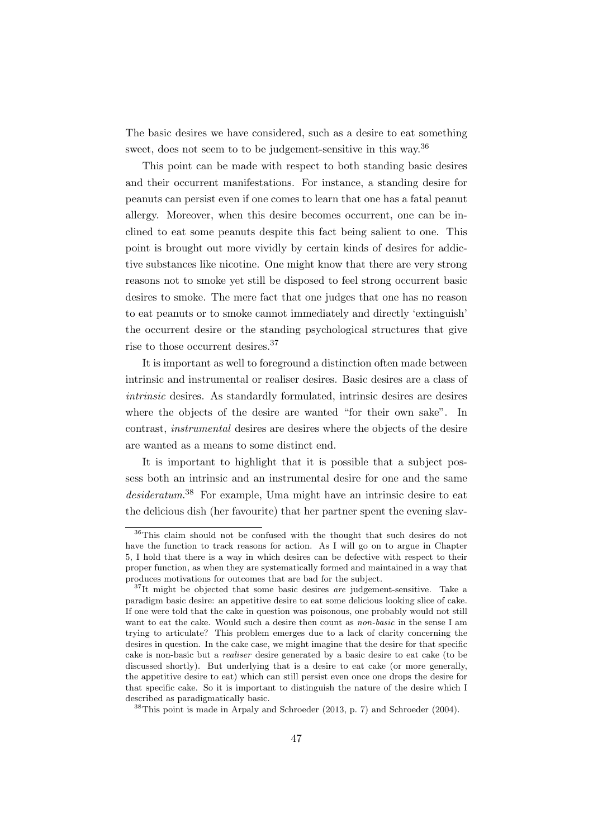The basic desires we have considered, such as a desire to eat something sweet, does not seem to to be judgement-sensitive in this way.<sup>36</sup>

This point can be made with respect to both standing basic desires and their occurrent manifestations. For instance, a standing desire for peanuts can persist even if one comes to learn that one has a fatal peanut allergy. Moreover, when this desire becomes occurrent, one can be inclined to eat some peanuts despite this fact being salient to one. This point is brought out more vividly by certain kinds of desires for addictive substances like nicotine. One might know that there are very strong reasons not to smoke yet still be disposed to feel strong occurrent basic desires to smoke. The mere fact that one judges that one has no reason to eat peanuts or to smoke cannot immediately and directly 'extinguish' the occurrent desire or the standing psychological structures that give rise to those occurrent desires.<sup>37</sup>

It is important as well to foreground a distinction often made between intrinsic and instrumental or realiser desires. Basic desires are a class of intrinsic desires. As standardly formulated, intrinsic desires are desires where the objects of the desire are wanted "for their own sake". In contrast, instrumental desires are desires where the objects of the desire are wanted as a means to some distinct end.

It is important to highlight that it is possible that a subject possess both an intrinsic and an instrumental desire for one and the same desideratum. <sup>38</sup> For example, Uma might have an intrinsic desire to eat the delicious dish (her favourite) that her partner spent the evening slav-

<sup>36</sup>This claim should not be confused with the thought that such desires do not have the function to track reasons for action. As I will go on to argue in Chapter 5, I hold that there is a way in which desires can be defective with respect to their proper function, as when they are systematically formed and maintained in a way that produces motivations for outcomes that are bad for the subject.

 $37$ It might be objected that some basic desires *are* judgement-sensitive. Take a paradigm basic desire: an appetitive desire to eat some delicious looking slice of cake. If one were told that the cake in question was poisonous, one probably would not still want to eat the cake. Would such a desire then count as *non-basic* in the sense I am trying to articulate? This problem emerges due to a lack of clarity concerning the desires in question. In the cake case, we might imagine that the desire for that specific cake is non-basic but a realiser desire generated by a basic desire to eat cake (to be discussed shortly). But underlying that is a desire to eat cake (or more generally, the appetitive desire to eat) which can still persist even once one drops the desire for that specific cake. So it is important to distinguish the nature of the desire which I described as paradigmatically basic.

 $38$ This point is made in Arpaly and Schroeder (2013, p. 7) and Schroeder (2004).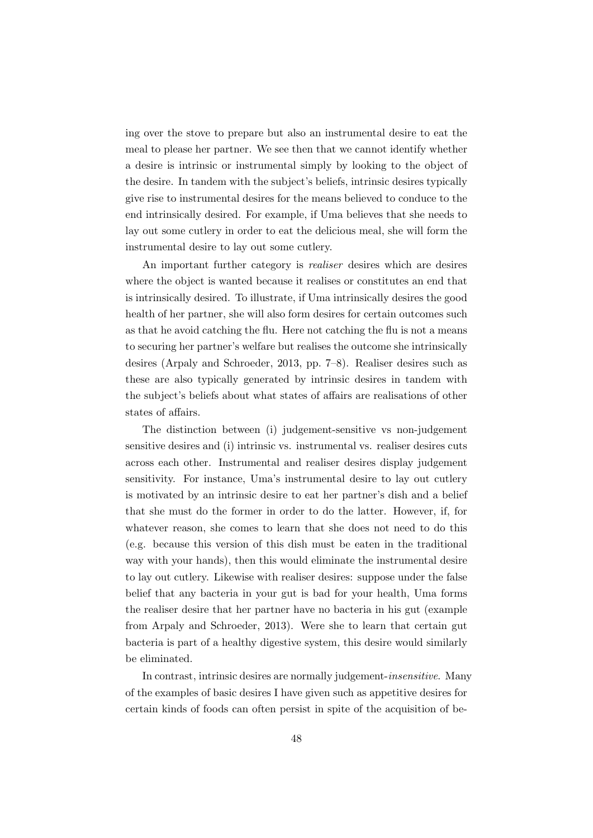ing over the stove to prepare but also an instrumental desire to eat the meal to please her partner. We see then that we cannot identify whether a desire is intrinsic or instrumental simply by looking to the object of the desire. In tandem with the subject's beliefs, intrinsic desires typically give rise to instrumental desires for the means believed to conduce to the end intrinsically desired. For example, if Uma believes that she needs to lay out some cutlery in order to eat the delicious meal, she will form the instrumental desire to lay out some cutlery.

An important further category is realiser desires which are desires where the object is wanted because it realises or constitutes an end that is intrinsically desired. To illustrate, if Uma intrinsically desires the good health of her partner, she will also form desires for certain outcomes such as that he avoid catching the flu. Here not catching the flu is not a means to securing her partner's welfare but realises the outcome she intrinsically desires (Arpaly and Schroeder, 2013, pp. 7–8). Realiser desires such as these are also typically generated by intrinsic desires in tandem with the subject's beliefs about what states of affairs are realisations of other states of affairs.

The distinction between (i) judgement-sensitive vs non-judgement sensitive desires and (i) intrinsic vs. instrumental vs. realiser desires cuts across each other. Instrumental and realiser desires display judgement sensitivity. For instance, Uma's instrumental desire to lay out cutlery is motivated by an intrinsic desire to eat her partner's dish and a belief that she must do the former in order to do the latter. However, if, for whatever reason, she comes to learn that she does not need to do this (e.g. because this version of this dish must be eaten in the traditional way with your hands), then this would eliminate the instrumental desire to lay out cutlery. Likewise with realiser desires: suppose under the false belief that any bacteria in your gut is bad for your health, Uma forms the realiser desire that her partner have no bacteria in his gut (example from Arpaly and Schroeder, 2013). Were she to learn that certain gut bacteria is part of a healthy digestive system, this desire would similarly be eliminated.

In contrast, intrinsic desires are normally judgement-insensitive. Many of the examples of basic desires I have given such as appetitive desires for certain kinds of foods can often persist in spite of the acquisition of be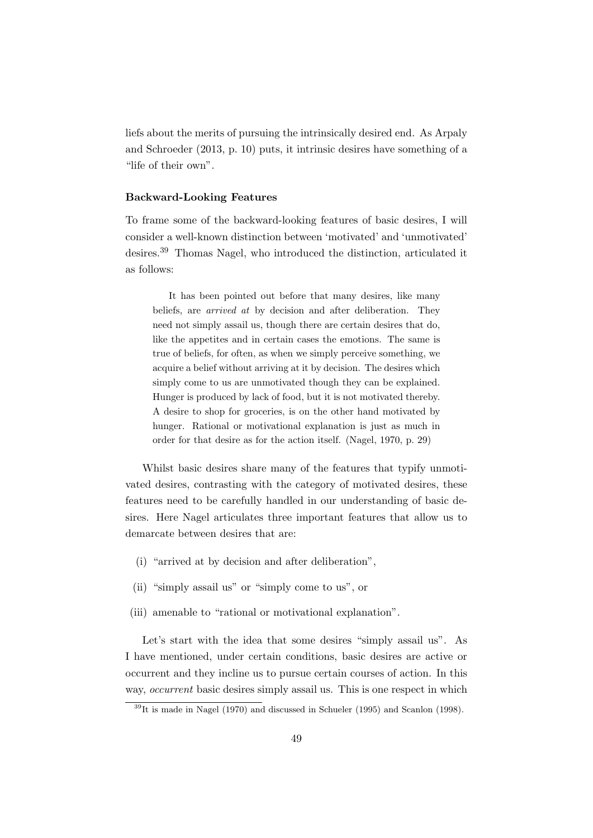liefs about the merits of pursuing the intrinsically desired end. As Arpaly and Schroeder (2013, p. 10) puts, it intrinsic desires have something of a "life of their own".

### Backward-Looking Features

To frame some of the backward-looking features of basic desires, I will consider a well-known distinction between 'motivated' and 'unmotivated' desires.<sup>39</sup> Thomas Nagel, who introduced the distinction, articulated it as follows:

It has been pointed out before that many desires, like many beliefs, are arrived at by decision and after deliberation. They need not simply assail us, though there are certain desires that do, like the appetites and in certain cases the emotions. The same is true of beliefs, for often, as when we simply perceive something, we acquire a belief without arriving at it by decision. The desires which simply come to us are unmotivated though they can be explained. Hunger is produced by lack of food, but it is not motivated thereby. A desire to shop for groceries, is on the other hand motivated by hunger. Rational or motivational explanation is just as much in order for that desire as for the action itself. (Nagel, 1970, p. 29)

Whilst basic desires share many of the features that typify unmotivated desires, contrasting with the category of motivated desires, these features need to be carefully handled in our understanding of basic desires. Here Nagel articulates three important features that allow us to demarcate between desires that are:

- (i) "arrived at by decision and after deliberation",
- (ii) "simply assail us" or "simply come to us", or
- (iii) amenable to "rational or motivational explanation".

Let's start with the idea that some desires "simply assail us". As I have mentioned, under certain conditions, basic desires are active or occurrent and they incline us to pursue certain courses of action. In this way, *occurrent* basic desires simply assail us. This is one respect in which

 $39$ It is made in Nagel (1970) and discussed in Schueler (1995) and Scanlon (1998).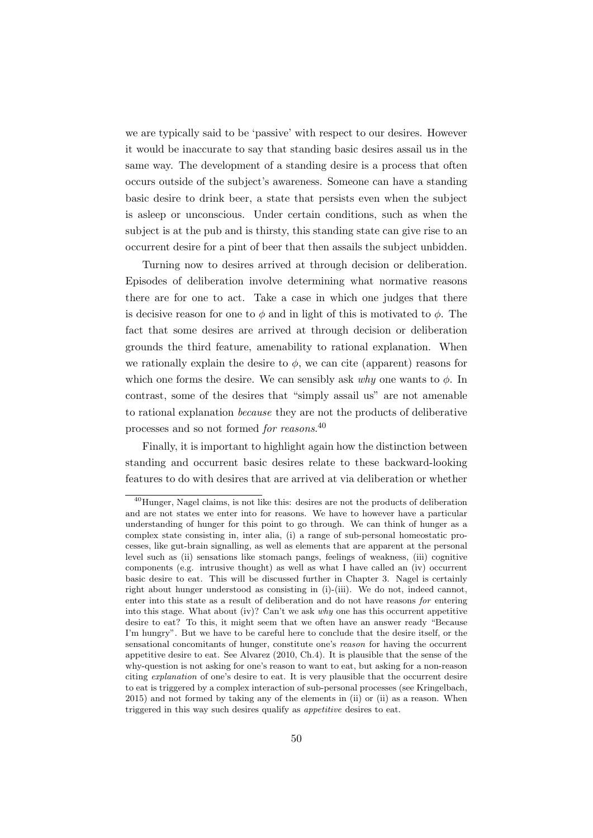we are typically said to be 'passive' with respect to our desires. However it would be inaccurate to say that standing basic desires assail us in the same way. The development of a standing desire is a process that often occurs outside of the subject's awareness. Someone can have a standing basic desire to drink beer, a state that persists even when the subject is asleep or unconscious. Under certain conditions, such as when the subject is at the pub and is thirsty, this standing state can give rise to an occurrent desire for a pint of beer that then assails the subject unbidden.

Turning now to desires arrived at through decision or deliberation. Episodes of deliberation involve determining what normative reasons there are for one to act. Take a case in which one judges that there is decisive reason for one to  $\phi$  and in light of this is motivated to  $\phi$ . The fact that some desires are arrived at through decision or deliberation grounds the third feature, amenability to rational explanation. When we rationally explain the desire to  $\phi$ , we can cite (apparent) reasons for which one forms the desire. We can sensibly ask why one wants to  $\phi$ . In contrast, some of the desires that "simply assail us" are not amenable to rational explanation because they are not the products of deliberative processes and so not formed *for reasons*.<sup>40</sup>

Finally, it is important to highlight again how the distinction between standing and occurrent basic desires relate to these backward-looking features to do with desires that are arrived at via deliberation or whether

<sup>40</sup>Hunger, Nagel claims, is not like this: desires are not the products of deliberation and are not states we enter into for reasons. We have to however have a particular understanding of hunger for this point to go through. We can think of hunger as a complex state consisting in, inter alia, (i) a range of sub-personal homeostatic processes, like gut-brain signalling, as well as elements that are apparent at the personal level such as (ii) sensations like stomach pangs, feelings of weakness, (iii) cognitive components (e.g. intrusive thought) as well as what I have called an (iv) occurrent basic desire to eat. This will be discussed further in Chapter 3. Nagel is certainly right about hunger understood as consisting in (i)-(iii). We do not, indeed cannot, enter into this state as a result of deliberation and do not have reasons for entering into this stage. What about (iv)? Can't we ask  $why$  one has this occurrent appetitive desire to eat? To this, it might seem that we often have an answer ready "Because I'm hungry". But we have to be careful here to conclude that the desire itself, or the sensational concomitants of hunger, constitute one's reason for having the occurrent appetitive desire to eat. See Alvarez (2010, Ch.4). It is plausible that the sense of the why-question is not asking for one's reason to want to eat, but asking for a non-reason citing explanation of one's desire to eat. It is very plausible that the occurrent desire to eat is triggered by a complex interaction of sub-personal processes (see Kringelbach, 2015) and not formed by taking any of the elements in (ii) or (ii) as a reason. When triggered in this way such desires qualify as *appetitive* desires to eat.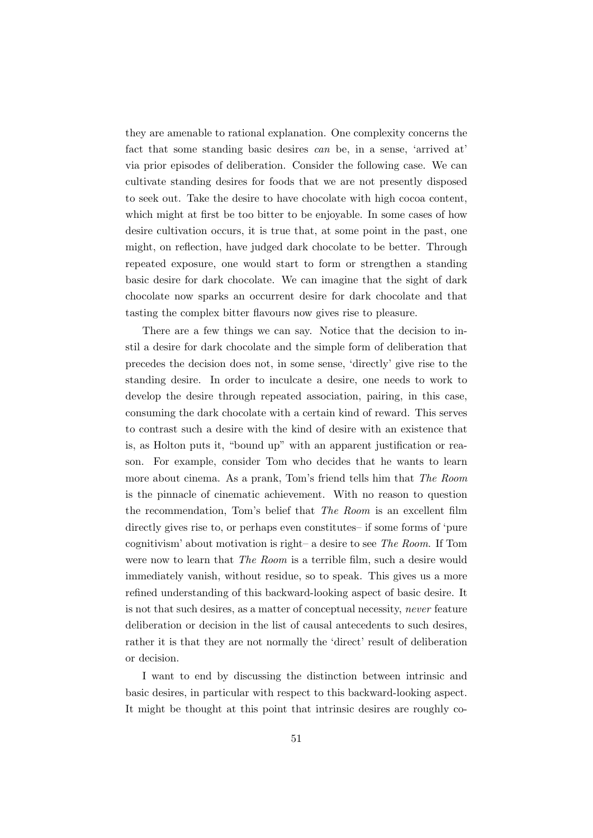they are amenable to rational explanation. One complexity concerns the fact that some standing basic desires can be, in a sense, 'arrived at' via prior episodes of deliberation. Consider the following case. We can cultivate standing desires for foods that we are not presently disposed to seek out. Take the desire to have chocolate with high cocoa content, which might at first be too bitter to be enjoyable. In some cases of how desire cultivation occurs, it is true that, at some point in the past, one might, on reflection, have judged dark chocolate to be better. Through repeated exposure, one would start to form or strengthen a standing basic desire for dark chocolate. We can imagine that the sight of dark chocolate now sparks an occurrent desire for dark chocolate and that tasting the complex bitter flavours now gives rise to pleasure.

There are a few things we can say. Notice that the decision to instil a desire for dark chocolate and the simple form of deliberation that precedes the decision does not, in some sense, 'directly' give rise to the standing desire. In order to inculcate a desire, one needs to work to develop the desire through repeated association, pairing, in this case, consuming the dark chocolate with a certain kind of reward. This serves to contrast such a desire with the kind of desire with an existence that is, as Holton puts it, "bound up" with an apparent justification or reason. For example, consider Tom who decides that he wants to learn more about cinema. As a prank, Tom's friend tells him that The Room is the pinnacle of cinematic achievement. With no reason to question the recommendation, Tom's belief that The Room is an excellent film directly gives rise to, or perhaps even constitutes– if some forms of 'pure cognitivism' about motivation is right– a desire to see The Room. If Tom were now to learn that *The Room* is a terrible film, such a desire would immediately vanish, without residue, so to speak. This gives us a more refined understanding of this backward-looking aspect of basic desire. It is not that such desires, as a matter of conceptual necessity, never feature deliberation or decision in the list of causal antecedents to such desires, rather it is that they are not normally the 'direct' result of deliberation or decision.

I want to end by discussing the distinction between intrinsic and basic desires, in particular with respect to this backward-looking aspect. It might be thought at this point that intrinsic desires are roughly co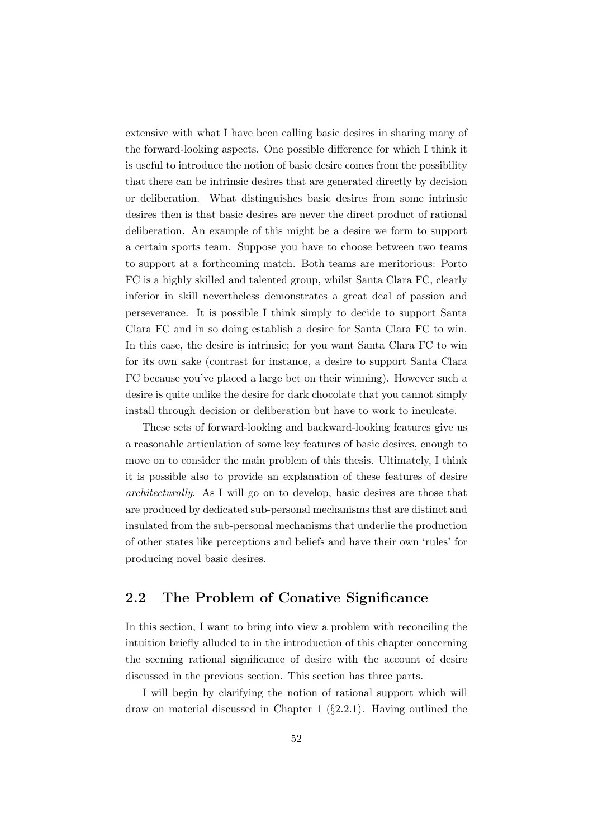extensive with what I have been calling basic desires in sharing many of the forward-looking aspects. One possible difference for which I think it is useful to introduce the notion of basic desire comes from the possibility that there can be intrinsic desires that are generated directly by decision or deliberation. What distinguishes basic desires from some intrinsic desires then is that basic desires are never the direct product of rational deliberation. An example of this might be a desire we form to support a certain sports team. Suppose you have to choose between two teams to support at a forthcoming match. Both teams are meritorious: Porto FC is a highly skilled and talented group, whilst Santa Clara FC, clearly inferior in skill nevertheless demonstrates a great deal of passion and perseverance. It is possible I think simply to decide to support Santa Clara FC and in so doing establish a desire for Santa Clara FC to win. In this case, the desire is intrinsic; for you want Santa Clara FC to win for its own sake (contrast for instance, a desire to support Santa Clara FC because you've placed a large bet on their winning). However such a desire is quite unlike the desire for dark chocolate that you cannot simply install through decision or deliberation but have to work to inculcate.

These sets of forward-looking and backward-looking features give us a reasonable articulation of some key features of basic desires, enough to move on to consider the main problem of this thesis. Ultimately, I think it is possible also to provide an explanation of these features of desire architecturally. As I will go on to develop, basic desires are those that are produced by dedicated sub-personal mechanisms that are distinct and insulated from the sub-personal mechanisms that underlie the production of other states like perceptions and beliefs and have their own 'rules' for producing novel basic desires.

### 2.2 The Problem of Conative Significance

In this section, I want to bring into view a problem with reconciling the intuition briefly alluded to in the introduction of this chapter concerning the seeming rational significance of desire with the account of desire discussed in the previous section. This section has three parts.

I will begin by clarifying the notion of rational support which will draw on material discussed in Chapter 1 (§2.2.1). Having outlined the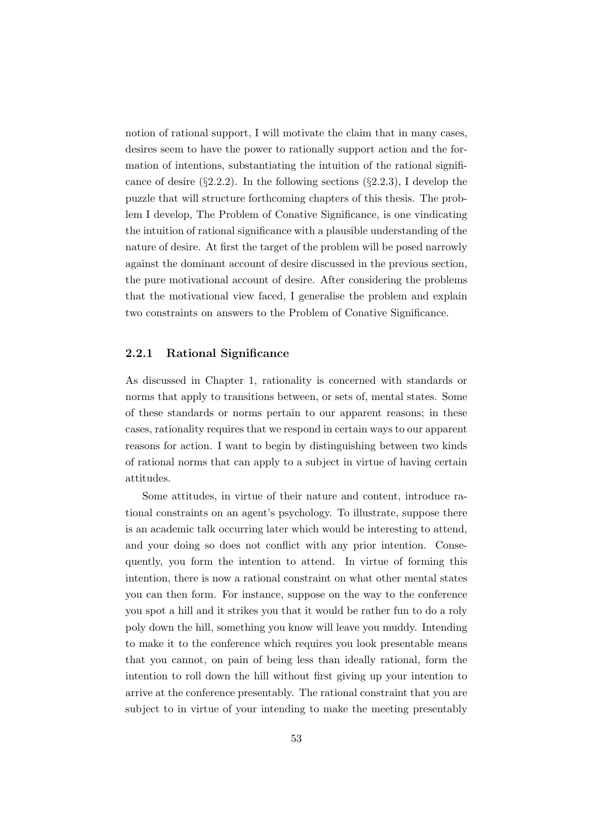notion of rational support, I will motivate the claim that in many cases, desires seem to have the power to rationally support action and the formation of intentions, substantiating the intuition of the rational significance of desire  $(\S2.2.2)$ . In the following sections  $(\S2.2.3)$ , I develop the puzzle that will structure forthcoming chapters of this thesis. The problem I develop, The Problem of Conative Significance, is one vindicating the intuition of rational significance with a plausible understanding of the nature of desire. At first the target of the problem will be posed narrowly against the dominant account of desire discussed in the previous section, the pure motivational account of desire. After considering the problems that the motivational view faced, I generalise the problem and explain two constraints on answers to the Problem of Conative Significance.

### 2.2.1 Rational Significance

As discussed in Chapter 1, rationality is concerned with standards or norms that apply to transitions between, or sets of, mental states. Some of these standards or norms pertain to our apparent reasons; in these cases, rationality requires that we respond in certain ways to our apparent reasons for action. I want to begin by distinguishing between two kinds of rational norms that can apply to a subject in virtue of having certain attitudes.

Some attitudes, in virtue of their nature and content, introduce rational constraints on an agent's psychology. To illustrate, suppose there is an academic talk occurring later which would be interesting to attend, and your doing so does not conflict with any prior intention. Consequently, you form the intention to attend. In virtue of forming this intention, there is now a rational constraint on what other mental states you can then form. For instance, suppose on the way to the conference you spot a hill and it strikes you that it would be rather fun to do a roly poly down the hill, something you know will leave you muddy. Intending to make it to the conference which requires you look presentable means that you cannot, on pain of being less than ideally rational, form the intention to roll down the hill without first giving up your intention to arrive at the conference presentably. The rational constraint that you are subject to in virtue of your intending to make the meeting presentably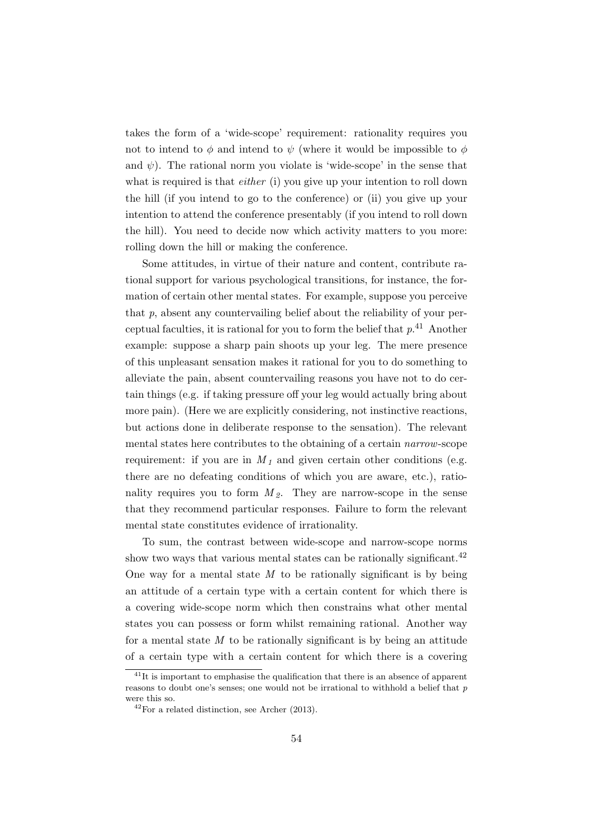takes the form of a 'wide-scope' requirement: rationality requires you not to intend to  $\phi$  and intend to  $\psi$  (where it would be impossible to  $\phi$ and  $\psi$ ). The rational norm you violate is 'wide-scope' in the sense that what is required is that *either* (i) you give up your intention to roll down the hill (if you intend to go to the conference) or (ii) you give up your intention to attend the conference presentably (if you intend to roll down the hill). You need to decide now which activity matters to you more: rolling down the hill or making the conference.

Some attitudes, in virtue of their nature and content, contribute rational support for various psychological transitions, for instance, the formation of certain other mental states. For example, suppose you perceive that  $p$ , absent any countervailing belief about the reliability of your perceptual faculties, it is rational for you to form the belief that  $p^{41}$  Another example: suppose a sharp pain shoots up your leg. The mere presence of this unpleasant sensation makes it rational for you to do something to alleviate the pain, absent countervailing reasons you have not to do certain things (e.g. if taking pressure off your leg would actually bring about more pain). (Here we are explicitly considering, not instinctive reactions, but actions done in deliberate response to the sensation). The relevant mental states here contributes to the obtaining of a certain narrow-scope requirement: if you are in  $M<sub>1</sub>$  and given certain other conditions (e.g. there are no defeating conditions of which you are aware, etc.), rationality requires you to form  $M_2$ . They are narrow-scope in the sense that they recommend particular responses. Failure to form the relevant mental state constitutes evidence of irrationality.

To sum, the contrast between wide-scope and narrow-scope norms show two ways that various mental states can be rationally significant.<sup>42</sup> One way for a mental state  $M$  to be rationally significant is by being an attitude of a certain type with a certain content for which there is a covering wide-scope norm which then constrains what other mental states you can possess or form whilst remaining rational. Another way for a mental state  $M$  to be rationally significant is by being an attitude of a certain type with a certain content for which there is a covering

 $^{41}$ It is important to emphasise the qualification that there is an absence of apparent reasons to doubt one's senses; one would not be irrational to withhold a belief that  $p$ were this so.

 $^{42}$ For a related distinction, see Archer (2013).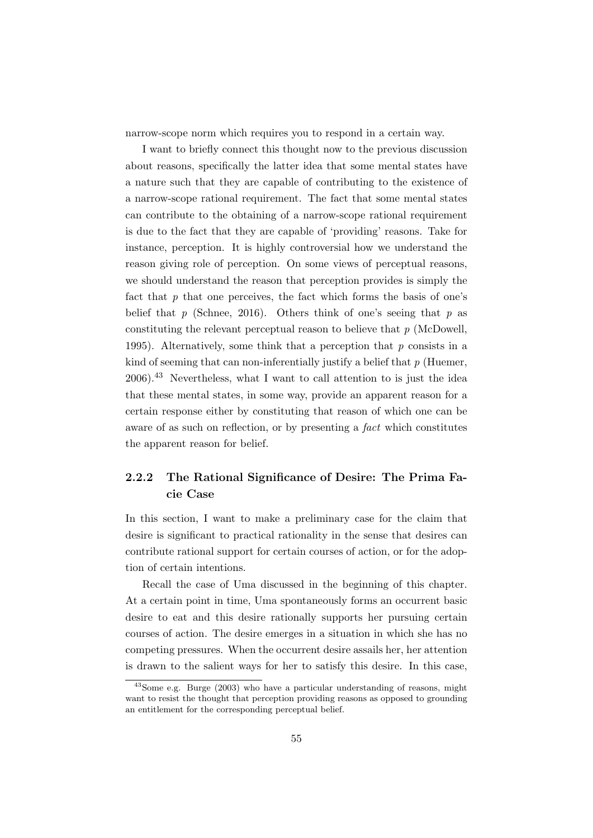narrow-scope norm which requires you to respond in a certain way.

I want to briefly connect this thought now to the previous discussion about reasons, specifically the latter idea that some mental states have a nature such that they are capable of contributing to the existence of a narrow-scope rational requirement. The fact that some mental states can contribute to the obtaining of a narrow-scope rational requirement is due to the fact that they are capable of 'providing' reasons. Take for instance, perception. It is highly controversial how we understand the reason giving role of perception. On some views of perceptual reasons, we should understand the reason that perception provides is simply the fact that  $p$  that one perceives, the fact which forms the basis of one's belief that  $p$  (Schnee, 2016). Others think of one's seeing that  $p$  as constituting the relevant perceptual reason to believe that p (McDowell, 1995). Alternatively, some think that a perception that  $p$  consists in a kind of seeming that can non-inferentially justify a belief that  $p$  (Huemer,  $2006$ <sup>43</sup> Nevertheless, what I want to call attention to is just the idea that these mental states, in some way, provide an apparent reason for a certain response either by constituting that reason of which one can be aware of as such on reflection, or by presenting a fact which constitutes the apparent reason for belief.

### 2.2.2 The Rational Significance of Desire: The Prima Facie Case

In this section, I want to make a preliminary case for the claim that desire is significant to practical rationality in the sense that desires can contribute rational support for certain courses of action, or for the adoption of certain intentions.

Recall the case of Uma discussed in the beginning of this chapter. At a certain point in time, Uma spontaneously forms an occurrent basic desire to eat and this desire rationally supports her pursuing certain courses of action. The desire emerges in a situation in which she has no competing pressures. When the occurrent desire assails her, her attention is drawn to the salient ways for her to satisfy this desire. In this case,

<sup>43</sup>Some e.g. Burge (2003) who have a particular understanding of reasons, might want to resist the thought that perception providing reasons as opposed to grounding an entitlement for the corresponding perceptual belief.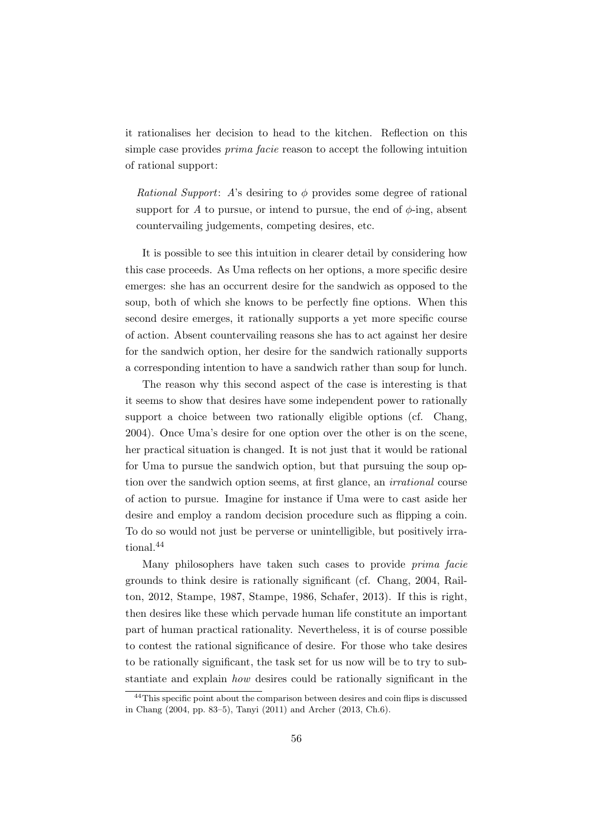it rationalises her decision to head to the kitchen. Reflection on this simple case provides prima facie reason to accept the following intuition of rational support:

*Rational Support:* A's desiring to  $\phi$  provides some degree of rational support for A to pursue, or intend to pursue, the end of  $\phi$ -ing, absent countervailing judgements, competing desires, etc.

It is possible to see this intuition in clearer detail by considering how this case proceeds. As Uma reflects on her options, a more specific desire emerges: she has an occurrent desire for the sandwich as opposed to the soup, both of which she knows to be perfectly fine options. When this second desire emerges, it rationally supports a yet more specific course of action. Absent countervailing reasons she has to act against her desire for the sandwich option, her desire for the sandwich rationally supports a corresponding intention to have a sandwich rather than soup for lunch.

The reason why this second aspect of the case is interesting is that it seems to show that desires have some independent power to rationally support a choice between two rationally eligible options (cf. Chang, 2004). Once Uma's desire for one option over the other is on the scene, her practical situation is changed. It is not just that it would be rational for Uma to pursue the sandwich option, but that pursuing the soup option over the sandwich option seems, at first glance, an irrational course of action to pursue. Imagine for instance if Uma were to cast aside her desire and employ a random decision procedure such as flipping a coin. To do so would not just be perverse or unintelligible, but positively irrational.<sup>44</sup>

Many philosophers have taken such cases to provide prima facie grounds to think desire is rationally significant (cf. Chang, 2004, Railton, 2012, Stampe, 1987, Stampe, 1986, Schafer, 2013). If this is right, then desires like these which pervade human life constitute an important part of human practical rationality. Nevertheless, it is of course possible to contest the rational significance of desire. For those who take desires to be rationally significant, the task set for us now will be to try to substantiate and explain how desires could be rationally significant in the

<sup>&</sup>lt;sup>44</sup>This specific point about the comparison between desires and coin flips is discussed in Chang (2004, pp. 83–5), Tanyi (2011) and Archer (2013, Ch.6).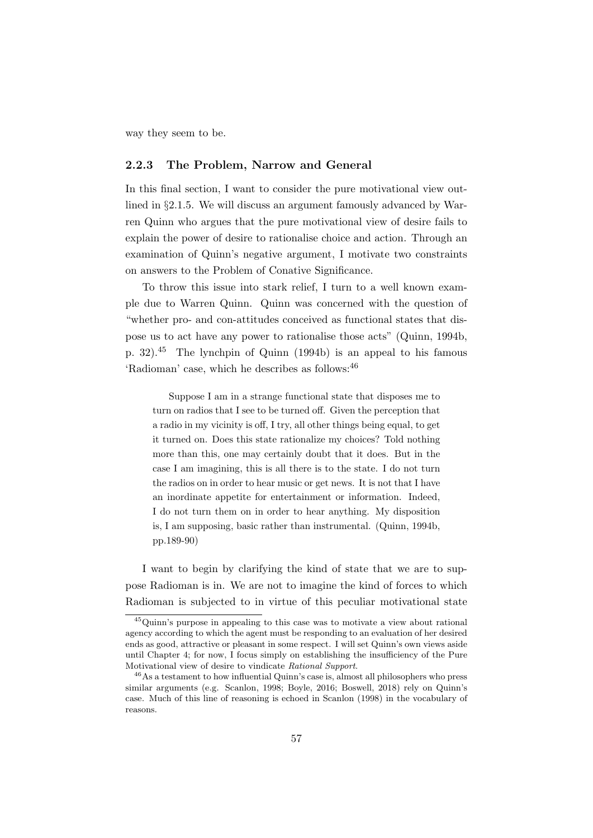way they seem to be.

### 2.2.3 The Problem, Narrow and General

In this final section, I want to consider the pure motivational view outlined in §2.1.5. We will discuss an argument famously advanced by Warren Quinn who argues that the pure motivational view of desire fails to explain the power of desire to rationalise choice and action. Through an examination of Quinn's negative argument, I motivate two constraints on answers to the Problem of Conative Significance.

To throw this issue into stark relief, I turn to a well known example due to Warren Quinn. Quinn was concerned with the question of "whether pro- and con-attitudes conceived as functional states that dispose us to act have any power to rationalise those acts" (Quinn, 1994b, p. 32).<sup>45</sup> The lynchpin of Quinn (1994b) is an appeal to his famous 'Radioman' case, which he describes as follows:  $46$ 

Suppose I am in a strange functional state that disposes me to turn on radios that I see to be turned off. Given the perception that a radio in my vicinity is off, I try, all other things being equal, to get it turned on. Does this state rationalize my choices? Told nothing more than this, one may certainly doubt that it does. But in the case I am imagining, this is all there is to the state. I do not turn the radios on in order to hear music or get news. It is not that I have an inordinate appetite for entertainment or information. Indeed, I do not turn them on in order to hear anything. My disposition is, I am supposing, basic rather than instrumental. (Quinn, 1994b, pp.189-90)

I want to begin by clarifying the kind of state that we are to suppose Radioman is in. We are not to imagine the kind of forces to which Radioman is subjected to in virtue of this peculiar motivational state

<sup>45</sup>Quinn's purpose in appealing to this case was to motivate a view about rational agency according to which the agent must be responding to an evaluation of her desired ends as good, attractive or pleasant in some respect. I will set Quinn's own views aside until Chapter 4; for now, I focus simply on establishing the insufficiency of the Pure Motivational view of desire to vindicate Rational Support.

<sup>46</sup>As a testament to how influential Quinn's case is, almost all philosophers who press similar arguments (e.g. Scanlon, 1998; Boyle, 2016; Boswell, 2018) rely on Quinn's case. Much of this line of reasoning is echoed in Scanlon (1998) in the vocabulary of reasons.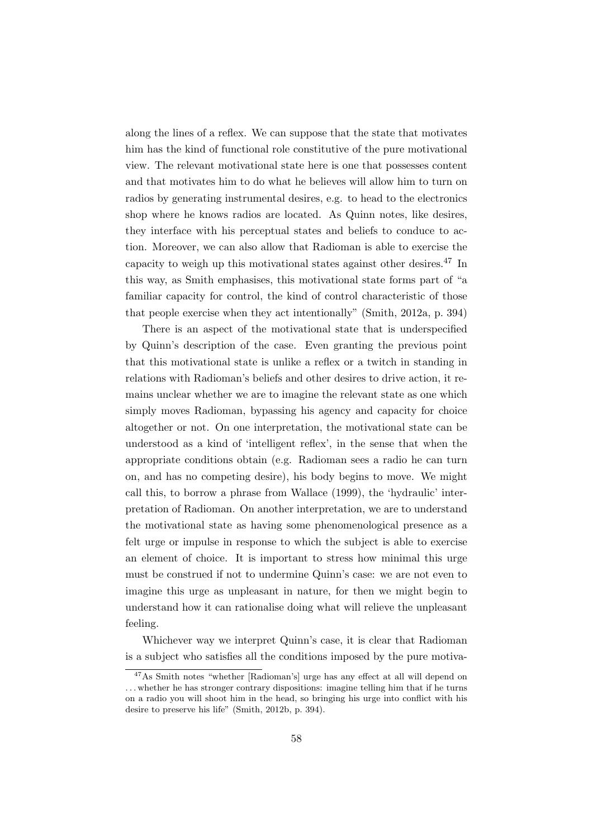along the lines of a reflex. We can suppose that the state that motivates him has the kind of functional role constitutive of the pure motivational view. The relevant motivational state here is one that possesses content and that motivates him to do what he believes will allow him to turn on radios by generating instrumental desires, e.g. to head to the electronics shop where he knows radios are located. As Quinn notes, like desires, they interface with his perceptual states and beliefs to conduce to action. Moreover, we can also allow that Radioman is able to exercise the capacity to weigh up this motivational states against other desires.<sup>47</sup> In this way, as Smith emphasises, this motivational state forms part of "a familiar capacity for control, the kind of control characteristic of those that people exercise when they act intentionally" (Smith, 2012a, p. 394)

There is an aspect of the motivational state that is underspecified by Quinn's description of the case. Even granting the previous point that this motivational state is unlike a reflex or a twitch in standing in relations with Radioman's beliefs and other desires to drive action, it remains unclear whether we are to imagine the relevant state as one which simply moves Radioman, bypassing his agency and capacity for choice altogether or not. On one interpretation, the motivational state can be understood as a kind of 'intelligent reflex', in the sense that when the appropriate conditions obtain (e.g. Radioman sees a radio he can turn on, and has no competing desire), his body begins to move. We might call this, to borrow a phrase from Wallace (1999), the 'hydraulic' interpretation of Radioman. On another interpretation, we are to understand the motivational state as having some phenomenological presence as a felt urge or impulse in response to which the subject is able to exercise an element of choice. It is important to stress how minimal this urge must be construed if not to undermine Quinn's case: we are not even to imagine this urge as unpleasant in nature, for then we might begin to understand how it can rationalise doing what will relieve the unpleasant feeling.

Whichever way we interpret Quinn's case, it is clear that Radioman is a subject who satisfies all the conditions imposed by the pure motiva-

<sup>&</sup>lt;sup>47</sup>As Smith notes "whether [Radioman's] urge has any effect at all will depend on . . . whether he has stronger contrary dispositions: imagine telling him that if he turns on a radio you will shoot him in the head, so bringing his urge into conflict with his desire to preserve his life" (Smith, 2012b, p. 394).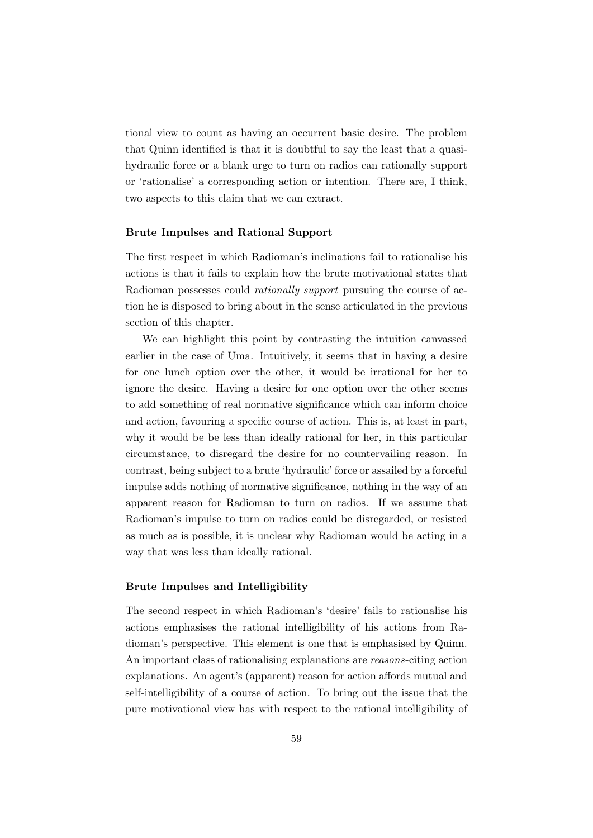tional view to count as having an occurrent basic desire. The problem that Quinn identified is that it is doubtful to say the least that a quasihydraulic force or a blank urge to turn on radios can rationally support or 'rationalise' a corresponding action or intention. There are, I think, two aspects to this claim that we can extract.

### Brute Impulses and Rational Support

The first respect in which Radioman's inclinations fail to rationalise his actions is that it fails to explain how the brute motivational states that Radioman possesses could rationally support pursuing the course of action he is disposed to bring about in the sense articulated in the previous section of this chapter.

We can highlight this point by contrasting the intuition canvassed earlier in the case of Uma. Intuitively, it seems that in having a desire for one lunch option over the other, it would be irrational for her to ignore the desire. Having a desire for one option over the other seems to add something of real normative significance which can inform choice and action, favouring a specific course of action. This is, at least in part, why it would be be less than ideally rational for her, in this particular circumstance, to disregard the desire for no countervailing reason. In contrast, being subject to a brute 'hydraulic' force or assailed by a forceful impulse adds nothing of normative significance, nothing in the way of an apparent reason for Radioman to turn on radios. If we assume that Radioman's impulse to turn on radios could be disregarded, or resisted as much as is possible, it is unclear why Radioman would be acting in a way that was less than ideally rational.

### Brute Impulses and Intelligibility

The second respect in which Radioman's 'desire' fails to rationalise his actions emphasises the rational intelligibility of his actions from Radioman's perspective. This element is one that is emphasised by Quinn. An important class of rationalising explanations are reasons-citing action explanations. An agent's (apparent) reason for action affords mutual and self-intelligibility of a course of action. To bring out the issue that the pure motivational view has with respect to the rational intelligibility of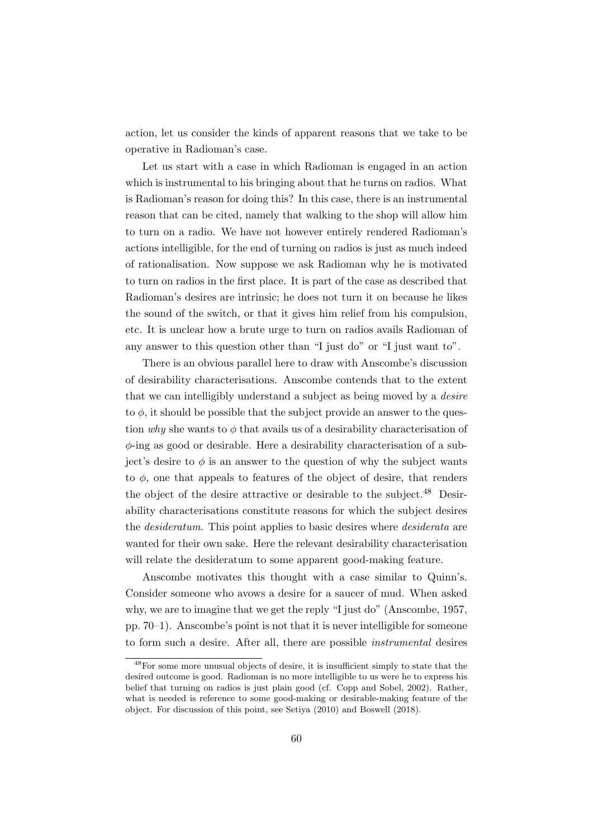action, let us consider the kinds of apparent reasons that we take to be operative in Radioman's case.

Let us start with a case in which Radioman is engaged in an action which is instrumental to his bringing about that he turns on radios. What is Radioman's reason for doing this? In this case, there is an instrumental reason that can be cited, namely that walking to the shop will allow him to turn on a radio. We have not however entirely rendered Radioman's actions intelligible, for the end of turning on radios is just as much indeed of rationalisation. Now suppose we ask Radioman why he is motivated to turn on radios in the first place. It is part of the case as described that Radioman's desires are intrinsic; he does not turn it on because he likes the sound of the switch, or that it gives him relief from his compulsion, etc. It is unclear how a brute urge to turn on radios avails Radioman of any answer to this question other than "I just do" or "I just want to".

There is an obvious parallel here to draw with Anscombe's discussion of desirability characterisations. Anscombe contends that to the extent that we can intelligibly understand a subject as being moved by a desire to  $\phi$ , it should be possible that the subject provide an answer to the question why she wants to  $\phi$  that avails us of a desirability characterisation of  $\phi$ -ing as good or desirable. Here a desirability characterisation of a subject's desire to  $\phi$  is an answer to the question of why the subject wants to  $\phi$ , one that appeals to features of the object of desire, that renders the object of the desire attractive or desirable to the subject.<sup>48</sup> Desirability characterisations constitute reasons for which the subject desires the desideratum. This point applies to basic desires where desiderata are wanted for their own sake. Here the relevant desirability characterisation will relate the desideratum to some apparent good-making feature.

Anscombe motivates this thought with a case similar to Quinn's. Consider someone who avows a desire for a saucer of mud. When asked why, we are to imagine that we get the reply "I just do" (Anscombe, 1957, pp. 70–1). Anscombe's point is not that it is never intelligible for someone to form such a desire. After all, there are possible instrumental desires

<sup>48</sup>For some more unusual objects of desire, it is insufficient simply to state that the desired outcome is good. Radioman is no more intelligible to us were he to express his belief that turning on radios is just plain good (cf. Copp and Sobel, 2002). Rather, what is needed is reference to some good-making or desirable-making feature of the object. For discussion of this point, see Setiya (2010) and Boswell (2018).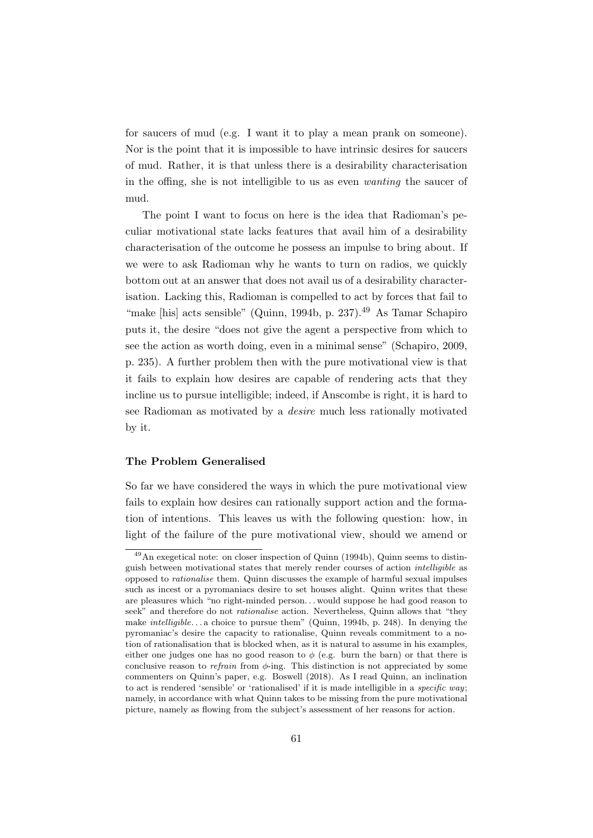for saucers of mud (e.g. I want it to play a mean prank on someone). Nor is the point that it is impossible to have intrinsic desires for saucers of mud. Rather, it is that unless there is a desirability characterisation in the offing, she is not intelligible to us as even wanting the saucer of mud.

The point I want to focus on here is the idea that Radioman's peculiar motivational state lacks features that avail him of a desirability characterisation of the outcome he possess an impulse to bring about. If we were to ask Radioman why he wants to turn on radios, we quickly bottom out at an answer that does not avail us of a desirability characterisation. Lacking this, Radioman is compelled to act by forces that fail to "make [his] acts sensible" (Quinn, 1994b, p. 237).<sup>49</sup> As Tamar Schapiro puts it, the desire "does not give the agent a perspective from which to see the action as worth doing, even in a minimal sense" (Schapiro, 2009, p. 235). A further problem then with the pure motivational view is that it fails to explain how desires are capable of rendering acts that they incline us to pursue intelligible; indeed, if Anscombe is right, it is hard to see Radioman as motivated by a desire much less rationally motivated by it.

### The Problem Generalised

So far we have considered the ways in which the pure motivational view fails to explain how desires can rationally support action and the formation of intentions. This leaves us with the following question: how, in light of the failure of the pure motivational view, should we amend or

<sup>49</sup>An exegetical note: on closer inspection of Quinn (1994b), Quinn seems to distinguish between motivational states that merely render courses of action intelligible as opposed to rationalise them. Quinn discusses the example of harmful sexual impulses such as incest or a pyromaniacs desire to set houses alight. Quinn writes that these are pleasures which "no right-minded person. . . would suppose he had good reason to seek" and therefore do not *rationalise* action. Nevertheless, Quinn allows that "they make intelligible. . . a choice to pursue them" (Quinn, 1994b, p. 248). In denying the pyromaniac's desire the capacity to rationalise, Quinn reveals commitment to a notion of rationalisation that is blocked when, as it is natural to assume in his examples, either one judges one has no good reason to  $\phi$  (e.g. burn the barn) or that there is conclusive reason to *refrain* from  $\phi$ -ing. This distinction is not appreciated by some commenters on Quinn's paper, e.g. Boswell (2018). As I read Quinn, an inclination to act is rendered 'sensible' or 'rationalised' if it is made intelligible in a specific way; namely, in accordance with what Quinn takes to be missing from the pure motivational picture, namely as flowing from the subject's assessment of her reasons for action.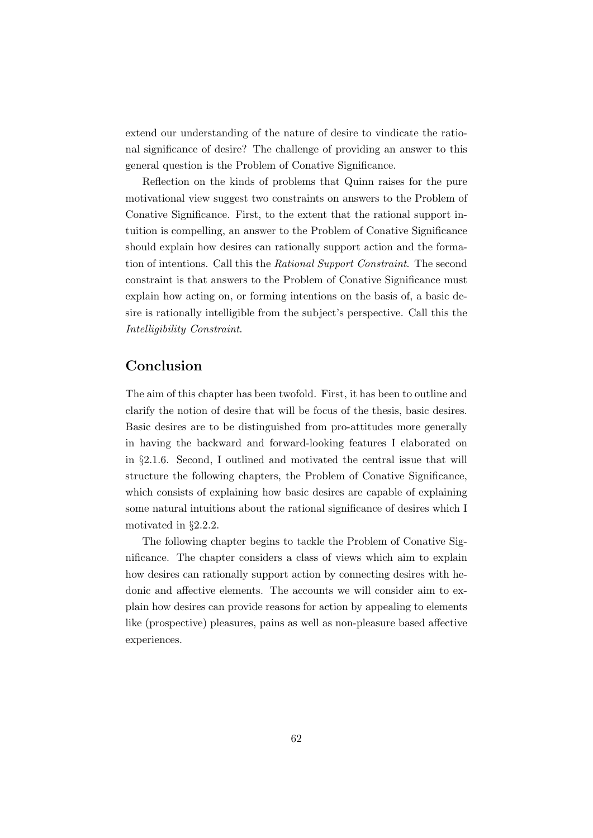extend our understanding of the nature of desire to vindicate the rational significance of desire? The challenge of providing an answer to this general question is the Problem of Conative Significance.

Reflection on the kinds of problems that Quinn raises for the pure motivational view suggest two constraints on answers to the Problem of Conative Significance. First, to the extent that the rational support intuition is compelling, an answer to the Problem of Conative Significance should explain how desires can rationally support action and the formation of intentions. Call this the Rational Support Constraint. The second constraint is that answers to the Problem of Conative Significance must explain how acting on, or forming intentions on the basis of, a basic desire is rationally intelligible from the subject's perspective. Call this the Intelligibility Constraint.

### Conclusion

The aim of this chapter has been twofold. First, it has been to outline and clarify the notion of desire that will be focus of the thesis, basic desires. Basic desires are to be distinguished from pro-attitudes more generally in having the backward and forward-looking features I elaborated on in §2.1.6. Second, I outlined and motivated the central issue that will structure the following chapters, the Problem of Conative Significance, which consists of explaining how basic desires are capable of explaining some natural intuitions about the rational significance of desires which I motivated in §2.2.2.

The following chapter begins to tackle the Problem of Conative Significance. The chapter considers a class of views which aim to explain how desires can rationally support action by connecting desires with hedonic and affective elements. The accounts we will consider aim to explain how desires can provide reasons for action by appealing to elements like (prospective) pleasures, pains as well as non-pleasure based affective experiences.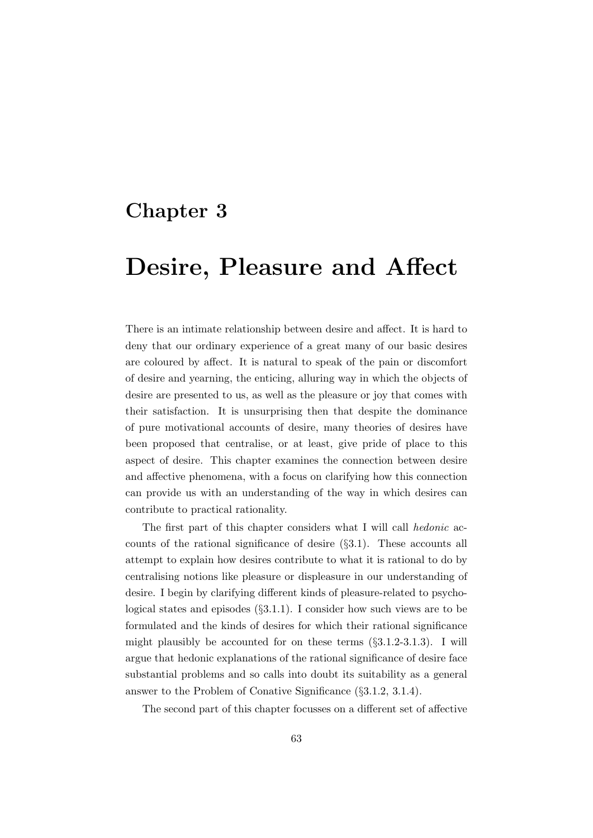## Chapter 3

# Desire, Pleasure and Affect

There is an intimate relationship between desire and affect. It is hard to deny that our ordinary experience of a great many of our basic desires are coloured by affect. It is natural to speak of the pain or discomfort of desire and yearning, the enticing, alluring way in which the objects of desire are presented to us, as well as the pleasure or joy that comes with their satisfaction. It is unsurprising then that despite the dominance of pure motivational accounts of desire, many theories of desires have been proposed that centralise, or at least, give pride of place to this aspect of desire. This chapter examines the connection between desire and affective phenomena, with a focus on clarifying how this connection can provide us with an understanding of the way in which desires can contribute to practical rationality.

The first part of this chapter considers what I will call hedonic accounts of the rational significance of desire  $(\S3.1)$ . These accounts all attempt to explain how desires contribute to what it is rational to do by centralising notions like pleasure or displeasure in our understanding of desire. I begin by clarifying different kinds of pleasure-related to psychological states and episodes (§3.1.1). I consider how such views are to be formulated and the kinds of desires for which their rational significance might plausibly be accounted for on these terms  $(\S3.1.2-3.1.3)$ . I will argue that hedonic explanations of the rational significance of desire face substantial problems and so calls into doubt its suitability as a general answer to the Problem of Conative Significance (§3.1.2, 3.1.4).

The second part of this chapter focusses on a different set of affective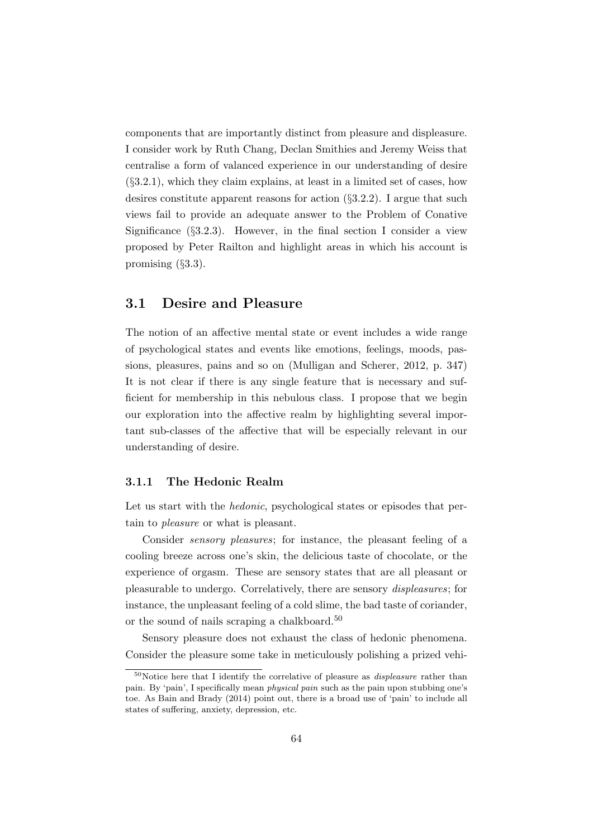components that are importantly distinct from pleasure and displeasure. I consider work by Ruth Chang, Declan Smithies and Jeremy Weiss that centralise a form of valanced experience in our understanding of desire (§3.2.1), which they claim explains, at least in a limited set of cases, how desires constitute apparent reasons for action  $(\S 3.2.2)$ . I argue that such views fail to provide an adequate answer to the Problem of Conative Significance  $(\S3.2.3)$ . However, in the final section I consider a view proposed by Peter Railton and highlight areas in which his account is promising (§3.3).

### 3.1 Desire and Pleasure

The notion of an affective mental state or event includes a wide range of psychological states and events like emotions, feelings, moods, passions, pleasures, pains and so on (Mulligan and Scherer, 2012, p. 347) It is not clear if there is any single feature that is necessary and sufficient for membership in this nebulous class. I propose that we begin our exploration into the affective realm by highlighting several important sub-classes of the affective that will be especially relevant in our understanding of desire.

### 3.1.1 The Hedonic Realm

Let us start with the *hedonic*, psychological states or episodes that pertain to pleasure or what is pleasant.

Consider sensory pleasures; for instance, the pleasant feeling of a cooling breeze across one's skin, the delicious taste of chocolate, or the experience of orgasm. These are sensory states that are all pleasant or pleasurable to undergo. Correlatively, there are sensory displeasures; for instance, the unpleasant feeling of a cold slime, the bad taste of coriander, or the sound of nails scraping a chalkboard.<sup>50</sup>

Sensory pleasure does not exhaust the class of hedonic phenomena. Consider the pleasure some take in meticulously polishing a prized vehi-

 $50$ Notice here that I identify the correlative of pleasure as *displeasure* rather than pain. By 'pain', I specifically mean physical pain such as the pain upon stubbing one's toe. As Bain and Brady (2014) point out, there is a broad use of 'pain' to include all states of suffering, anxiety, depression, etc.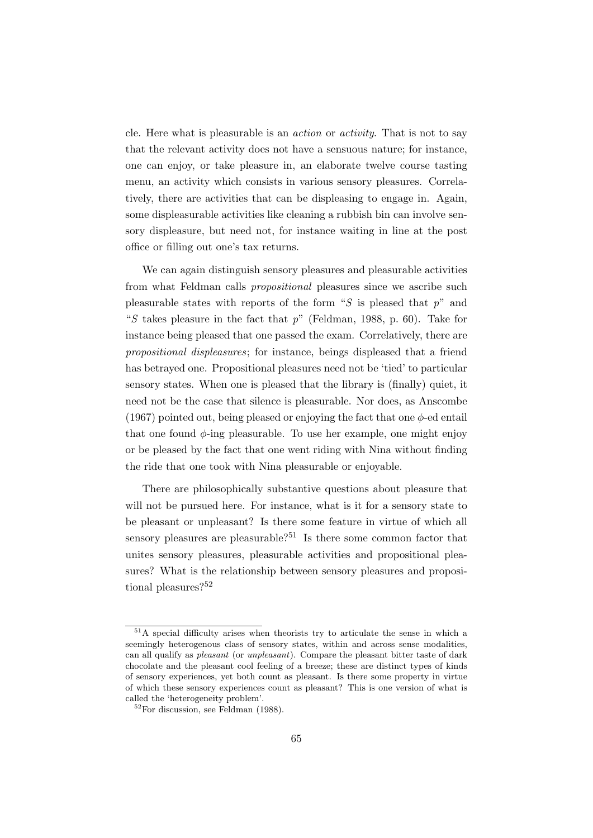cle. Here what is pleasurable is an action or activity. That is not to say that the relevant activity does not have a sensuous nature; for instance, one can enjoy, or take pleasure in, an elaborate twelve course tasting menu, an activity which consists in various sensory pleasures. Correlatively, there are activities that can be displeasing to engage in. Again, some displeasurable activities like cleaning a rubbish bin can involve sensory displeasure, but need not, for instance waiting in line at the post office or filling out one's tax returns.

We can again distinguish sensory pleasures and pleasurable activities from what Feldman calls propositional pleasures since we ascribe such pleasurable states with reports of the form "S is pleased that  $p$ " and "S takes pleasure in the fact that  $p$ " (Feldman, 1988, p. 60). Take for instance being pleased that one passed the exam. Correlatively, there are propositional displeasures; for instance, beings displeased that a friend has betrayed one. Propositional pleasures need not be 'tied' to particular sensory states. When one is pleased that the library is (finally) quiet, it need not be the case that silence is pleasurable. Nor does, as Anscombe (1967) pointed out, being pleased or enjoying the fact that one  $\phi$ -ed entail that one found  $\phi$ -ing pleasurable. To use her example, one might enjoy or be pleased by the fact that one went riding with Nina without finding the ride that one took with Nina pleasurable or enjoyable.

There are philosophically substantive questions about pleasure that will not be pursued here. For instance, what is it for a sensory state to be pleasant or unpleasant? Is there some feature in virtue of which all sensory pleasures are pleasurable?<sup>51</sup> Is there some common factor that unites sensory pleasures, pleasurable activities and propositional pleasures? What is the relationship between sensory pleasures and propositional pleasures?<sup>52</sup>

<sup>51</sup>A special difficulty arises when theorists try to articulate the sense in which a seemingly heterogenous class of sensory states, within and across sense modalities, can all qualify as pleasant (or unpleasant). Compare the pleasant bitter taste of dark chocolate and the pleasant cool feeling of a breeze; these are distinct types of kinds of sensory experiences, yet both count as pleasant. Is there some property in virtue of which these sensory experiences count as pleasant? This is one version of what is called the 'heterogeneity problem'.

<sup>52</sup>For discussion, see Feldman (1988).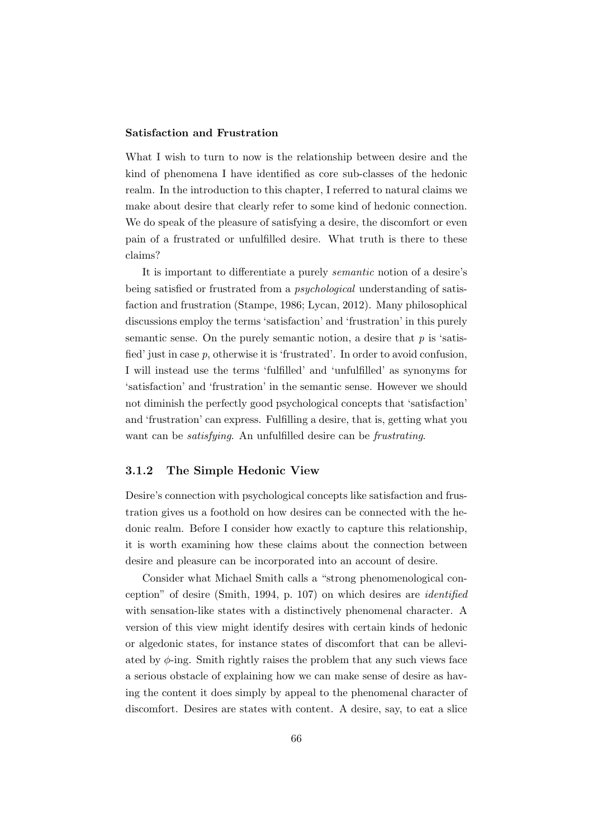#### Satisfaction and Frustration

What I wish to turn to now is the relationship between desire and the kind of phenomena I have identified as core sub-classes of the hedonic realm. In the introduction to this chapter, I referred to natural claims we make about desire that clearly refer to some kind of hedonic connection. We do speak of the pleasure of satisfying a desire, the discomfort or even pain of a frustrated or unfulfilled desire. What truth is there to these claims?

It is important to differentiate a purely semantic notion of a desire's being satisfied or frustrated from a psychological understanding of satisfaction and frustration (Stampe, 1986; Lycan, 2012). Many philosophical discussions employ the terms 'satisfaction' and 'frustration' in this purely semantic sense. On the purely semantic notion, a desire that  $p$  is 'satisfied' just in case p, otherwise it is 'frustrated'. In order to avoid confusion, I will instead use the terms 'fulfilled' and 'unfulfilled' as synonyms for 'satisfaction' and 'frustration' in the semantic sense. However we should not diminish the perfectly good psychological concepts that 'satisfaction' and 'frustration' can express. Fulfilling a desire, that is, getting what you want can be *satisfying*. An unfulfilled desire can be *frustrating*.

### 3.1.2 The Simple Hedonic View

Desire's connection with psychological concepts like satisfaction and frustration gives us a foothold on how desires can be connected with the hedonic realm. Before I consider how exactly to capture this relationship, it is worth examining how these claims about the connection between desire and pleasure can be incorporated into an account of desire.

Consider what Michael Smith calls a "strong phenomenological conception" of desire (Smith, 1994, p. 107) on which desires are identified with sensation-like states with a distinctively phenomenal character. A version of this view might identify desires with certain kinds of hedonic or algedonic states, for instance states of discomfort that can be alleviated by  $\phi$ -ing. Smith rightly raises the problem that any such views face a serious obstacle of explaining how we can make sense of desire as having the content it does simply by appeal to the phenomenal character of discomfort. Desires are states with content. A desire, say, to eat a slice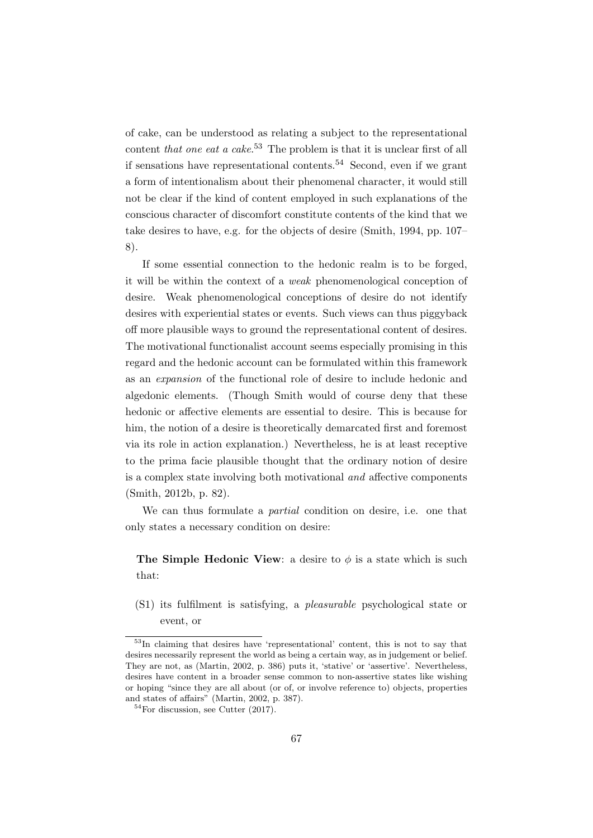of cake, can be understood as relating a subject to the representational content that one eat a cake.<sup>53</sup> The problem is that it is unclear first of all if sensations have representational contents.<sup>54</sup> Second, even if we grant a form of intentionalism about their phenomenal character, it would still not be clear if the kind of content employed in such explanations of the conscious character of discomfort constitute contents of the kind that we take desires to have, e.g. for the objects of desire (Smith, 1994, pp. 107– 8).

If some essential connection to the hedonic realm is to be forged, it will be within the context of a weak phenomenological conception of desire. Weak phenomenological conceptions of desire do not identify desires with experiential states or events. Such views can thus piggyback off more plausible ways to ground the representational content of desires. The motivational functionalist account seems especially promising in this regard and the hedonic account can be formulated within this framework as an expansion of the functional role of desire to include hedonic and algedonic elements. (Though Smith would of course deny that these hedonic or affective elements are essential to desire. This is because for him, the notion of a desire is theoretically demarcated first and foremost via its role in action explanation.) Nevertheless, he is at least receptive to the prima facie plausible thought that the ordinary notion of desire is a complex state involving both motivational and affective components (Smith, 2012b, p. 82).

We can thus formulate a *partial* condition on desire, i.e. one that only states a necessary condition on desire:

The Simple Hedonic View: a desire to  $\phi$  is a state which is such that:

(S1) its fulfilment is satisfying, a pleasurable psychological state or event, or

<sup>53</sup>In claiming that desires have 'representational' content, this is not to say that desires necessarily represent the world as being a certain way, as in judgement or belief. They are not, as (Martin, 2002, p. 386) puts it, 'stative' or 'assertive'. Nevertheless, desires have content in a broader sense common to non-assertive states like wishing or hoping "since they are all about (or of, or involve reference to) objects, properties and states of affairs" (Martin, 2002, p. 387).

 $54$ For discussion, see Cutter (2017).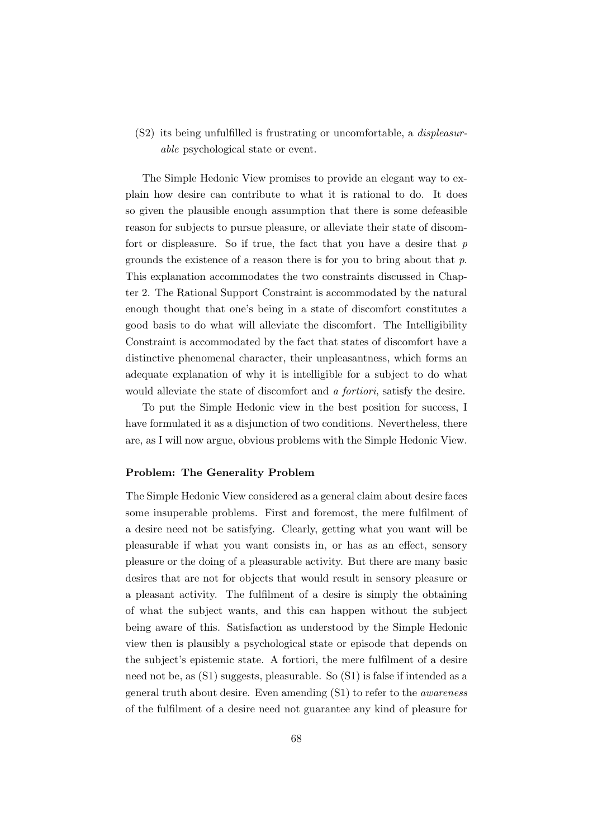(S2) its being unfulfilled is frustrating or uncomfortable, a displeasurable psychological state or event.

The Simple Hedonic View promises to provide an elegant way to explain how desire can contribute to what it is rational to do. It does so given the plausible enough assumption that there is some defeasible reason for subjects to pursue pleasure, or alleviate their state of discomfort or displeasure. So if true, the fact that you have a desire that  $p$ grounds the existence of a reason there is for you to bring about that p. This explanation accommodates the two constraints discussed in Chapter 2. The Rational Support Constraint is accommodated by the natural enough thought that one's being in a state of discomfort constitutes a good basis to do what will alleviate the discomfort. The Intelligibility Constraint is accommodated by the fact that states of discomfort have a distinctive phenomenal character, their unpleasantness, which forms an adequate explanation of why it is intelligible for a subject to do what would alleviate the state of discomfort and a *fortiori*, satisfy the desire.

To put the Simple Hedonic view in the best position for success, I have formulated it as a disjunction of two conditions. Nevertheless, there are, as I will now argue, obvious problems with the Simple Hedonic View.

### Problem: The Generality Problem

The Simple Hedonic View considered as a general claim about desire faces some insuperable problems. First and foremost, the mere fulfilment of a desire need not be satisfying. Clearly, getting what you want will be pleasurable if what you want consists in, or has as an effect, sensory pleasure or the doing of a pleasurable activity. But there are many basic desires that are not for objects that would result in sensory pleasure or a pleasant activity. The fulfilment of a desire is simply the obtaining of what the subject wants, and this can happen without the subject being aware of this. Satisfaction as understood by the Simple Hedonic view then is plausibly a psychological state or episode that depends on the subject's epistemic state. A fortiori, the mere fulfilment of a desire need not be, as (S1) suggests, pleasurable. So (S1) is false if intended as a general truth about desire. Even amending (S1) to refer to the awareness of the fulfilment of a desire need not guarantee any kind of pleasure for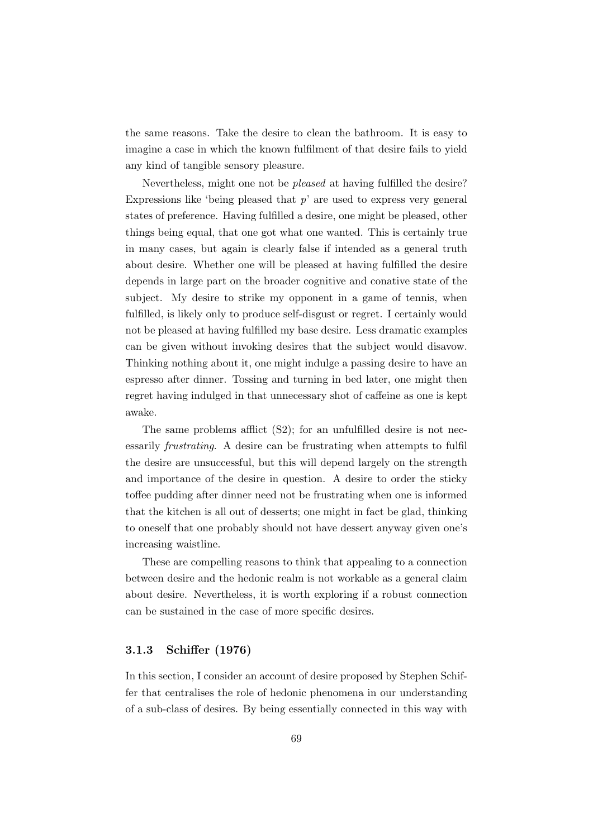the same reasons. Take the desire to clean the bathroom. It is easy to imagine a case in which the known fulfilment of that desire fails to yield any kind of tangible sensory pleasure.

Nevertheless, might one not be pleased at having fulfilled the desire? Expressions like 'being pleased that  $p$ ' are used to express very general states of preference. Having fulfilled a desire, one might be pleased, other things being equal, that one got what one wanted. This is certainly true in many cases, but again is clearly false if intended as a general truth about desire. Whether one will be pleased at having fulfilled the desire depends in large part on the broader cognitive and conative state of the subject. My desire to strike my opponent in a game of tennis, when fulfilled, is likely only to produce self-disgust or regret. I certainly would not be pleased at having fulfilled my base desire. Less dramatic examples can be given without invoking desires that the subject would disavow. Thinking nothing about it, one might indulge a passing desire to have an espresso after dinner. Tossing and turning in bed later, one might then regret having indulged in that unnecessary shot of caffeine as one is kept awake.

The same problems afflict (S2); for an unfulfilled desire is not necessarily frustrating. A desire can be frustrating when attempts to fulfil the desire are unsuccessful, but this will depend largely on the strength and importance of the desire in question. A desire to order the sticky toffee pudding after dinner need not be frustrating when one is informed that the kitchen is all out of desserts; one might in fact be glad, thinking to oneself that one probably should not have dessert anyway given one's increasing waistline.

These are compelling reasons to think that appealing to a connection between desire and the hedonic realm is not workable as a general claim about desire. Nevertheless, it is worth exploring if a robust connection can be sustained in the case of more specific desires.

### 3.1.3 Schiffer (1976)

In this section, I consider an account of desire proposed by Stephen Schiffer that centralises the role of hedonic phenomena in our understanding of a sub-class of desires. By being essentially connected in this way with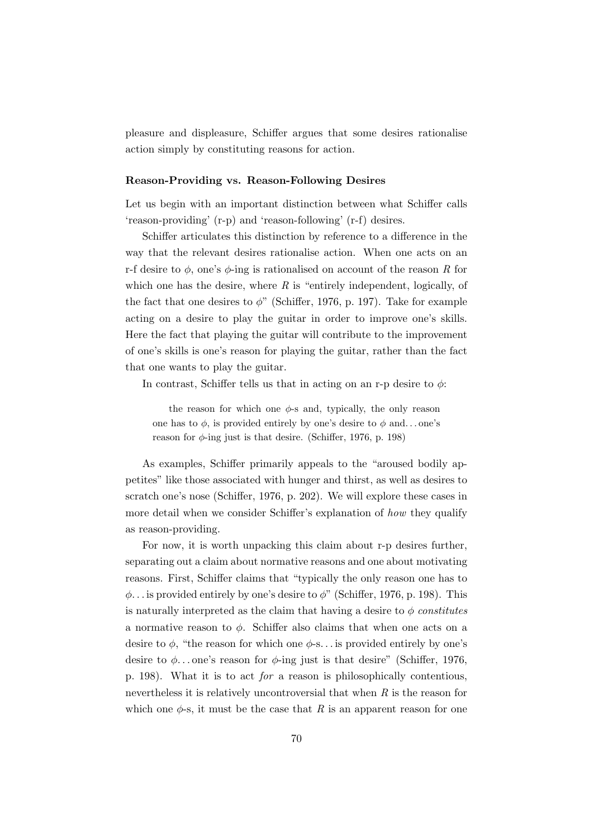pleasure and displeasure, Schiffer argues that some desires rationalise action simply by constituting reasons for action.

#### Reason-Providing vs. Reason-Following Desires

Let us begin with an important distinction between what Schiffer calls 'reason-providing' (r-p) and 'reason-following' (r-f) desires.

Schiffer articulates this distinction by reference to a difference in the way that the relevant desires rationalise action. When one acts on an r-f desire to  $\phi$ , one's  $\phi$ -ing is rationalised on account of the reason R for which one has the desire, where  $R$  is "entirely independent, logically, of the fact that one desires to  $\phi$ " (Schiffer, 1976, p. 197). Take for example acting on a desire to play the guitar in order to improve one's skills. Here the fact that playing the guitar will contribute to the improvement of one's skills is one's reason for playing the guitar, rather than the fact that one wants to play the guitar.

In contrast, Schiffer tells us that in acting on an r-p desire to  $\phi$ :

the reason for which one  $\phi$ -s and, typically, the only reason one has to  $\phi$ , is provided entirely by one's desire to  $\phi$  and...one's reason for  $\phi$ -ing just is that desire. (Schiffer, 1976, p. 198)

As examples, Schiffer primarily appeals to the "aroused bodily appetites" like those associated with hunger and thirst, as well as desires to scratch one's nose (Schiffer, 1976, p. 202). We will explore these cases in more detail when we consider Schiffer's explanation of *how* they qualify as reason-providing.

For now, it is worth unpacking this claim about r-p desires further, separating out a claim about normative reasons and one about motivating reasons. First, Schiffer claims that "typically the only reason one has to  $\phi$ ... is provided entirely by one's desire to  $\phi$ " (Schiffer, 1976, p. 198). This is naturally interpreted as the claim that having a desire to  $\phi$  constitutes a normative reason to  $\phi$ . Schiffer also claims that when one acts on a desire to  $\phi$ , "the reason for which one  $\phi$ -s... is provided entirely by one's desire to  $\phi$ ... one's reason for  $\phi$ -ing just is that desire" (Schiffer, 1976, p. 198). What it is to act for a reason is philosophically contentious, nevertheless it is relatively uncontroversial that when  $R$  is the reason for which one  $\phi$ -s, it must be the case that R is an apparent reason for one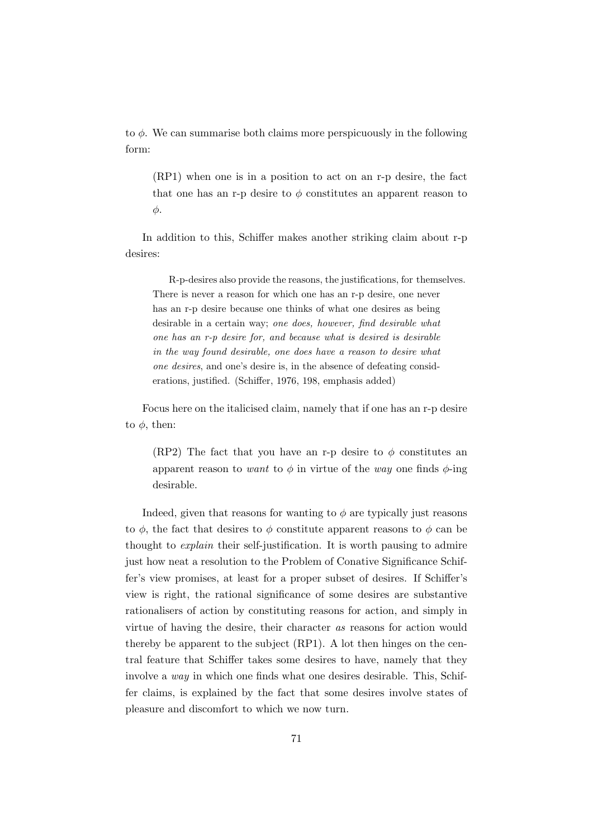to  $\phi$ . We can summarise both claims more perspicuously in the following form:

(RP1) when one is in a position to act on an r-p desire, the fact that one has an r-p desire to  $\phi$  constitutes an apparent reason to φ.

In addition to this, Schiffer makes another striking claim about r-p desires:

R-p-desires also provide the reasons, the justifications, for themselves. There is never a reason for which one has an r-p desire, one never has an r-p desire because one thinks of what one desires as being desirable in a certain way; one does, however, find desirable what one has an r-p desire for, and because what is desired is desirable in the way found desirable, one does have a reason to desire what one desires, and one's desire is, in the absence of defeating considerations, justified. (Schiffer, 1976, 198, emphasis added)

Focus here on the italicised claim, namely that if one has an r-p desire to  $\phi$ , then:

(RP2) The fact that you have an r-p desire to  $\phi$  constitutes an apparent reason to want to  $\phi$  in virtue of the way one finds  $\phi$ -ing desirable.

Indeed, given that reasons for wanting to  $\phi$  are typically just reasons to  $\phi$ , the fact that desires to  $\phi$  constitute apparent reasons to  $\phi$  can be thought to explain their self-justification. It is worth pausing to admire just how neat a resolution to the Problem of Conative Significance Schiffer's view promises, at least for a proper subset of desires. If Schiffer's view is right, the rational significance of some desires are substantive rationalisers of action by constituting reasons for action, and simply in virtue of having the desire, their character as reasons for action would thereby be apparent to the subject (RP1). A lot then hinges on the central feature that Schiffer takes some desires to have, namely that they involve a way in which one finds what one desires desirable. This, Schiffer claims, is explained by the fact that some desires involve states of pleasure and discomfort to which we now turn.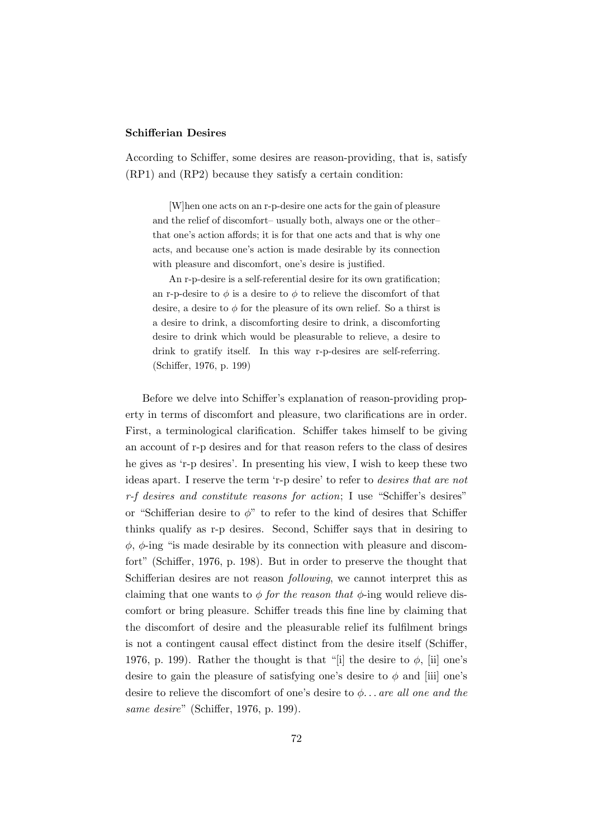#### Schifferian Desires

According to Schiffer, some desires are reason-providing, that is, satisfy (RP1) and (RP2) because they satisfy a certain condition:

[W]hen one acts on an r-p-desire one acts for the gain of pleasure and the relief of discomfort– usually both, always one or the other– that one's action affords; it is for that one acts and that is why one acts, and because one's action is made desirable by its connection with pleasure and discomfort, one's desire is justified.

An r-p-desire is a self-referential desire for its own gratification; an r-p-desire to  $\phi$  is a desire to  $\phi$  to relieve the discomfort of that desire, a desire to  $\phi$  for the pleasure of its own relief. So a thirst is a desire to drink, a discomforting desire to drink, a discomforting desire to drink which would be pleasurable to relieve, a desire to drink to gratify itself. In this way r-p-desires are self-referring. (Schiffer, 1976, p. 199)

Before we delve into Schiffer's explanation of reason-providing property in terms of discomfort and pleasure, two clarifications are in order. First, a terminological clarification. Schiffer takes himself to be giving an account of r-p desires and for that reason refers to the class of desires he gives as 'r-p desires'. In presenting his view, I wish to keep these two ideas apart. I reserve the term 'r-p desire' to refer to desires that are not r-f desires and constitute reasons for action; I use "Schiffer's desires" or "Schifferian desire to  $\phi$ " to refer to the kind of desires that Schiffer thinks qualify as r-p desires. Second, Schiffer says that in desiring to  $\phi$ ,  $\phi$ -ing "is made desirable by its connection with pleasure and discomfort" (Schiffer, 1976, p. 198). But in order to preserve the thought that Schifferian desires are not reason following, we cannot interpret this as claiming that one wants to  $\phi$  for the reason that  $\phi$ -ing would relieve discomfort or bring pleasure. Schiffer treads this fine line by claiming that the discomfort of desire and the pleasurable relief its fulfilment brings is not a contingent causal effect distinct from the desire itself (Schiffer, 1976, p. 199). Rather the thought is that "[i] the desire to  $\phi$ , [ii] one's desire to gain the pleasure of satisfying one's desire to  $\phi$  and [iii] one's desire to relieve the discomfort of one's desire to  $\phi$ ... are all one and the same desire" (Schiffer, 1976, p. 199).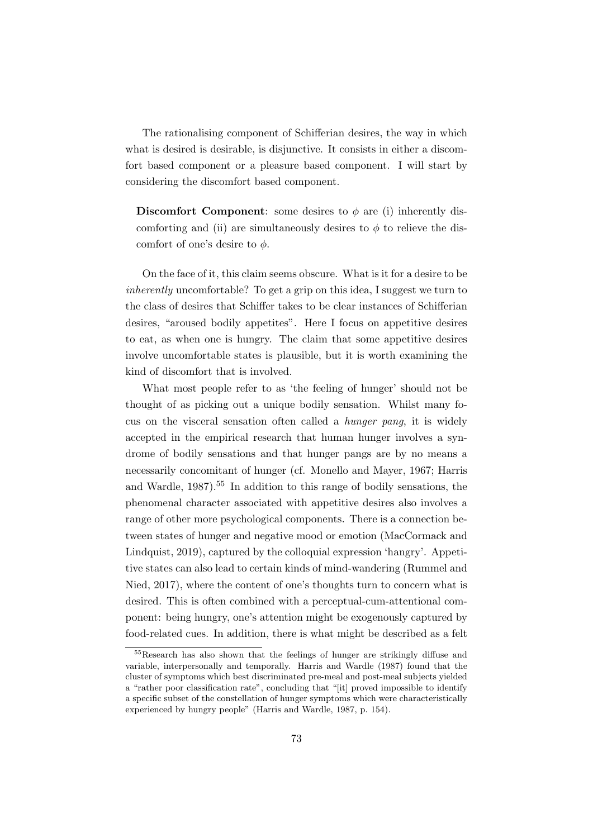The rationalising component of Schifferian desires, the way in which what is desired is desirable, is disjunctive. It consists in either a discomfort based component or a pleasure based component. I will start by considering the discomfort based component.

Discomfort Component: some desires to  $\phi$  are (i) inherently discomforting and (ii) are simultaneously desires to  $\phi$  to relieve the discomfort of one's desire to  $\phi$ .

On the face of it, this claim seems obscure. What is it for a desire to be inherently uncomfortable? To get a grip on this idea, I suggest we turn to the class of desires that Schiffer takes to be clear instances of Schifferian desires, "aroused bodily appetites". Here I focus on appetitive desires to eat, as when one is hungry. The claim that some appetitive desires involve uncomfortable states is plausible, but it is worth examining the kind of discomfort that is involved.

What most people refer to as 'the feeling of hunger' should not be thought of as picking out a unique bodily sensation. Whilst many focus on the visceral sensation often called a hunger pang, it is widely accepted in the empirical research that human hunger involves a syndrome of bodily sensations and that hunger pangs are by no means a necessarily concomitant of hunger (cf. Monello and Mayer, 1967; Harris and Wardle,  $1987$ <sup>55</sup> In addition to this range of bodily sensations, the phenomenal character associated with appetitive desires also involves a range of other more psychological components. There is a connection between states of hunger and negative mood or emotion (MacCormack and Lindquist, 2019), captured by the colloquial expression 'hangry'. Appetitive states can also lead to certain kinds of mind-wandering (Rummel and Nied, 2017), where the content of one's thoughts turn to concern what is desired. This is often combined with a perceptual-cum-attentional component: being hungry, one's attention might be exogenously captured by food-related cues. In addition, there is what might be described as a felt

<sup>55</sup>Research has also shown that the feelings of hunger are strikingly diffuse and variable, interpersonally and temporally. Harris and Wardle (1987) found that the cluster of symptoms which best discriminated pre-meal and post-meal subjects yielded a "rather poor classification rate", concluding that "[it] proved impossible to identify a specific subset of the constellation of hunger symptoms which were characteristically experienced by hungry people" (Harris and Wardle, 1987, p. 154).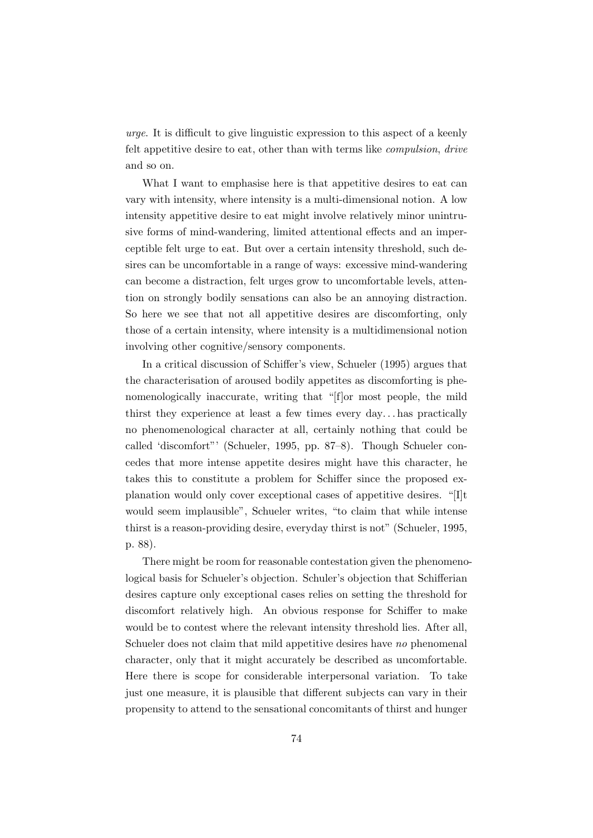urge. It is difficult to give linguistic expression to this aspect of a keenly felt appetitive desire to eat, other than with terms like compulsion, drive and so on.

What I want to emphasise here is that appetitive desires to eat can vary with intensity, where intensity is a multi-dimensional notion. A low intensity appetitive desire to eat might involve relatively minor unintrusive forms of mind-wandering, limited attentional effects and an imperceptible felt urge to eat. But over a certain intensity threshold, such desires can be uncomfortable in a range of ways: excessive mind-wandering can become a distraction, felt urges grow to uncomfortable levels, attention on strongly bodily sensations can also be an annoying distraction. So here we see that not all appetitive desires are discomforting, only those of a certain intensity, where intensity is a multidimensional notion involving other cognitive/sensory components.

In a critical discussion of Schiffer's view, Schueler (1995) argues that the characterisation of aroused bodily appetites as discomforting is phenomenologically inaccurate, writing that "[f]or most people, the mild thirst they experience at least a few times every day. . . has practically no phenomenological character at all, certainly nothing that could be called 'discomfort"' (Schueler, 1995, pp. 87–8). Though Schueler concedes that more intense appetite desires might have this character, he takes this to constitute a problem for Schiffer since the proposed explanation would only cover exceptional cases of appetitive desires. "[I]t would seem implausible", Schueler writes, "to claim that while intense thirst is a reason-providing desire, everyday thirst is not" (Schueler, 1995, p. 88).

There might be room for reasonable contestation given the phenomenological basis for Schueler's objection. Schuler's objection that Schifferian desires capture only exceptional cases relies on setting the threshold for discomfort relatively high. An obvious response for Schiffer to make would be to contest where the relevant intensity threshold lies. After all, Schueler does not claim that mild appetitive desires have no phenomenal character, only that it might accurately be described as uncomfortable. Here there is scope for considerable interpersonal variation. To take just one measure, it is plausible that different subjects can vary in their propensity to attend to the sensational concomitants of thirst and hunger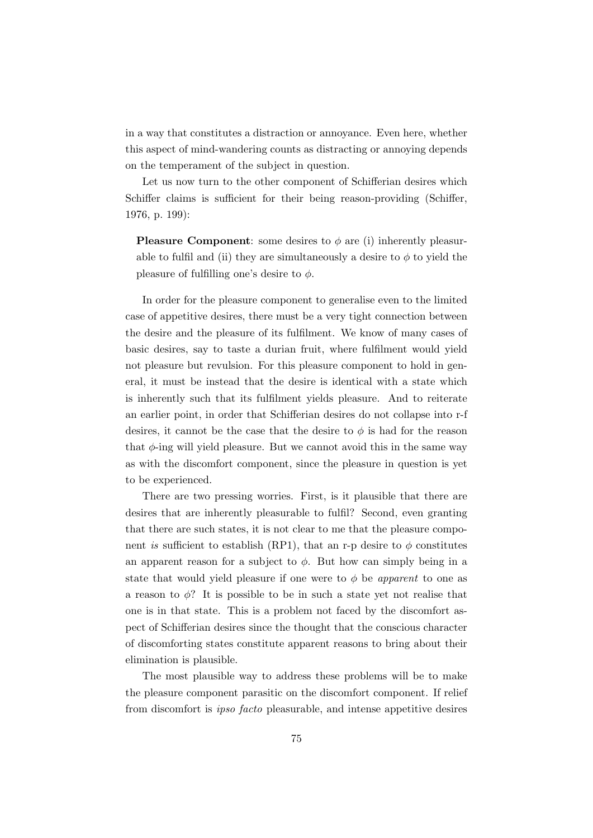in a way that constitutes a distraction or annoyance. Even here, whether this aspect of mind-wandering counts as distracting or annoying depends on the temperament of the subject in question.

Let us now turn to the other component of Schifferian desires which Schiffer claims is sufficient for their being reason-providing (Schiffer, 1976, p. 199):

**Pleasure Component:** some desires to  $\phi$  are (i) inherently pleasurable to fulfil and (ii) they are simultaneously a desire to  $\phi$  to yield the pleasure of fulfilling one's desire to  $\phi$ .

In order for the pleasure component to generalise even to the limited case of appetitive desires, there must be a very tight connection between the desire and the pleasure of its fulfilment. We know of many cases of basic desires, say to taste a durian fruit, where fulfilment would yield not pleasure but revulsion. For this pleasure component to hold in general, it must be instead that the desire is identical with a state which is inherently such that its fulfilment yields pleasure. And to reiterate an earlier point, in order that Schifferian desires do not collapse into r-f desires, it cannot be the case that the desire to  $\phi$  is had for the reason that  $\phi$ -ing will yield pleasure. But we cannot avoid this in the same way as with the discomfort component, since the pleasure in question is yet to be experienced.

There are two pressing worries. First, is it plausible that there are desires that are inherently pleasurable to fulfil? Second, even granting that there are such states, it is not clear to me that the pleasure component is sufficient to establish (RP1), that an r-p desire to  $\phi$  constitutes an apparent reason for a subject to  $\phi$ . But how can simply being in a state that would yield pleasure if one were to  $\phi$  be *apparent* to one as a reason to  $\phi$ ? It is possible to be in such a state yet not realise that one is in that state. This is a problem not faced by the discomfort aspect of Schifferian desires since the thought that the conscious character of discomforting states constitute apparent reasons to bring about their elimination is plausible.

The most plausible way to address these problems will be to make the pleasure component parasitic on the discomfort component. If relief from discomfort is ipso facto pleasurable, and intense appetitive desires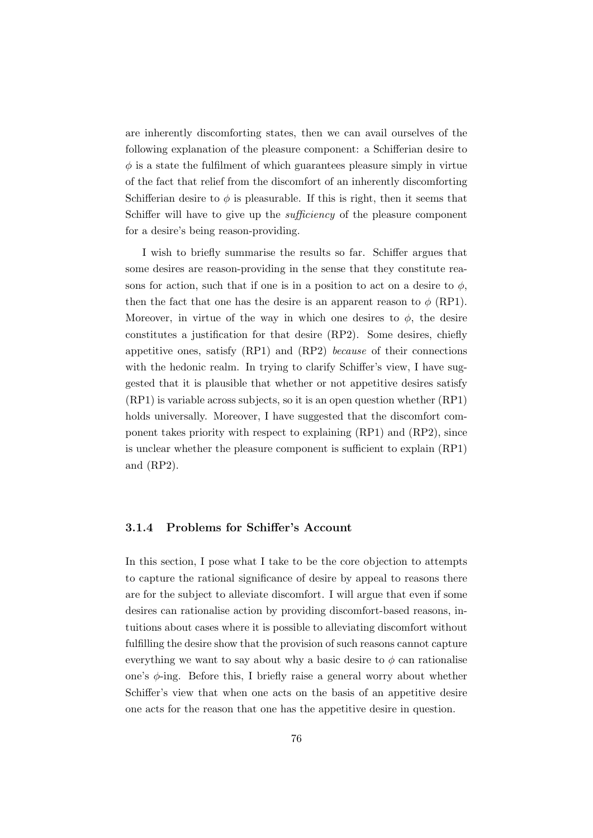are inherently discomforting states, then we can avail ourselves of the following explanation of the pleasure component: a Schifferian desire to  $\phi$  is a state the fulfilment of which guarantees pleasure simply in virtue of the fact that relief from the discomfort of an inherently discomforting Schifferian desire to  $\phi$  is pleasurable. If this is right, then it seems that Schiffer will have to give up the *sufficiency* of the pleasure component for a desire's being reason-providing.

I wish to briefly summarise the results so far. Schiffer argues that some desires are reason-providing in the sense that they constitute reasons for action, such that if one is in a position to act on a desire to  $\phi$ , then the fact that one has the desire is an apparent reason to  $\phi$  (RP1). Moreover, in virtue of the way in which one desires to  $\phi$ , the desire constitutes a justification for that desire (RP2). Some desires, chiefly appetitive ones, satisfy (RP1) and (RP2) because of their connections with the hedonic realm. In trying to clarify Schiffer's view, I have suggested that it is plausible that whether or not appetitive desires satisfy (RP1) is variable across subjects, so it is an open question whether (RP1) holds universally. Moreover, I have suggested that the discomfort component takes priority with respect to explaining (RP1) and (RP2), since is unclear whether the pleasure component is sufficient to explain (RP1) and (RP2).

## 3.1.4 Problems for Schiffer's Account

In this section, I pose what I take to be the core objection to attempts to capture the rational significance of desire by appeal to reasons there are for the subject to alleviate discomfort. I will argue that even if some desires can rationalise action by providing discomfort-based reasons, intuitions about cases where it is possible to alleviating discomfort without fulfilling the desire show that the provision of such reasons cannot capture everything we want to say about why a basic desire to  $\phi$  can rationalise one's  $\phi$ -ing. Before this, I briefly raise a general worry about whether Schiffer's view that when one acts on the basis of an appetitive desire one acts for the reason that one has the appetitive desire in question.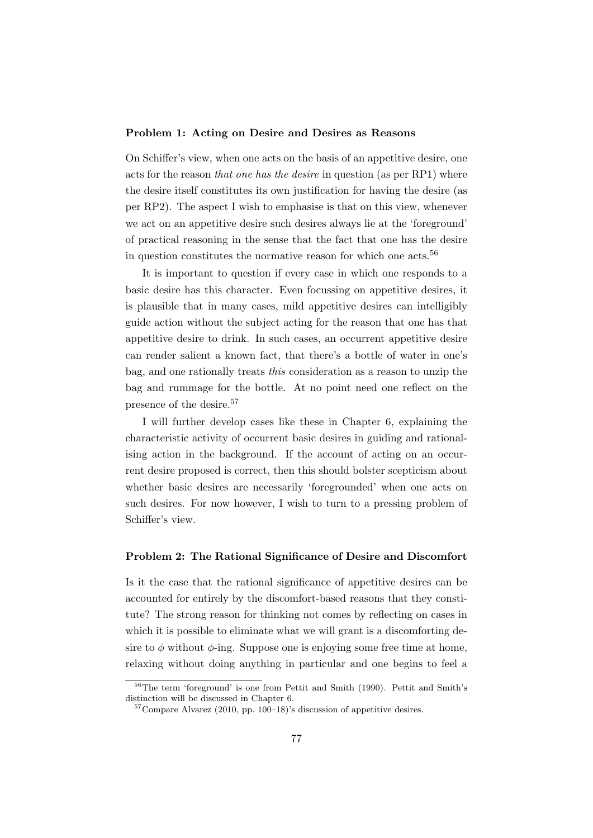#### Problem 1: Acting on Desire and Desires as Reasons

On Schiffer's view, when one acts on the basis of an appetitive desire, one acts for the reason that one has the desire in question (as per RP1) where the desire itself constitutes its own justification for having the desire (as per RP2). The aspect I wish to emphasise is that on this view, whenever we act on an appetitive desire such desires always lie at the 'foreground' of practical reasoning in the sense that the fact that one has the desire in question constitutes the normative reason for which one acts.<sup>56</sup>

It is important to question if every case in which one responds to a basic desire has this character. Even focussing on appetitive desires, it is plausible that in many cases, mild appetitive desires can intelligibly guide action without the subject acting for the reason that one has that appetitive desire to drink. In such cases, an occurrent appetitive desire can render salient a known fact, that there's a bottle of water in one's bag, and one rationally treats this consideration as a reason to unzip the bag and rummage for the bottle. At no point need one reflect on the presence of the desire.<sup>57</sup>

I will further develop cases like these in Chapter 6, explaining the characteristic activity of occurrent basic desires in guiding and rationalising action in the background. If the account of acting on an occurrent desire proposed is correct, then this should bolster scepticism about whether basic desires are necessarily 'foregrounded' when one acts on such desires. For now however, I wish to turn to a pressing problem of Schiffer's view.

#### Problem 2: The Rational Significance of Desire and Discomfort

Is it the case that the rational significance of appetitive desires can be accounted for entirely by the discomfort-based reasons that they constitute? The strong reason for thinking not comes by reflecting on cases in which it is possible to eliminate what we will grant is a discomforting desire to  $\phi$  without  $\phi$ -ing. Suppose one is enjoying some free time at home, relaxing without doing anything in particular and one begins to feel a

<sup>56</sup>The term 'foreground' is one from Pettit and Smith (1990). Pettit and Smith's distinction will be discussed in Chapter 6.

 $57$ Compare Alvarez (2010, pp. 100–18)'s discussion of appetitive desires.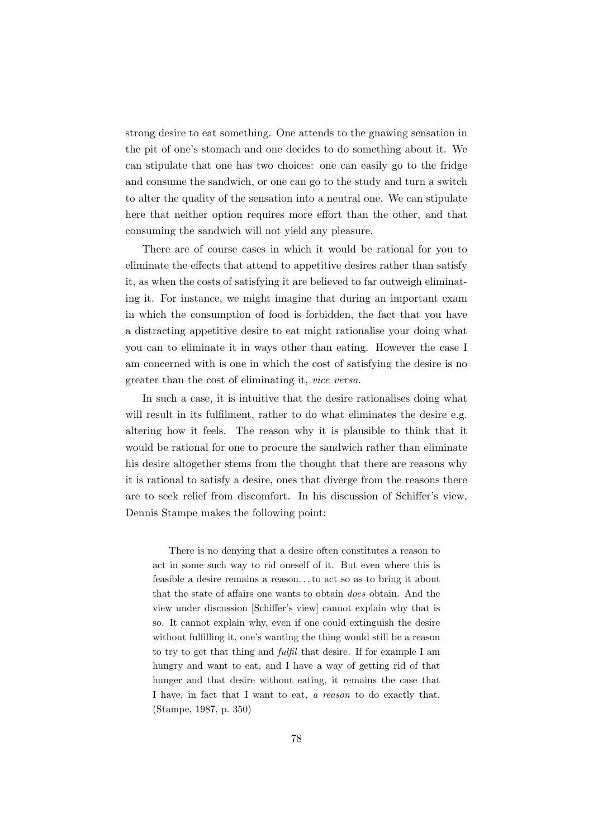strong desire to eat something. One attends to the gnawing sensation in the pit of one's stomach and one decides to do something about it. We can stipulate that one has two choices: one can easily go to the fridge and consume the sandwich, or one can go to the study and turn a switch to alter the quality of the sensation into a neutral one. We can stipulate here that neither option requires more effort than the other, and that consuming the sandwich will not yield any pleasure.

There are of course cases in which it would be rational for you to eliminate the effects that attend to appetitive desires rather than satisfy it, as when the costs of satisfying it are believed to far outweigh eliminating it. For instance, we might imagine that during an important exam in which the consumption of food is forbidden, the fact that you have a distracting appetitive desire to eat might rationalise your doing what you can to eliminate it in ways other than eating. However the case I am concerned with is one in which the cost of satisfying the desire is no greater than the cost of eliminating it, vice versa.

In such a case, it is intuitive that the desire rationalises doing what will result in its fulfilment, rather to do what eliminates the desire e.g. altering how it feels. The reason why it is plausible to think that it would be rational for one to procure the sandwich rather than eliminate his desire altogether stems from the thought that there are reasons why it is rational to satisfy a desire, ones that diverge from the reasons there are to seek relief from discomfort. In his discussion of Schiffer's view, Dennis Stampe makes the following point:

There is no denying that a desire often constitutes a reason to act in some such way to rid oneself of it. But even where this is feasible a desire remains a reason. . . to act so as to bring it about that the state of affairs one wants to obtain does obtain. And the view under discussion [Schiffer's view] cannot explain why that is so. It cannot explain why, even if one could extinguish the desire without fulfilling it, one's wanting the thing would still be a reason to try to get that thing and fulfil that desire. If for example I am hungry and want to eat, and I have a way of getting rid of that hunger and that desire without eating, it remains the case that I have, in fact that I want to eat, a reason to do exactly that. (Stampe, 1987, p. 350)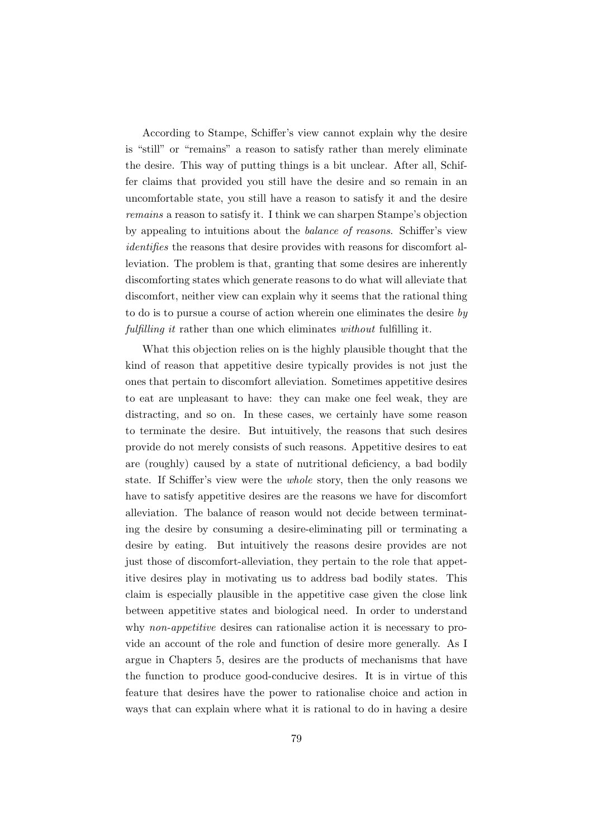According to Stampe, Schiffer's view cannot explain why the desire is "still" or "remains" a reason to satisfy rather than merely eliminate the desire. This way of putting things is a bit unclear. After all, Schiffer claims that provided you still have the desire and so remain in an uncomfortable state, you still have a reason to satisfy it and the desire remains a reason to satisfy it. I think we can sharpen Stampe's objection by appealing to intuitions about the balance of reasons. Schiffer's view identifies the reasons that desire provides with reasons for discomfort alleviation. The problem is that, granting that some desires are inherently discomforting states which generate reasons to do what will alleviate that discomfort, neither view can explain why it seems that the rational thing to do is to pursue a course of action wherein one eliminates the desire  $by$ fulfilling it rather than one which eliminates without fulfilling it.

What this objection relies on is the highly plausible thought that the kind of reason that appetitive desire typically provides is not just the ones that pertain to discomfort alleviation. Sometimes appetitive desires to eat are unpleasant to have: they can make one feel weak, they are distracting, and so on. In these cases, we certainly have some reason to terminate the desire. But intuitively, the reasons that such desires provide do not merely consists of such reasons. Appetitive desires to eat are (roughly) caused by a state of nutritional deficiency, a bad bodily state. If Schiffer's view were the whole story, then the only reasons we have to satisfy appetitive desires are the reasons we have for discomfort alleviation. The balance of reason would not decide between terminating the desire by consuming a desire-eliminating pill or terminating a desire by eating. But intuitively the reasons desire provides are not just those of discomfort-alleviation, they pertain to the role that appetitive desires play in motivating us to address bad bodily states. This claim is especially plausible in the appetitive case given the close link between appetitive states and biological need. In order to understand why non-appetitive desires can rationalise action it is necessary to provide an account of the role and function of desire more generally. As I argue in Chapters 5, desires are the products of mechanisms that have the function to produce good-conducive desires. It is in virtue of this feature that desires have the power to rationalise choice and action in ways that can explain where what it is rational to do in having a desire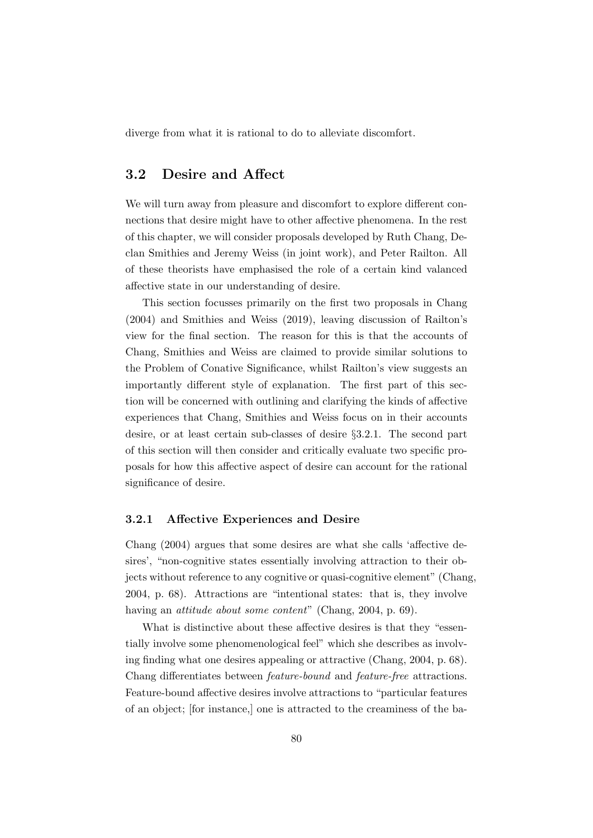diverge from what it is rational to do to alleviate discomfort.

## 3.2 Desire and Affect

We will turn away from pleasure and discomfort to explore different connections that desire might have to other affective phenomena. In the rest of this chapter, we will consider proposals developed by Ruth Chang, Declan Smithies and Jeremy Weiss (in joint work), and Peter Railton. All of these theorists have emphasised the role of a certain kind valanced affective state in our understanding of desire.

This section focusses primarily on the first two proposals in Chang (2004) and Smithies and Weiss (2019), leaving discussion of Railton's view for the final section. The reason for this is that the accounts of Chang, Smithies and Weiss are claimed to provide similar solutions to the Problem of Conative Significance, whilst Railton's view suggests an importantly different style of explanation. The first part of this section will be concerned with outlining and clarifying the kinds of affective experiences that Chang, Smithies and Weiss focus on in their accounts desire, or at least certain sub-classes of desire §3.2.1. The second part of this section will then consider and critically evaluate two specific proposals for how this affective aspect of desire can account for the rational significance of desire.

## 3.2.1 Affective Experiences and Desire

Chang (2004) argues that some desires are what she calls 'affective desires', "non-cognitive states essentially involving attraction to their objects without reference to any cognitive or quasi-cognitive element" (Chang, 2004, p. 68). Attractions are "intentional states: that is, they involve having an *attitude about some content*" (Chang, 2004, p. 69).

What is distinctive about these affective desires is that they "essentially involve some phenomenological feel" which she describes as involving finding what one desires appealing or attractive (Chang, 2004, p. 68). Chang differentiates between feature-bound and feature-free attractions. Feature-bound affective desires involve attractions to "particular features of an object; [for instance,] one is attracted to the creaminess of the ba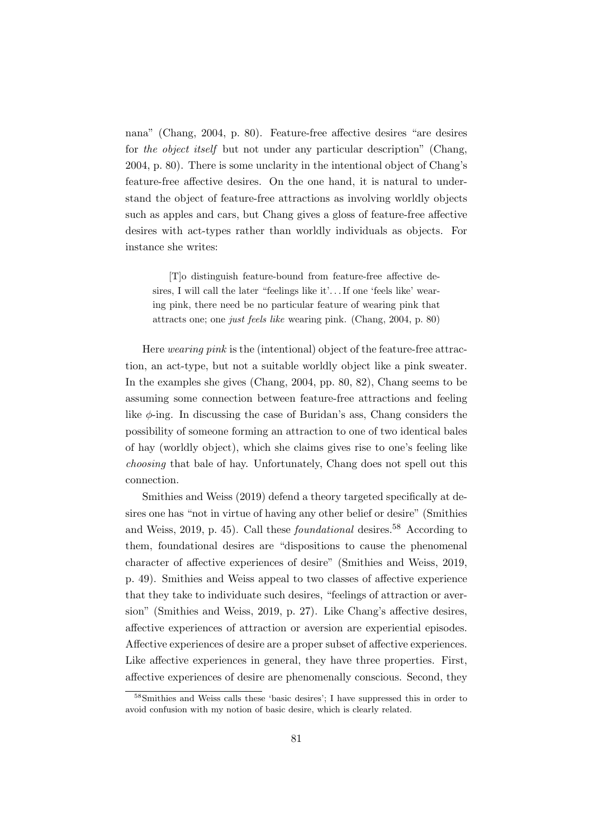nana" (Chang, 2004, p. 80). Feature-free affective desires "are desires for the object itself but not under any particular description" (Chang, 2004, p. 80). There is some unclarity in the intentional object of Chang's feature-free affective desires. On the one hand, it is natural to understand the object of feature-free attractions as involving worldly objects such as apples and cars, but Chang gives a gloss of feature-free affective desires with act-types rather than worldly individuals as objects. For instance she writes:

[T]o distinguish feature-bound from feature-free affective desires, I will call the later "feelings like it'... If one 'feels like' wearing pink, there need be no particular feature of wearing pink that attracts one; one just feels like wearing pink. (Chang, 2004, p. 80)

Here wearing pink is the (intentional) object of the feature-free attraction, an act-type, but not a suitable worldly object like a pink sweater. In the examples she gives (Chang, 2004, pp. 80, 82), Chang seems to be assuming some connection between feature-free attractions and feeling like  $\phi$ -ing. In discussing the case of Buridan's ass, Chang considers the possibility of someone forming an attraction to one of two identical bales of hay (worldly object), which she claims gives rise to one's feeling like choosing that bale of hay. Unfortunately, Chang does not spell out this connection.

Smithies and Weiss (2019) defend a theory targeted specifically at desires one has "not in virtue of having any other belief or desire" (Smithies and Weiss, 2019, p. 45). Call these *foundational* desires.<sup>58</sup> According to them, foundational desires are "dispositions to cause the phenomenal character of affective experiences of desire" (Smithies and Weiss, 2019, p. 49). Smithies and Weiss appeal to two classes of affective experience that they take to individuate such desires, "feelings of attraction or aversion" (Smithies and Weiss, 2019, p. 27). Like Chang's affective desires, affective experiences of attraction or aversion are experiential episodes. Affective experiences of desire are a proper subset of affective experiences. Like affective experiences in general, they have three properties. First, affective experiences of desire are phenomenally conscious. Second, they

<sup>58</sup>Smithies and Weiss calls these 'basic desires'; I have suppressed this in order to avoid confusion with my notion of basic desire, which is clearly related.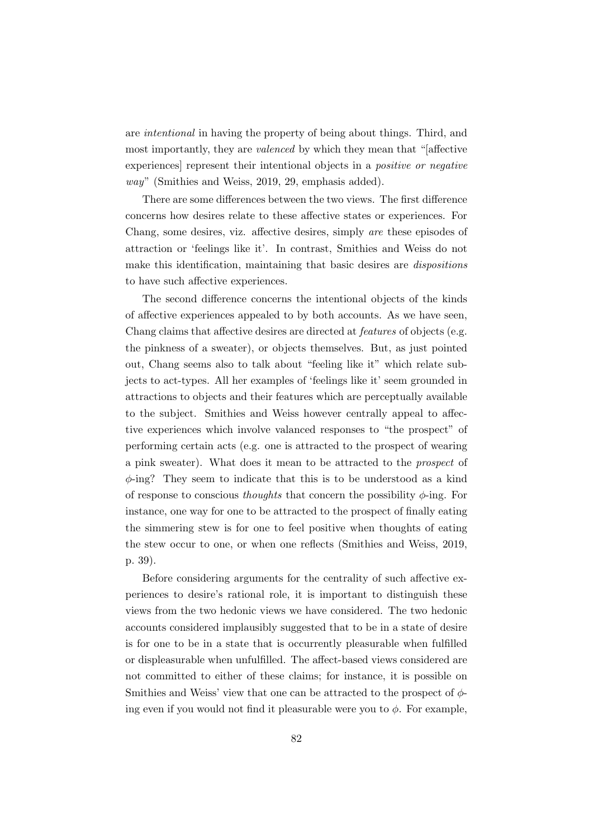are intentional in having the property of being about things. Third, and most importantly, they are valenced by which they mean that "[affective experiences] represent their intentional objects in a positive or negative way" (Smithies and Weiss, 2019, 29, emphasis added).

There are some differences between the two views. The first difference concerns how desires relate to these affective states or experiences. For Chang, some desires, viz. affective desires, simply are these episodes of attraction or 'feelings like it'. In contrast, Smithies and Weiss do not make this identification, maintaining that basic desires are dispositions to have such affective experiences.

The second difference concerns the intentional objects of the kinds of affective experiences appealed to by both accounts. As we have seen, Chang claims that affective desires are directed at features of objects (e.g. the pinkness of a sweater), or objects themselves. But, as just pointed out, Chang seems also to talk about "feeling like it" which relate subjects to act-types. All her examples of 'feelings like it' seem grounded in attractions to objects and their features which are perceptually available to the subject. Smithies and Weiss however centrally appeal to affective experiences which involve valanced responses to "the prospect" of performing certain acts (e.g. one is attracted to the prospect of wearing a pink sweater). What does it mean to be attracted to the prospect of  $\phi$ -ing? They seem to indicate that this is to be understood as a kind of response to conscious *thoughts* that concern the possibility  $\phi$ -ing. For instance, one way for one to be attracted to the prospect of finally eating the simmering stew is for one to feel positive when thoughts of eating the stew occur to one, or when one reflects (Smithies and Weiss, 2019, p. 39).

Before considering arguments for the centrality of such affective experiences to desire's rational role, it is important to distinguish these views from the two hedonic views we have considered. The two hedonic accounts considered implausibly suggested that to be in a state of desire is for one to be in a state that is occurrently pleasurable when fulfilled or displeasurable when unfulfilled. The affect-based views considered are not committed to either of these claims; for instance, it is possible on Smithies and Weiss' view that one can be attracted to the prospect of  $\phi$ ing even if you would not find it pleasurable were you to  $\phi$ . For example,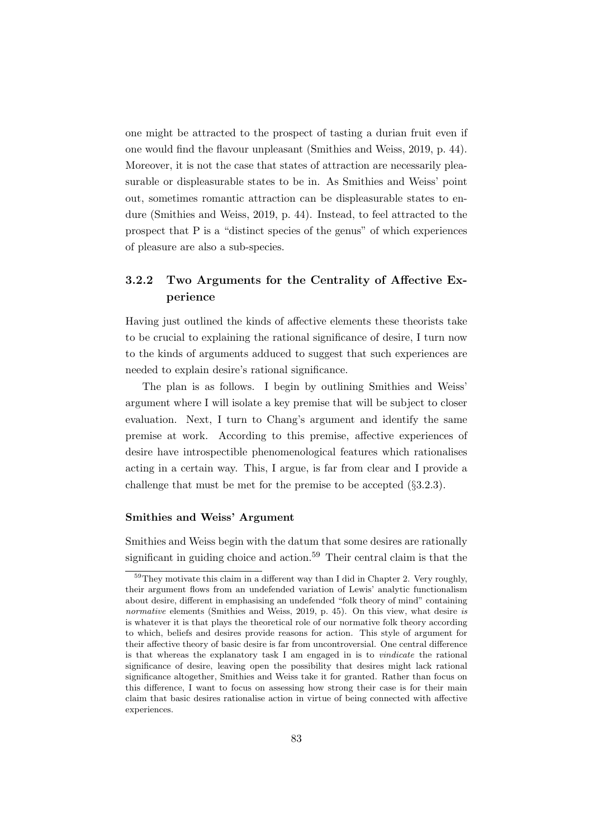one might be attracted to the prospect of tasting a durian fruit even if one would find the flavour unpleasant (Smithies and Weiss, 2019, p. 44). Moreover, it is not the case that states of attraction are necessarily pleasurable or displeasurable states to be in. As Smithies and Weiss' point out, sometimes romantic attraction can be displeasurable states to endure (Smithies and Weiss, 2019, p. 44). Instead, to feel attracted to the prospect that P is a "distinct species of the genus" of which experiences of pleasure are also a sub-species.

## 3.2.2 Two Arguments for the Centrality of Affective Experience

Having just outlined the kinds of affective elements these theorists take to be crucial to explaining the rational significance of desire, I turn now to the kinds of arguments adduced to suggest that such experiences are needed to explain desire's rational significance.

The plan is as follows. I begin by outlining Smithies and Weiss' argument where I will isolate a key premise that will be subject to closer evaluation. Next, I turn to Chang's argument and identify the same premise at work. According to this premise, affective experiences of desire have introspectible phenomenological features which rationalises acting in a certain way. This, I argue, is far from clear and I provide a challenge that must be met for the premise to be accepted (§3.2.3).

## Smithies and Weiss' Argument

Smithies and Weiss begin with the datum that some desires are rationally significant in guiding choice and action.<sup>59</sup> Their central claim is that the

 $59$ They motivate this claim in a different way than I did in Chapter 2. Very roughly, their argument flows from an undefended variation of Lewis' analytic functionalism about desire, different in emphasising an undefended "folk theory of mind" containing normative elements (Smithies and Weiss, 2019, p. 45). On this view, what desire is is whatever it is that plays the theoretical role of our normative folk theory according to which, beliefs and desires provide reasons for action. This style of argument for their affective theory of basic desire is far from uncontroversial. One central difference is that whereas the explanatory task I am engaged in is to vindicate the rational significance of desire, leaving open the possibility that desires might lack rational significance altogether, Smithies and Weiss take it for granted. Rather than focus on this difference, I want to focus on assessing how strong their case is for their main claim that basic desires rationalise action in virtue of being connected with affective experiences.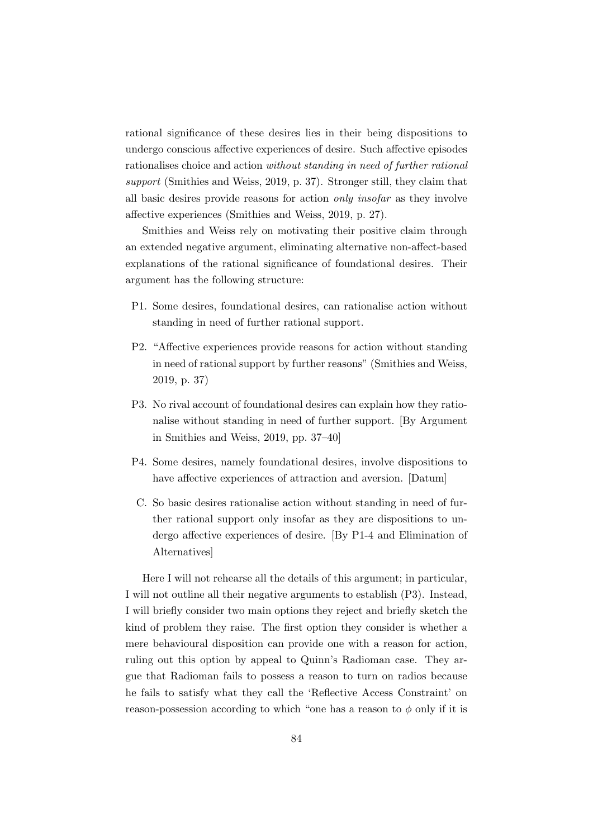rational significance of these desires lies in their being dispositions to undergo conscious affective experiences of desire. Such affective episodes rationalises choice and action without standing in need of further rational support (Smithies and Weiss, 2019, p. 37). Stronger still, they claim that all basic desires provide reasons for action only insofar as they involve affective experiences (Smithies and Weiss, 2019, p. 27).

Smithies and Weiss rely on motivating their positive claim through an extended negative argument, eliminating alternative non-affect-based explanations of the rational significance of foundational desires. Their argument has the following structure:

- P1. Some desires, foundational desires, can rationalise action without standing in need of further rational support.
- P2. "Affective experiences provide reasons for action without standing in need of rational support by further reasons" (Smithies and Weiss, 2019, p. 37)
- P3. No rival account of foundational desires can explain how they rationalise without standing in need of further support. [By Argument in Smithies and Weiss, 2019, pp. 37–40]
- P4. Some desires, namely foundational desires, involve dispositions to have affective experiences of attraction and aversion. [Datum]
- C. So basic desires rationalise action without standing in need of further rational support only insofar as they are dispositions to undergo affective experiences of desire. [By P1-4 and Elimination of Alternatives]

Here I will not rehearse all the details of this argument; in particular, I will not outline all their negative arguments to establish (P3). Instead, I will briefly consider two main options they reject and briefly sketch the kind of problem they raise. The first option they consider is whether a mere behavioural disposition can provide one with a reason for action, ruling out this option by appeal to Quinn's Radioman case. They argue that Radioman fails to possess a reason to turn on radios because he fails to satisfy what they call the 'Reflective Access Constraint' on reason-possession according to which "one has a reason to  $\phi$  only if it is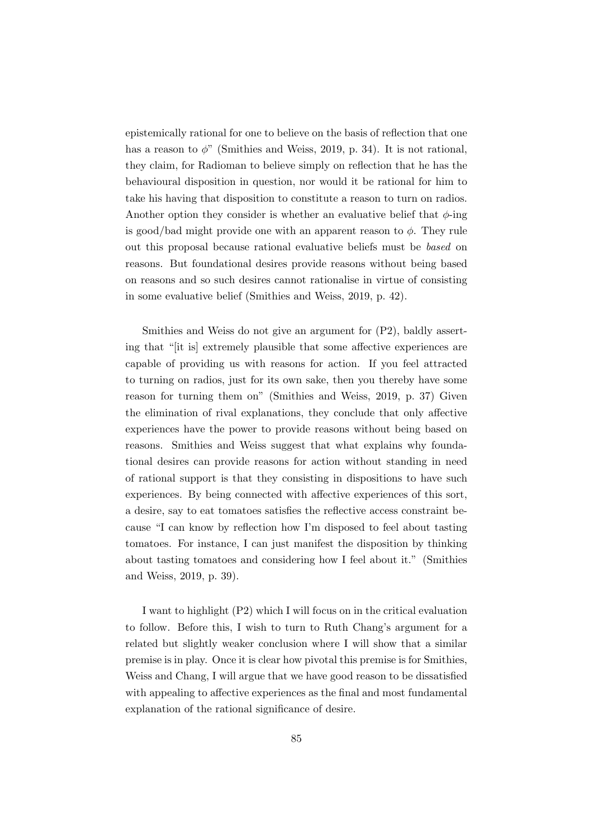epistemically rational for one to believe on the basis of reflection that one has a reason to  $\phi$ " (Smithies and Weiss, 2019, p. 34). It is not rational, they claim, for Radioman to believe simply on reflection that he has the behavioural disposition in question, nor would it be rational for him to take his having that disposition to constitute a reason to turn on radios. Another option they consider is whether an evaluative belief that  $\phi$ -ing is good/bad might provide one with an apparent reason to  $\phi$ . They rule out this proposal because rational evaluative beliefs must be based on reasons. But foundational desires provide reasons without being based on reasons and so such desires cannot rationalise in virtue of consisting in some evaluative belief (Smithies and Weiss, 2019, p. 42).

Smithies and Weiss do not give an argument for (P2), baldly asserting that "[it is] extremely plausible that some affective experiences are capable of providing us with reasons for action. If you feel attracted to turning on radios, just for its own sake, then you thereby have some reason for turning them on" (Smithies and Weiss, 2019, p. 37) Given the elimination of rival explanations, they conclude that only affective experiences have the power to provide reasons without being based on reasons. Smithies and Weiss suggest that what explains why foundational desires can provide reasons for action without standing in need of rational support is that they consisting in dispositions to have such experiences. By being connected with affective experiences of this sort, a desire, say to eat tomatoes satisfies the reflective access constraint because "I can know by reflection how I'm disposed to feel about tasting tomatoes. For instance, I can just manifest the disposition by thinking about tasting tomatoes and considering how I feel about it." (Smithies and Weiss, 2019, p. 39).

I want to highlight (P2) which I will focus on in the critical evaluation to follow. Before this, I wish to turn to Ruth Chang's argument for a related but slightly weaker conclusion where I will show that a similar premise is in play. Once it is clear how pivotal this premise is for Smithies, Weiss and Chang, I will argue that we have good reason to be dissatisfied with appealing to affective experiences as the final and most fundamental explanation of the rational significance of desire.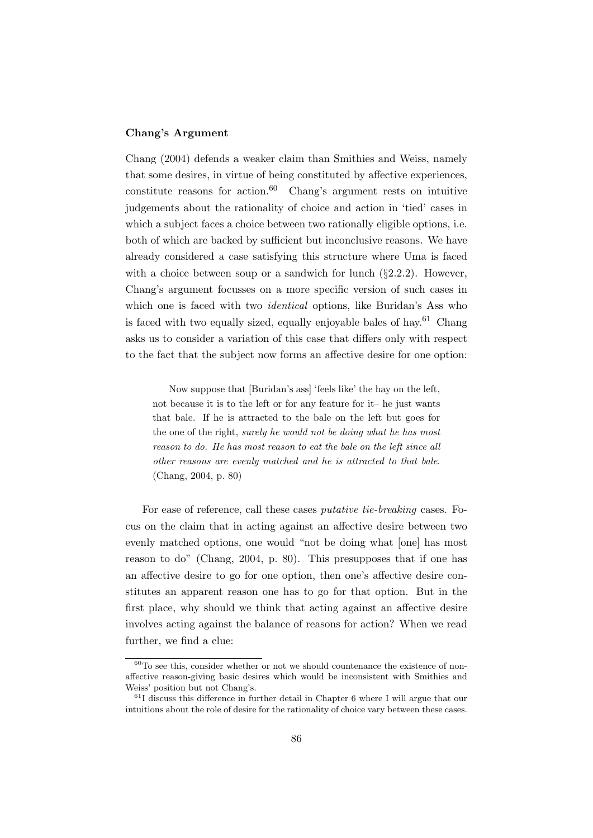#### Chang's Argument

Chang (2004) defends a weaker claim than Smithies and Weiss, namely that some desires, in virtue of being constituted by affective experiences, constitute reasons for action. $60$  Chang's argument rests on intuitive judgements about the rationality of choice and action in 'tied' cases in which a subject faces a choice between two rationally eligible options, i.e. both of which are backed by sufficient but inconclusive reasons. We have already considered a case satisfying this structure where Uma is faced with a choice between soup or a sandwich for lunch  $(\S2.2.2)$ . However, Chang's argument focusses on a more specific version of such cases in which one is faced with two *identical* options, like Buridan's Ass who is faced with two equally sized, equally enjoyable bales of hay. $61$  Chang asks us to consider a variation of this case that differs only with respect to the fact that the subject now forms an affective desire for one option:

Now suppose that [Buridan's ass] 'feels like' the hay on the left, not because it is to the left or for any feature for it– he just wants that bale. If he is attracted to the bale on the left but goes for the one of the right, surely he would not be doing what he has most reason to do. He has most reason to eat the bale on the left since all other reasons are evenly matched and he is attracted to that bale. (Chang, 2004, p. 80)

For ease of reference, call these cases putative tie-breaking cases. Focus on the claim that in acting against an affective desire between two evenly matched options, one would "not be doing what [one] has most reason to do" (Chang, 2004, p. 80). This presupposes that if one has an affective desire to go for one option, then one's affective desire constitutes an apparent reason one has to go for that option. But in the first place, why should we think that acting against an affective desire involves acting against the balance of reasons for action? When we read further, we find a clue:

 $60T<sub>0</sub>$  see this, consider whether or not we should countenance the existence of nonaffective reason-giving basic desires which would be inconsistent with Smithies and Weiss' position but not Chang's.

 $61$  discuss this difference in further detail in Chapter 6 where I will argue that our intuitions about the role of desire for the rationality of choice vary between these cases.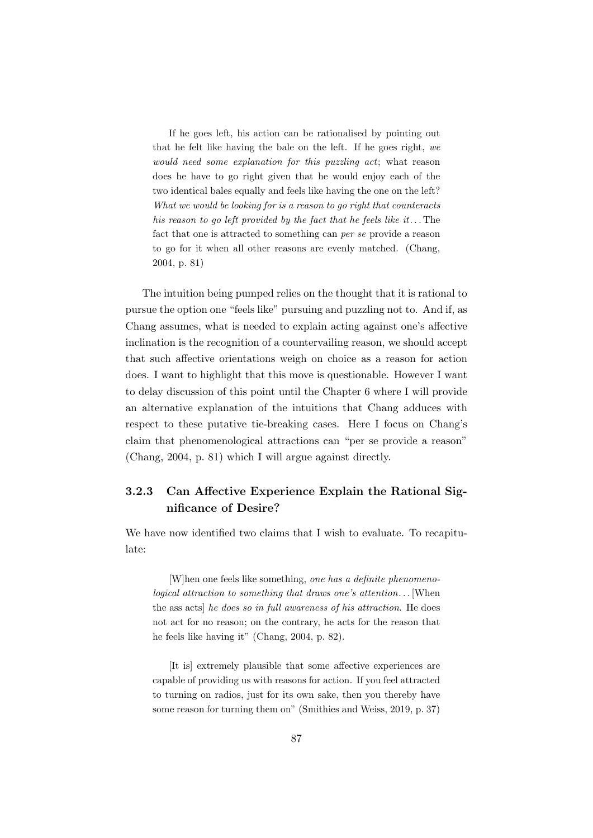If he goes left, his action can be rationalised by pointing out that he felt like having the bale on the left. If he goes right, we would need some explanation for this puzzling act; what reason does he have to go right given that he would enjoy each of the two identical bales equally and feels like having the one on the left? What we would be looking for is a reason to go right that counteracts his reason to go left provided by the fact that he feels like it... The fact that one is attracted to something can per se provide a reason to go for it when all other reasons are evenly matched. (Chang, 2004, p. 81)

The intuition being pumped relies on the thought that it is rational to pursue the option one "feels like" pursuing and puzzling not to. And if, as Chang assumes, what is needed to explain acting against one's affective inclination is the recognition of a countervailing reason, we should accept that such affective orientations weigh on choice as a reason for action does. I want to highlight that this move is questionable. However I want to delay discussion of this point until the Chapter 6 where I will provide an alternative explanation of the intuitions that Chang adduces with respect to these putative tie-breaking cases. Here I focus on Chang's claim that phenomenological attractions can "per se provide a reason" (Chang, 2004, p. 81) which I will argue against directly.

## 3.2.3 Can Affective Experience Explain the Rational Significance of Desire?

We have now identified two claims that I wish to evaluate. To recapitulate:

[W]hen one feels like something, one has a definite phenomenological attraction to something that draws one's attention... [When the ass acts] he does so in full awareness of his attraction. He does not act for no reason; on the contrary, he acts for the reason that he feels like having it" (Chang, 2004, p. 82).

[It is] extremely plausible that some affective experiences are capable of providing us with reasons for action. If you feel attracted to turning on radios, just for its own sake, then you thereby have some reason for turning them on" (Smithies and Weiss, 2019, p. 37)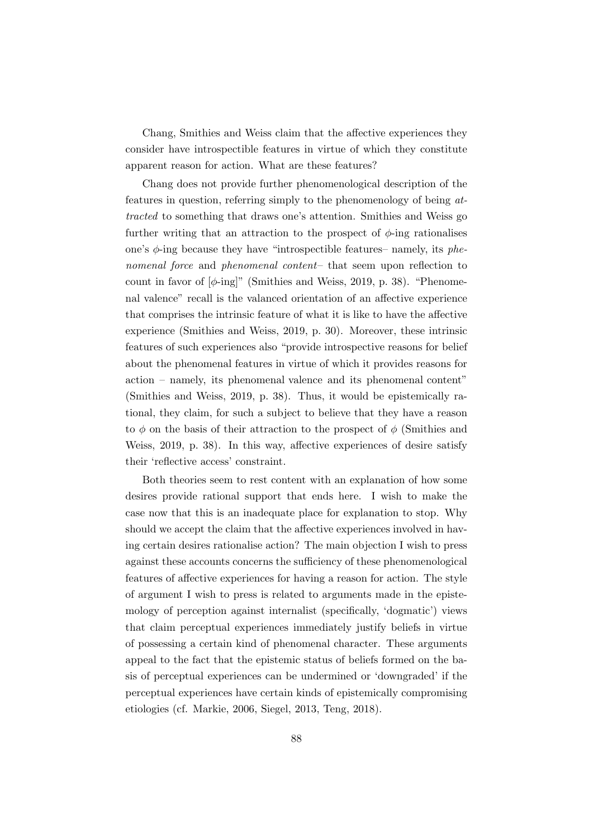Chang, Smithies and Weiss claim that the affective experiences they consider have introspectible features in virtue of which they constitute apparent reason for action. What are these features?

Chang does not provide further phenomenological description of the features in question, referring simply to the phenomenology of being attracted to something that draws one's attention. Smithies and Weiss go further writing that an attraction to the prospect of  $\phi$ -ing rationalises one's  $\phi$ -ing because they have "introspectible features– namely, its phenomenal force and phenomenal content- that seem upon reflection to count in favor of  $[\phi$ -ing]" (Smithies and Weiss, 2019, p. 38). "Phenomenal valence" recall is the valanced orientation of an affective experience that comprises the intrinsic feature of what it is like to have the affective experience (Smithies and Weiss, 2019, p. 30). Moreover, these intrinsic features of such experiences also "provide introspective reasons for belief about the phenomenal features in virtue of which it provides reasons for action – namely, its phenomenal valence and its phenomenal content" (Smithies and Weiss, 2019, p. 38). Thus, it would be epistemically rational, they claim, for such a subject to believe that they have a reason to  $\phi$  on the basis of their attraction to the prospect of  $\phi$  (Smithies and Weiss, 2019, p. 38). In this way, affective experiences of desire satisfy their 'reflective access' constraint.

Both theories seem to rest content with an explanation of how some desires provide rational support that ends here. I wish to make the case now that this is an inadequate place for explanation to stop. Why should we accept the claim that the affective experiences involved in having certain desires rationalise action? The main objection I wish to press against these accounts concerns the sufficiency of these phenomenological features of affective experiences for having a reason for action. The style of argument I wish to press is related to arguments made in the epistemology of perception against internalist (specifically, 'dogmatic') views that claim perceptual experiences immediately justify beliefs in virtue of possessing a certain kind of phenomenal character. These arguments appeal to the fact that the epistemic status of beliefs formed on the basis of perceptual experiences can be undermined or 'downgraded' if the perceptual experiences have certain kinds of epistemically compromising etiologies (cf. Markie, 2006, Siegel, 2013, Teng, 2018).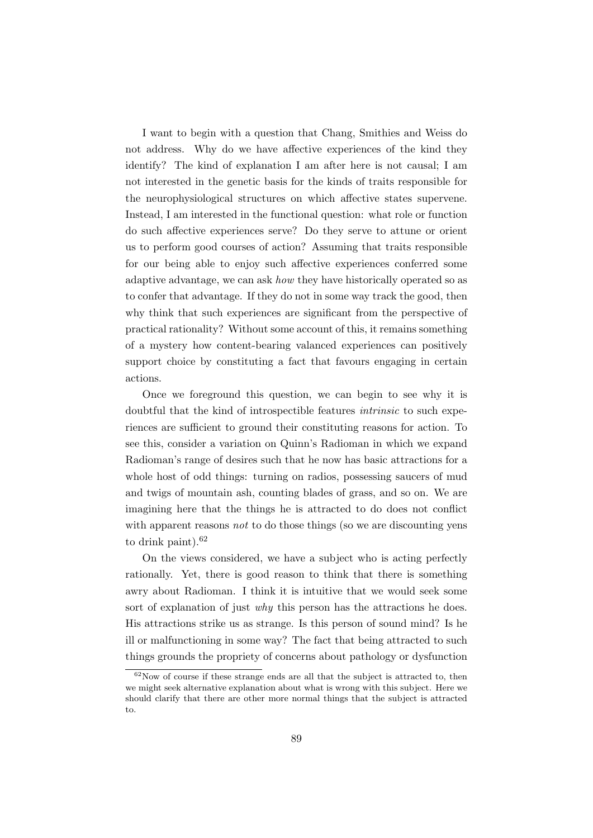I want to begin with a question that Chang, Smithies and Weiss do not address. Why do we have affective experiences of the kind they identify? The kind of explanation I am after here is not causal; I am not interested in the genetic basis for the kinds of traits responsible for the neurophysiological structures on which affective states supervene. Instead, I am interested in the functional question: what role or function do such affective experiences serve? Do they serve to attune or orient us to perform good courses of action? Assuming that traits responsible for our being able to enjoy such affective experiences conferred some adaptive advantage, we can ask how they have historically operated so as to confer that advantage. If they do not in some way track the good, then why think that such experiences are significant from the perspective of practical rationality? Without some account of this, it remains something of a mystery how content-bearing valanced experiences can positively support choice by constituting a fact that favours engaging in certain actions.

Once we foreground this question, we can begin to see why it is doubtful that the kind of introspectible features intrinsic to such experiences are sufficient to ground their constituting reasons for action. To see this, consider a variation on Quinn's Radioman in which we expand Radioman's range of desires such that he now has basic attractions for a whole host of odd things: turning on radios, possessing saucers of mud and twigs of mountain ash, counting blades of grass, and so on. We are imagining here that the things he is attracted to do does not conflict with apparent reasons *not* to do those things (so we are discounting yens to drink paint). $62$ 

On the views considered, we have a subject who is acting perfectly rationally. Yet, there is good reason to think that there is something awry about Radioman. I think it is intuitive that we would seek some sort of explanation of just *why* this person has the attractions he does. His attractions strike us as strange. Is this person of sound mind? Is he ill or malfunctioning in some way? The fact that being attracted to such things grounds the propriety of concerns about pathology or dysfunction

 $62$ Now of course if these strange ends are all that the subject is attracted to, then we might seek alternative explanation about what is wrong with this subject. Here we should clarify that there are other more normal things that the subject is attracted to.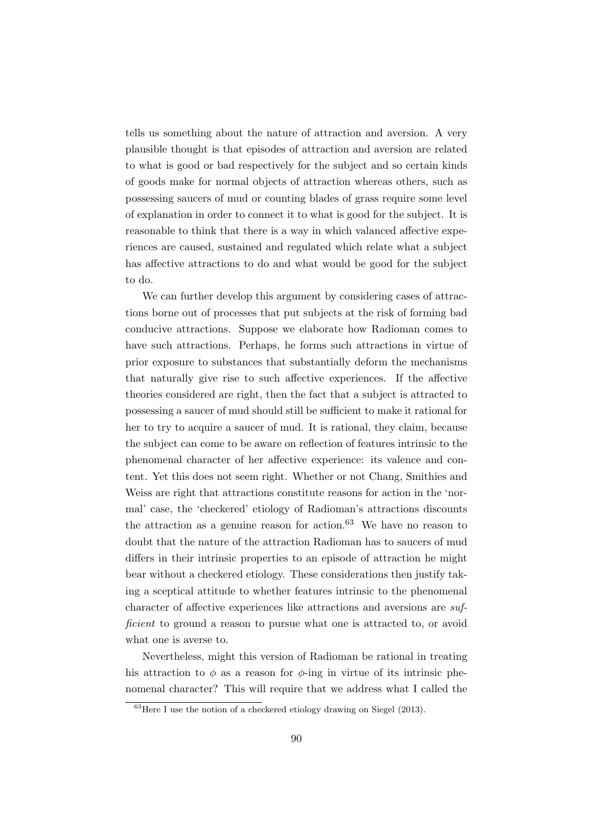tells us something about the nature of attraction and aversion. A very plausible thought is that episodes of attraction and aversion are related to what is good or bad respectively for the subject and so certain kinds of goods make for normal objects of attraction whereas others, such as possessing saucers of mud or counting blades of grass require some level of explanation in order to connect it to what is good for the subject. It is reasonable to think that there is a way in which valanced affective experiences are caused, sustained and regulated which relate what a subject has affective attractions to do and what would be good for the subject to do.

We can further develop this argument by considering cases of attractions borne out of processes that put subjects at the risk of forming bad conducive attractions. Suppose we elaborate how Radioman comes to have such attractions. Perhaps, he forms such attractions in virtue of prior exposure to substances that substantially deform the mechanisms that naturally give rise to such affective experiences. If the affective theories considered are right, then the fact that a subject is attracted to possessing a saucer of mud should still be sufficient to make it rational for her to try to acquire a saucer of mud. It is rational, they claim, because the subject can come to be aware on reflection of features intrinsic to the phenomenal character of her affective experience: its valence and content. Yet this does not seem right. Whether or not Chang, Smithies and Weiss are right that attractions constitute reasons for action in the 'normal' case, the 'checkered' etiology of Radioman's attractions discounts the attraction as a genuine reason for action.<sup>63</sup> We have no reason to doubt that the nature of the attraction Radioman has to saucers of mud differs in their intrinsic properties to an episode of attraction he might bear without a checkered etiology. These considerations then justify taking a sceptical attitude to whether features intrinsic to the phenomenal character of affective experiences like attractions and aversions are sufficient to ground a reason to pursue what one is attracted to, or avoid what one is averse to.

Nevertheless, might this version of Radioman be rational in treating his attraction to  $\phi$  as a reason for  $\phi$ -ing in virtue of its intrinsic phenomenal character? This will require that we address what I called the

 $^{63}$ Here I use the notion of a checkered etiology drawing on Siegel (2013).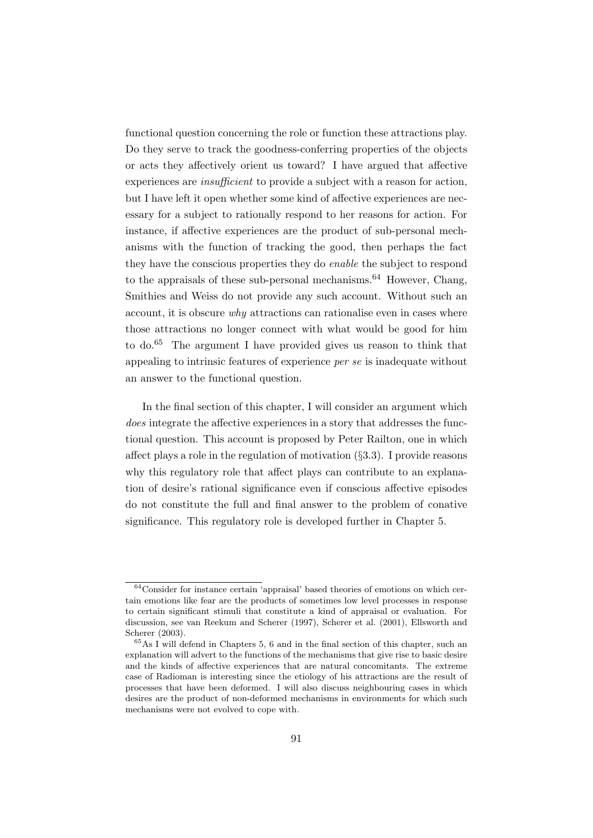functional question concerning the role or function these attractions play. Do they serve to track the goodness-conferring properties of the objects or acts they affectively orient us toward? I have argued that affective experiences are insufficient to provide a subject with a reason for action, but I have left it open whether some kind of affective experiences are necessary for a subject to rationally respond to her reasons for action. For instance, if affective experiences are the product of sub-personal mechanisms with the function of tracking the good, then perhaps the fact they have the conscious properties they do enable the subject to respond to the appraisals of these sub-personal mechanisms.<sup>64</sup> However, Chang, Smithies and Weiss do not provide any such account. Without such an account, it is obscure why attractions can rationalise even in cases where those attractions no longer connect with what would be good for him to do.<sup>65</sup> The argument I have provided gives us reason to think that appealing to intrinsic features of experience per se is inadequate without an answer to the functional question.

In the final section of this chapter, I will consider an argument which does integrate the affective experiences in a story that addresses the functional question. This account is proposed by Peter Railton, one in which affect plays a role in the regulation of motivation (§3.3). I provide reasons why this regulatory role that affect plays can contribute to an explanation of desire's rational significance even if conscious affective episodes do not constitute the full and final answer to the problem of conative significance. This regulatory role is developed further in Chapter 5.

<sup>64</sup>Consider for instance certain 'appraisal' based theories of emotions on which certain emotions like fear are the products of sometimes low level processes in response to certain significant stimuli that constitute a kind of appraisal or evaluation. For discussion, see van Reekum and Scherer (1997), Scherer et al. (2001), Ellsworth and Scherer (2003).

<sup>65</sup>As I will defend in Chapters 5, 6 and in the final section of this chapter, such an explanation will advert to the functions of the mechanisms that give rise to basic desire and the kinds of affective experiences that are natural concomitants. The extreme case of Radioman is interesting since the etiology of his attractions are the result of processes that have been deformed. I will also discuss neighbouring cases in which desires are the product of non-deformed mechanisms in environments for which such mechanisms were not evolved to cope with.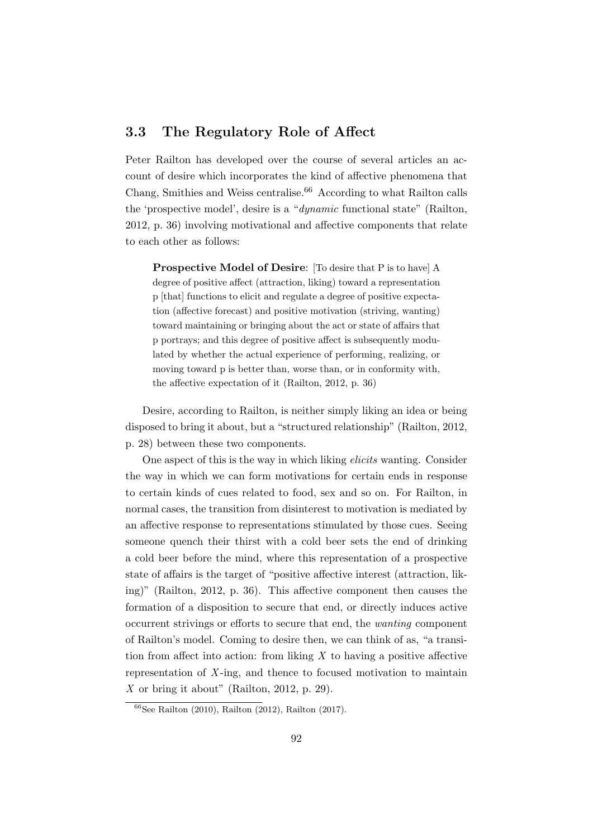## 3.3 The Regulatory Role of Affect

Peter Railton has developed over the course of several articles an account of desire which incorporates the kind of affective phenomena that Chang, Smithies and Weiss centralise. $66$  According to what Railton calls the 'prospective model', desire is a "dynamic functional state" (Railton, 2012, p. 36) involving motivational and affective components that relate to each other as follows:

Prospective Model of Desire: [To desire that P is to have] A degree of positive affect (attraction, liking) toward a representation p [that] functions to elicit and regulate a degree of positive expectation (affective forecast) and positive motivation (striving, wanting) toward maintaining or bringing about the act or state of affairs that p portrays; and this degree of positive affect is subsequently modulated by whether the actual experience of performing, realizing, or moving toward p is better than, worse than, or in conformity with, the affective expectation of it (Railton, 2012, p. 36)

Desire, according to Railton, is neither simply liking an idea or being disposed to bring it about, but a "structured relationship" (Railton, 2012, p. 28) between these two components.

One aspect of this is the way in which liking elicits wanting. Consider the way in which we can form motivations for certain ends in response to certain kinds of cues related to food, sex and so on. For Railton, in normal cases, the transition from disinterest to motivation is mediated by an affective response to representations stimulated by those cues. Seeing someone quench their thirst with a cold beer sets the end of drinking a cold beer before the mind, where this representation of a prospective state of affairs is the target of "positive affective interest (attraction, liking)" (Railton, 2012, p. 36). This affective component then causes the formation of a disposition to secure that end, or directly induces active occurrent strivings or efforts to secure that end, the wanting component of Railton's model. Coming to desire then, we can think of as, "a transition from affect into action: from liking  $X$  to having a positive affective representation of  $X$ -ing, and thence to focused motivation to maintain X or bring it about" (Railton, 2012, p. 29).

 $66$ See Railton (2010), Railton (2012), Railton (2017).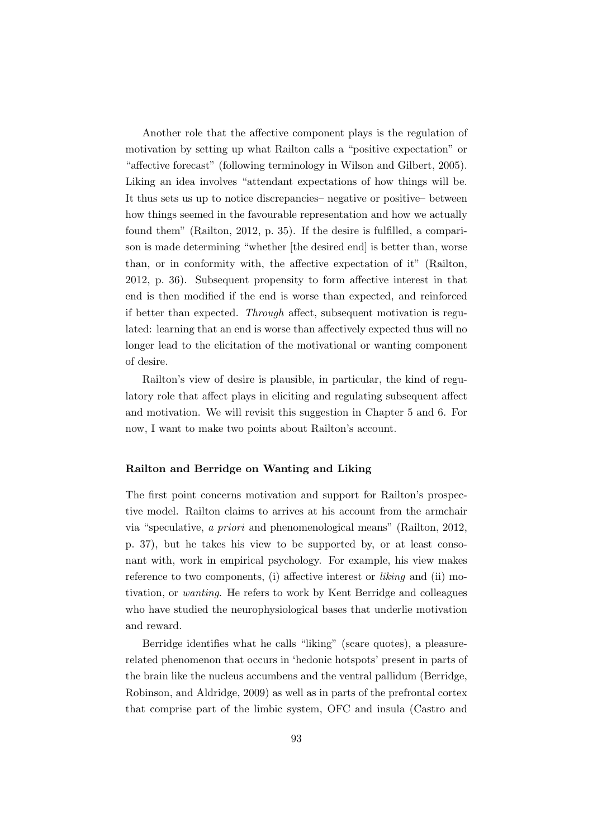Another role that the affective component plays is the regulation of motivation by setting up what Railton calls a "positive expectation" or "affective forecast" (following terminology in Wilson and Gilbert, 2005). Liking an idea involves "attendant expectations of how things will be. It thus sets us up to notice discrepancies– negative or positive– between how things seemed in the favourable representation and how we actually found them" (Railton, 2012, p. 35). If the desire is fulfilled, a comparison is made determining "whether [the desired end] is better than, worse than, or in conformity with, the affective expectation of it" (Railton, 2012, p. 36). Subsequent propensity to form affective interest in that end is then modified if the end is worse than expected, and reinforced if better than expected. Through affect, subsequent motivation is regulated: learning that an end is worse than affectively expected thus will no longer lead to the elicitation of the motivational or wanting component of desire.

Railton's view of desire is plausible, in particular, the kind of regulatory role that affect plays in eliciting and regulating subsequent affect and motivation. We will revisit this suggestion in Chapter 5 and 6. For now, I want to make two points about Railton's account.

#### Railton and Berridge on Wanting and Liking

The first point concerns motivation and support for Railton's prospective model. Railton claims to arrives at his account from the armchair via "speculative, a priori and phenomenological means" (Railton, 2012, p. 37), but he takes his view to be supported by, or at least consonant with, work in empirical psychology. For example, his view makes reference to two components, (i) affective interest or liking and (ii) motivation, or wanting. He refers to work by Kent Berridge and colleagues who have studied the neurophysiological bases that underlie motivation and reward.

Berridge identifies what he calls "liking" (scare quotes), a pleasurerelated phenomenon that occurs in 'hedonic hotspots' present in parts of the brain like the nucleus accumbens and the ventral pallidum (Berridge, Robinson, and Aldridge, 2009) as well as in parts of the prefrontal cortex that comprise part of the limbic system, OFC and insula (Castro and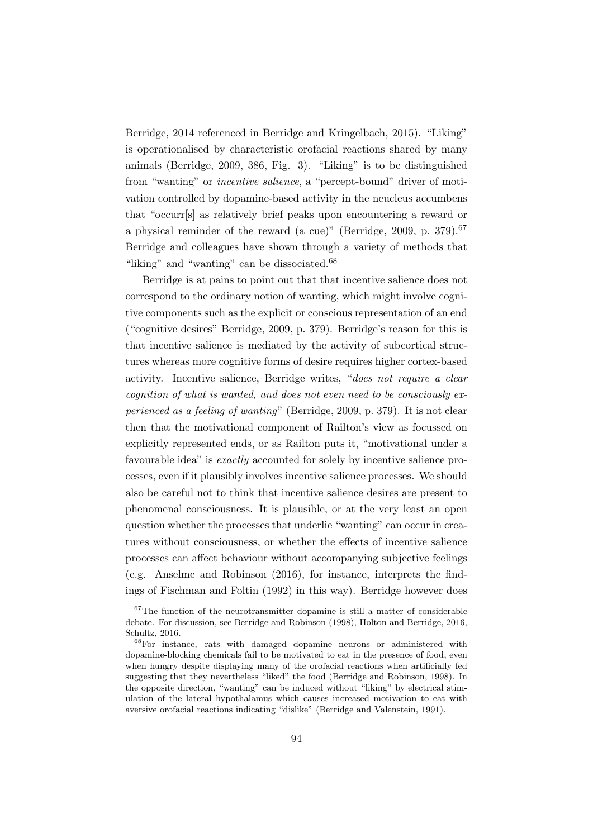Berridge, 2014 referenced in Berridge and Kringelbach, 2015). "Liking" is operationalised by characteristic orofacial reactions shared by many animals (Berridge, 2009, 386, Fig. 3). "Liking" is to be distinguished from "wanting" or incentive salience, a "percept-bound" driver of motivation controlled by dopamine-based activity in the neucleus accumbens that "occurr[s] as relatively brief peaks upon encountering a reward or a physical reminder of the reward (a cue)" (Berridge, 2009, p. 379).<sup>67</sup> Berridge and colleagues have shown through a variety of methods that "liking" and "wanting" can be dissociated.<sup>68</sup>

Berridge is at pains to point out that that incentive salience does not correspond to the ordinary notion of wanting, which might involve cognitive components such as the explicit or conscious representation of an end ("cognitive desires" Berridge, 2009, p. 379). Berridge's reason for this is that incentive salience is mediated by the activity of subcortical structures whereas more cognitive forms of desire requires higher cortex-based activity. Incentive salience, Berridge writes, "does not require a clear cognition of what is wanted, and does not even need to be consciously experienced as a feeling of wanting" (Berridge, 2009, p. 379). It is not clear then that the motivational component of Railton's view as focussed on explicitly represented ends, or as Railton puts it, "motivational under a favourable idea" is *exactly* accounted for solely by incentive salience processes, even if it plausibly involves incentive salience processes. We should also be careful not to think that incentive salience desires are present to phenomenal consciousness. It is plausible, or at the very least an open question whether the processes that underlie "wanting" can occur in creatures without consciousness, or whether the effects of incentive salience processes can affect behaviour without accompanying subjective feelings (e.g. Anselme and Robinson (2016), for instance, interprets the findings of Fischman and Foltin (1992) in this way). Berridge however does

 $67$ The function of the neurotransmitter dopamine is still a matter of considerable debate. For discussion, see Berridge and Robinson (1998), Holton and Berridge, 2016, Schultz, 2016.

<sup>68</sup>For instance, rats with damaged dopamine neurons or administered with dopamine-blocking chemicals fail to be motivated to eat in the presence of food, even when hungry despite displaying many of the orofacial reactions when artificially fed suggesting that they nevertheless "liked" the food (Berridge and Robinson, 1998). In the opposite direction, "wanting" can be induced without "liking" by electrical stimulation of the lateral hypothalamus which causes increased motivation to eat with aversive orofacial reactions indicating "dislike" (Berridge and Valenstein, 1991).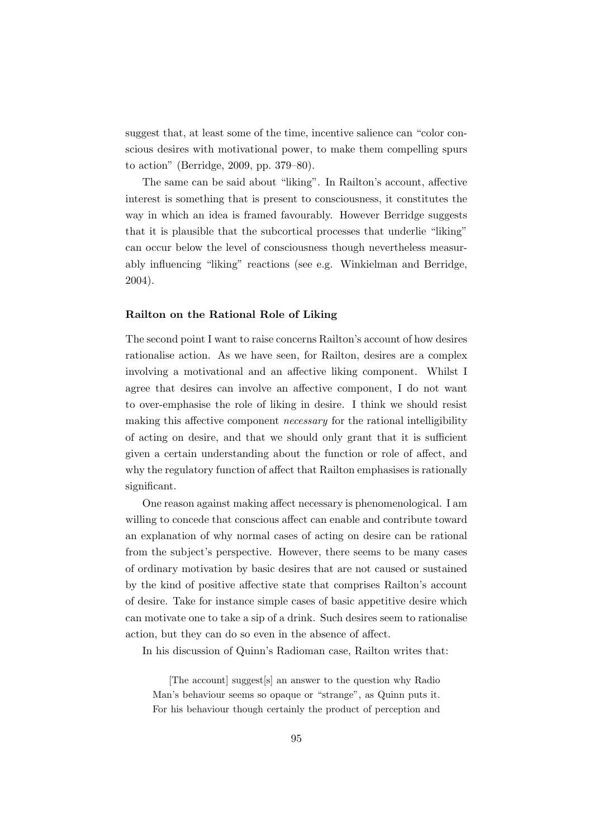suggest that, at least some of the time, incentive salience can "color conscious desires with motivational power, to make them compelling spurs to action" (Berridge, 2009, pp. 379–80).

The same can be said about "liking". In Railton's account, affective interest is something that is present to consciousness, it constitutes the way in which an idea is framed favourably. However Berridge suggests that it is plausible that the subcortical processes that underlie "liking" can occur below the level of consciousness though nevertheless measurably influencing "liking" reactions (see e.g. Winkielman and Berridge, 2004).

#### Railton on the Rational Role of Liking

The second point I want to raise concerns Railton's account of how desires rationalise action. As we have seen, for Railton, desires are a complex involving a motivational and an affective liking component. Whilst I agree that desires can involve an affective component, I do not want to over-emphasise the role of liking in desire. I think we should resist making this affective component *necessary* for the rational intelligibility of acting on desire, and that we should only grant that it is sufficient given a certain understanding about the function or role of affect, and why the regulatory function of affect that Railton emphasises is rationally significant.

One reason against making affect necessary is phenomenological. I am willing to concede that conscious affect can enable and contribute toward an explanation of why normal cases of acting on desire can be rational from the subject's perspective. However, there seems to be many cases of ordinary motivation by basic desires that are not caused or sustained by the kind of positive affective state that comprises Railton's account of desire. Take for instance simple cases of basic appetitive desire which can motivate one to take a sip of a drink. Such desires seem to rationalise action, but they can do so even in the absence of affect.

In his discussion of Quinn's Radioman case, Railton writes that:

[The account] suggest[s] an answer to the question why Radio Man's behaviour seems so opaque or "strange", as Quinn puts it. For his behaviour though certainly the product of perception and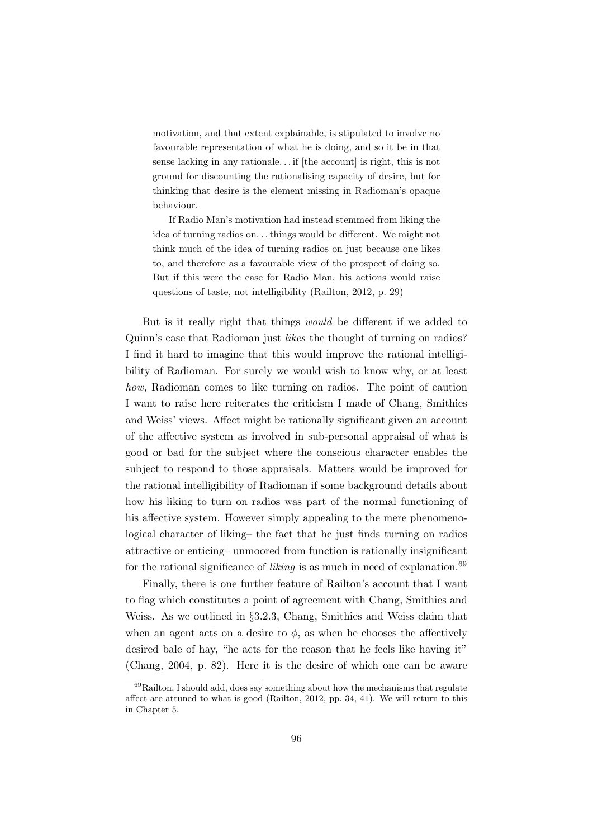motivation, and that extent explainable, is stipulated to involve no favourable representation of what he is doing, and so it be in that sense lacking in any rationale... if [the account] is right, this is not ground for discounting the rationalising capacity of desire, but for thinking that desire is the element missing in Radioman's opaque behaviour.

If Radio Man's motivation had instead stemmed from liking the idea of turning radios on. . . things would be different. We might not think much of the idea of turning radios on just because one likes to, and therefore as a favourable view of the prospect of doing so. But if this were the case for Radio Man, his actions would raise questions of taste, not intelligibility (Railton, 2012, p. 29)

But is it really right that things would be different if we added to Quinn's case that Radioman just likes the thought of turning on radios? I find it hard to imagine that this would improve the rational intelligibility of Radioman. For surely we would wish to know why, or at least how, Radioman comes to like turning on radios. The point of caution I want to raise here reiterates the criticism I made of Chang, Smithies and Weiss' views. Affect might be rationally significant given an account of the affective system as involved in sub-personal appraisal of what is good or bad for the subject where the conscious character enables the subject to respond to those appraisals. Matters would be improved for the rational intelligibility of Radioman if some background details about how his liking to turn on radios was part of the normal functioning of his affective system. However simply appealing to the mere phenomenological character of liking– the fact that he just finds turning on radios attractive or enticing– unmoored from function is rationally insignificant for the rational significance of *liking* is as much in need of explanation.<sup>69</sup>

Finally, there is one further feature of Railton's account that I want to flag which constitutes a point of agreement with Chang, Smithies and Weiss. As we outlined in §3.2.3, Chang, Smithies and Weiss claim that when an agent acts on a desire to  $\phi$ , as when he chooses the affectively desired bale of hay, "he acts for the reason that he feels like having it" (Chang, 2004, p. 82). Here it is the desire of which one can be aware

 $69$ Railton, I should add, does say something about how the mechanisms that regulate affect are attuned to what is good (Railton, 2012, pp. 34, 41). We will return to this in Chapter 5.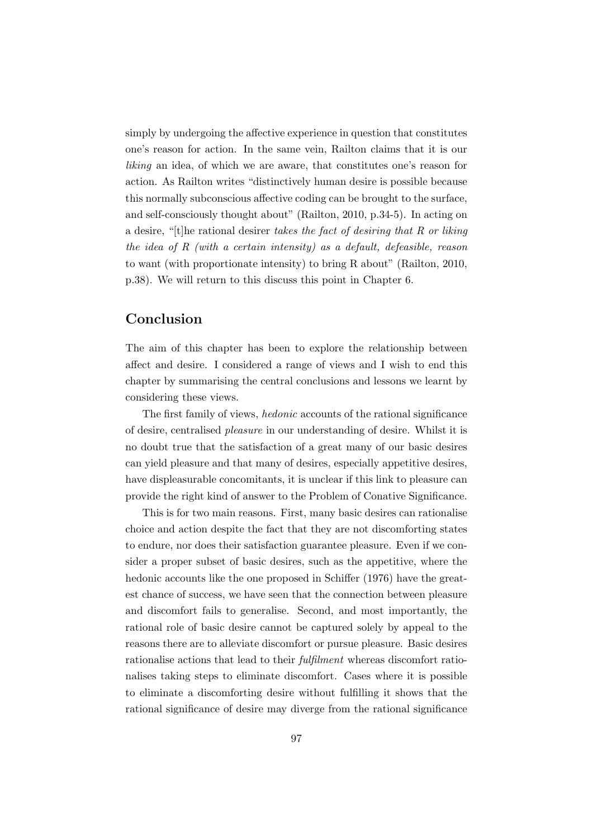simply by undergoing the affective experience in question that constitutes one's reason for action. In the same vein, Railton claims that it is our liking an idea, of which we are aware, that constitutes one's reason for action. As Railton writes "distinctively human desire is possible because this normally subconscious affective coding can be brought to the surface, and self-consciously thought about" (Railton, 2010, p.34-5). In acting on a desire, "[t]he rational desirer takes the fact of desiring that R or liking the idea of  $R$  (with a certain intensity) as a default, defeasible, reason to want (with proportionate intensity) to bring R about" (Railton, 2010, p.38). We will return to this discuss this point in Chapter 6.

## Conclusion

The aim of this chapter has been to explore the relationship between affect and desire. I considered a range of views and I wish to end this chapter by summarising the central conclusions and lessons we learnt by considering these views.

The first family of views, hedonic accounts of the rational significance of desire, centralised pleasure in our understanding of desire. Whilst it is no doubt true that the satisfaction of a great many of our basic desires can yield pleasure and that many of desires, especially appetitive desires, have displeasurable concomitants, it is unclear if this link to pleasure can provide the right kind of answer to the Problem of Conative Significance.

This is for two main reasons. First, many basic desires can rationalise choice and action despite the fact that they are not discomforting states to endure, nor does their satisfaction guarantee pleasure. Even if we consider a proper subset of basic desires, such as the appetitive, where the hedonic accounts like the one proposed in Schiffer (1976) have the greatest chance of success, we have seen that the connection between pleasure and discomfort fails to generalise. Second, and most importantly, the rational role of basic desire cannot be captured solely by appeal to the reasons there are to alleviate discomfort or pursue pleasure. Basic desires rationalise actions that lead to their fulfilment whereas discomfort rationalises taking steps to eliminate discomfort. Cases where it is possible to eliminate a discomforting desire without fulfilling it shows that the rational significance of desire may diverge from the rational significance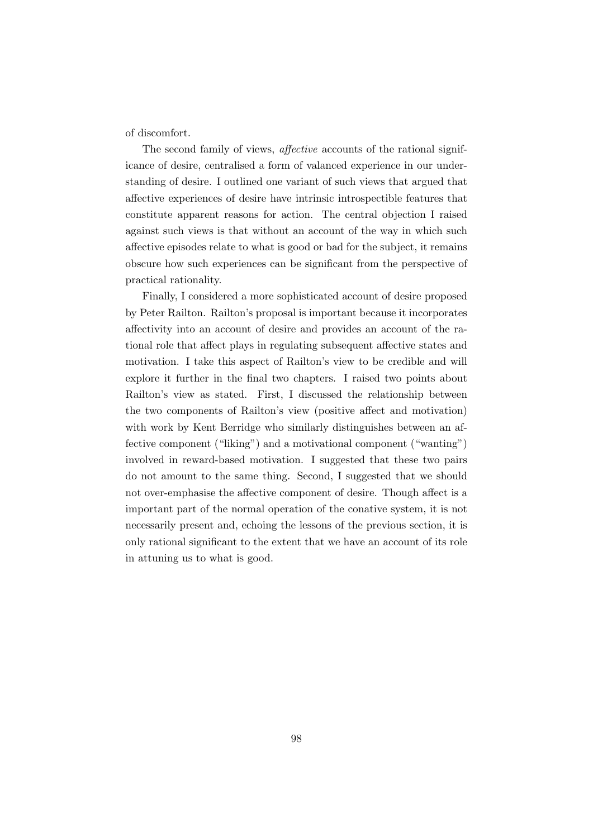of discomfort.

The second family of views, affective accounts of the rational significance of desire, centralised a form of valanced experience in our understanding of desire. I outlined one variant of such views that argued that affective experiences of desire have intrinsic introspectible features that constitute apparent reasons for action. The central objection I raised against such views is that without an account of the way in which such affective episodes relate to what is good or bad for the subject, it remains obscure how such experiences can be significant from the perspective of practical rationality.

Finally, I considered a more sophisticated account of desire proposed by Peter Railton. Railton's proposal is important because it incorporates affectivity into an account of desire and provides an account of the rational role that affect plays in regulating subsequent affective states and motivation. I take this aspect of Railton's view to be credible and will explore it further in the final two chapters. I raised two points about Railton's view as stated. First, I discussed the relationship between the two components of Railton's view (positive affect and motivation) with work by Kent Berridge who similarly distinguishes between an affective component ("liking") and a motivational component ("wanting") involved in reward-based motivation. I suggested that these two pairs do not amount to the same thing. Second, I suggested that we should not over-emphasise the affective component of desire. Though affect is a important part of the normal operation of the conative system, it is not necessarily present and, echoing the lessons of the previous section, it is only rational significant to the extent that we have an account of its role in attuning us to what is good.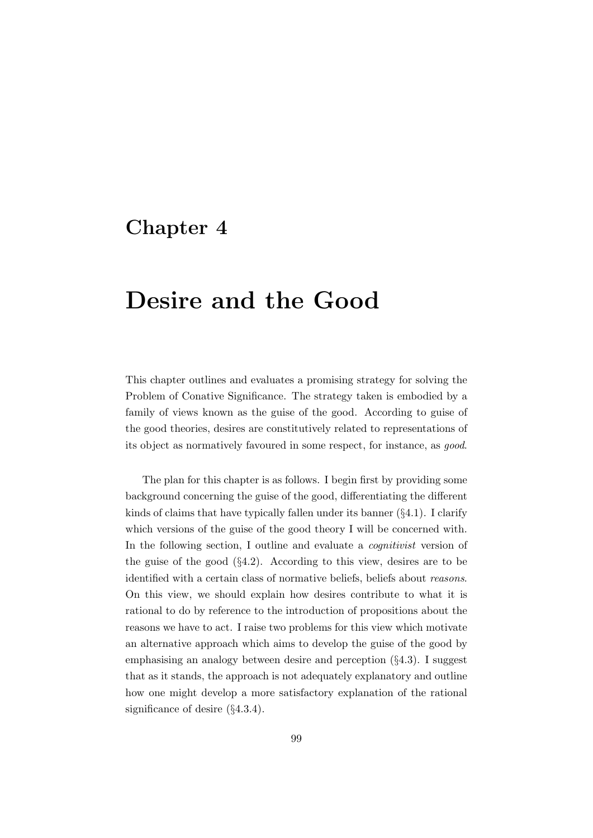## Chapter 4

# Desire and the Good

This chapter outlines and evaluates a promising strategy for solving the Problem of Conative Significance. The strategy taken is embodied by a family of views known as the guise of the good. According to guise of the good theories, desires are constitutively related to representations of its object as normatively favoured in some respect, for instance, as good.

The plan for this chapter is as follows. I begin first by providing some background concerning the guise of the good, differentiating the different kinds of claims that have typically fallen under its banner (§4.1). I clarify which versions of the guise of the good theory I will be concerned with. In the following section, I outline and evaluate a *cognitivist* version of the guise of the good (§4.2). According to this view, desires are to be identified with a certain class of normative beliefs, beliefs about reasons. On this view, we should explain how desires contribute to what it is rational to do by reference to the introduction of propositions about the reasons we have to act. I raise two problems for this view which motivate an alternative approach which aims to develop the guise of the good by emphasising an analogy between desire and perception (§4.3). I suggest that as it stands, the approach is not adequately explanatory and outline how one might develop a more satisfactory explanation of the rational significance of desire (§4.3.4).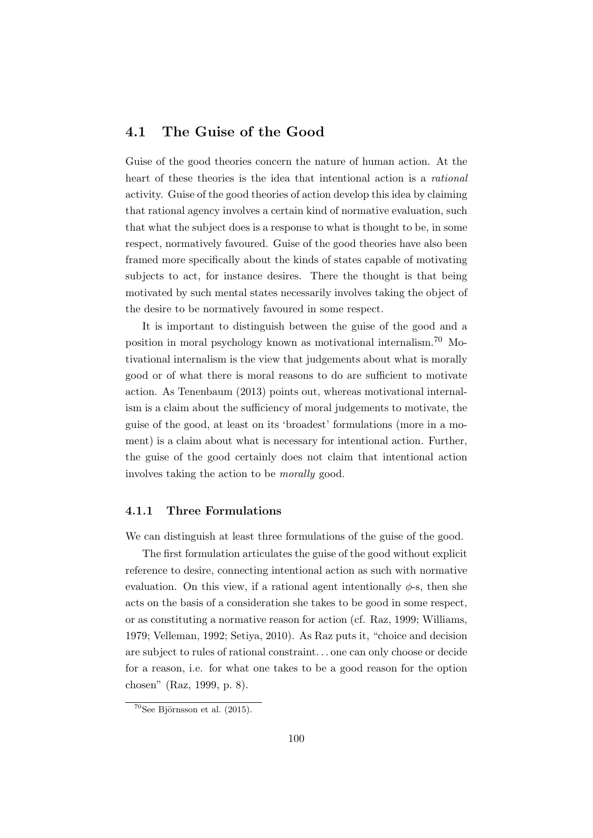## 4.1 The Guise of the Good

Guise of the good theories concern the nature of human action. At the heart of these theories is the idea that intentional action is a rational activity. Guise of the good theories of action develop this idea by claiming that rational agency involves a certain kind of normative evaluation, such that what the subject does is a response to what is thought to be, in some respect, normatively favoured. Guise of the good theories have also been framed more specifically about the kinds of states capable of motivating subjects to act, for instance desires. There the thought is that being motivated by such mental states necessarily involves taking the object of the desire to be normatively favoured in some respect.

It is important to distinguish between the guise of the good and a position in moral psychology known as motivational internalism.<sup>70</sup> Motivational internalism is the view that judgements about what is morally good or of what there is moral reasons to do are sufficient to motivate action. As Tenenbaum (2013) points out, whereas motivational internalism is a claim about the sufficiency of moral judgements to motivate, the guise of the good, at least on its 'broadest' formulations (more in a moment) is a claim about what is necessary for intentional action. Further, the guise of the good certainly does not claim that intentional action involves taking the action to be morally good.

## 4.1.1 Three Formulations

We can distinguish at least three formulations of the guise of the good.

The first formulation articulates the guise of the good without explicit reference to desire, connecting intentional action as such with normative evaluation. On this view, if a rational agent intentionally  $\phi$ -s, then she acts on the basis of a consideration she takes to be good in some respect, or as constituting a normative reason for action (cf. Raz, 1999; Williams, 1979; Velleman, 1992; Setiya, 2010). As Raz puts it, "choice and decision are subject to rules of rational constraint. . . one can only choose or decide for a reason, i.e. for what one takes to be a good reason for the option chosen" (Raz, 1999, p. 8).

 $70$ See Björnsson et al. (2015).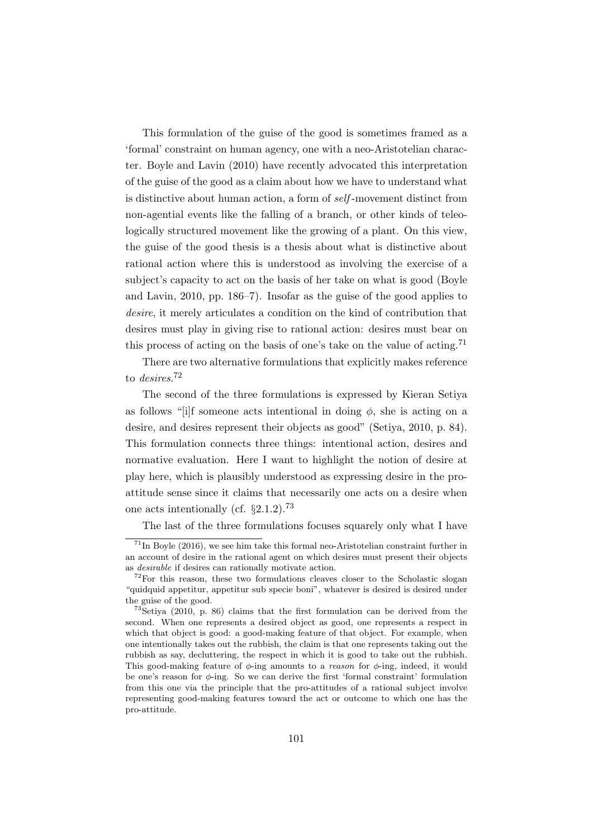This formulation of the guise of the good is sometimes framed as a 'formal' constraint on human agency, one with a neo-Aristotelian character. Boyle and Lavin (2010) have recently advocated this interpretation of the guise of the good as a claim about how we have to understand what is distinctive about human action, a form of self -movement distinct from non-agential events like the falling of a branch, or other kinds of teleologically structured movement like the growing of a plant. On this view, the guise of the good thesis is a thesis about what is distinctive about rational action where this is understood as involving the exercise of a subject's capacity to act on the basis of her take on what is good (Boyle and Lavin, 2010, pp. 186–7). Insofar as the guise of the good applies to desire, it merely articulates a condition on the kind of contribution that desires must play in giving rise to rational action: desires must bear on this process of acting on the basis of one's take on the value of acting.<sup>71</sup>

There are two alternative formulations that explicitly makes reference to *desires*.<sup>72</sup>

The second of the three formulations is expressed by Kieran Setiya as follows "[i]f someone acts intentional in doing  $\phi$ , she is acting on a desire, and desires represent their objects as good" (Setiya, 2010, p. 84). This formulation connects three things: intentional action, desires and normative evaluation. Here I want to highlight the notion of desire at play here, which is plausibly understood as expressing desire in the proattitude sense since it claims that necessarily one acts on a desire when one acts intentionally (cf. §2.1.2).<sup>73</sup>

The last of the three formulations focuses squarely only what I have

 $^{71}$ In Boyle (2016), we see him take this formal neo-Aristotelian constraint further in an account of desire in the rational agent on which desires must present their objects as desirable if desires can rationally motivate action.

 $72$  For this reason, these two formulations cleaves closer to the Scholastic slogan "quidquid appetitur, appetitur sub specie boni", whatever is desired is desired under the guise of the good.

<sup>73</sup>Setiya (2010, p. 86) claims that the first formulation can be derived from the second. When one represents a desired object as good, one represents a respect in which that object is good: a good-making feature of that object. For example, when one intentionally takes out the rubbish, the claim is that one represents taking out the rubbish as say, decluttering, the respect in which it is good to take out the rubbish. This good-making feature of  $\phi$ -ing amounts to a *reason* for  $\phi$ -ing, indeed, it would be one's reason for  $\phi$ -ing. So we can derive the first 'formal constraint' formulation from this one via the principle that the pro-attitudes of a rational subject involve representing good-making features toward the act or outcome to which one has the pro-attitude.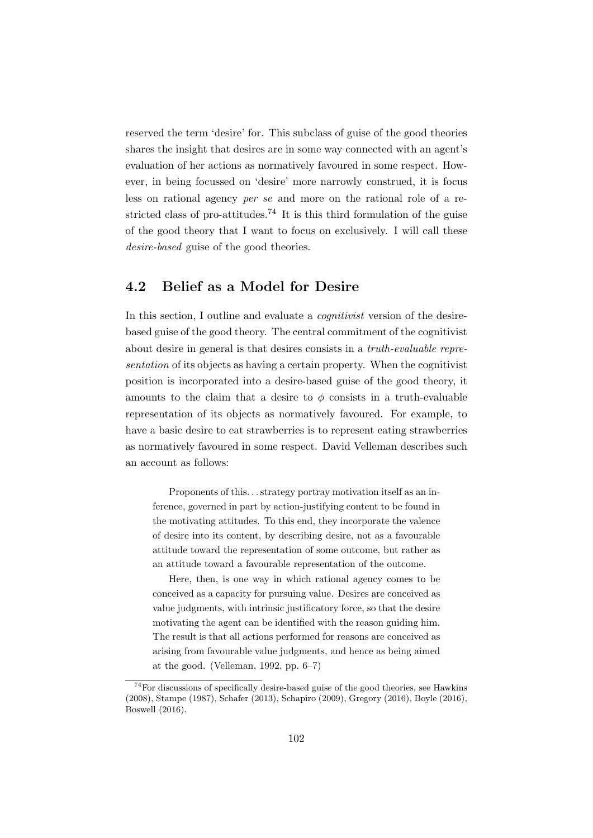reserved the term 'desire' for. This subclass of guise of the good theories shares the insight that desires are in some way connected with an agent's evaluation of her actions as normatively favoured in some respect. However, in being focussed on 'desire' more narrowly construed, it is focus less on rational agency per se and more on the rational role of a restricted class of pro-attitudes.<sup>74</sup> It is this third formulation of the guise of the good theory that I want to focus on exclusively. I will call these desire-based guise of the good theories.

## 4.2 Belief as a Model for Desire

In this section, I outline and evaluate a *cognitivist* version of the desirebased guise of the good theory. The central commitment of the cognitivist about desire in general is that desires consists in a truth-evaluable representation of its objects as having a certain property. When the cognitivist position is incorporated into a desire-based guise of the good theory, it amounts to the claim that a desire to  $\phi$  consists in a truth-evaluable representation of its objects as normatively favoured. For example, to have a basic desire to eat strawberries is to represent eating strawberries as normatively favoured in some respect. David Velleman describes such an account as follows:

Proponents of this. . . strategy portray motivation itself as an inference, governed in part by action-justifying content to be found in the motivating attitudes. To this end, they incorporate the valence of desire into its content, by describing desire, not as a favourable attitude toward the representation of some outcome, but rather as an attitude toward a favourable representation of the outcome.

Here, then, is one way in which rational agency comes to be conceived as a capacity for pursuing value. Desires are conceived as value judgments, with intrinsic justificatory force, so that the desire motivating the agent can be identified with the reason guiding him. The result is that all actions performed for reasons are conceived as arising from favourable value judgments, and hence as being aimed at the good. (Velleman, 1992, pp. 6–7)

<sup>74</sup>For discussions of specifically desire-based guise of the good theories, see Hawkins (2008), Stampe (1987), Schafer (2013), Schapiro (2009), Gregory (2016), Boyle (2016), Boswell (2016).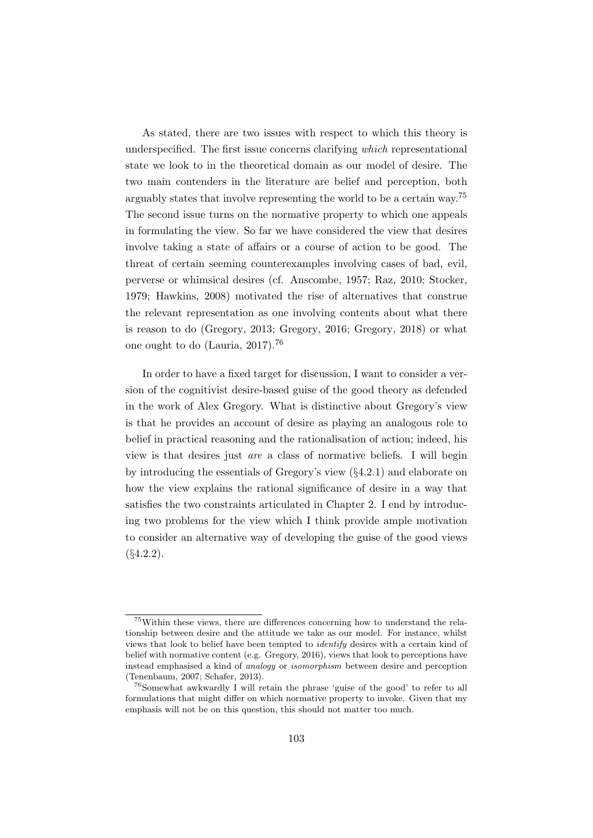As stated, there are two issues with respect to which this theory is underspecified. The first issue concerns clarifying which representational state we look to in the theoretical domain as our model of desire. The two main contenders in the literature are belief and perception, both arguably states that involve representing the world to be a certain way.<sup>75</sup> The second issue turns on the normative property to which one appeals in formulating the view. So far we have considered the view that desires involve taking a state of affairs or a course of action to be good. The threat of certain seeming counterexamples involving cases of bad, evil, perverse or whimsical desires (cf. Anscombe, 1957; Raz, 2010; Stocker, 1979; Hawkins, 2008) motivated the rise of alternatives that construe the relevant representation as one involving contents about what there is reason to do (Gregory, 2013; Gregory, 2016; Gregory, 2018) or what one ought to do (Lauria, 2017).<sup>76</sup>

In order to have a fixed target for discussion, I want to consider a version of the cognitivist desire-based guise of the good theory as defended in the work of Alex Gregory. What is distinctive about Gregory's view is that he provides an account of desire as playing an analogous role to belief in practical reasoning and the rationalisation of action; indeed, his view is that desires just are a class of normative beliefs. I will begin by introducing the essentials of Gregory's view  $(\S4.2.1)$  and elaborate on how the view explains the rational significance of desire in a way that satisfies the two constraints articulated in Chapter 2. I end by introducing two problems for the view which I think provide ample motivation to consider an alternative way of developing the guise of the good views  $(§4.2.2).$ 

<sup>75</sup>Within these views, there are differences concerning how to understand the relationship between desire and the attitude we take as our model. For instance, whilst views that look to belief have been tempted to identify desires with a certain kind of belief with normative content (e.g. Gregory, 2016), views that look to perceptions have instead emphasised a kind of analogy or isomorphism between desire and perception (Tenenbaum, 2007; Schafer, 2013).

<sup>76</sup>Somewhat awkwardly I will retain the phrase 'guise of the good' to refer to all formulations that might differ on which normative property to invoke. Given that my emphasis will not be on this question, this should not matter too much.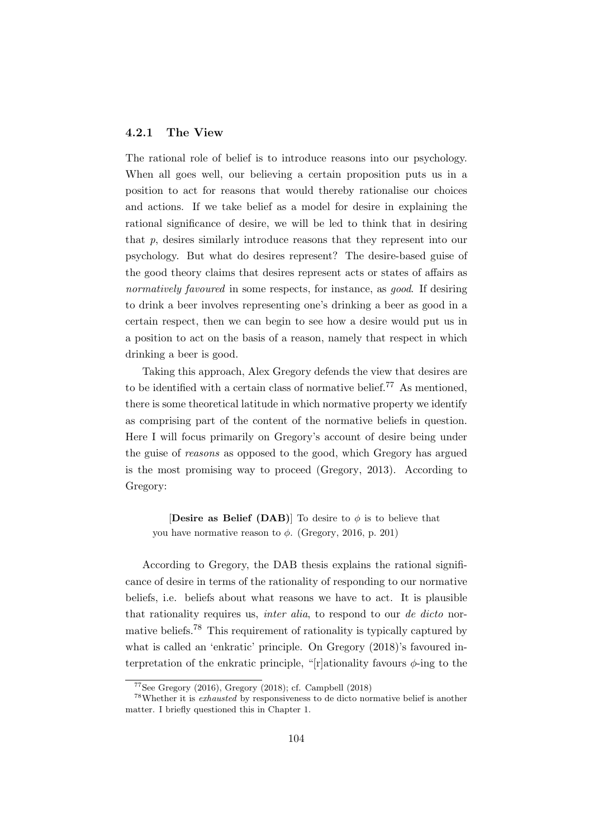## 4.2.1 The View

The rational role of belief is to introduce reasons into our psychology. When all goes well, our believing a certain proposition puts us in a position to act for reasons that would thereby rationalise our choices and actions. If we take belief as a model for desire in explaining the rational significance of desire, we will be led to think that in desiring that p, desires similarly introduce reasons that they represent into our psychology. But what do desires represent? The desire-based guise of the good theory claims that desires represent acts or states of affairs as normatively favoured in some respects, for instance, as good. If desiring to drink a beer involves representing one's drinking a beer as good in a certain respect, then we can begin to see how a desire would put us in a position to act on the basis of a reason, namely that respect in which drinking a beer is good.

Taking this approach, Alex Gregory defends the view that desires are to be identified with a certain class of normative belief.<sup>77</sup> As mentioned, there is some theoretical latitude in which normative property we identify as comprising part of the content of the normative beliefs in question. Here I will focus primarily on Gregory's account of desire being under the guise of reasons as opposed to the good, which Gregory has argued is the most promising way to proceed (Gregory, 2013). According to Gregory:

[Desire as Belief (DAB)] To desire to  $\phi$  is to believe that you have normative reason to  $\phi$ . (Gregory, 2016, p. 201)

According to Gregory, the DAB thesis explains the rational significance of desire in terms of the rationality of responding to our normative beliefs, i.e. beliefs about what reasons we have to act. It is plausible that rationality requires us, *inter alia*, to respond to our *de dicto* normative beliefs.<sup>78</sup> This requirement of rationality is typically captured by what is called an 'enkratic' principle. On Gregory (2018)'s favoured interpretation of the enkratic principle, "[r]ationality favours  $\phi$ -ing to the

<sup>77</sup>See Gregory (2016), Gregory (2018); cf. Campbell (2018)

<sup>78</sup>Whether it is exhausted by responsiveness to de dicto normative belief is another matter. I briefly questioned this in Chapter 1.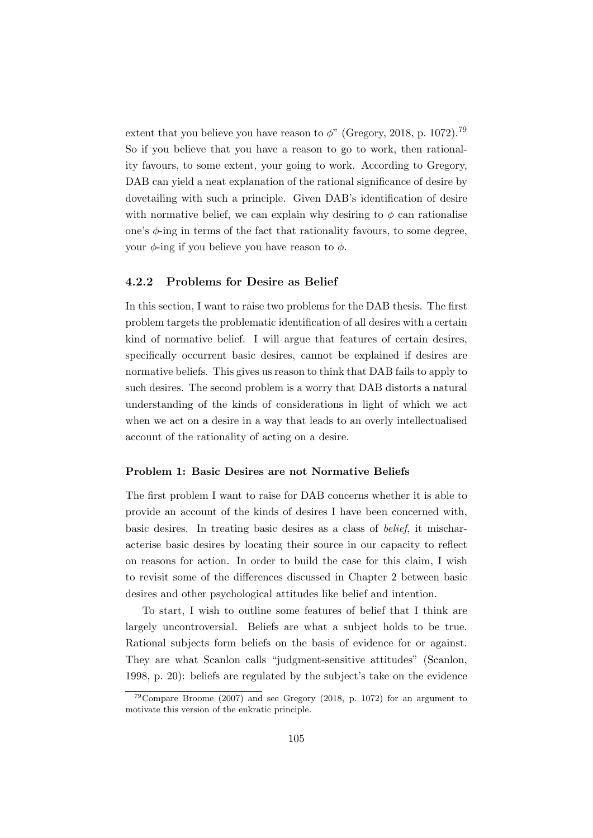extent that you believe you have reason to  $\phi$ " (Gregory, 2018, p. 1072).<sup>79</sup> So if you believe that you have a reason to go to work, then rationality favours, to some extent, your going to work. According to Gregory, DAB can yield a neat explanation of the rational significance of desire by dovetailing with such a principle. Given DAB's identification of desire with normative belief, we can explain why desiring to  $\phi$  can rationalise one's  $\phi$ -ing in terms of the fact that rationality favours, to some degree, your  $\phi$ -ing if you believe you have reason to  $\phi$ .

## 4.2.2 Problems for Desire as Belief

In this section, I want to raise two problems for the DAB thesis. The first problem targets the problematic identification of all desires with a certain kind of normative belief. I will argue that features of certain desires, specifically occurrent basic desires, cannot be explained if desires are normative beliefs. This gives us reason to think that DAB fails to apply to such desires. The second problem is a worry that DAB distorts a natural understanding of the kinds of considerations in light of which we act when we act on a desire in a way that leads to an overly intellectualised account of the rationality of acting on a desire.

#### Problem 1: Basic Desires are not Normative Beliefs

The first problem I want to raise for DAB concerns whether it is able to provide an account of the kinds of desires I have been concerned with, basic desires. In treating basic desires as a class of belief, it mischaracterise basic desires by locating their source in our capacity to reflect on reasons for action. In order to build the case for this claim, I wish to revisit some of the differences discussed in Chapter 2 between basic desires and other psychological attitudes like belief and intention.

To start, I wish to outline some features of belief that I think are largely uncontroversial. Beliefs are what a subject holds to be true. Rational subjects form beliefs on the basis of evidence for or against. They are what Scanlon calls "judgment-sensitive attitudes" (Scanlon, 1998, p. 20): beliefs are regulated by the subject's take on the evidence

 $79$ Compare Broome (2007) and see Gregory (2018, p. 1072) for an argument to motivate this version of the enkratic principle.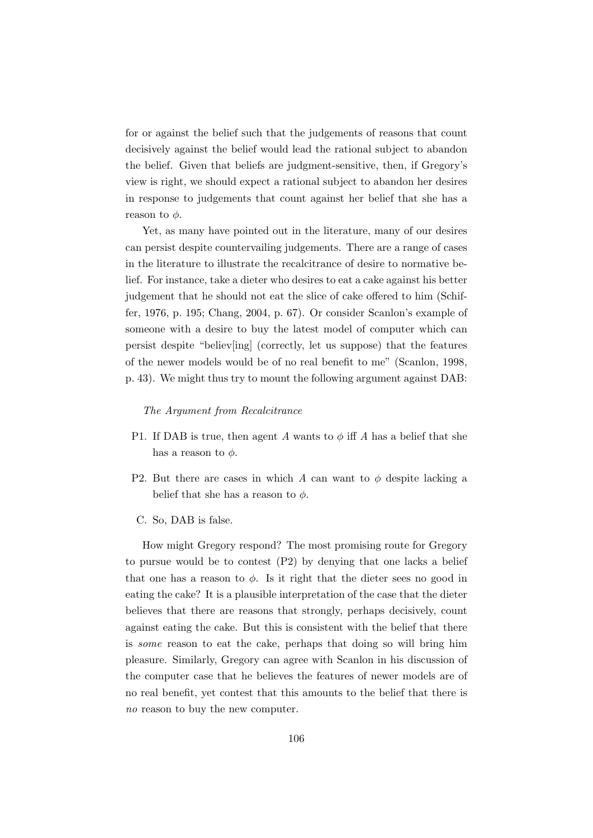for or against the belief such that the judgements of reasons that count decisively against the belief would lead the rational subject to abandon the belief. Given that beliefs are judgment-sensitive, then, if Gregory's view is right, we should expect a rational subject to abandon her desires in response to judgements that count against her belief that she has a reason to  $\phi$ .

Yet, as many have pointed out in the literature, many of our desires can persist despite countervailing judgements. There are a range of cases in the literature to illustrate the recalcitrance of desire to normative belief. For instance, take a dieter who desires to eat a cake against his better judgement that he should not eat the slice of cake offered to him (Schiffer, 1976, p. 195; Chang, 2004, p. 67). Or consider Scanlon's example of someone with a desire to buy the latest model of computer which can persist despite "believ[ing] (correctly, let us suppose) that the features of the newer models would be of no real benefit to me" (Scanlon, 1998, p. 43). We might thus try to mount the following argument against DAB:

## The Argument from Recalcitrance

- P1. If DAB is true, then agent A wants to  $\phi$  iff A has a belief that she has a reason to  $\phi$ .
- P2. But there are cases in which A can want to  $\phi$  despite lacking a belief that she has a reason to  $\phi$ .
- C. So, DAB is false.

How might Gregory respond? The most promising route for Gregory to pursue would be to contest (P2) by denying that one lacks a belief that one has a reason to  $\phi$ . Is it right that the dieter sees no good in eating the cake? It is a plausible interpretation of the case that the dieter believes that there are reasons that strongly, perhaps decisively, count against eating the cake. But this is consistent with the belief that there is some reason to eat the cake, perhaps that doing so will bring him pleasure. Similarly, Gregory can agree with Scanlon in his discussion of the computer case that he believes the features of newer models are of no real benefit, yet contest that this amounts to the belief that there is no reason to buy the new computer.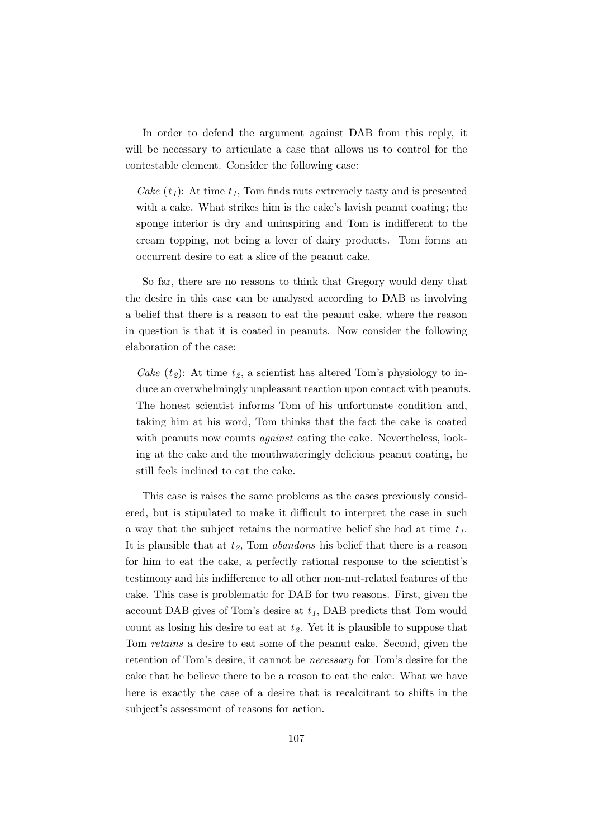In order to defend the argument against DAB from this reply, it will be necessary to articulate a case that allows us to control for the contestable element. Consider the following case:

Cake  $(t_1)$ : At time  $t_1$ , Tom finds nuts extremely tasty and is presented with a cake. What strikes him is the cake's lavish peanut coating; the sponge interior is dry and uninspiring and Tom is indifferent to the cream topping, not being a lover of dairy products. Tom forms an occurrent desire to eat a slice of the peanut cake.

So far, there are no reasons to think that Gregory would deny that the desire in this case can be analysed according to DAB as involving a belief that there is a reason to eat the peanut cake, where the reason in question is that it is coated in peanuts. Now consider the following elaboration of the case:

Cake  $(t_2)$ : At time  $t_2$ , a scientist has altered Tom's physiology to induce an overwhelmingly unpleasant reaction upon contact with peanuts. The honest scientist informs Tom of his unfortunate condition and, taking him at his word, Tom thinks that the fact the cake is coated with peanuts now counts *against* eating the cake. Nevertheless, looking at the cake and the mouthwateringly delicious peanut coating, he still feels inclined to eat the cake.

This case is raises the same problems as the cases previously considered, but is stipulated to make it difficult to interpret the case in such a way that the subject retains the normative belief she had at time  $t_1$ . It is plausible that at  $t_2$ , Tom *abandons* his belief that there is a reason for him to eat the cake, a perfectly rational response to the scientist's testimony and his indifference to all other non-nut-related features of the cake. This case is problematic for DAB for two reasons. First, given the account DAB gives of Tom's desire at  $t_1$ , DAB predicts that Tom would count as losing his desire to eat at  $t_2$ . Yet it is plausible to suppose that Tom retains a desire to eat some of the peanut cake. Second, given the retention of Tom's desire, it cannot be necessary for Tom's desire for the cake that he believe there to be a reason to eat the cake. What we have here is exactly the case of a desire that is recalcitrant to shifts in the subject's assessment of reasons for action.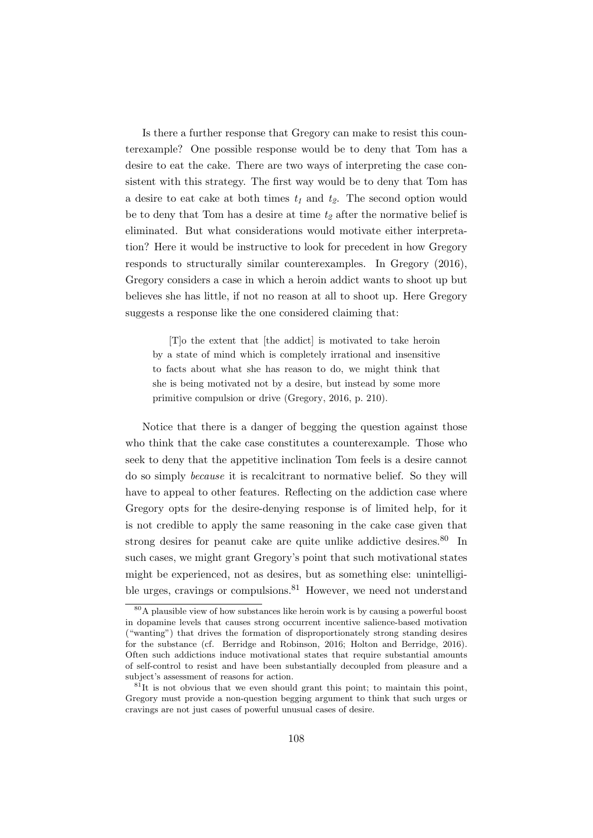Is there a further response that Gregory can make to resist this counterexample? One possible response would be to deny that Tom has a desire to eat the cake. There are two ways of interpreting the case consistent with this strategy. The first way would be to deny that Tom has a desire to eat cake at both times  $t_1$  and  $t_2$ . The second option would be to deny that Tom has a desire at time  $t_2$  after the normative belief is eliminated. But what considerations would motivate either interpretation? Here it would be instructive to look for precedent in how Gregory responds to structurally similar counterexamples. In Gregory (2016), Gregory considers a case in which a heroin addict wants to shoot up but believes she has little, if not no reason at all to shoot up. Here Gregory suggests a response like the one considered claiming that:

[T]o the extent that [the addict] is motivated to take heroin by a state of mind which is completely irrational and insensitive to facts about what she has reason to do, we might think that she is being motivated not by a desire, but instead by some more primitive compulsion or drive (Gregory, 2016, p. 210).

Notice that there is a danger of begging the question against those who think that the cake case constitutes a counterexample. Those who seek to deny that the appetitive inclination Tom feels is a desire cannot do so simply because it is recalcitrant to normative belief. So they will have to appeal to other features. Reflecting on the addiction case where Gregory opts for the desire-denying response is of limited help, for it is not credible to apply the same reasoning in the cake case given that strong desires for peanut cake are quite unlike addictive desires.<sup>80</sup> In such cases, we might grant Gregory's point that such motivational states might be experienced, not as desires, but as something else: unintelligible urges, cravings or compulsions. $81$  However, we need not understand

<sup>80</sup>A plausible view of how substances like heroin work is by causing a powerful boost in dopamine levels that causes strong occurrent incentive salience-based motivation ("wanting") that drives the formation of disproportionately strong standing desires for the substance (cf. Berridge and Robinson, 2016; Holton and Berridge, 2016). Often such addictions induce motivational states that require substantial amounts of self-control to resist and have been substantially decoupled from pleasure and a subject's assessment of reasons for action.

 $81$ It is not obvious that we even should grant this point; to maintain this point, Gregory must provide a non-question begging argument to think that such urges or cravings are not just cases of powerful unusual cases of desire.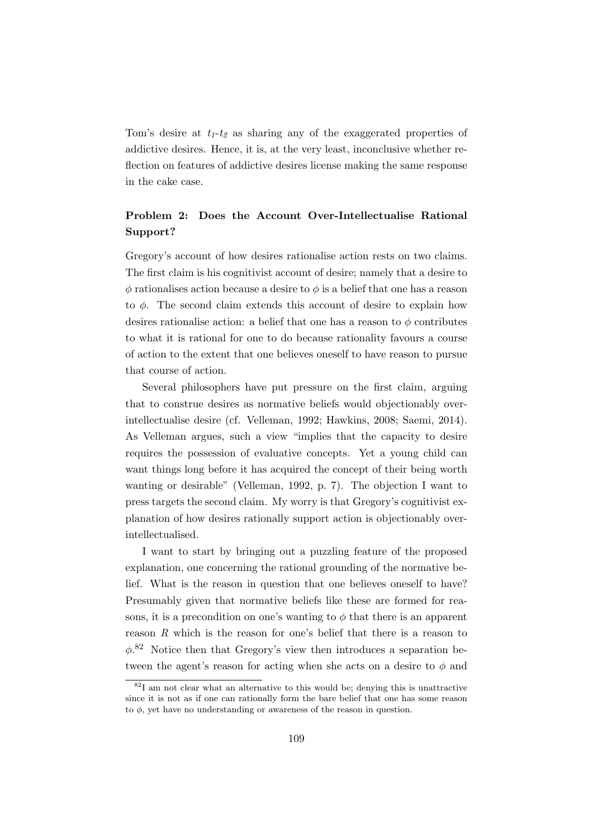Tom's desire at  $t_1-t_2$  as sharing any of the exaggerated properties of addictive desires. Hence, it is, at the very least, inconclusive whether reflection on features of addictive desires license making the same response in the cake case.

## Problem 2: Does the Account Over-Intellectualise Rational Support?

Gregory's account of how desires rationalise action rests on two claims. The first claim is his cognitivist account of desire; namely that a desire to  $\phi$  rationalises action because a desire to  $\phi$  is a belief that one has a reason to  $\phi$ . The second claim extends this account of desire to explain how desires rationalise action: a belief that one has a reason to  $\phi$  contributes to what it is rational for one to do because rationality favours a course of action to the extent that one believes oneself to have reason to pursue that course of action.

Several philosophers have put pressure on the first claim, arguing that to construe desires as normative beliefs would objectionably overintellectualise desire (cf. Velleman, 1992; Hawkins, 2008; Saemi, 2014). As Velleman argues, such a view "implies that the capacity to desire requires the possession of evaluative concepts. Yet a young child can want things long before it has acquired the concept of their being worth wanting or desirable" (Velleman, 1992, p. 7). The objection I want to press targets the second claim. My worry is that Gregory's cognitivist explanation of how desires rationally support action is objectionably overintellectualised.

I want to start by bringing out a puzzling feature of the proposed explanation, one concerning the rational grounding of the normative belief. What is the reason in question that one believes oneself to have? Presumably given that normative beliefs like these are formed for reasons, it is a precondition on one's wanting to  $\phi$  that there is an apparent reason R which is the reason for one's belief that there is a reason to  $\phi$ <sup>82</sup> Notice then that Gregory's view then introduces a separation between the agent's reason for acting when she acts on a desire to  $\phi$  and

 $82I$  am not clear what an alternative to this would be; denying this is unattractive since it is not as if one can rationally form the bare belief that one has some reason to  $\phi$ , yet have no understanding or awareness of the reason in question.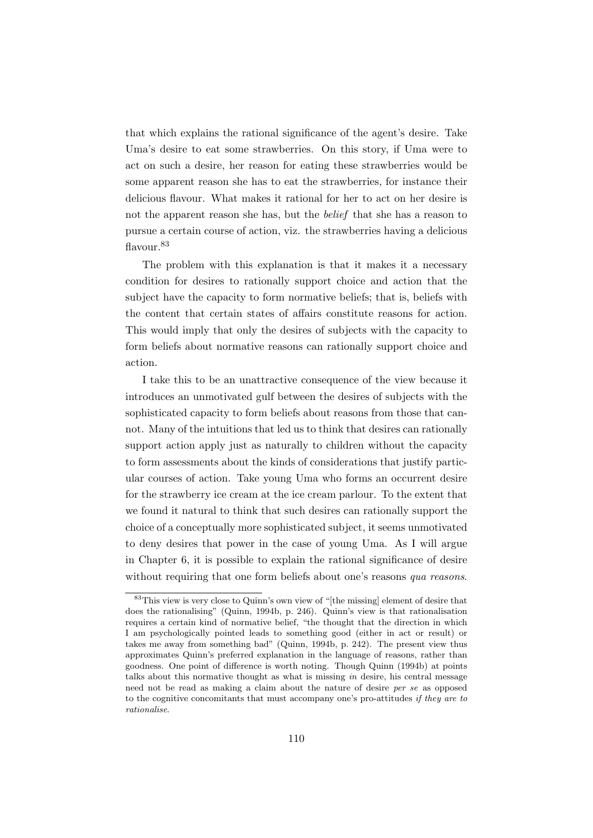that which explains the rational significance of the agent's desire. Take Uma's desire to eat some strawberries. On this story, if Uma were to act on such a desire, her reason for eating these strawberries would be some apparent reason she has to eat the strawberries, for instance their delicious flavour. What makes it rational for her to act on her desire is not the apparent reason she has, but the belief that she has a reason to pursue a certain course of action, viz. the strawberries having a delicious flavour.<sup>83</sup>

The problem with this explanation is that it makes it a necessary condition for desires to rationally support choice and action that the subject have the capacity to form normative beliefs; that is, beliefs with the content that certain states of affairs constitute reasons for action. This would imply that only the desires of subjects with the capacity to form beliefs about normative reasons can rationally support choice and action.

I take this to be an unattractive consequence of the view because it introduces an unmotivated gulf between the desires of subjects with the sophisticated capacity to form beliefs about reasons from those that cannot. Many of the intuitions that led us to think that desires can rationally support action apply just as naturally to children without the capacity to form assessments about the kinds of considerations that justify particular courses of action. Take young Uma who forms an occurrent desire for the strawberry ice cream at the ice cream parlour. To the extent that we found it natural to think that such desires can rationally support the choice of a conceptually more sophisticated subject, it seems unmotivated to deny desires that power in the case of young Uma. As I will argue in Chapter 6, it is possible to explain the rational significance of desire without requiring that one form beliefs about one's reasons *qua reasons*.

<sup>83</sup>This view is very close to Quinn's own view of "[the missing] element of desire that does the rationalising" (Quinn, 1994b, p. 246). Quinn's view is that rationalisation requires a certain kind of normative belief, "the thought that the direction in which I am psychologically pointed leads to something good (either in act or result) or takes me away from something bad" (Quinn, 1994b, p. 242). The present view thus approximates Quinn's preferred explanation in the language of reasons, rather than goodness. One point of difference is worth noting. Though Quinn (1994b) at points talks about this normative thought as what is missing in desire, his central message need not be read as making a claim about the nature of desire per se as opposed to the cognitive concomitants that must accompany one's pro-attitudes if they are to rationalise.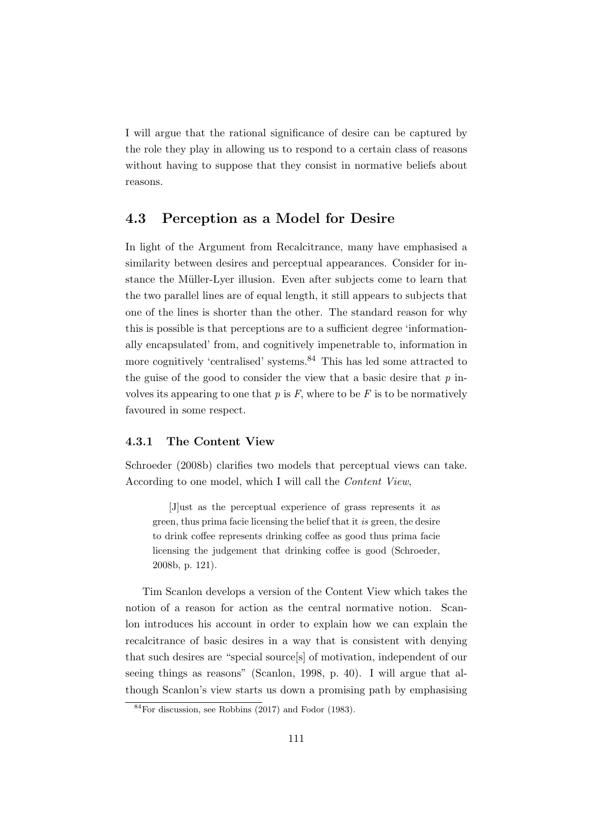I will argue that the rational significance of desire can be captured by the role they play in allowing us to respond to a certain class of reasons without having to suppose that they consist in normative beliefs about reasons.

## 4.3 Perception as a Model for Desire

In light of the Argument from Recalcitrance, many have emphasised a similarity between desires and perceptual appearances. Consider for instance the Müller-Lyer illusion. Even after subjects come to learn that the two parallel lines are of equal length, it still appears to subjects that one of the lines is shorter than the other. The standard reason for why this is possible is that perceptions are to a sufficient degree 'informationally encapsulated' from, and cognitively impenetrable to, information in more cognitively 'centralised' systems.<sup>84</sup> This has led some attracted to the guise of the good to consider the view that a basic desire that  $p$  involves its appearing to one that  $p$  is  $F$ , where to be  $F$  is to be normatively favoured in some respect.

#### 4.3.1 The Content View

Schroeder (2008b) clarifies two models that perceptual views can take. According to one model, which I will call the Content View,

[J]ust as the perceptual experience of grass represents it as green, thus prima facie licensing the belief that it is green, the desire to drink coffee represents drinking coffee as good thus prima facie licensing the judgement that drinking coffee is good (Schroeder, 2008b, p. 121).

Tim Scanlon develops a version of the Content View which takes the notion of a reason for action as the central normative notion. Scanlon introduces his account in order to explain how we can explain the recalcitrance of basic desires in a way that is consistent with denying that such desires are "special source[s] of motivation, independent of our seeing things as reasons" (Scanlon, 1998, p. 40). I will argue that although Scanlon's view starts us down a promising path by emphasising

 $84$ For discussion, see Robbins (2017) and Fodor (1983).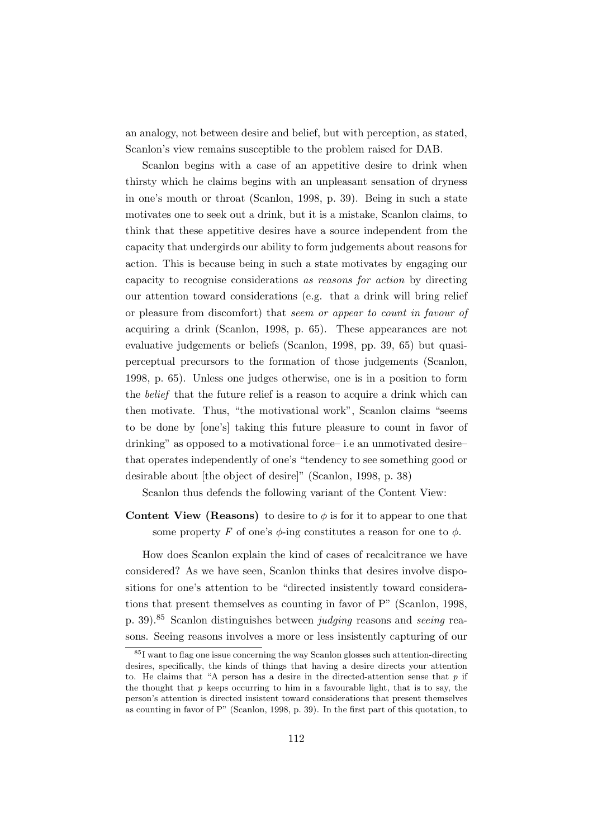an analogy, not between desire and belief, but with perception, as stated, Scanlon's view remains susceptible to the problem raised for DAB.

Scanlon begins with a case of an appetitive desire to drink when thirsty which he claims begins with an unpleasant sensation of dryness in one's mouth or throat (Scanlon, 1998, p. 39). Being in such a state motivates one to seek out a drink, but it is a mistake, Scanlon claims, to think that these appetitive desires have a source independent from the capacity that undergirds our ability to form judgements about reasons for action. This is because being in such a state motivates by engaging our capacity to recognise considerations as reasons for action by directing our attention toward considerations (e.g. that a drink will bring relief or pleasure from discomfort) that seem or appear to count in favour of acquiring a drink (Scanlon, 1998, p. 65). These appearances are not evaluative judgements or beliefs (Scanlon, 1998, pp. 39, 65) but quasiperceptual precursors to the formation of those judgements (Scanlon, 1998, p. 65). Unless one judges otherwise, one is in a position to form the belief that the future relief is a reason to acquire a drink which can then motivate. Thus, "the motivational work", Scanlon claims "seems to be done by [one's] taking this future pleasure to count in favor of drinking" as opposed to a motivational force– i.e an unmotivated desire– that operates independently of one's "tendency to see something good or desirable about [the object of desire]" (Scanlon, 1998, p. 38)

Scanlon thus defends the following variant of the Content View:

## **Content View (Reasons)** to desire to  $\phi$  is for it to appear to one that some property F of one's  $\phi$ -ing constitutes a reason for one to  $\phi$ .

How does Scanlon explain the kind of cases of recalcitrance we have considered? As we have seen, Scanlon thinks that desires involve dispositions for one's attention to be "directed insistently toward considerations that present themselves as counting in favor of P" (Scanlon, 1998, p. 39).<sup>85</sup> Scanlon distinguishes between judging reasons and seeing reasons. Seeing reasons involves a more or less insistently capturing of our

<sup>85</sup>I want to flag one issue concerning the way Scanlon glosses such attention-directing desires, specifically, the kinds of things that having a desire directs your attention to. He claims that "A person has a desire in the directed-attention sense that  $p$  if the thought that  $p$  keeps occurring to him in a favourable light, that is to say, the person's attention is directed insistent toward considerations that present themselves as counting in favor of P" (Scanlon, 1998, p. 39). In the first part of this quotation, to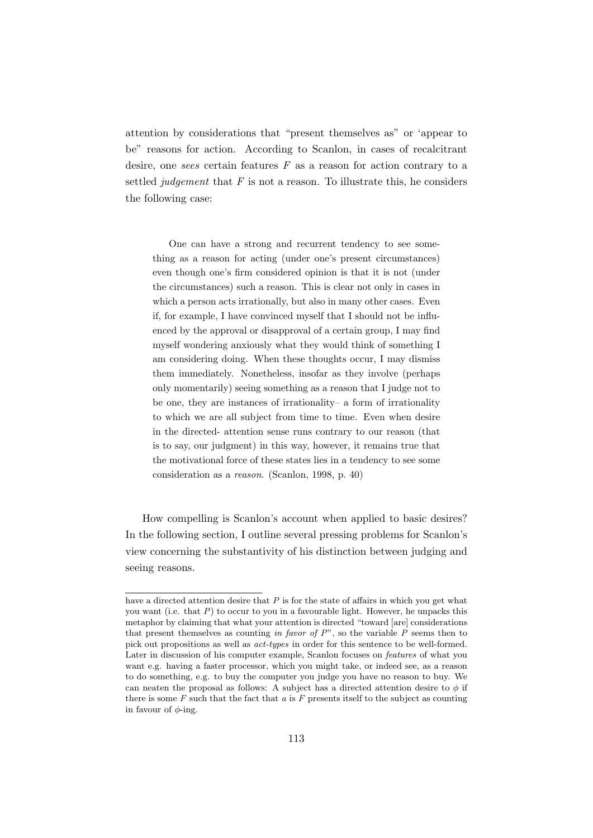attention by considerations that "present themselves as" or 'appear to be" reasons for action. According to Scanlon, in cases of recalcitrant desire, one sees certain features  $F$  as a reason for action contrary to a settled *judgement* that  $F$  is not a reason. To illustrate this, he considers the following case:

One can have a strong and recurrent tendency to see something as a reason for acting (under one's present circumstances) even though one's firm considered opinion is that it is not (under the circumstances) such a reason. This is clear not only in cases in which a person acts irrationally, but also in many other cases. Even if, for example, I have convinced myself that I should not be influenced by the approval or disapproval of a certain group, I may find myself wondering anxiously what they would think of something I am considering doing. When these thoughts occur, I may dismiss them immediately. Nonetheless, insofar as they involve (perhaps only momentarily) seeing something as a reason that I judge not to be one, they are instances of irrationality– a form of irrationality to which we are all subject from time to time. Even when desire in the directed- attention sense runs contrary to our reason (that is to say, our judgment) in this way, however, it remains true that the motivational force of these states lies in a tendency to see some consideration as a reason. (Scanlon, 1998, p. 40)

How compelling is Scanlon's account when applied to basic desires? In the following section, I outline several pressing problems for Scanlon's view concerning the substantivity of his distinction between judging and seeing reasons.

have a directed attention desire that P is for the state of affairs in which you get what you want (i.e. that  $P$ ) to occur to you in a favourable light. However, he unpacks this metaphor by claiming that what your attention is directed "toward [are] considerations that present themselves as counting in favor of  $P^{\prime\prime}$ , so the variable P seems then to pick out propositions as well as act-types in order for this sentence to be well-formed. Later in discussion of his computer example, Scanlon focuses on features of what you want e.g. having a faster processor, which you might take, or indeed see, as a reason to do something, e.g. to buy the computer you judge you have no reason to buy. We can neaten the proposal as follows: A subject has a directed attention desire to  $\phi$  if there is some  $F$  such that the fact that  $a$  is  $F$  presents itself to the subject as counting in favour of  $\phi$ -ing.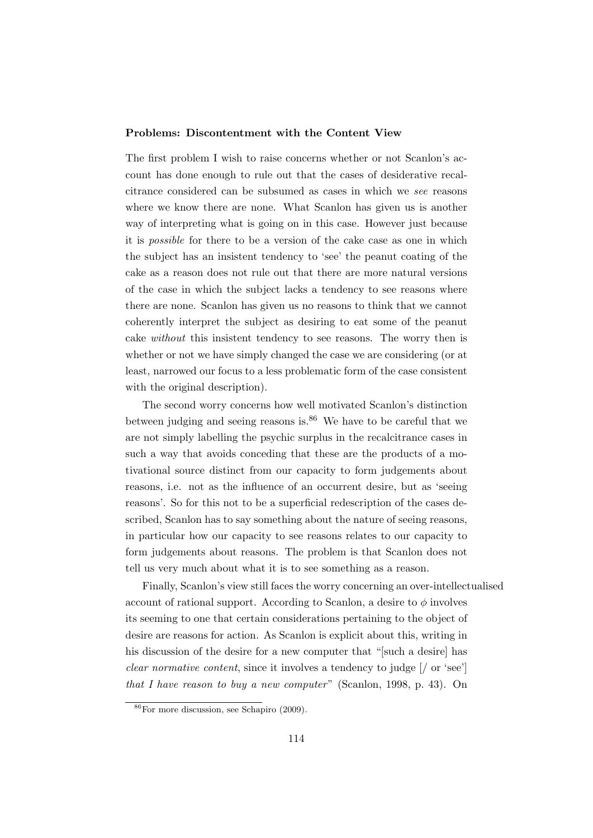#### Problems: Discontentment with the Content View

The first problem I wish to raise concerns whether or not Scanlon's account has done enough to rule out that the cases of desiderative recalcitrance considered can be subsumed as cases in which we see reasons where we know there are none. What Scanlon has given us is another way of interpreting what is going on in this case. However just because it is possible for there to be a version of the cake case as one in which the subject has an insistent tendency to 'see' the peanut coating of the cake as a reason does not rule out that there are more natural versions of the case in which the subject lacks a tendency to see reasons where there are none. Scanlon has given us no reasons to think that we cannot coherently interpret the subject as desiring to eat some of the peanut cake without this insistent tendency to see reasons. The worry then is whether or not we have simply changed the case we are considering (or at least, narrowed our focus to a less problematic form of the case consistent with the original description).

The second worry concerns how well motivated Scanlon's distinction between judging and seeing reasons is. $86$  We have to be careful that we are not simply labelling the psychic surplus in the recalcitrance cases in such a way that avoids conceding that these are the products of a motivational source distinct from our capacity to form judgements about reasons, i.e. not as the influence of an occurrent desire, but as 'seeing reasons'. So for this not to be a superficial redescription of the cases described, Scanlon has to say something about the nature of seeing reasons, in particular how our capacity to see reasons relates to our capacity to form judgements about reasons. The problem is that Scanlon does not tell us very much about what it is to see something as a reason.

Finally, Scanlon's view still faces the worry concerning an over-intellectualised account of rational support. According to Scanlon, a desire to  $\phi$  involves its seeming to one that certain considerations pertaining to the object of desire are reasons for action. As Scanlon is explicit about this, writing in his discussion of the desire for a new computer that "[such a desire] has clear normative content, since it involves a tendency to judge [/ or 'see'] that I have reason to buy a new computer" (Scanlon, 1998, p. 43). On

<sup>86</sup>For more discussion, see Schapiro (2009).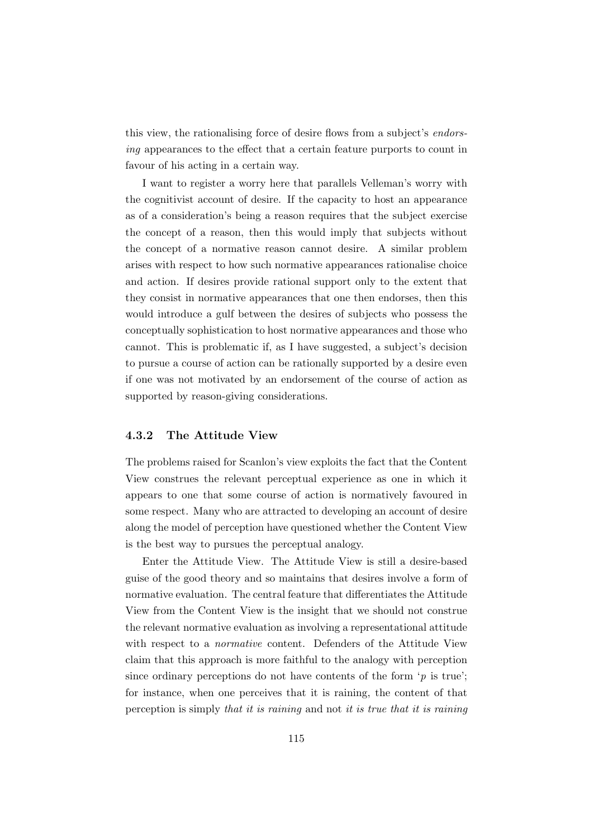this view, the rationalising force of desire flows from a subject's *endors*ing appearances to the effect that a certain feature purports to count in favour of his acting in a certain way.

I want to register a worry here that parallels Velleman's worry with the cognitivist account of desire. If the capacity to host an appearance as of a consideration's being a reason requires that the subject exercise the concept of a reason, then this would imply that subjects without the concept of a normative reason cannot desire. A similar problem arises with respect to how such normative appearances rationalise choice and action. If desires provide rational support only to the extent that they consist in normative appearances that one then endorses, then this would introduce a gulf between the desires of subjects who possess the conceptually sophistication to host normative appearances and those who cannot. This is problematic if, as I have suggested, a subject's decision to pursue a course of action can be rationally supported by a desire even if one was not motivated by an endorsement of the course of action as supported by reason-giving considerations.

#### 4.3.2 The Attitude View

The problems raised for Scanlon's view exploits the fact that the Content View construes the relevant perceptual experience as one in which it appears to one that some course of action is normatively favoured in some respect. Many who are attracted to developing an account of desire along the model of perception have questioned whether the Content View is the best way to pursues the perceptual analogy.

Enter the Attitude View. The Attitude View is still a desire-based guise of the good theory and so maintains that desires involve a form of normative evaluation. The central feature that differentiates the Attitude View from the Content View is the insight that we should not construe the relevant normative evaluation as involving a representational attitude with respect to a normative content. Defenders of the Attitude View claim that this approach is more faithful to the analogy with perception since ordinary perceptions do not have contents of the form  $\gamma$  is true'; for instance, when one perceives that it is raining, the content of that perception is simply that it is raining and not it is true that it is raining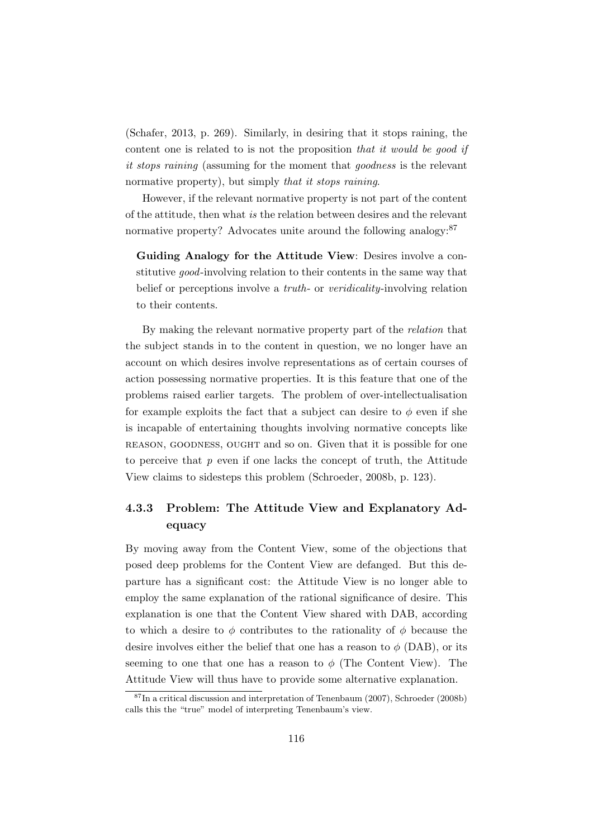(Schafer, 2013, p. 269). Similarly, in desiring that it stops raining, the content one is related to is not the proposition that it would be good if it stops raining (assuming for the moment that goodness is the relevant normative property), but simply that it stops raining.

However, if the relevant normative property is not part of the content of the attitude, then what is the relation between desires and the relevant normative property? Advocates unite around the following analogy:<sup>87</sup>

Guiding Analogy for the Attitude View: Desires involve a constitutive good-involving relation to their contents in the same way that belief or perceptions involve a *truth*- or *veridicality*-involving relation to their contents.

By making the relevant normative property part of the *relation* that the subject stands in to the content in question, we no longer have an account on which desires involve representations as of certain courses of action possessing normative properties. It is this feature that one of the problems raised earlier targets. The problem of over-intellectualisation for example exploits the fact that a subject can desire to  $\phi$  even if she is incapable of entertaining thoughts involving normative concepts like reason, goodness, ought and so on. Given that it is possible for one to perceive that  $p$  even if one lacks the concept of truth, the Attitude View claims to sidesteps this problem (Schroeder, 2008b, p. 123).

## 4.3.3 Problem: The Attitude View and Explanatory Adequacy

By moving away from the Content View, some of the objections that posed deep problems for the Content View are defanged. But this departure has a significant cost: the Attitude View is no longer able to employ the same explanation of the rational significance of desire. This explanation is one that the Content View shared with DAB, according to which a desire to  $\phi$  contributes to the rationality of  $\phi$  because the desire involves either the belief that one has a reason to  $\phi$  (DAB), or its seeming to one that one has a reason to  $\phi$  (The Content View). The Attitude View will thus have to provide some alternative explanation.

 ${}^{87}$ In a critical discussion and interpretation of Tenenbaum (2007), Schroeder (2008b) calls this the "true" model of interpreting Tenenbaum's view.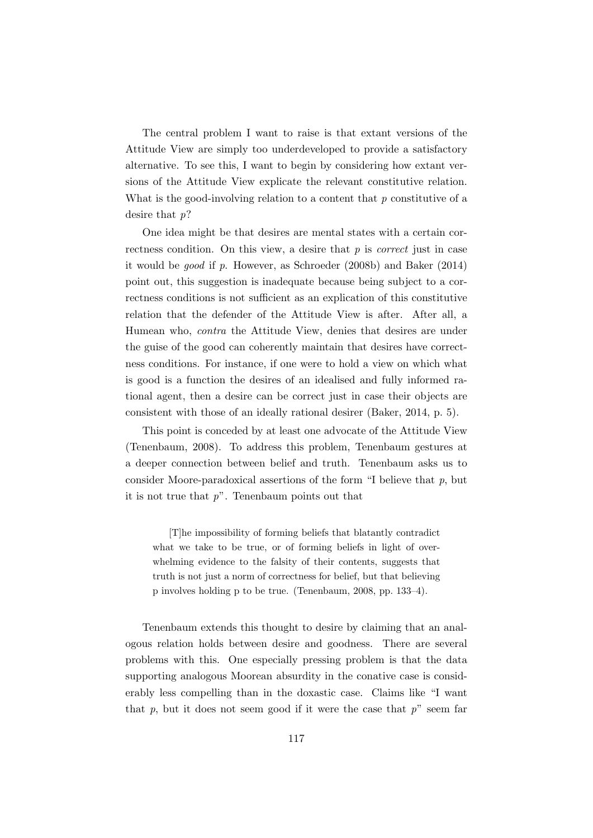The central problem I want to raise is that extant versions of the Attitude View are simply too underdeveloped to provide a satisfactory alternative. To see this, I want to begin by considering how extant versions of the Attitude View explicate the relevant constitutive relation. What is the good-involving relation to a content that  $p$  constitutive of a desire that p?

One idea might be that desires are mental states with a certain correctness condition. On this view, a desire that  $p$  is *correct* just in case it would be good if p. However, as Schroeder (2008b) and Baker (2014) point out, this suggestion is inadequate because being subject to a correctness conditions is not sufficient as an explication of this constitutive relation that the defender of the Attitude View is after. After all, a Humean who, contra the Attitude View, denies that desires are under the guise of the good can coherently maintain that desires have correctness conditions. For instance, if one were to hold a view on which what is good is a function the desires of an idealised and fully informed rational agent, then a desire can be correct just in case their objects are consistent with those of an ideally rational desirer (Baker, 2014, p. 5).

This point is conceded by at least one advocate of the Attitude View (Tenenbaum, 2008). To address this problem, Tenenbaum gestures at a deeper connection between belief and truth. Tenenbaum asks us to consider Moore-paradoxical assertions of the form "I believe that  $p$ , but it is not true that  $p$ ". Tenenbaum points out that

[T]he impossibility of forming beliefs that blatantly contradict what we take to be true, or of forming beliefs in light of overwhelming evidence to the falsity of their contents, suggests that truth is not just a norm of correctness for belief, but that believing p involves holding p to be true. (Tenenbaum, 2008, pp. 133–4).

Tenenbaum extends this thought to desire by claiming that an analogous relation holds between desire and goodness. There are several problems with this. One especially pressing problem is that the data supporting analogous Moorean absurdity in the conative case is considerably less compelling than in the doxastic case. Claims like "I want that p, but it does not seem good if it were the case that  $p^{\prime\prime}$  seem far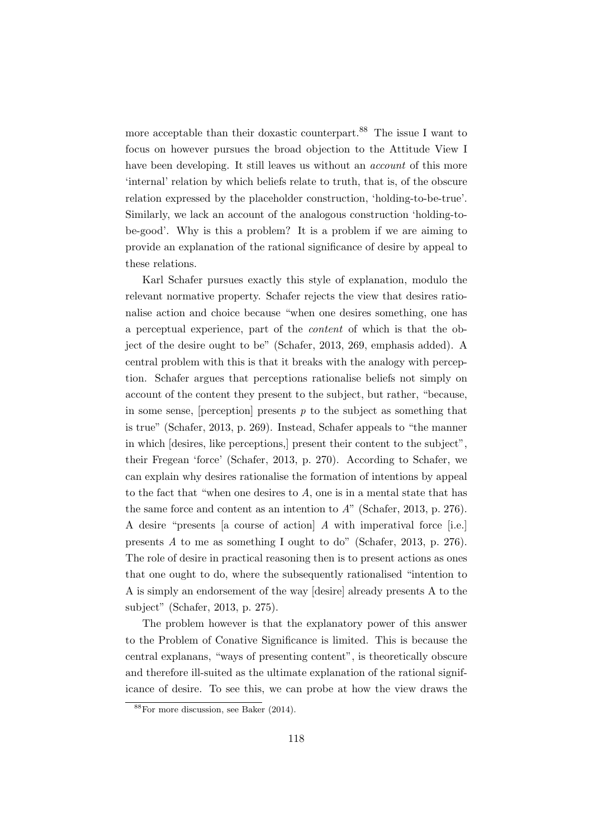more acceptable than their doxastic counterpart.<sup>88</sup> The issue I want to focus on however pursues the broad objection to the Attitude View I have been developing. It still leaves us without an *account* of this more 'internal' relation by which beliefs relate to truth, that is, of the obscure relation expressed by the placeholder construction, 'holding-to-be-true'. Similarly, we lack an account of the analogous construction 'holding-tobe-good'. Why is this a problem? It is a problem if we are aiming to provide an explanation of the rational significance of desire by appeal to these relations.

Karl Schafer pursues exactly this style of explanation, modulo the relevant normative property. Schafer rejects the view that desires rationalise action and choice because "when one desires something, one has a perceptual experience, part of the content of which is that the object of the desire ought to be" (Schafer, 2013, 269, emphasis added). A central problem with this is that it breaks with the analogy with perception. Schafer argues that perceptions rationalise beliefs not simply on account of the content they present to the subject, but rather, "because, in some sense, [perception] presents  $p$  to the subject as something that is true" (Schafer, 2013, p. 269). Instead, Schafer appeals to "the manner in which [desires, like perceptions,] present their content to the subject", their Fregean 'force' (Schafer, 2013, p. 270). According to Schafer, we can explain why desires rationalise the formation of intentions by appeal to the fact that "when one desires to A, one is in a mental state that has the same force and content as an intention to  $A$ " (Schafer, 2013, p. 276). A desire "presents [a course of action] A with imperatival force [i.e.] presents A to me as something I ought to do" (Schafer, 2013, p. 276). The role of desire in practical reasoning then is to present actions as ones that one ought to do, where the subsequently rationalised "intention to A is simply an endorsement of the way [desire] already presents A to the subject" (Schafer, 2013, p. 275).

The problem however is that the explanatory power of this answer to the Problem of Conative Significance is limited. This is because the central explanans, "ways of presenting content", is theoretically obscure and therefore ill-suited as the ultimate explanation of the rational significance of desire. To see this, we can probe at how the view draws the

<sup>88</sup>For more discussion, see Baker (2014).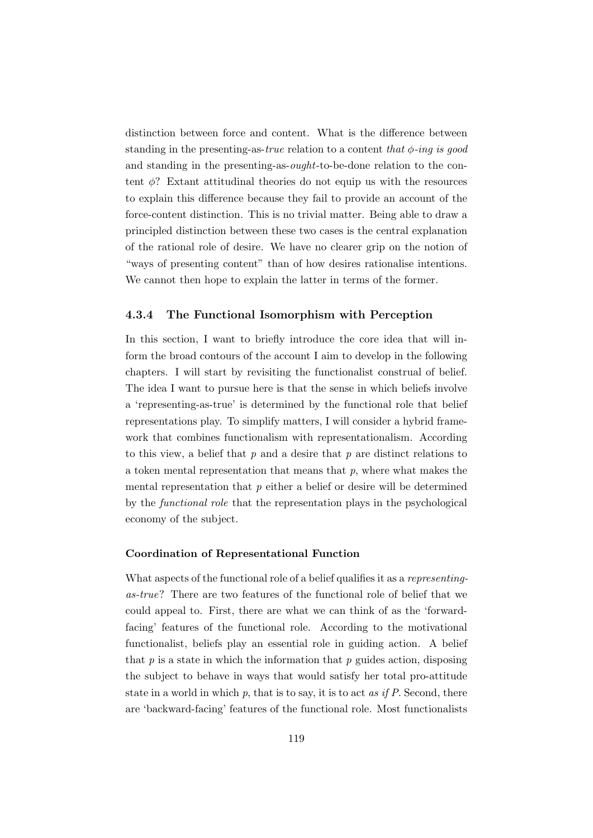distinction between force and content. What is the difference between standing in the presenting-as-true relation to a content that  $\phi$ -ing is good and standing in the presenting-as-ought-to-be-done relation to the content  $\phi$ ? Extant attitudinal theories do not equip us with the resources to explain this difference because they fail to provide an account of the force-content distinction. This is no trivial matter. Being able to draw a principled distinction between these two cases is the central explanation of the rational role of desire. We have no clearer grip on the notion of "ways of presenting content" than of how desires rationalise intentions. We cannot then hope to explain the latter in terms of the former.

#### 4.3.4 The Functional Isomorphism with Perception

In this section, I want to briefly introduce the core idea that will inform the broad contours of the account I aim to develop in the following chapters. I will start by revisiting the functionalist construal of belief. The idea I want to pursue here is that the sense in which beliefs involve a 'representing-as-true' is determined by the functional role that belief representations play. To simplify matters, I will consider a hybrid framework that combines functionalism with representationalism. According to this view, a belief that  $p$  and a desire that  $p$  are distinct relations to a token mental representation that means that  $p$ , where what makes the mental representation that  $p$  either a belief or desire will be determined by the functional role that the representation plays in the psychological economy of the subject.

#### Coordination of Representational Function

What aspects of the functional role of a belief qualifies it as a representingas-true? There are two features of the functional role of belief that we could appeal to. First, there are what we can think of as the 'forwardfacing' features of the functional role. According to the motivational functionalist, beliefs play an essential role in guiding action. A belief that  $p$  is a state in which the information that  $p$  guides action, disposing the subject to behave in ways that would satisfy her total pro-attitude state in a world in which  $p$ , that is to say, it is to act *as if P*. Second, there are 'backward-facing' features of the functional role. Most functionalists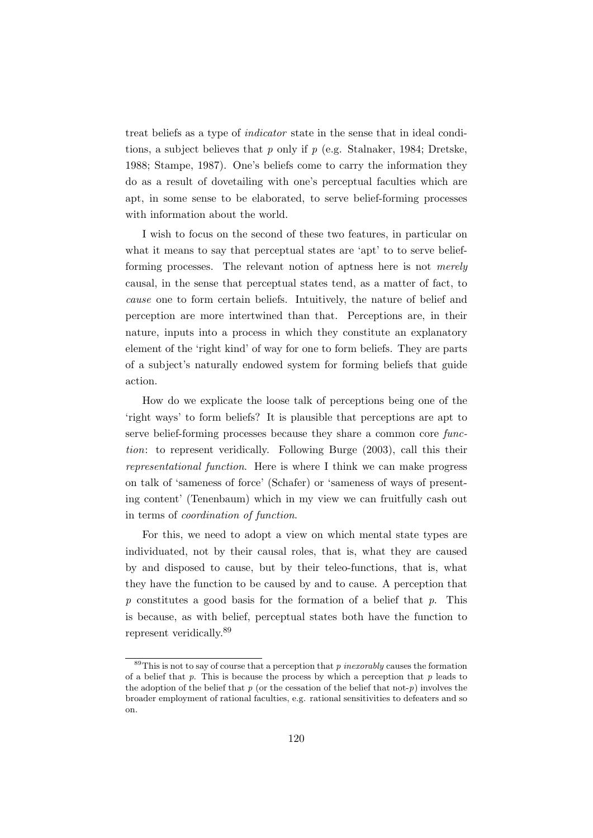treat beliefs as a type of indicator state in the sense that in ideal conditions, a subject believes that p only if p (e.g. Stalnaker, 1984; Dretske, 1988; Stampe, 1987). One's beliefs come to carry the information they do as a result of dovetailing with one's perceptual faculties which are apt, in some sense to be elaborated, to serve belief-forming processes with information about the world.

I wish to focus on the second of these two features, in particular on what it means to say that perceptual states are 'apt' to to serve beliefforming processes. The relevant notion of aptness here is not merely causal, in the sense that perceptual states tend, as a matter of fact, to cause one to form certain beliefs. Intuitively, the nature of belief and perception are more intertwined than that. Perceptions are, in their nature, inputs into a process in which they constitute an explanatory element of the 'right kind' of way for one to form beliefs. They are parts of a subject's naturally endowed system for forming beliefs that guide action.

How do we explicate the loose talk of perceptions being one of the 'right ways' to form beliefs? It is plausible that perceptions are apt to serve belief-forming processes because they share a common core function: to represent veridically. Following Burge (2003), call this their representational function. Here is where I think we can make progress on talk of 'sameness of force' (Schafer) or 'sameness of ways of presenting content' (Tenenbaum) which in my view we can fruitfully cash out in terms of coordination of function.

For this, we need to adopt a view on which mental state types are individuated, not by their causal roles, that is, what they are caused by and disposed to cause, but by their teleo-functions, that is, what they have the function to be caused by and to cause. A perception that p constitutes a good basis for the formation of a belief that p. This is because, as with belief, perceptual states both have the function to represent veridically.<sup>89</sup>

 $89$ This is not to say of course that a perception that p inexorably causes the formation of a belief that  $p$ . This is because the process by which a perception that  $p$  leads to the adoption of the belief that  $p$  (or the cessation of the belief that not- $p$ ) involves the broader employment of rational faculties, e.g. rational sensitivities to defeaters and so on.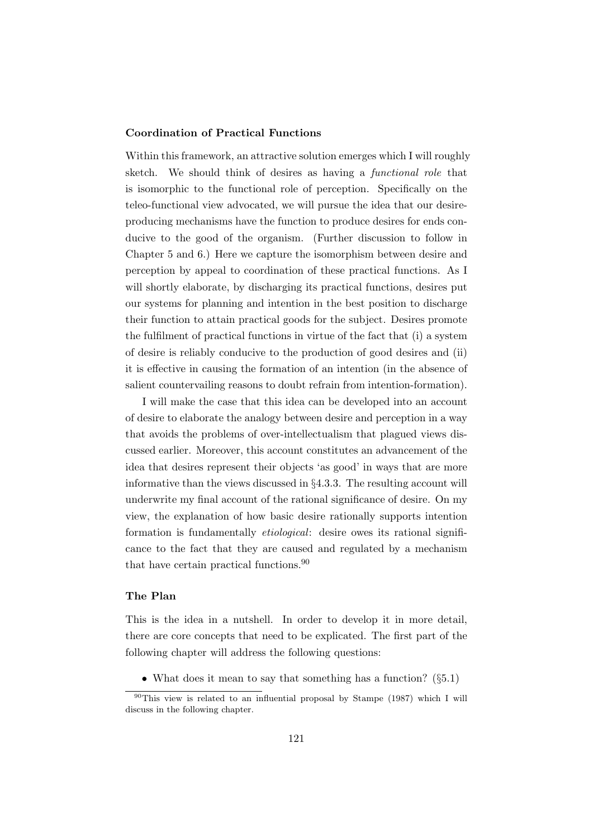#### Coordination of Practical Functions

Within this framework, an attractive solution emerges which I will roughly sketch. We should think of desires as having a functional role that is isomorphic to the functional role of perception. Specifically on the teleo-functional view advocated, we will pursue the idea that our desireproducing mechanisms have the function to produce desires for ends conducive to the good of the organism. (Further discussion to follow in Chapter 5 and 6.) Here we capture the isomorphism between desire and perception by appeal to coordination of these practical functions. As I will shortly elaborate, by discharging its practical functions, desires put our systems for planning and intention in the best position to discharge their function to attain practical goods for the subject. Desires promote the fulfilment of practical functions in virtue of the fact that (i) a system of desire is reliably conducive to the production of good desires and (ii) it is effective in causing the formation of an intention (in the absence of salient countervailing reasons to doubt refrain from intention-formation).

I will make the case that this idea can be developed into an account of desire to elaborate the analogy between desire and perception in a way that avoids the problems of over-intellectualism that plagued views discussed earlier. Moreover, this account constitutes an advancement of the idea that desires represent their objects 'as good' in ways that are more informative than the views discussed in §4.3.3. The resulting account will underwrite my final account of the rational significance of desire. On my view, the explanation of how basic desire rationally supports intention formation is fundamentally etiological: desire owes its rational significance to the fact that they are caused and regulated by a mechanism that have certain practical functions.<sup>90</sup>

## The Plan

This is the idea in a nutshell. In order to develop it in more detail, there are core concepts that need to be explicated. The first part of the following chapter will address the following questions:

• What does it mean to say that something has a function?  $(\S 5.1)$ 

 $^{90}$ This view is related to an influential proposal by Stampe (1987) which I will discuss in the following chapter.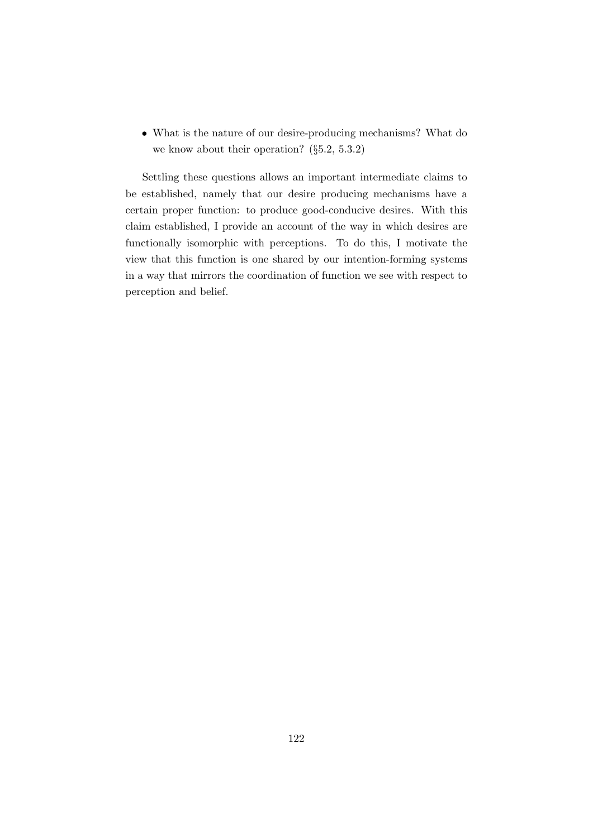• What is the nature of our desire-producing mechanisms? What do we know about their operation? (§5.2, 5.3.2)

Settling these questions allows an important intermediate claims to be established, namely that our desire producing mechanisms have a certain proper function: to produce good-conducive desires. With this claim established, I provide an account of the way in which desires are functionally isomorphic with perceptions. To do this, I motivate the view that this function is one shared by our intention-forming systems in a way that mirrors the coordination of function we see with respect to perception and belief.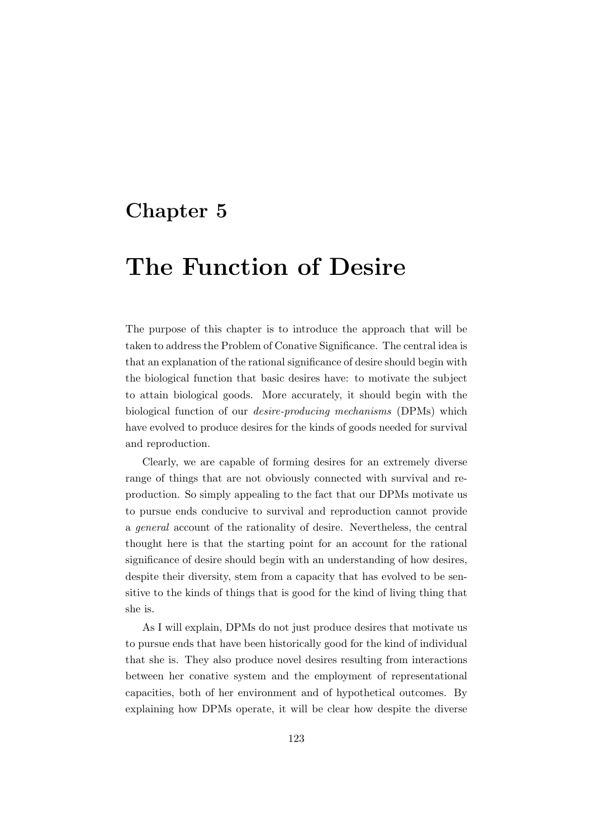# Chapter 5

# The Function of Desire

The purpose of this chapter is to introduce the approach that will be taken to address the Problem of Conative Significance. The central idea is that an explanation of the rational significance of desire should begin with the biological function that basic desires have: to motivate the subject to attain biological goods. More accurately, it should begin with the biological function of our desire-producing mechanisms (DPMs) which have evolved to produce desires for the kinds of goods needed for survival and reproduction.

Clearly, we are capable of forming desires for an extremely diverse range of things that are not obviously connected with survival and reproduction. So simply appealing to the fact that our DPMs motivate us to pursue ends conducive to survival and reproduction cannot provide a general account of the rationality of desire. Nevertheless, the central thought here is that the starting point for an account for the rational significance of desire should begin with an understanding of how desires, despite their diversity, stem from a capacity that has evolved to be sensitive to the kinds of things that is good for the kind of living thing that she is.

As I will explain, DPMs do not just produce desires that motivate us to pursue ends that have been historically good for the kind of individual that she is. They also produce novel desires resulting from interactions between her conative system and the employment of representational capacities, both of her environment and of hypothetical outcomes. By explaining how DPMs operate, it will be clear how despite the diverse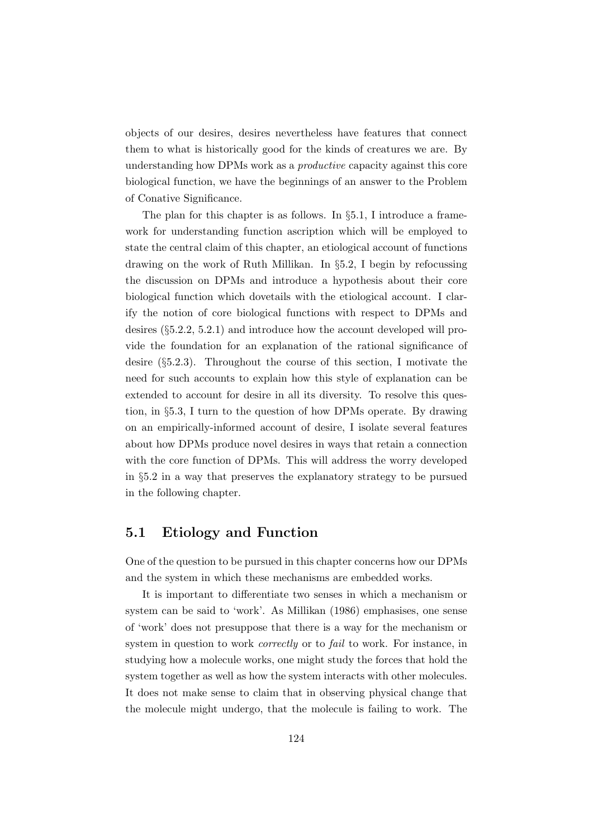objects of our desires, desires nevertheless have features that connect them to what is historically good for the kinds of creatures we are. By understanding how DPMs work as a productive capacity against this core biological function, we have the beginnings of an answer to the Problem of Conative Significance.

The plan for this chapter is as follows. In §5.1, I introduce a framework for understanding function ascription which will be employed to state the central claim of this chapter, an etiological account of functions drawing on the work of Ruth Millikan. In §5.2, I begin by refocussing the discussion on DPMs and introduce a hypothesis about their core biological function which dovetails with the etiological account. I clarify the notion of core biological functions with respect to DPMs and desires (§5.2.2, 5.2.1) and introduce how the account developed will provide the foundation for an explanation of the rational significance of desire (§5.2.3). Throughout the course of this section, I motivate the need for such accounts to explain how this style of explanation can be extended to account for desire in all its diversity. To resolve this question, in §5.3, I turn to the question of how DPMs operate. By drawing on an empirically-informed account of desire, I isolate several features about how DPMs produce novel desires in ways that retain a connection with the core function of DPMs. This will address the worry developed in §5.2 in a way that preserves the explanatory strategy to be pursued in the following chapter.

## 5.1 Etiology and Function

One of the question to be pursued in this chapter concerns how our DPMs and the system in which these mechanisms are embedded works.

It is important to differentiate two senses in which a mechanism or system can be said to 'work'. As Millikan (1986) emphasises, one sense of 'work' does not presuppose that there is a way for the mechanism or system in question to work *correctly* or to *fail* to work. For instance, in studying how a molecule works, one might study the forces that hold the system together as well as how the system interacts with other molecules. It does not make sense to claim that in observing physical change that the molecule might undergo, that the molecule is failing to work. The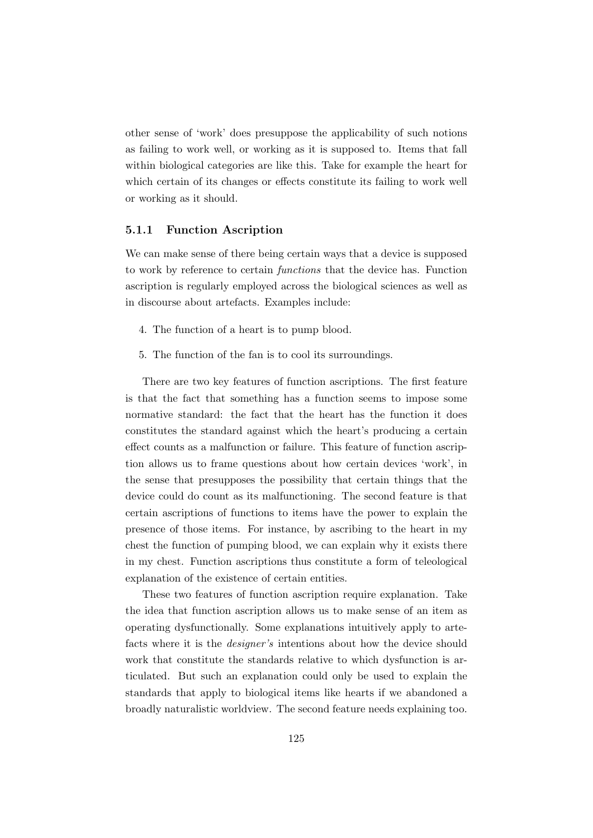other sense of 'work' does presuppose the applicability of such notions as failing to work well, or working as it is supposed to. Items that fall within biological categories are like this. Take for example the heart for which certain of its changes or effects constitute its failing to work well or working as it should.

#### 5.1.1 Function Ascription

We can make sense of there being certain ways that a device is supposed to work by reference to certain functions that the device has. Function ascription is regularly employed across the biological sciences as well as in discourse about artefacts. Examples include:

- 4. The function of a heart is to pump blood.
- 5. The function of the fan is to cool its surroundings.

There are two key features of function ascriptions. The first feature is that the fact that something has a function seems to impose some normative standard: the fact that the heart has the function it does constitutes the standard against which the heart's producing a certain effect counts as a malfunction or failure. This feature of function ascription allows us to frame questions about how certain devices 'work', in the sense that presupposes the possibility that certain things that the device could do count as its malfunctioning. The second feature is that certain ascriptions of functions to items have the power to explain the presence of those items. For instance, by ascribing to the heart in my chest the function of pumping blood, we can explain why it exists there in my chest. Function ascriptions thus constitute a form of teleological explanation of the existence of certain entities.

These two features of function ascription require explanation. Take the idea that function ascription allows us to make sense of an item as operating dysfunctionally. Some explanations intuitively apply to artefacts where it is the designer's intentions about how the device should work that constitute the standards relative to which dysfunction is articulated. But such an explanation could only be used to explain the standards that apply to biological items like hearts if we abandoned a broadly naturalistic worldview. The second feature needs explaining too.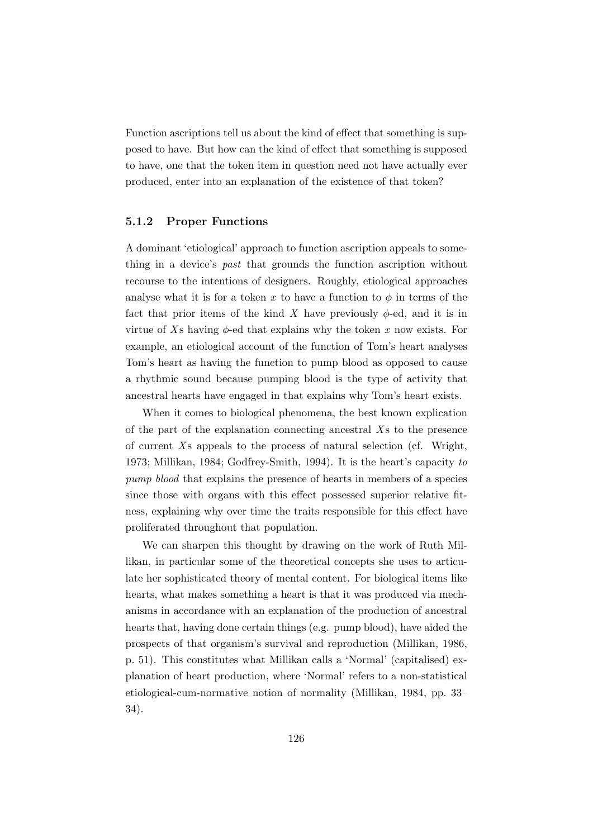Function ascriptions tell us about the kind of effect that something is supposed to have. But how can the kind of effect that something is supposed to have, one that the token item in question need not have actually ever produced, enter into an explanation of the existence of that token?

#### 5.1.2 Proper Functions

A dominant 'etiological' approach to function ascription appeals to something in a device's past that grounds the function ascription without recourse to the intentions of designers. Roughly, etiological approaches analyse what it is for a token x to have a function to  $\phi$  in terms of the fact that prior items of the kind X have previously  $\phi$ -ed, and it is in virtue of Xs having  $\phi$ -ed that explains why the token x now exists. For example, an etiological account of the function of Tom's heart analyses Tom's heart as having the function to pump blood as opposed to cause a rhythmic sound because pumping blood is the type of activity that ancestral hearts have engaged in that explains why Tom's heart exists.

When it comes to biological phenomena, the best known explication of the part of the explanation connecting ancestral  $X_s$  to the presence of current  $X_s$  appeals to the process of natural selection (cf. Wright, 1973; Millikan, 1984; Godfrey-Smith, 1994). It is the heart's capacity to pump blood that explains the presence of hearts in members of a species since those with organs with this effect possessed superior relative fitness, explaining why over time the traits responsible for this effect have proliferated throughout that population.

We can sharpen this thought by drawing on the work of Ruth Millikan, in particular some of the theoretical concepts she uses to articulate her sophisticated theory of mental content. For biological items like hearts, what makes something a heart is that it was produced via mechanisms in accordance with an explanation of the production of ancestral hearts that, having done certain things (e.g. pump blood), have aided the prospects of that organism's survival and reproduction (Millikan, 1986, p. 51). This constitutes what Millikan calls a 'Normal' (capitalised) explanation of heart production, where 'Normal' refers to a non-statistical etiological-cum-normative notion of normality (Millikan, 1984, pp. 33– 34).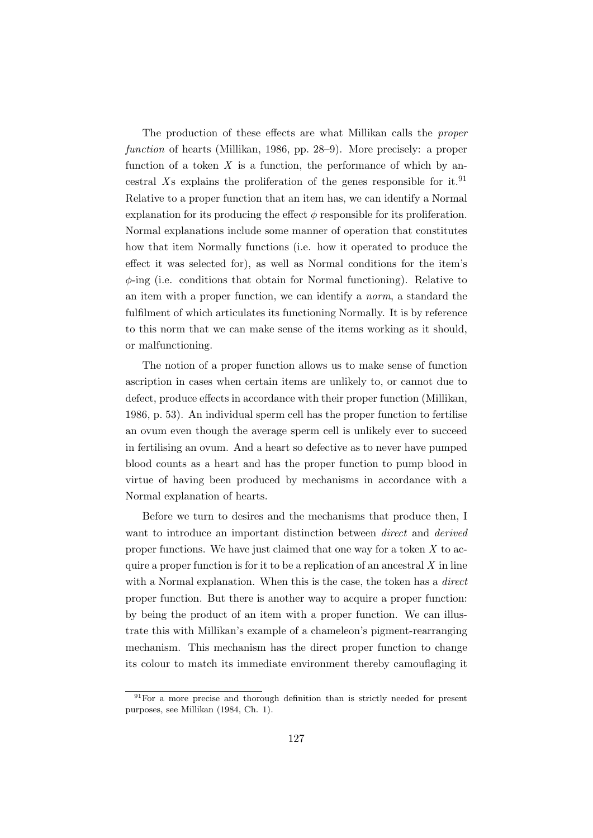The production of these effects are what Millikan calls the proper function of hearts (Millikan, 1986, pp. 28–9). More precisely: a proper function of a token  $X$  is a function, the performance of which by ancestral Xs explains the proliferation of the genes responsible for it.<sup>91</sup> Relative to a proper function that an item has, we can identify a Normal explanation for its producing the effect  $\phi$  responsible for its proliferation. Normal explanations include some manner of operation that constitutes how that item Normally functions (i.e. how it operated to produce the effect it was selected for), as well as Normal conditions for the item's  $\phi$ -ing (i.e. conditions that obtain for Normal functioning). Relative to an item with a proper function, we can identify a norm, a standard the fulfilment of which articulates its functioning Normally. It is by reference to this norm that we can make sense of the items working as it should, or malfunctioning.

The notion of a proper function allows us to make sense of function ascription in cases when certain items are unlikely to, or cannot due to defect, produce effects in accordance with their proper function (Millikan, 1986, p. 53). An individual sperm cell has the proper function to fertilise an ovum even though the average sperm cell is unlikely ever to succeed in fertilising an ovum. And a heart so defective as to never have pumped blood counts as a heart and has the proper function to pump blood in virtue of having been produced by mechanisms in accordance with a Normal explanation of hearts.

Before we turn to desires and the mechanisms that produce then, I want to introduce an important distinction between *direct* and *derived* proper functions. We have just claimed that one way for a token  $X$  to acquire a proper function is for it to be a replication of an ancestral  $X$  in line with a Normal explanation. When this is the case, the token has a *direct* proper function. But there is another way to acquire a proper function: by being the product of an item with a proper function. We can illustrate this with Millikan's example of a chameleon's pigment-rearranging mechanism. This mechanism has the direct proper function to change its colour to match its immediate environment thereby camouflaging it

 $91$  For a more precise and thorough definition than is strictly needed for present purposes, see Millikan (1984, Ch. 1).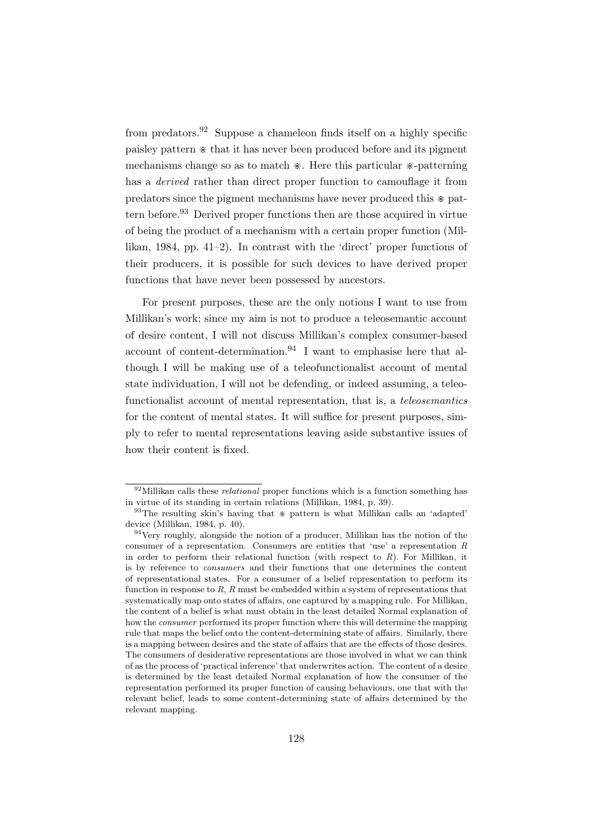from predators.<sup>92</sup> Suppose a chameleon finds itself on a highly specific paisley pattern  $*$  that it has never been produced before and its pigment mechanisms change so as to match  $*$ . Here this particular  $*$ -patterning has a derived rather than direct proper function to camouflage it from predators since the pigment mechanisms have never produced this  $*$  pattern before.<sup>93</sup> Derived proper functions then are those acquired in virtue of being the product of a mechanism with a certain proper function (Millikan, 1984, pp. 41–2). In contrast with the 'direct' proper functions of their producers, it is possible for such devices to have derived proper functions that have never been possessed by ancestors.

For present purposes, these are the only notions I want to use from Millikan's work; since my aim is not to produce a teleosemantic account of desire content, I will not discuss Millikan's complex consumer-based account of content-determination.<sup>94</sup> I want to emphasise here that although I will be making use of a teleofunctionalist account of mental state individuation, I will not be defending, or indeed assuming, a teleofunctionalist account of mental representation, that is, a *teleosemantics* for the content of mental states. It will suffice for present purposes, simply to refer to mental representations leaving aside substantive issues of how their content is fixed.

 $^{92}$  Millikan calls these *relational* proper functions which is a function something has in virtue of its standing in certain relations (Millikan, 1984, p. 39).

 $93$ The resulting skin's having that  $*$  pattern is what Millikan calls an 'adapted' device (Millikan, 1984, p. 40).

<sup>&</sup>lt;sup>94</sup>Very roughly, alongside the notion of a producer, Millikan has the notion of the consumer of a representation. Consumers are entities that 'use' a representation R in order to perform their relational function (with respect to  $R$ ). For Millikan, it is by reference to consumers and their functions that one determines the content of representational states. For a consumer of a belief representation to perform its function in response to  $R$ ,  $R$  must be embedded within a system of representations that systematically map onto states of affairs, one captured by a mapping rule. For Millikan, the content of a belief is what must obtain in the least detailed Normal explanation of how the consumer performed its proper function where this will determine the mapping rule that maps the belief onto the content-determining state of affairs. Similarly, there is a mapping between desires and the state of affairs that are the effects of those desires. The consumers of desiderative representations are those involved in what we can think of as the process of 'practical inference' that underwrites action. The content of a desire is determined by the least detailed Normal explanation of how the consumer of the representation performed its proper function of causing behaviours, one that with the relevant belief, leads to some content-determining state of affairs determined by the relevant mapping.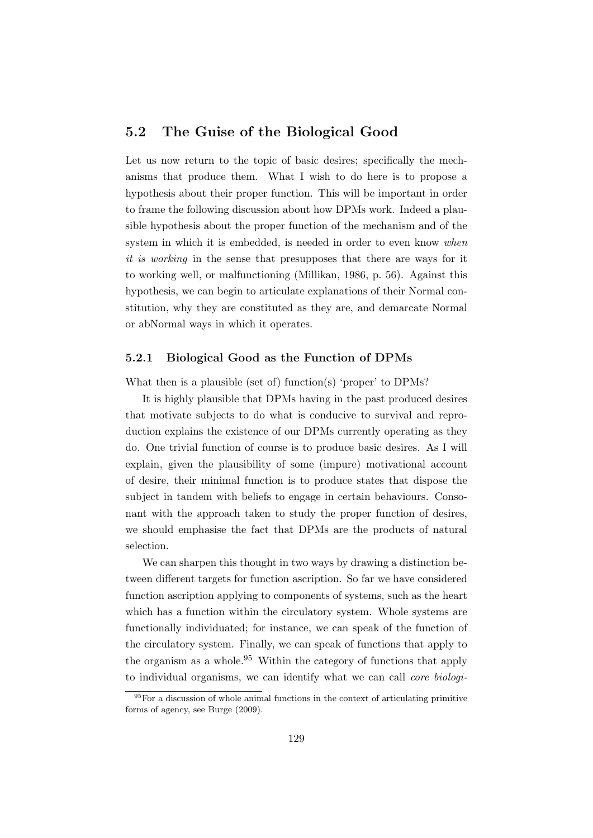## 5.2 The Guise of the Biological Good

Let us now return to the topic of basic desires; specifically the mechanisms that produce them. What I wish to do here is to propose a hypothesis about their proper function. This will be important in order to frame the following discussion about how DPMs work. Indeed a plausible hypothesis about the proper function of the mechanism and of the system in which it is embedded, is needed in order to even know when it is working in the sense that presupposes that there are ways for it to working well, or malfunctioning (Millikan, 1986, p. 56). Against this hypothesis, we can begin to articulate explanations of their Normal constitution, why they are constituted as they are, and demarcate Normal or abNormal ways in which it operates.

#### 5.2.1 Biological Good as the Function of DPMs

What then is a plausible (set of) function(s) 'proper' to DPMs?

It is highly plausible that DPMs having in the past produced desires that motivate subjects to do what is conducive to survival and reproduction explains the existence of our DPMs currently operating as they do. One trivial function of course is to produce basic desires. As I will explain, given the plausibility of some (impure) motivational account of desire, their minimal function is to produce states that dispose the subject in tandem with beliefs to engage in certain behaviours. Consonant with the approach taken to study the proper function of desires, we should emphasise the fact that DPMs are the products of natural selection.

We can sharpen this thought in two ways by drawing a distinction between different targets for function ascription. So far we have considered function ascription applying to components of systems, such as the heart which has a function within the circulatory system. Whole systems are functionally individuated; for instance, we can speak of the function of the circulatory system. Finally, we can speak of functions that apply to the organism as a whole.<sup>95</sup> Within the category of functions that apply to individual organisms, we can identify what we can call core biologi-

 $95$ For a discussion of whole animal functions in the context of articulating primitive forms of agency, see Burge (2009).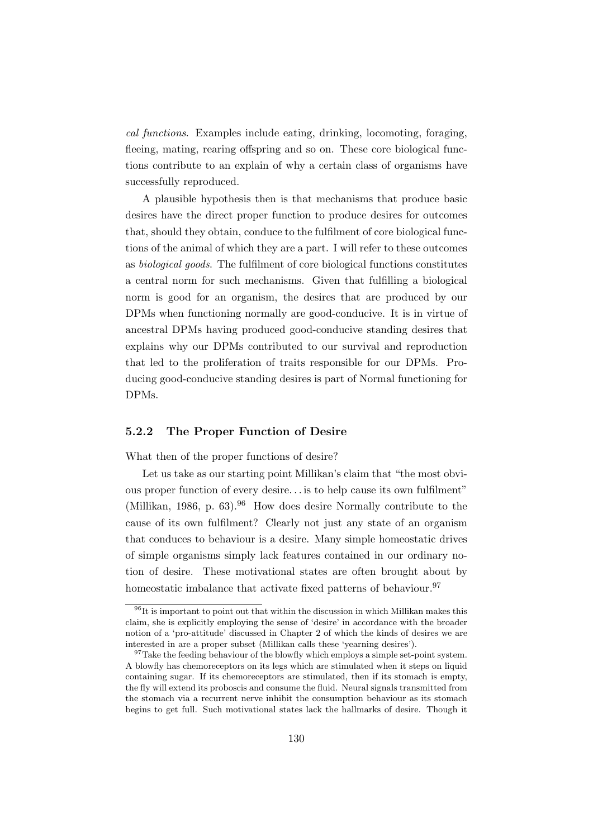cal functions. Examples include eating, drinking, locomoting, foraging, fleeing, mating, rearing offspring and so on. These core biological functions contribute to an explain of why a certain class of organisms have successfully reproduced.

A plausible hypothesis then is that mechanisms that produce basic desires have the direct proper function to produce desires for outcomes that, should they obtain, conduce to the fulfilment of core biological functions of the animal of which they are a part. I will refer to these outcomes as biological goods. The fulfilment of core biological functions constitutes a central norm for such mechanisms. Given that fulfilling a biological norm is good for an organism, the desires that are produced by our DPMs when functioning normally are good-conducive. It is in virtue of ancestral DPMs having produced good-conducive standing desires that explains why our DPMs contributed to our survival and reproduction that led to the proliferation of traits responsible for our DPMs. Producing good-conducive standing desires is part of Normal functioning for DPMs.

### 5.2.2 The Proper Function of Desire

What then of the proper functions of desire?

Let us take as our starting point Millikan's claim that "the most obvious proper function of every desire. . . is to help cause its own fulfilment" (Millikan, 1986, p. 63).<sup>96</sup> How does desire Normally contribute to the cause of its own fulfilment? Clearly not just any state of an organism that conduces to behaviour is a desire. Many simple homeostatic drives of simple organisms simply lack features contained in our ordinary notion of desire. These motivational states are often brought about by homeostatic imbalance that activate fixed patterns of behaviour.<sup>97</sup>

 $^{96}\mathrm{It}$  is important to point out that within the discussion in which Millikan makes this claim, she is explicitly employing the sense of 'desire' in accordance with the broader notion of a 'pro-attitude' discussed in Chapter 2 of which the kinds of desires we are interested in are a proper subset (Millikan calls these 'yearning desires').

 $97$ Take the feeding behaviour of the blowfly which employs a simple set-point system. A blowfly has chemoreceptors on its legs which are stimulated when it steps on liquid containing sugar. If its chemoreceptors are stimulated, then if its stomach is empty, the fly will extend its proboscis and consume the fluid. Neural signals transmitted from the stomach via a recurrent nerve inhibit the consumption behaviour as its stomach begins to get full. Such motivational states lack the hallmarks of desire. Though it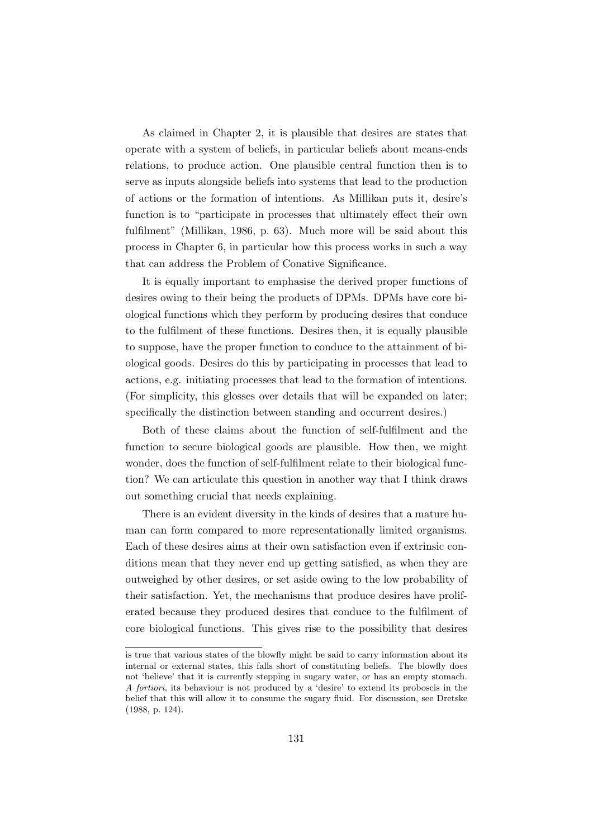As claimed in Chapter 2, it is plausible that desires are states that operate with a system of beliefs, in particular beliefs about means-ends relations, to produce action. One plausible central function then is to serve as inputs alongside beliefs into systems that lead to the production of actions or the formation of intentions. As Millikan puts it, desire's function is to "participate in processes that ultimately effect their own fulfilment" (Millikan, 1986, p. 63). Much more will be said about this process in Chapter 6, in particular how this process works in such a way that can address the Problem of Conative Significance.

It is equally important to emphasise the derived proper functions of desires owing to their being the products of DPMs. DPMs have core biological functions which they perform by producing desires that conduce to the fulfilment of these functions. Desires then, it is equally plausible to suppose, have the proper function to conduce to the attainment of biological goods. Desires do this by participating in processes that lead to actions, e.g. initiating processes that lead to the formation of intentions. (For simplicity, this glosses over details that will be expanded on later; specifically the distinction between standing and occurrent desires.)

Both of these claims about the function of self-fulfilment and the function to secure biological goods are plausible. How then, we might wonder, does the function of self-fulfilment relate to their biological function? We can articulate this question in another way that I think draws out something crucial that needs explaining.

There is an evident diversity in the kinds of desires that a mature human can form compared to more representationally limited organisms. Each of these desires aims at their own satisfaction even if extrinsic conditions mean that they never end up getting satisfied, as when they are outweighed by other desires, or set aside owing to the low probability of their satisfaction. Yet, the mechanisms that produce desires have proliferated because they produced desires that conduce to the fulfilment of core biological functions. This gives rise to the possibility that desires

is true that various states of the blowfly might be said to carry information about its internal or external states, this falls short of constituting beliefs. The blowfly does not 'believe' that it is currently stepping in sugary water, or has an empty stomach. A fortiori, its behaviour is not produced by a 'desire' to extend its proboscis in the belief that this will allow it to consume the sugary fluid. For discussion, see Dretske (1988, p. 124).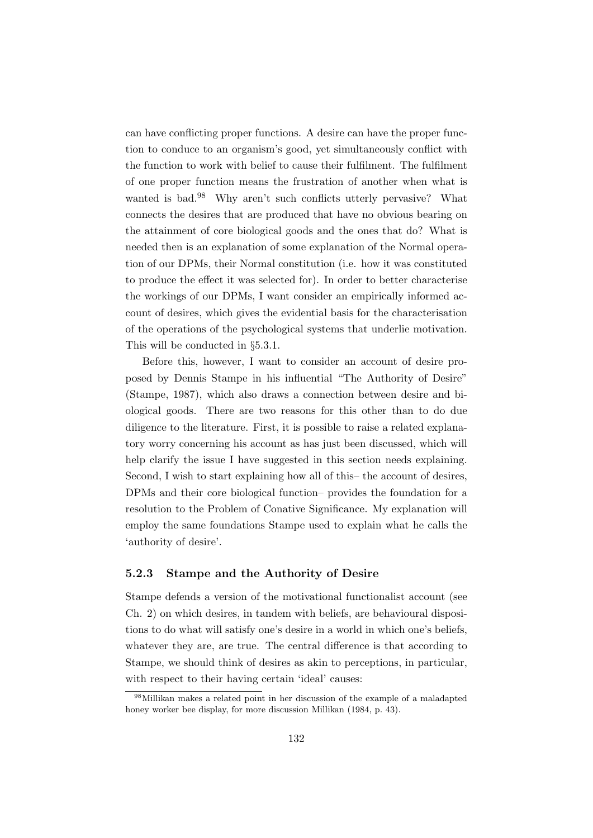can have conflicting proper functions. A desire can have the proper function to conduce to an organism's good, yet simultaneously conflict with the function to work with belief to cause their fulfilment. The fulfilment of one proper function means the frustration of another when what is wanted is bad.<sup>98</sup> Why aren't such conflicts utterly pervasive? What connects the desires that are produced that have no obvious bearing on the attainment of core biological goods and the ones that do? What is needed then is an explanation of some explanation of the Normal operation of our DPMs, their Normal constitution (i.e. how it was constituted to produce the effect it was selected for). In order to better characterise the workings of our DPMs, I want consider an empirically informed account of desires, which gives the evidential basis for the characterisation of the operations of the psychological systems that underlie motivation. This will be conducted in §5.3.1.

Before this, however, I want to consider an account of desire proposed by Dennis Stampe in his influential "The Authority of Desire" (Stampe, 1987), which also draws a connection between desire and biological goods. There are two reasons for this other than to do due diligence to the literature. First, it is possible to raise a related explanatory worry concerning his account as has just been discussed, which will help clarify the issue I have suggested in this section needs explaining. Second, I wish to start explaining how all of this– the account of desires, DPMs and their core biological function– provides the foundation for a resolution to the Problem of Conative Significance. My explanation will employ the same foundations Stampe used to explain what he calls the 'authority of desire'.

## 5.2.3 Stampe and the Authority of Desire

Stampe defends a version of the motivational functionalist account (see Ch. 2) on which desires, in tandem with beliefs, are behavioural dispositions to do what will satisfy one's desire in a world in which one's beliefs, whatever they are, are true. The central difference is that according to Stampe, we should think of desires as akin to perceptions, in particular, with respect to their having certain 'ideal' causes:

<sup>98</sup>Millikan makes a related point in her discussion of the example of a maladapted honey worker bee display, for more discussion Millikan (1984, p. 43).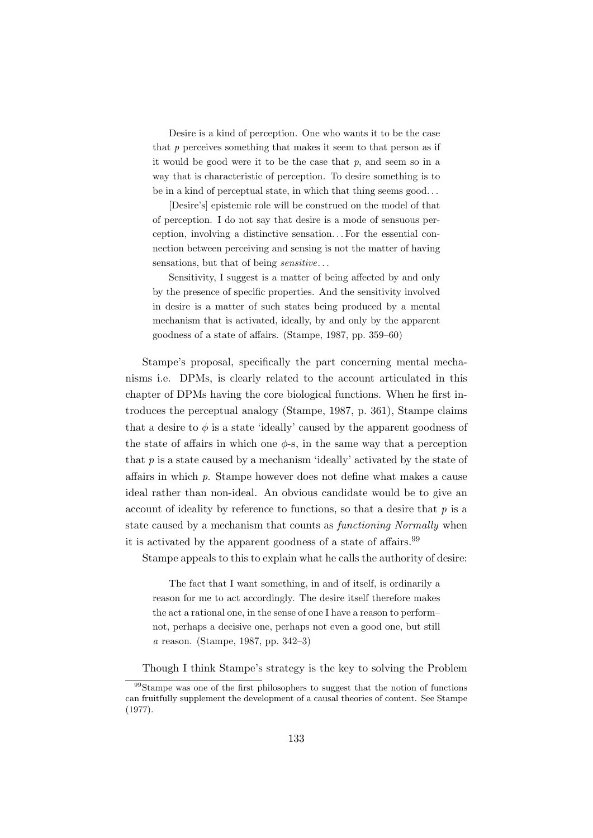Desire is a kind of perception. One who wants it to be the case that  $p$  perceives something that makes it seem to that person as if it would be good were it to be the case that  $p$ , and seem so in a way that is characteristic of perception. To desire something is to be in a kind of perceptual state, in which that thing seems good. . .

[Desire's] epistemic role will be construed on the model of that of perception. I do not say that desire is a mode of sensuous perception, involving a distinctive sensation. . . For the essential connection between perceiving and sensing is not the matter of having sensations, but that of being *sensitive*...

Sensitivity, I suggest is a matter of being affected by and only by the presence of specific properties. And the sensitivity involved in desire is a matter of such states being produced by a mental mechanism that is activated, ideally, by and only by the apparent goodness of a state of affairs. (Stampe, 1987, pp. 359–60)

Stampe's proposal, specifically the part concerning mental mechanisms i.e. DPMs, is clearly related to the account articulated in this chapter of DPMs having the core biological functions. When he first introduces the perceptual analogy (Stampe, 1987, p. 361), Stampe claims that a desire to  $\phi$  is a state 'ideally' caused by the apparent goodness of the state of affairs in which one  $\phi$ -s, in the same way that a perception that  $p$  is a state caused by a mechanism 'ideally' activated by the state of affairs in which p. Stampe however does not define what makes a cause ideal rather than non-ideal. An obvious candidate would be to give an account of ideality by reference to functions, so that a desire that  $p$  is a state caused by a mechanism that counts as functioning Normally when it is activated by the apparent goodness of a state of affairs.<sup>99</sup>

Stampe appeals to this to explain what he calls the authority of desire:

The fact that I want something, in and of itself, is ordinarily a reason for me to act accordingly. The desire itself therefore makes the act a rational one, in the sense of one I have a reason to perform– not, perhaps a decisive one, perhaps not even a good one, but still a reason. (Stampe, 1987, pp. 342–3)

Though I think Stampe's strategy is the key to solving the Problem

<sup>99</sup>Stampe was one of the first philosophers to suggest that the notion of functions can fruitfully supplement the development of a causal theories of content. See Stampe (1977).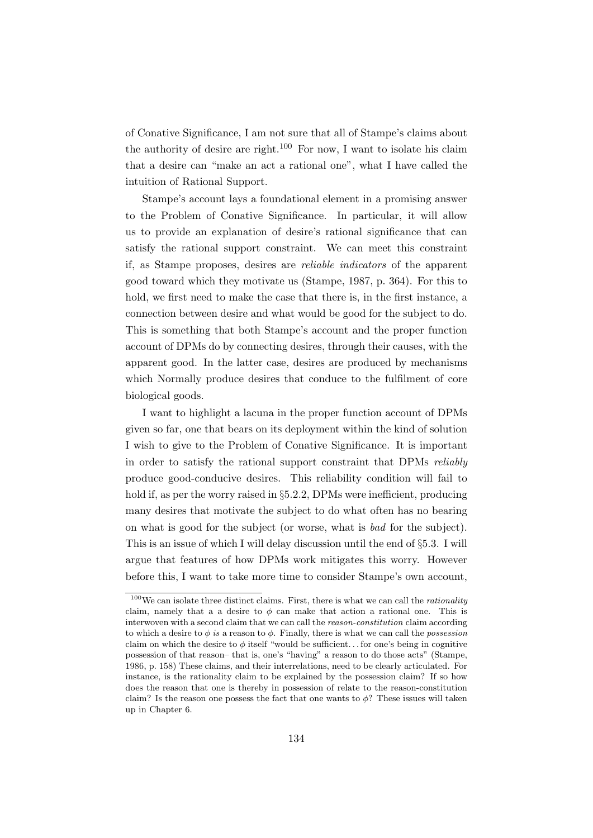of Conative Significance, I am not sure that all of Stampe's claims about the authority of desire are right.<sup>100</sup> For now, I want to isolate his claim that a desire can "make an act a rational one", what I have called the intuition of Rational Support.

Stampe's account lays a foundational element in a promising answer to the Problem of Conative Significance. In particular, it will allow us to provide an explanation of desire's rational significance that can satisfy the rational support constraint. We can meet this constraint if, as Stampe proposes, desires are reliable indicators of the apparent good toward which they motivate us (Stampe, 1987, p. 364). For this to hold, we first need to make the case that there is, in the first instance, a connection between desire and what would be good for the subject to do. This is something that both Stampe's account and the proper function account of DPMs do by connecting desires, through their causes, with the apparent good. In the latter case, desires are produced by mechanisms which Normally produce desires that conduce to the fulfilment of core biological goods.

I want to highlight a lacuna in the proper function account of DPMs given so far, one that bears on its deployment within the kind of solution I wish to give to the Problem of Conative Significance. It is important in order to satisfy the rational support constraint that DPMs reliably produce good-conducive desires. This reliability condition will fail to hold if, as per the worry raised in §5.2.2, DPMs were inefficient, producing many desires that motivate the subject to do what often has no bearing on what is good for the subject (or worse, what is bad for the subject). This is an issue of which I will delay discussion until the end of §5.3. I will argue that features of how DPMs work mitigates this worry. However before this, I want to take more time to consider Stampe's own account,

 $100$  We can isolate three distinct claims. First, there is what we can call the *rationality* claim, namely that a a desire to  $\phi$  can make that action a rational one. This is interwoven with a second claim that we can call the *reason-constitution* claim according to which a desire to  $\phi$  is a reason to  $\phi$ . Finally, there is what we can call the possession claim on which the desire to  $\phi$  itself "would be sufficient... for one's being in cognitive possession of that reason– that is, one's "having" a reason to do those acts" (Stampe, 1986, p. 158) These claims, and their interrelations, need to be clearly articulated. For instance, is the rationality claim to be explained by the possession claim? If so how does the reason that one is thereby in possession of relate to the reason-constitution claim? Is the reason one possess the fact that one wants to  $\phi$ ? These issues will taken up in Chapter 6.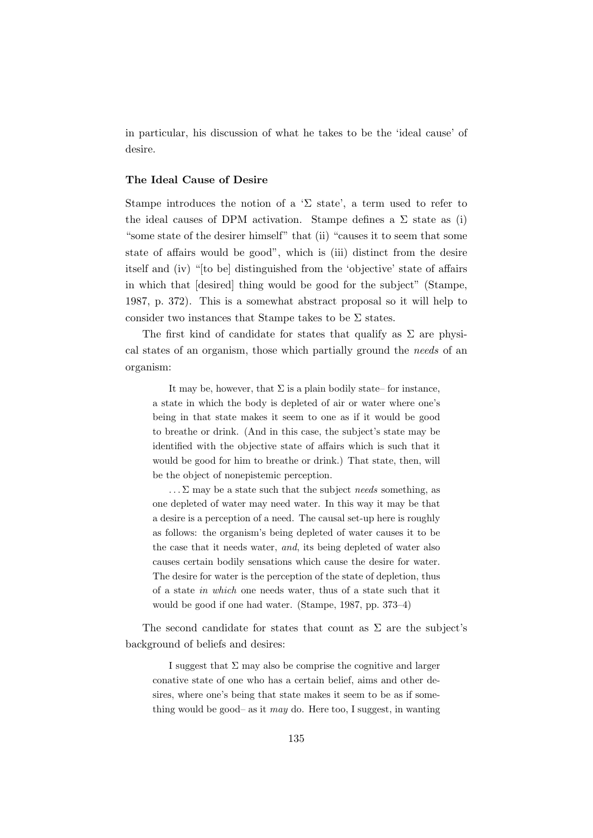in particular, his discussion of what he takes to be the 'ideal cause' of desire.

#### The Ideal Cause of Desire

Stampe introduces the notion of a ' $\Sigma$  state', a term used to refer to the ideal causes of DPM activation. Stampe defines a  $\Sigma$  state as (i) "some state of the desirer himself" that (ii) "causes it to seem that some state of affairs would be good", which is (iii) distinct from the desire itself and (iv) "[to be] distinguished from the 'objective' state of affairs in which that [desired] thing would be good for the subject" (Stampe, 1987, p. 372). This is a somewhat abstract proposal so it will help to consider two instances that Stampe takes to be  $\Sigma$  states.

The first kind of candidate for states that qualify as  $\Sigma$  are physical states of an organism, those which partially ground the needs of an organism:

It may be, however, that  $\Sigma$  is a plain bodily state– for instance, a state in which the body is depleted of air or water where one's being in that state makes it seem to one as if it would be good to breathe or drink. (And in this case, the subject's state may be identified with the objective state of affairs which is such that it would be good for him to breathe or drink.) That state, then, will be the object of nonepistemic perception.

 $\ldots \Sigma$  may be a state such that the subject needs something, as one depleted of water may need water. In this way it may be that a desire is a perception of a need. The causal set-up here is roughly as follows: the organism's being depleted of water causes it to be the case that it needs water, and, its being depleted of water also causes certain bodily sensations which cause the desire for water. The desire for water is the perception of the state of depletion, thus of a state in which one needs water, thus of a state such that it would be good if one had water. (Stampe, 1987, pp. 373–4)

The second candidate for states that count as  $\Sigma$  are the subject's background of beliefs and desires:

I suggest that  $\Sigma$  may also be comprise the cognitive and larger conative state of one who has a certain belief, aims and other desires, where one's being that state makes it seem to be as if something would be good– as it may do. Here too, I suggest, in wanting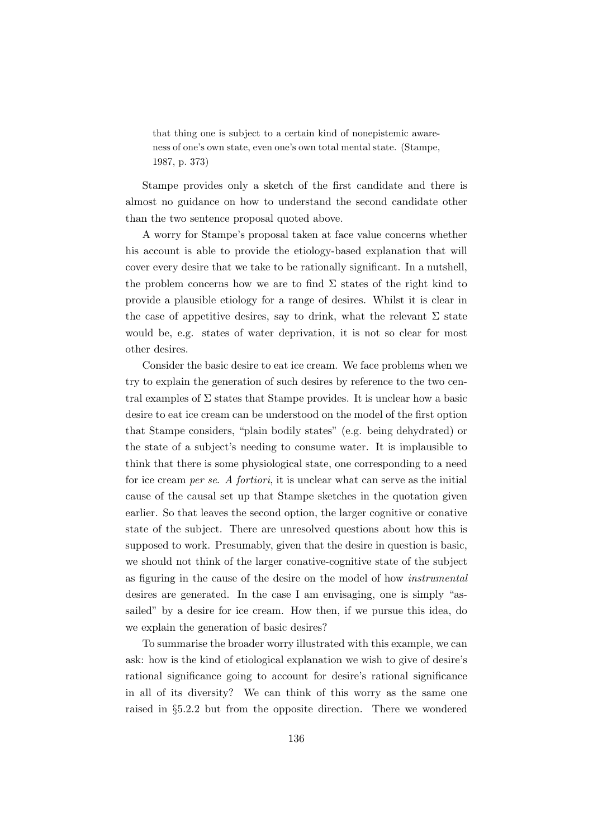that thing one is subject to a certain kind of nonepistemic awareness of one's own state, even one's own total mental state. (Stampe, 1987, p. 373)

Stampe provides only a sketch of the first candidate and there is almost no guidance on how to understand the second candidate other than the two sentence proposal quoted above.

A worry for Stampe's proposal taken at face value concerns whether his account is able to provide the etiology-based explanation that will cover every desire that we take to be rationally significant. In a nutshell, the problem concerns how we are to find  $\Sigma$  states of the right kind to provide a plausible etiology for a range of desires. Whilst it is clear in the case of appetitive desires, say to drink, what the relevant  $\Sigma$  state would be, e.g. states of water deprivation, it is not so clear for most other desires.

Consider the basic desire to eat ice cream. We face problems when we try to explain the generation of such desires by reference to the two central examples of  $\Sigma$  states that Stampe provides. It is unclear how a basic desire to eat ice cream can be understood on the model of the first option that Stampe considers, "plain bodily states" (e.g. being dehydrated) or the state of a subject's needing to consume water. It is implausible to think that there is some physiological state, one corresponding to a need for ice cream per se. A fortiori, it is unclear what can serve as the initial cause of the causal set up that Stampe sketches in the quotation given earlier. So that leaves the second option, the larger cognitive or conative state of the subject. There are unresolved questions about how this is supposed to work. Presumably, given that the desire in question is basic, we should not think of the larger conative-cognitive state of the subject as figuring in the cause of the desire on the model of how instrumental desires are generated. In the case I am envisaging, one is simply "assailed" by a desire for ice cream. How then, if we pursue this idea, do we explain the generation of basic desires?

To summarise the broader worry illustrated with this example, we can ask: how is the kind of etiological explanation we wish to give of desire's rational significance going to account for desire's rational significance in all of its diversity? We can think of this worry as the same one raised in §5.2.2 but from the opposite direction. There we wondered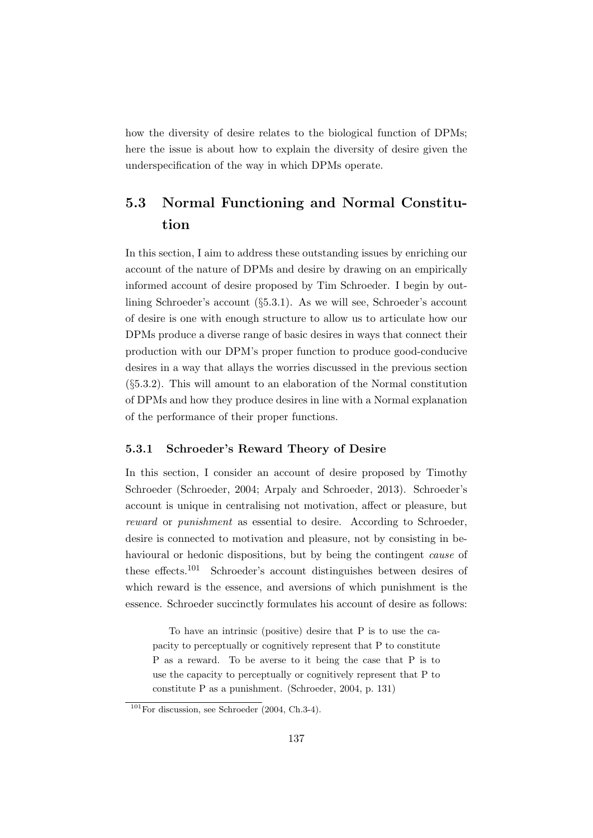how the diversity of desire relates to the biological function of DPMs; here the issue is about how to explain the diversity of desire given the underspecification of the way in which DPMs operate.

## 5.3 Normal Functioning and Normal Constitution

In this section, I aim to address these outstanding issues by enriching our account of the nature of DPMs and desire by drawing on an empirically informed account of desire proposed by Tim Schroeder. I begin by outlining Schroeder's account (§5.3.1). As we will see, Schroeder's account of desire is one with enough structure to allow us to articulate how our DPMs produce a diverse range of basic desires in ways that connect their production with our DPM's proper function to produce good-conducive desires in a way that allays the worries discussed in the previous section (§5.3.2). This will amount to an elaboration of the Normal constitution of DPMs and how they produce desires in line with a Normal explanation of the performance of their proper functions.

#### 5.3.1 Schroeder's Reward Theory of Desire

In this section, I consider an account of desire proposed by Timothy Schroeder (Schroeder, 2004; Arpaly and Schroeder, 2013). Schroeder's account is unique in centralising not motivation, affect or pleasure, but reward or punishment as essential to desire. According to Schroeder, desire is connected to motivation and pleasure, not by consisting in behavioural or hedonic dispositions, but by being the contingent cause of these effects.<sup>101</sup> Schroeder's account distinguishes between desires of which reward is the essence, and aversions of which punishment is the essence. Schroeder succinctly formulates his account of desire as follows:

To have an intrinsic (positive) desire that P is to use the capacity to perceptually or cognitively represent that P to constitute P as a reward. To be averse to it being the case that P is to use the capacity to perceptually or cognitively represent that P to constitute P as a punishment. (Schroeder, 2004, p. 131)

 $101$  For discussion, see Schroeder (2004, Ch.3-4).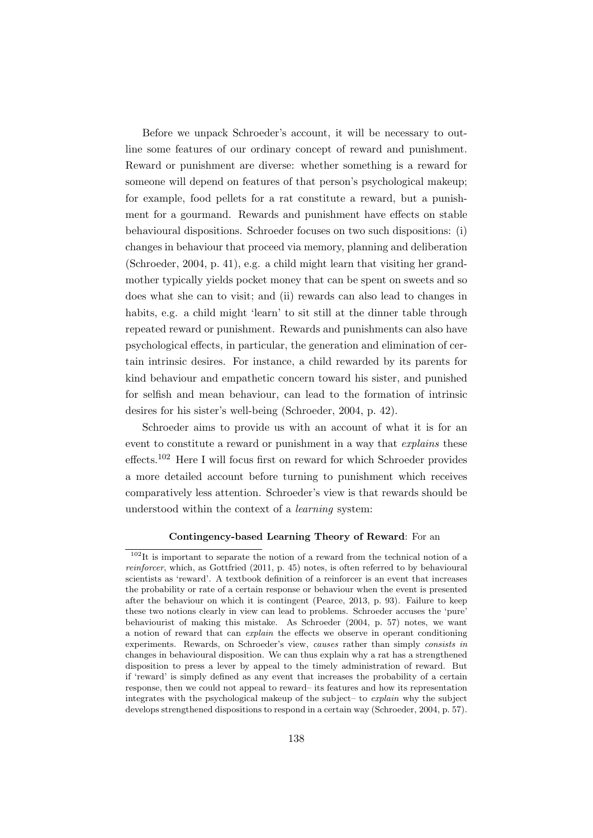Before we unpack Schroeder's account, it will be necessary to outline some features of our ordinary concept of reward and punishment. Reward or punishment are diverse: whether something is a reward for someone will depend on features of that person's psychological makeup; for example, food pellets for a rat constitute a reward, but a punishment for a gourmand. Rewards and punishment have effects on stable behavioural dispositions. Schroeder focuses on two such dispositions: (i) changes in behaviour that proceed via memory, planning and deliberation (Schroeder, 2004, p. 41), e.g. a child might learn that visiting her grandmother typically yields pocket money that can be spent on sweets and so does what she can to visit; and (ii) rewards can also lead to changes in habits, e.g. a child might 'learn' to sit still at the dinner table through repeated reward or punishment. Rewards and punishments can also have psychological effects, in particular, the generation and elimination of certain intrinsic desires. For instance, a child rewarded by its parents for kind behaviour and empathetic concern toward his sister, and punished for selfish and mean behaviour, can lead to the formation of intrinsic desires for his sister's well-being (Schroeder, 2004, p. 42).

Schroeder aims to provide us with an account of what it is for an event to constitute a reward or punishment in a way that explains these effects.<sup>102</sup> Here I will focus first on reward for which Schroeder provides a more detailed account before turning to punishment which receives comparatively less attention. Schroeder's view is that rewards should be understood within the context of a learning system:

#### Contingency-based Learning Theory of Reward: For an

<sup>102</sup>It is important to separate the notion of a reward from the technical notion of a reinforcer, which, as Gottfried (2011, p. 45) notes, is often referred to by behavioural scientists as 'reward'. A textbook definition of a reinforcer is an event that increases the probability or rate of a certain response or behaviour when the event is presented after the behaviour on which it is contingent (Pearce, 2013, p. 93). Failure to keep these two notions clearly in view can lead to problems. Schroeder accuses the 'pure' behaviourist of making this mistake. As Schroeder (2004, p. 57) notes, we want a notion of reward that can explain the effects we observe in operant conditioning experiments. Rewards, on Schroeder's view, causes rather than simply consists in changes in behavioural disposition. We can thus explain why a rat has a strengthened disposition to press a lever by appeal to the timely administration of reward. But if 'reward' is simply defined as any event that increases the probability of a certain response, then we could not appeal to reward– its features and how its representation integrates with the psychological makeup of the subject– to explain why the subject develops strengthened dispositions to respond in a certain way (Schroeder, 2004, p. 57).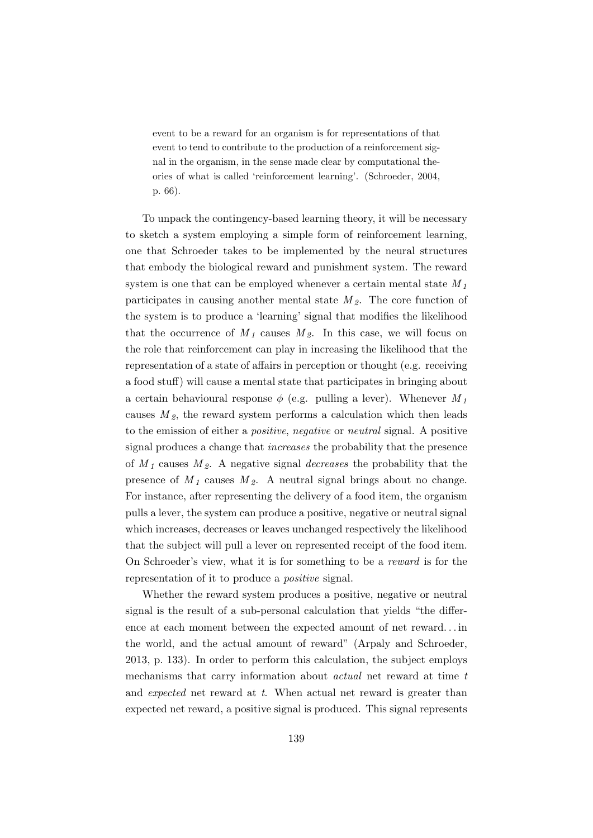event to be a reward for an organism is for representations of that event to tend to contribute to the production of a reinforcement signal in the organism, in the sense made clear by computational theories of what is called 'reinforcement learning'. (Schroeder, 2004, p. 66).

To unpack the contingency-based learning theory, it will be necessary to sketch a system employing a simple form of reinforcement learning, one that Schroeder takes to be implemented by the neural structures that embody the biological reward and punishment system. The reward system is one that can be employed whenever a certain mental state  $M_1$ participates in causing another mental state  $M_2$ . The core function of the system is to produce a 'learning' signal that modifies the likelihood that the occurrence of  $M_1$  causes  $M_2$ . In this case, we will focus on the role that reinforcement can play in increasing the likelihood that the representation of a state of affairs in perception or thought (e.g. receiving a food stuff) will cause a mental state that participates in bringing about a certain behavioural response  $\phi$  (e.g. pulling a lever). Whenever  $M_1$ causes  $M_2$ , the reward system performs a calculation which then leads to the emission of either a positive, negative or neutral signal. A positive signal produces a change that increases the probability that the presence of  $M_1$  causes  $M_2$ . A negative signal *decreases* the probability that the presence of  $M_1$  causes  $M_2$ . A neutral signal brings about no change. For instance, after representing the delivery of a food item, the organism pulls a lever, the system can produce a positive, negative or neutral signal which increases, decreases or leaves unchanged respectively the likelihood that the subject will pull a lever on represented receipt of the food item. On Schroeder's view, what it is for something to be a reward is for the representation of it to produce a positive signal.

Whether the reward system produces a positive, negative or neutral signal is the result of a sub-personal calculation that yields "the difference at each moment between the expected amount of net reward. . . in the world, and the actual amount of reward" (Arpaly and Schroeder, 2013, p. 133). In order to perform this calculation, the subject employs mechanisms that carry information about actual net reward at time t and *expected* net reward at t. When actual net reward is greater than expected net reward, a positive signal is produced. This signal represents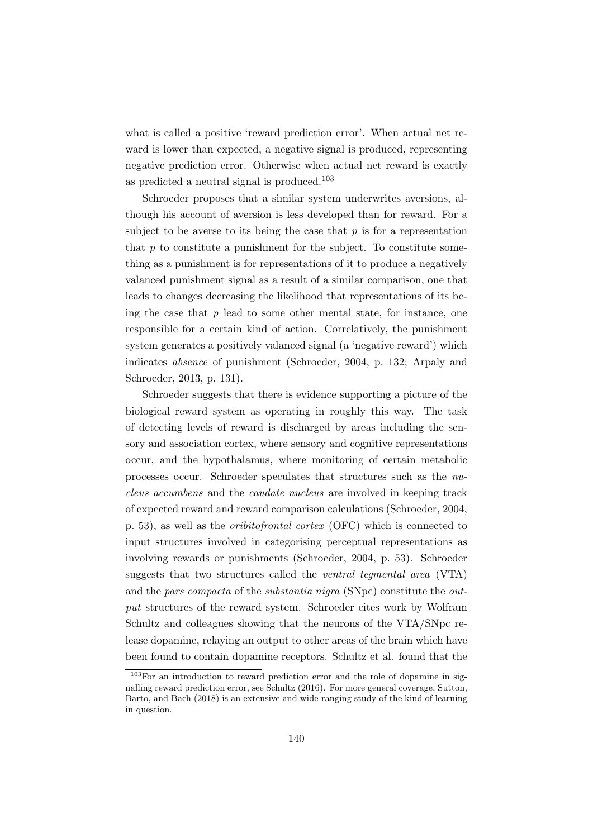what is called a positive 'reward prediction error'. When actual net reward is lower than expected, a negative signal is produced, representing negative prediction error. Otherwise when actual net reward is exactly as predicted a neutral signal is produced.<sup>103</sup>

Schroeder proposes that a similar system underwrites aversions, although his account of aversion is less developed than for reward. For a subject to be averse to its being the case that  $p$  is for a representation that  $p$  to constitute a punishment for the subject. To constitute something as a punishment is for representations of it to produce a negatively valanced punishment signal as a result of a similar comparison, one that leads to changes decreasing the likelihood that representations of its being the case that  $p$  lead to some other mental state, for instance, one responsible for a certain kind of action. Correlatively, the punishment system generates a positively valanced signal (a 'negative reward') which indicates absence of punishment (Schroeder, 2004, p. 132; Arpaly and Schroeder, 2013, p. 131).

Schroeder suggests that there is evidence supporting a picture of the biological reward system as operating in roughly this way. The task of detecting levels of reward is discharged by areas including the sensory and association cortex, where sensory and cognitive representations occur, and the hypothalamus, where monitoring of certain metabolic processes occur. Schroeder speculates that structures such as the nucleus accumbens and the caudate nucleus are involved in keeping track of expected reward and reward comparison calculations (Schroeder, 2004, p. 53), as well as the oribitofrontal cortex (OFC) which is connected to input structures involved in categorising perceptual representations as involving rewards or punishments (Schroeder, 2004, p. 53). Schroeder suggests that two structures called the ventral tegmental area (VTA) and the pars compacta of the substantia nigra (SNpc) constitute the output structures of the reward system. Schroeder cites work by Wolfram Schultz and colleagues showing that the neurons of the VTA/SNpc release dopamine, relaying an output to other areas of the brain which have been found to contain dopamine receptors. Schultz et al. found that the

<sup>&</sup>lt;sup>103</sup>For an introduction to reward prediction error and the role of dopamine in signalling reward prediction error, see Schultz (2016). For more general coverage, Sutton, Barto, and Bach (2018) is an extensive and wide-ranging study of the kind of learning in question.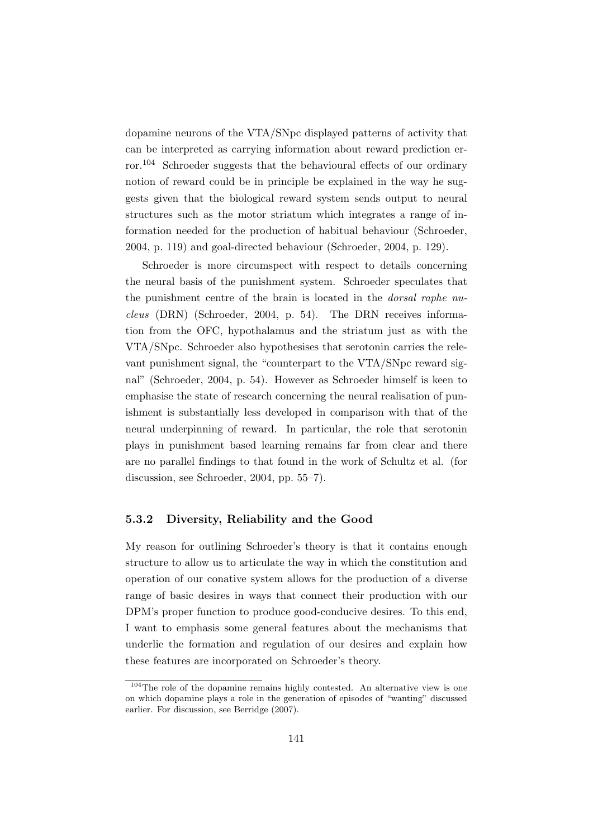dopamine neurons of the VTA/SNpc displayed patterns of activity that can be interpreted as carrying information about reward prediction error.<sup>104</sup> Schroeder suggests that the behavioural effects of our ordinary notion of reward could be in principle be explained in the way he suggests given that the biological reward system sends output to neural structures such as the motor striatum which integrates a range of information needed for the production of habitual behaviour (Schroeder, 2004, p. 119) and goal-directed behaviour (Schroeder, 2004, p. 129).

Schroeder is more circumspect with respect to details concerning the neural basis of the punishment system. Schroeder speculates that the punishment centre of the brain is located in the dorsal raphe nucleus (DRN) (Schroeder, 2004, p. 54). The DRN receives information from the OFC, hypothalamus and the striatum just as with the VTA/SNpc. Schroeder also hypothesises that serotonin carries the relevant punishment signal, the "counterpart to the VTA/SNpc reward signal" (Schroeder, 2004, p. 54). However as Schroeder himself is keen to emphasise the state of research concerning the neural realisation of punishment is substantially less developed in comparison with that of the neural underpinning of reward. In particular, the role that serotonin plays in punishment based learning remains far from clear and there are no parallel findings to that found in the work of Schultz et al. (for discussion, see Schroeder, 2004, pp. 55–7).

#### 5.3.2 Diversity, Reliability and the Good

My reason for outlining Schroeder's theory is that it contains enough structure to allow us to articulate the way in which the constitution and operation of our conative system allows for the production of a diverse range of basic desires in ways that connect their production with our DPM's proper function to produce good-conducive desires. To this end, I want to emphasis some general features about the mechanisms that underlie the formation and regulation of our desires and explain how these features are incorporated on Schroeder's theory.

<sup>104</sup>The role of the dopamine remains highly contested. An alternative view is one on which dopamine plays a role in the generation of episodes of "wanting" discussed earlier. For discussion, see Berridge (2007).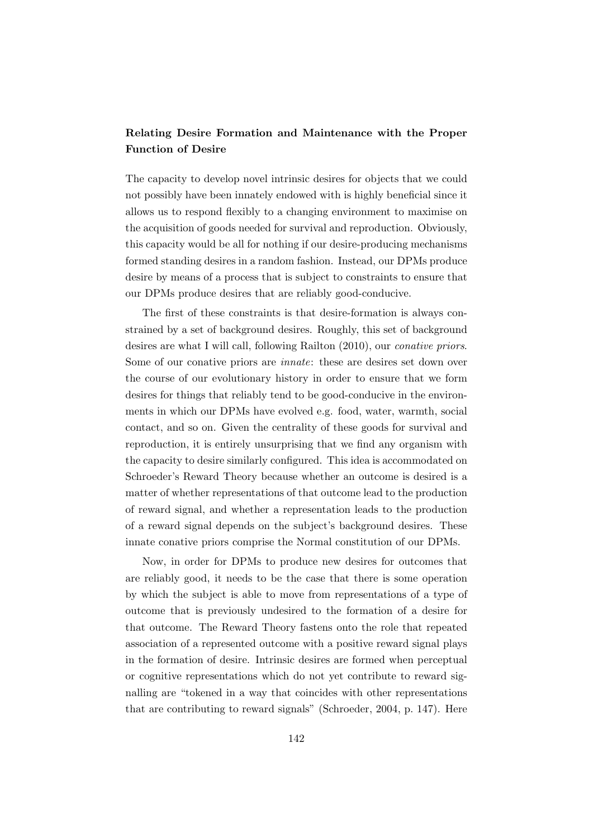## Relating Desire Formation and Maintenance with the Proper Function of Desire

The capacity to develop novel intrinsic desires for objects that we could not possibly have been innately endowed with is highly beneficial since it allows us to respond flexibly to a changing environment to maximise on the acquisition of goods needed for survival and reproduction. Obviously, this capacity would be all for nothing if our desire-producing mechanisms formed standing desires in a random fashion. Instead, our DPMs produce desire by means of a process that is subject to constraints to ensure that our DPMs produce desires that are reliably good-conducive.

The first of these constraints is that desire-formation is always constrained by a set of background desires. Roughly, this set of background desires are what I will call, following Railton (2010), our conative priors. Some of our conative priors are innate: these are desires set down over the course of our evolutionary history in order to ensure that we form desires for things that reliably tend to be good-conducive in the environments in which our DPMs have evolved e.g. food, water, warmth, social contact, and so on. Given the centrality of these goods for survival and reproduction, it is entirely unsurprising that we find any organism with the capacity to desire similarly configured. This idea is accommodated on Schroeder's Reward Theory because whether an outcome is desired is a matter of whether representations of that outcome lead to the production of reward signal, and whether a representation leads to the production of a reward signal depends on the subject's background desires. These innate conative priors comprise the Normal constitution of our DPMs.

Now, in order for DPMs to produce new desires for outcomes that are reliably good, it needs to be the case that there is some operation by which the subject is able to move from representations of a type of outcome that is previously undesired to the formation of a desire for that outcome. The Reward Theory fastens onto the role that repeated association of a represented outcome with a positive reward signal plays in the formation of desire. Intrinsic desires are formed when perceptual or cognitive representations which do not yet contribute to reward signalling are "tokened in a way that coincides with other representations that are contributing to reward signals" (Schroeder, 2004, p. 147). Here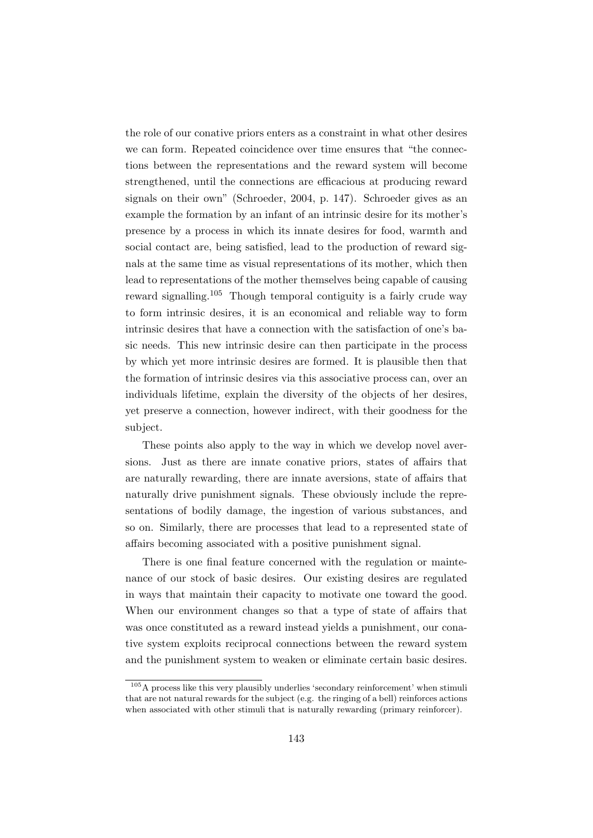the role of our conative priors enters as a constraint in what other desires we can form. Repeated coincidence over time ensures that "the connections between the representations and the reward system will become strengthened, until the connections are efficacious at producing reward signals on their own" (Schroeder, 2004, p. 147). Schroeder gives as an example the formation by an infant of an intrinsic desire for its mother's presence by a process in which its innate desires for food, warmth and social contact are, being satisfied, lead to the production of reward signals at the same time as visual representations of its mother, which then lead to representations of the mother themselves being capable of causing reward signalling.<sup>105</sup> Though temporal contiguity is a fairly crude way to form intrinsic desires, it is an economical and reliable way to form intrinsic desires that have a connection with the satisfaction of one's basic needs. This new intrinsic desire can then participate in the process by which yet more intrinsic desires are formed. It is plausible then that the formation of intrinsic desires via this associative process can, over an individuals lifetime, explain the diversity of the objects of her desires, yet preserve a connection, however indirect, with their goodness for the subject.

These points also apply to the way in which we develop novel aversions. Just as there are innate conative priors, states of affairs that are naturally rewarding, there are innate aversions, state of affairs that naturally drive punishment signals. These obviously include the representations of bodily damage, the ingestion of various substances, and so on. Similarly, there are processes that lead to a represented state of affairs becoming associated with a positive punishment signal.

There is one final feature concerned with the regulation or maintenance of our stock of basic desires. Our existing desires are regulated in ways that maintain their capacity to motivate one toward the good. When our environment changes so that a type of state of affairs that was once constituted as a reward instead yields a punishment, our conative system exploits reciprocal connections between the reward system and the punishment system to weaken or eliminate certain basic desires.

 $105\overline{\text{A}}$  process like this very plausibly underlies 'secondary reinforcement' when stimuli that are not natural rewards for the subject (e.g. the ringing of a bell) reinforces actions when associated with other stimuli that is naturally rewarding (primary reinforcer).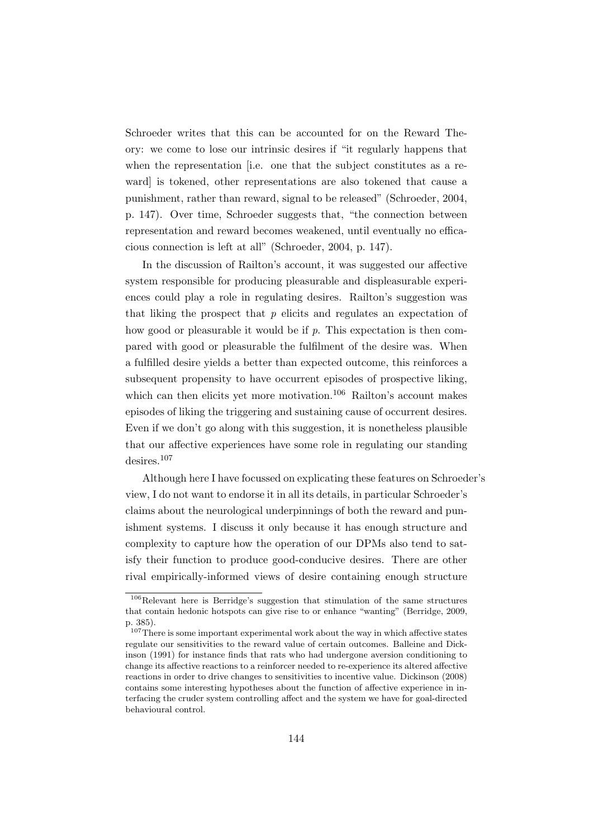Schroeder writes that this can be accounted for on the Reward Theory: we come to lose our intrinsic desires if "it regularly happens that when the representation [i.e. one that the subject constitutes as a reward] is tokened, other representations are also tokened that cause a punishment, rather than reward, signal to be released" (Schroeder, 2004, p. 147). Over time, Schroeder suggests that, "the connection between representation and reward becomes weakened, until eventually no efficacious connection is left at all" (Schroeder, 2004, p. 147).

In the discussion of Railton's account, it was suggested our affective system responsible for producing pleasurable and displeasurable experiences could play a role in regulating desires. Railton's suggestion was that liking the prospect that  $p$  elicits and regulates an expectation of how good or pleasurable it would be if  $p$ . This expectation is then compared with good or pleasurable the fulfilment of the desire was. When a fulfilled desire yields a better than expected outcome, this reinforces a subsequent propensity to have occurrent episodes of prospective liking, which can then elicits yet more motivation.<sup>106</sup> Railton's account makes episodes of liking the triggering and sustaining cause of occurrent desires. Even if we don't go along with this suggestion, it is nonetheless plausible that our affective experiences have some role in regulating our standing desires.<sup>107</sup>

Although here I have focussed on explicating these features on Schroeder's view, I do not want to endorse it in all its details, in particular Schroeder's claims about the neurological underpinnings of both the reward and punishment systems. I discuss it only because it has enough structure and complexity to capture how the operation of our DPMs also tend to satisfy their function to produce good-conducive desires. There are other rival empirically-informed views of desire containing enough structure

<sup>106</sup>Relevant here is Berridge's suggestion that stimulation of the same structures that contain hedonic hotspots can give rise to or enhance "wanting" (Berridge, 2009, p. 385).

 $107$ There is some important experimental work about the way in which affective states regulate our sensitivities to the reward value of certain outcomes. Balleine and Dickinson (1991) for instance finds that rats who had undergone aversion conditioning to change its affective reactions to a reinforcer needed to re-experience its altered affective reactions in order to drive changes to sensitivities to incentive value. Dickinson (2008) contains some interesting hypotheses about the function of affective experience in interfacing the cruder system controlling affect and the system we have for goal-directed behavioural control.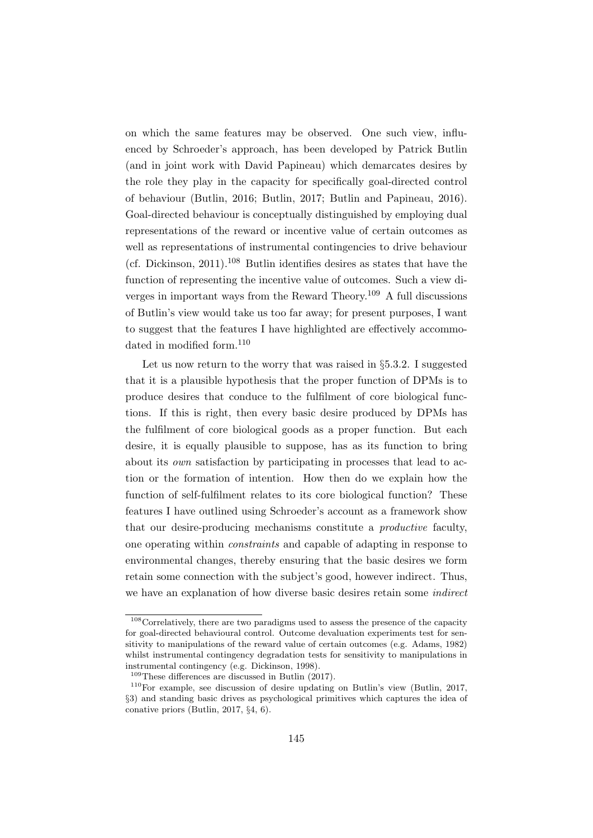on which the same features may be observed. One such view, influenced by Schroeder's approach, has been developed by Patrick Butlin (and in joint work with David Papineau) which demarcates desires by the role they play in the capacity for specifically goal-directed control of behaviour (Butlin, 2016; Butlin, 2017; Butlin and Papineau, 2016). Goal-directed behaviour is conceptually distinguished by employing dual representations of the reward or incentive value of certain outcomes as well as representations of instrumental contingencies to drive behaviour (cf. Dickinson, 2011).<sup>108</sup> Butlin identifies desires as states that have the function of representing the incentive value of outcomes. Such a view diverges in important ways from the Reward Theory.<sup>109</sup> A full discussions of Butlin's view would take us too far away; for present purposes, I want to suggest that the features I have highlighted are effectively accommodated in modified form.<sup>110</sup>

Let us now return to the worry that was raised in §5.3.2. I suggested that it is a plausible hypothesis that the proper function of DPMs is to produce desires that conduce to the fulfilment of core biological functions. If this is right, then every basic desire produced by DPMs has the fulfilment of core biological goods as a proper function. But each desire, it is equally plausible to suppose, has as its function to bring about its own satisfaction by participating in processes that lead to action or the formation of intention. How then do we explain how the function of self-fulfilment relates to its core biological function? These features I have outlined using Schroeder's account as a framework show that our desire-producing mechanisms constitute a productive faculty, one operating within constraints and capable of adapting in response to environmental changes, thereby ensuring that the basic desires we form retain some connection with the subject's good, however indirect. Thus, we have an explanation of how diverse basic desires retain some indirect

 $108$  Correlatively, there are two paradigms used to assess the presence of the capacity for goal-directed behavioural control. Outcome devaluation experiments test for sensitivity to manipulations of the reward value of certain outcomes (e.g. Adams, 1982) whilst instrumental contingency degradation tests for sensitivity to manipulations in instrumental contingency (e.g. Dickinson, 1998).

<sup>109</sup>These differences are discussed in Butlin (2017).

<sup>110</sup>For example, see discussion of desire updating on Butlin's view (Butlin, 2017, §3) and standing basic drives as psychological primitives which captures the idea of conative priors (Butlin, 2017, §4, 6).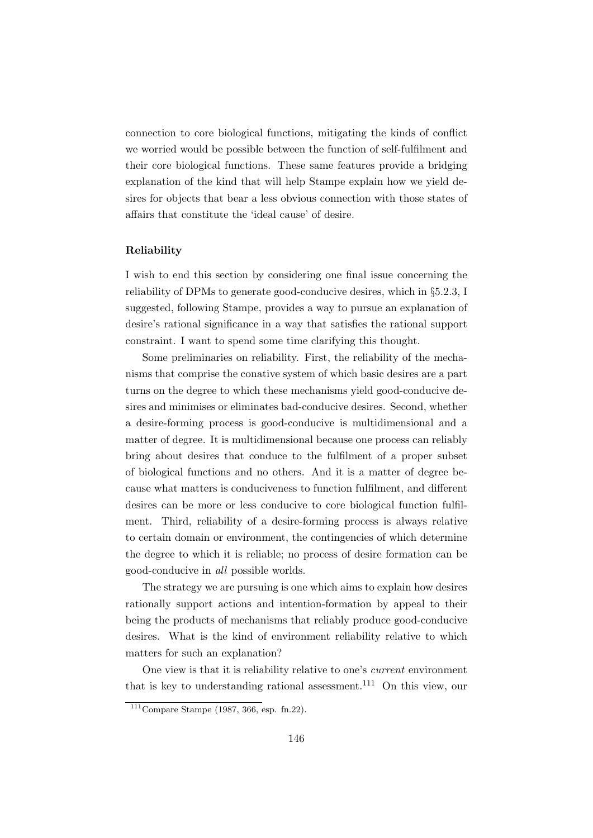connection to core biological functions, mitigating the kinds of conflict we worried would be possible between the function of self-fulfilment and their core biological functions. These same features provide a bridging explanation of the kind that will help Stampe explain how we yield desires for objects that bear a less obvious connection with those states of affairs that constitute the 'ideal cause' of desire.

#### Reliability

I wish to end this section by considering one final issue concerning the reliability of DPMs to generate good-conducive desires, which in §5.2.3, I suggested, following Stampe, provides a way to pursue an explanation of desire's rational significance in a way that satisfies the rational support constraint. I want to spend some time clarifying this thought.

Some preliminaries on reliability. First, the reliability of the mechanisms that comprise the conative system of which basic desires are a part turns on the degree to which these mechanisms yield good-conducive desires and minimises or eliminates bad-conducive desires. Second, whether a desire-forming process is good-conducive is multidimensional and a matter of degree. It is multidimensional because one process can reliably bring about desires that conduce to the fulfilment of a proper subset of biological functions and no others. And it is a matter of degree because what matters is conduciveness to function fulfilment, and different desires can be more or less conducive to core biological function fulfilment. Third, reliability of a desire-forming process is always relative to certain domain or environment, the contingencies of which determine the degree to which it is reliable; no process of desire formation can be good-conducive in all possible worlds.

The strategy we are pursuing is one which aims to explain how desires rationally support actions and intention-formation by appeal to their being the products of mechanisms that reliably produce good-conducive desires. What is the kind of environment reliability relative to which matters for such an explanation?

One view is that it is reliability relative to one's current environment that is key to understanding rational assessment.<sup>111</sup> On this view, our

 $111$ Compare Stampe (1987, 366, esp. fn.22).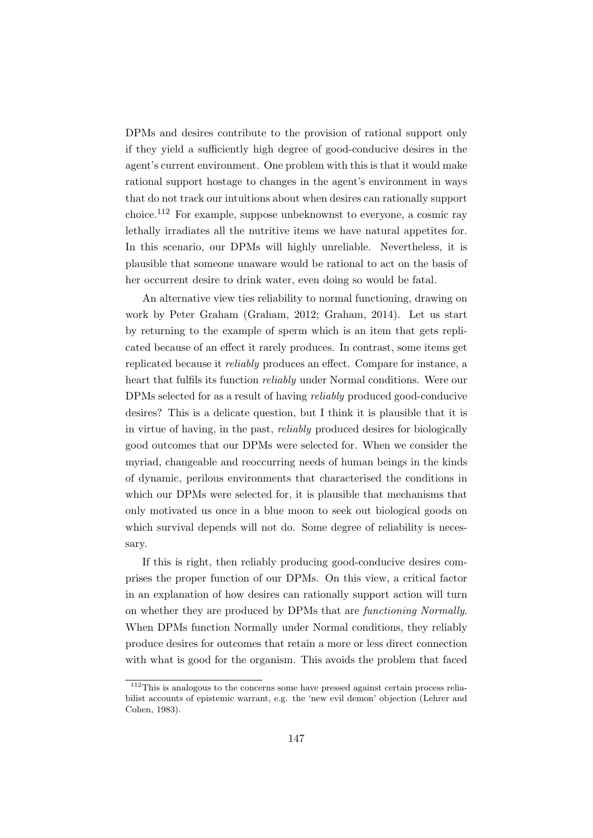DPMs and desires contribute to the provision of rational support only if they yield a sufficiently high degree of good-conducive desires in the agent's current environment. One problem with this is that it would make rational support hostage to changes in the agent's environment in ways that do not track our intuitions about when desires can rationally support choice.<sup>112</sup> For example, suppose unbeknownst to everyone, a cosmic ray lethally irradiates all the nutritive items we have natural appetites for. In this scenario, our DPMs will highly unreliable. Nevertheless, it is plausible that someone unaware would be rational to act on the basis of her occurrent desire to drink water, even doing so would be fatal.

An alternative view ties reliability to normal functioning, drawing on work by Peter Graham (Graham, 2012; Graham, 2014). Let us start by returning to the example of sperm which is an item that gets replicated because of an effect it rarely produces. In contrast, some items get replicated because it reliably produces an effect. Compare for instance, a heart that fulfils its function reliably under Normal conditions. Were our DPMs selected for as a result of having reliably produced good-conducive desires? This is a delicate question, but I think it is plausible that it is in virtue of having, in the past, reliably produced desires for biologically good outcomes that our DPMs were selected for. When we consider the myriad, changeable and reoccurring needs of human beings in the kinds of dynamic, perilous environments that characterised the conditions in which our DPMs were selected for, it is plausible that mechanisms that only motivated us once in a blue moon to seek out biological goods on which survival depends will not do. Some degree of reliability is necessary.

If this is right, then reliably producing good-conducive desires comprises the proper function of our DPMs. On this view, a critical factor in an explanation of how desires can rationally support action will turn on whether they are produced by DPMs that are functioning Normally. When DPMs function Normally under Normal conditions, they reliably produce desires for outcomes that retain a more or less direct connection with what is good for the organism. This avoids the problem that faced

 $\frac{112}{112}$ This is analogous to the concerns some have pressed against certain process reliabilist accounts of epistemic warrant, e.g. the 'new evil demon' objection (Lehrer and Cohen, 1983).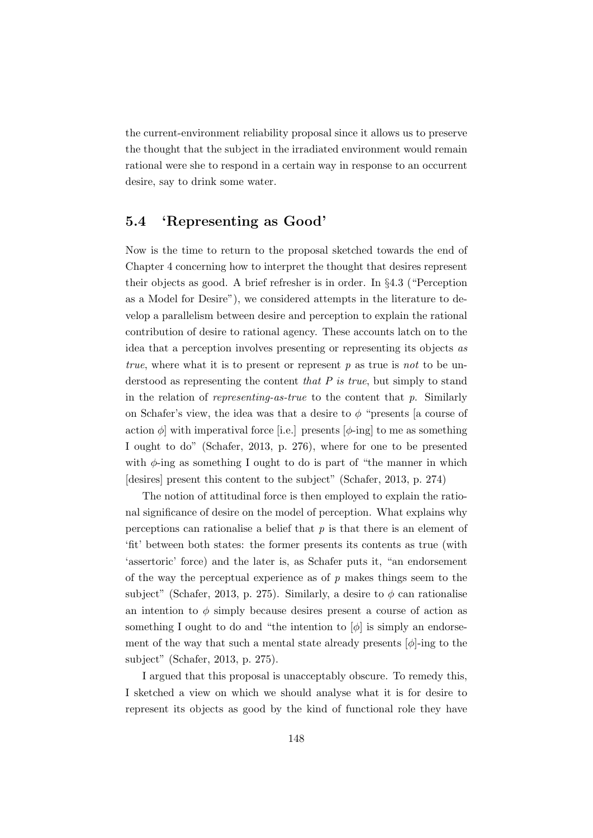the current-environment reliability proposal since it allows us to preserve the thought that the subject in the irradiated environment would remain rational were she to respond in a certain way in response to an occurrent desire, say to drink some water.

### 5.4 'Representing as Good'

Now is the time to return to the proposal sketched towards the end of Chapter 4 concerning how to interpret the thought that desires represent their objects as good. A brief refresher is in order. In §4.3 ("Perception as a Model for Desire"), we considered attempts in the literature to develop a parallelism between desire and perception to explain the rational contribution of desire to rational agency. These accounts latch on to the idea that a perception involves presenting or representing its objects as true, where what it is to present or represent  $p$  as true is not to be understood as representing the content that  $P$  is true, but simply to stand in the relation of *representing-as-true* to the content that  $p$ . Similarly on Schafer's view, the idea was that a desire to  $\phi$  "presents [a course of action  $\phi$  with imperatival force [i.e.] presents  $[\phi$ -ing] to me as something I ought to do" (Schafer, 2013, p. 276), where for one to be presented with  $\phi$ -ing as something I ought to do is part of "the manner in which [desires] present this content to the subject" (Schafer, 2013, p. 274)

The notion of attitudinal force is then employed to explain the rational significance of desire on the model of perception. What explains why perceptions can rationalise a belief that  $p$  is that there is an element of 'fit' between both states: the former presents its contents as true (with 'assertoric' force) and the later is, as Schafer puts it, "an endorsement of the way the perceptual experience as of  $p$  makes things seem to the subject" (Schafer, 2013, p. 275). Similarly, a desire to  $\phi$  can rationalise an intention to  $\phi$  simply because desires present a course of action as something I ought to do and "the intention to  $[\phi]$  is simply an endorsement of the way that such a mental state already presents  $[\phi]$ -ing to the subject" (Schafer, 2013, p. 275).

I argued that this proposal is unacceptably obscure. To remedy this, I sketched a view on which we should analyse what it is for desire to represent its objects as good by the kind of functional role they have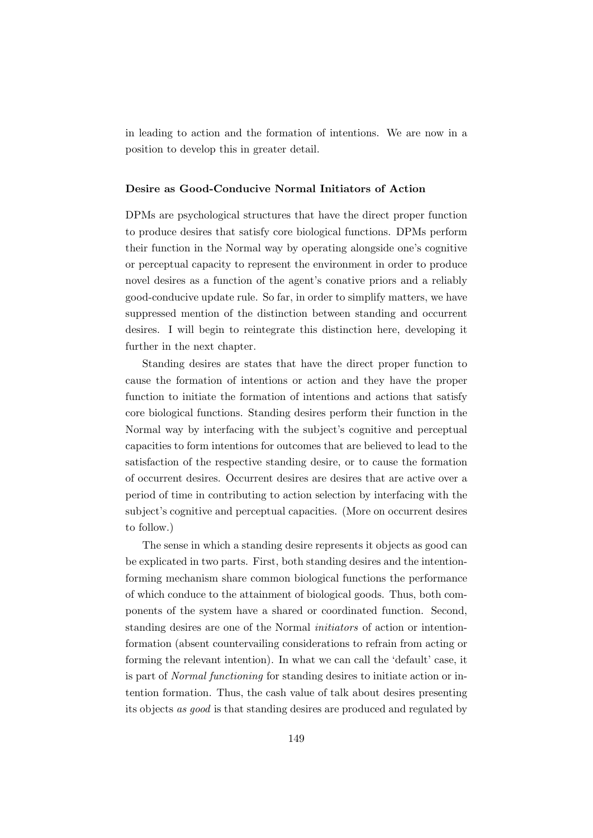in leading to action and the formation of intentions. We are now in a position to develop this in greater detail.

### Desire as Good-Conducive Normal Initiators of Action

DPMs are psychological structures that have the direct proper function to produce desires that satisfy core biological functions. DPMs perform their function in the Normal way by operating alongside one's cognitive or perceptual capacity to represent the environment in order to produce novel desires as a function of the agent's conative priors and a reliably good-conducive update rule. So far, in order to simplify matters, we have suppressed mention of the distinction between standing and occurrent desires. I will begin to reintegrate this distinction here, developing it further in the next chapter.

Standing desires are states that have the direct proper function to cause the formation of intentions or action and they have the proper function to initiate the formation of intentions and actions that satisfy core biological functions. Standing desires perform their function in the Normal way by interfacing with the subject's cognitive and perceptual capacities to form intentions for outcomes that are believed to lead to the satisfaction of the respective standing desire, or to cause the formation of occurrent desires. Occurrent desires are desires that are active over a period of time in contributing to action selection by interfacing with the subject's cognitive and perceptual capacities. (More on occurrent desires to follow.)

The sense in which a standing desire represents it objects as good can be explicated in two parts. First, both standing desires and the intentionforming mechanism share common biological functions the performance of which conduce to the attainment of biological goods. Thus, both components of the system have a shared or coordinated function. Second, standing desires are one of the Normal initiators of action or intentionformation (absent countervailing considerations to refrain from acting or forming the relevant intention). In what we can call the 'default' case, it is part of Normal functioning for standing desires to initiate action or intention formation. Thus, the cash value of talk about desires presenting its objects as good is that standing desires are produced and regulated by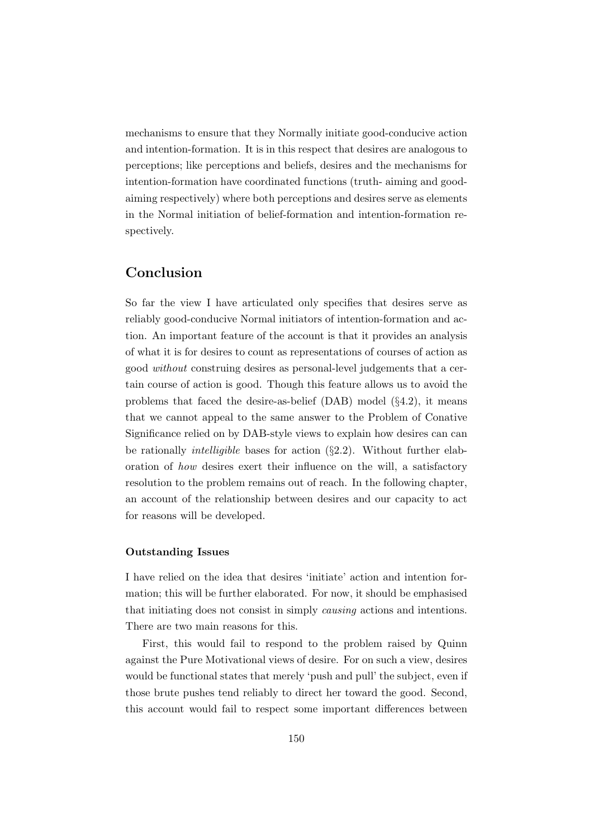mechanisms to ensure that they Normally initiate good-conducive action and intention-formation. It is in this respect that desires are analogous to perceptions; like perceptions and beliefs, desires and the mechanisms for intention-formation have coordinated functions (truth- aiming and goodaiming respectively) where both perceptions and desires serve as elements in the Normal initiation of belief-formation and intention-formation respectively.

### Conclusion

So far the view I have articulated only specifies that desires serve as reliably good-conducive Normal initiators of intention-formation and action. An important feature of the account is that it provides an analysis of what it is for desires to count as representations of courses of action as good without construing desires as personal-level judgements that a certain course of action is good. Though this feature allows us to avoid the problems that faced the desire-as-belief  $(DAB)$  model  $(\S4.2)$ , it means that we cannot appeal to the same answer to the Problem of Conative Significance relied on by DAB-style views to explain how desires can can be rationally intelligible bases for action (§2.2). Without further elaboration of how desires exert their influence on the will, a satisfactory resolution to the problem remains out of reach. In the following chapter, an account of the relationship between desires and our capacity to act for reasons will be developed.

#### Outstanding Issues

I have relied on the idea that desires 'initiate' action and intention formation; this will be further elaborated. For now, it should be emphasised that initiating does not consist in simply causing actions and intentions. There are two main reasons for this.

First, this would fail to respond to the problem raised by Quinn against the Pure Motivational views of desire. For on such a view, desires would be functional states that merely 'push and pull' the subject, even if those brute pushes tend reliably to direct her toward the good. Second, this account would fail to respect some important differences between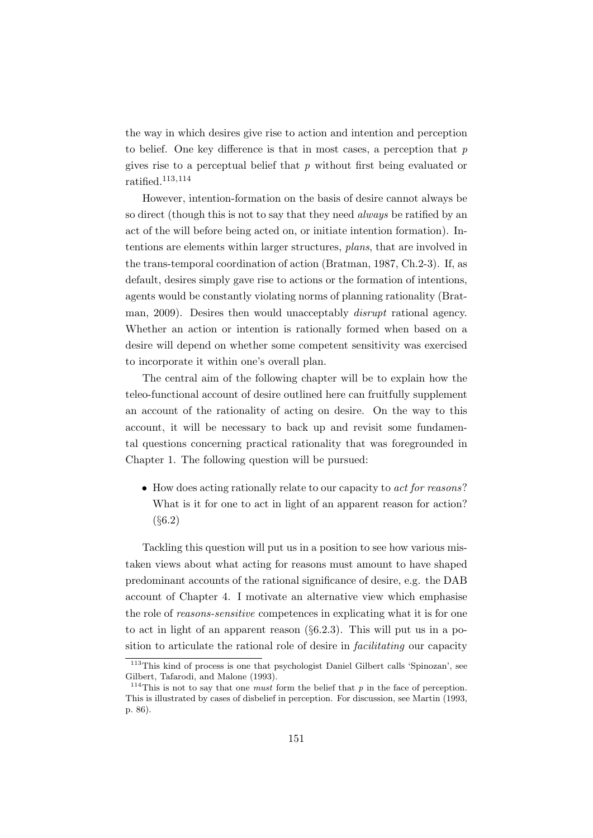the way in which desires give rise to action and intention and perception to belief. One key difference is that in most cases, a perception that  $p$ gives rise to a perceptual belief that  $p$  without first being evaluated or ratified.113,<sup>114</sup>

However, intention-formation on the basis of desire cannot always be so direct (though this is not to say that they need *always* be ratified by an act of the will before being acted on, or initiate intention formation). Intentions are elements within larger structures, plans, that are involved in the trans-temporal coordination of action (Bratman, 1987, Ch.2-3). If, as default, desires simply gave rise to actions or the formation of intentions, agents would be constantly violating norms of planning rationality (Bratman, 2009). Desires then would unacceptably disrupt rational agency. Whether an action or intention is rationally formed when based on a desire will depend on whether some competent sensitivity was exercised to incorporate it within one's overall plan.

The central aim of the following chapter will be to explain how the teleo-functional account of desire outlined here can fruitfully supplement an account of the rationality of acting on desire. On the way to this account, it will be necessary to back up and revisit some fundamental questions concerning practical rationality that was foregrounded in Chapter 1. The following question will be pursued:

• How does acting rationally relate to our capacity to *act for reasons*? What is it for one to act in light of an apparent reason for action? (§6.2)

Tackling this question will put us in a position to see how various mistaken views about what acting for reasons must amount to have shaped predominant accounts of the rational significance of desire, e.g. the DAB account of Chapter 4. I motivate an alternative view which emphasise the role of reasons-sensitive competences in explicating what it is for one to act in light of an apparent reason  $(\S6.2.3)$ . This will put us in a position to articulate the rational role of desire in facilitating our capacity

<sup>&</sup>lt;sup>113</sup>This kind of process is one that psychologist Daniel Gilbert calls 'Spinozan', see Gilbert, Tafarodi, and Malone (1993).

<sup>&</sup>lt;sup>114</sup>This is not to say that one *must* form the belief that  $p$  in the face of perception. This is illustrated by cases of disbelief in perception. For discussion, see Martin (1993, p. 86).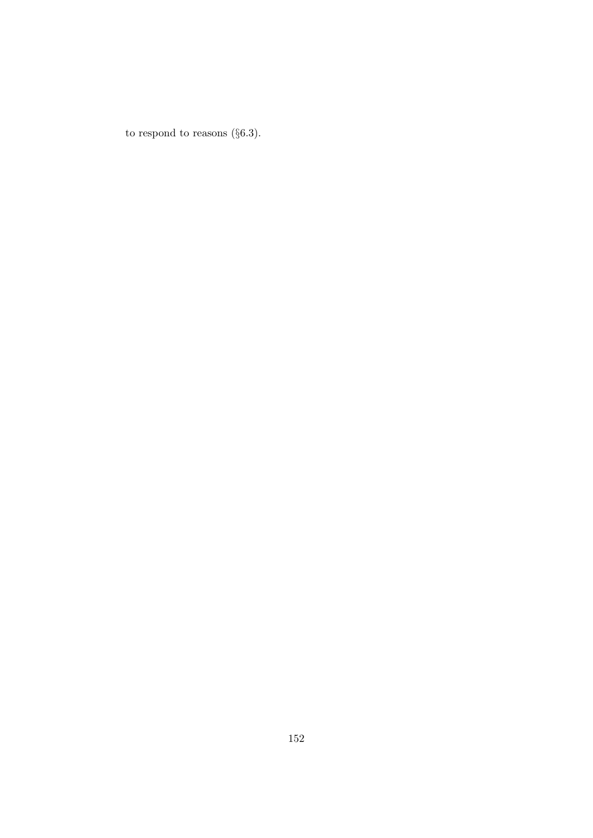to respond to reasons  $(\S6.3)$ .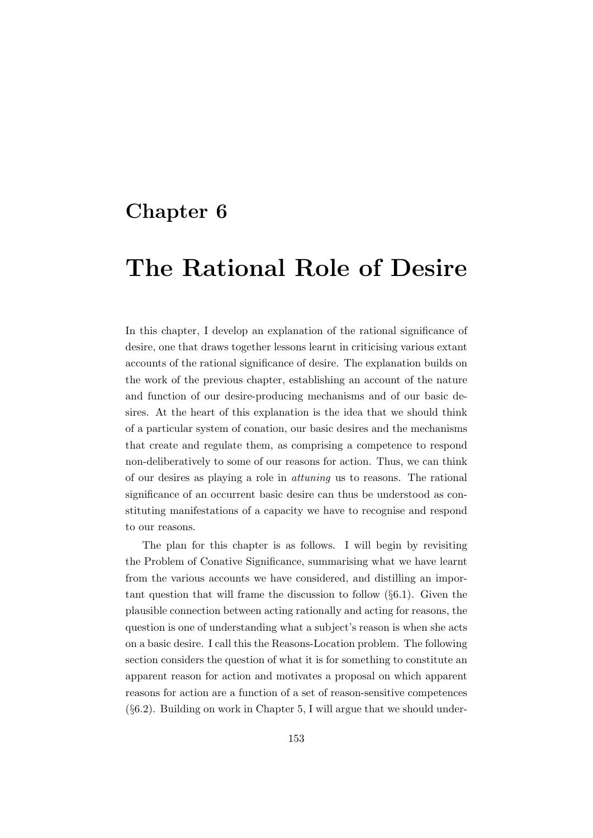## Chapter 6

## The Rational Role of Desire

In this chapter, I develop an explanation of the rational significance of desire, one that draws together lessons learnt in criticising various extant accounts of the rational significance of desire. The explanation builds on the work of the previous chapter, establishing an account of the nature and function of our desire-producing mechanisms and of our basic desires. At the heart of this explanation is the idea that we should think of a particular system of conation, our basic desires and the mechanisms that create and regulate them, as comprising a competence to respond non-deliberatively to some of our reasons for action. Thus, we can think of our desires as playing a role in attuning us to reasons. The rational significance of an occurrent basic desire can thus be understood as constituting manifestations of a capacity we have to recognise and respond to our reasons.

The plan for this chapter is as follows. I will begin by revisiting the Problem of Conative Significance, summarising what we have learnt from the various accounts we have considered, and distilling an important question that will frame the discussion to follow  $(\S6.1)$ . Given the plausible connection between acting rationally and acting for reasons, the question is one of understanding what a subject's reason is when she acts on a basic desire. I call this the Reasons-Location problem. The following section considers the question of what it is for something to constitute an apparent reason for action and motivates a proposal on which apparent reasons for action are a function of a set of reason-sensitive competences (§6.2). Building on work in Chapter 5, I will argue that we should under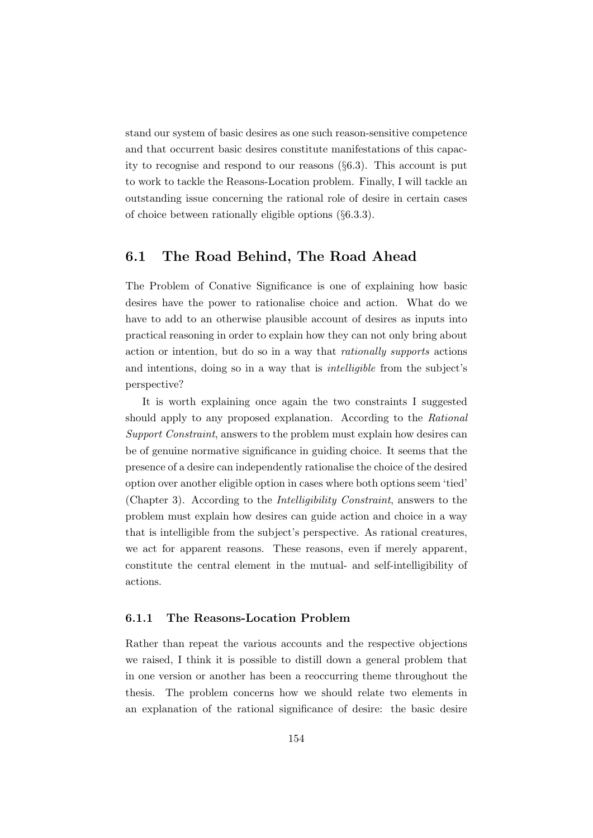stand our system of basic desires as one such reason-sensitive competence and that occurrent basic desires constitute manifestations of this capacity to recognise and respond to our reasons (§6.3). This account is put to work to tackle the Reasons-Location problem. Finally, I will tackle an outstanding issue concerning the rational role of desire in certain cases of choice between rationally eligible options (§6.3.3).

### 6.1 The Road Behind, The Road Ahead

The Problem of Conative Significance is one of explaining how basic desires have the power to rationalise choice and action. What do we have to add to an otherwise plausible account of desires as inputs into practical reasoning in order to explain how they can not only bring about action or intention, but do so in a way that rationally supports actions and intentions, doing so in a way that is intelligible from the subject's perspective?

It is worth explaining once again the two constraints I suggested should apply to any proposed explanation. According to the Rational Support Constraint, answers to the problem must explain how desires can be of genuine normative significance in guiding choice. It seems that the presence of a desire can independently rationalise the choice of the desired option over another eligible option in cases where both options seem 'tied' (Chapter 3). According to the Intelligibility Constraint, answers to the problem must explain how desires can guide action and choice in a way that is intelligible from the subject's perspective. As rational creatures, we act for apparent reasons. These reasons, even if merely apparent, constitute the central element in the mutual- and self-intelligibility of actions.

### 6.1.1 The Reasons-Location Problem

Rather than repeat the various accounts and the respective objections we raised, I think it is possible to distill down a general problem that in one version or another has been a reoccurring theme throughout the thesis. The problem concerns how we should relate two elements in an explanation of the rational significance of desire: the basic desire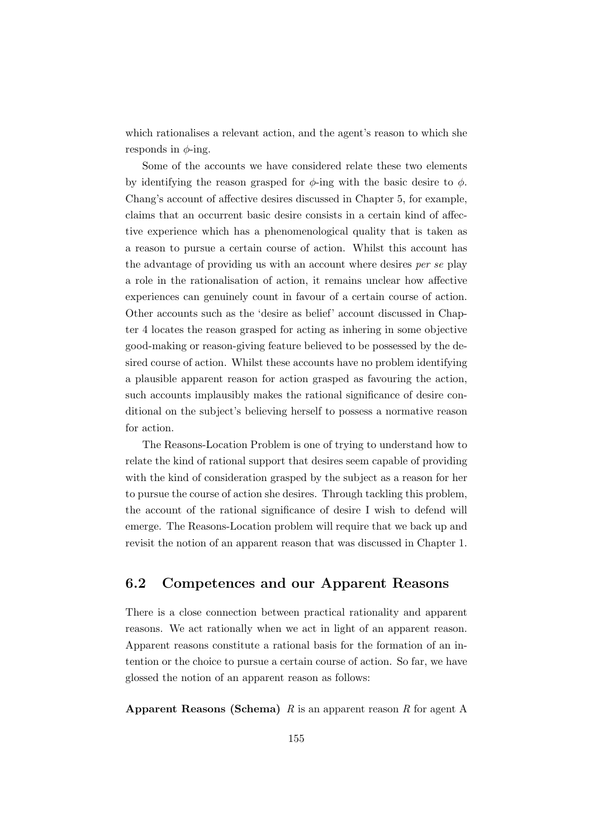which rationalises a relevant action, and the agent's reason to which she responds in  $\phi$ -ing.

Some of the accounts we have considered relate these two elements by identifying the reason grasped for  $\phi$ -ing with the basic desire to  $\phi$ . Chang's account of affective desires discussed in Chapter 5, for example, claims that an occurrent basic desire consists in a certain kind of affective experience which has a phenomenological quality that is taken as a reason to pursue a certain course of action. Whilst this account has the advantage of providing us with an account where desires per se play a role in the rationalisation of action, it remains unclear how affective experiences can genuinely count in favour of a certain course of action. Other accounts such as the 'desire as belief' account discussed in Chapter 4 locates the reason grasped for acting as inhering in some objective good-making or reason-giving feature believed to be possessed by the desired course of action. Whilst these accounts have no problem identifying a plausible apparent reason for action grasped as favouring the action, such accounts implausibly makes the rational significance of desire conditional on the subject's believing herself to possess a normative reason for action.

The Reasons-Location Problem is one of trying to understand how to relate the kind of rational support that desires seem capable of providing with the kind of consideration grasped by the subject as a reason for her to pursue the course of action she desires. Through tackling this problem, the account of the rational significance of desire I wish to defend will emerge. The Reasons-Location problem will require that we back up and revisit the notion of an apparent reason that was discussed in Chapter 1.

### 6.2 Competences and our Apparent Reasons

There is a close connection between practical rationality and apparent reasons. We act rationally when we act in light of an apparent reason. Apparent reasons constitute a rational basis for the formation of an intention or the choice to pursue a certain course of action. So far, we have glossed the notion of an apparent reason as follows:

**Apparent Reasons (Schema)** R is an apparent reason R for agent A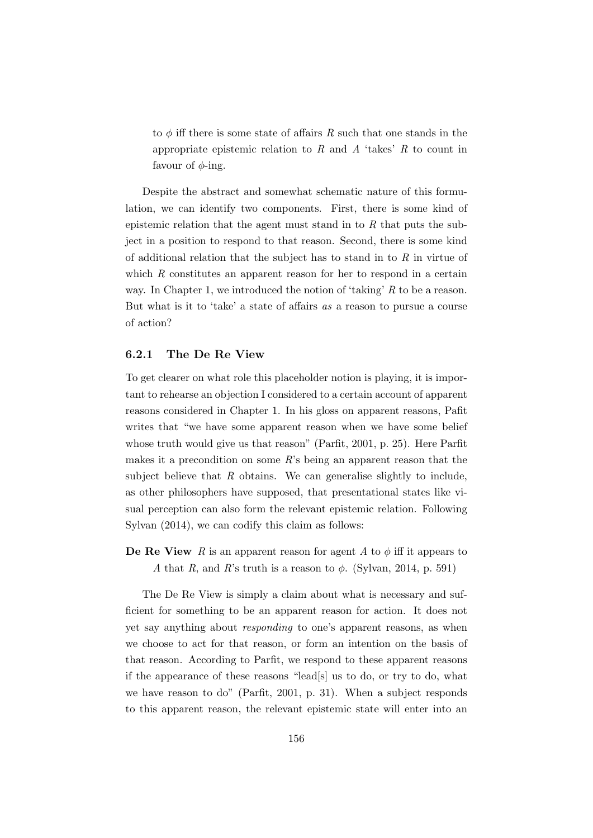to  $\phi$  iff there is some state of affairs R such that one stands in the appropriate epistemic relation to  $R$  and  $A$  'takes'  $R$  to count in favour of  $\phi$ -ing.

Despite the abstract and somewhat schematic nature of this formulation, we can identify two components. First, there is some kind of epistemic relation that the agent must stand in to  $R$  that puts the subject in a position to respond to that reason. Second, there is some kind of additional relation that the subject has to stand in to  $R$  in virtue of which  $R$  constitutes an apparent reason for her to respond in a certain way. In Chapter 1, we introduced the notion of 'taking' R to be a reason. But what is it to 'take' a state of affairs as a reason to pursue a course of action?

### 6.2.1 The De Re View

To get clearer on what role this placeholder notion is playing, it is important to rehearse an objection I considered to a certain account of apparent reasons considered in Chapter 1. In his gloss on apparent reasons, Pafit writes that "we have some apparent reason when we have some belief whose truth would give us that reason" (Parfit, 2001, p. 25). Here Parfit makes it a precondition on some  $R$ 's being an apparent reason that the subject believe that  $R$  obtains. We can generalise slightly to include, as other philosophers have supposed, that presentational states like visual perception can also form the relevant epistemic relation. Following Sylvan (2014), we can codify this claim as follows:

**De Re View** R is an apparent reason for agent A to  $\phi$  iff it appears to A that R, and R's truth is a reason to  $\phi$ . (Sylvan, 2014, p. 591)

The De Re View is simply a claim about what is necessary and sufficient for something to be an apparent reason for action. It does not yet say anything about responding to one's apparent reasons, as when we choose to act for that reason, or form an intention on the basis of that reason. According to Parfit, we respond to these apparent reasons if the appearance of these reasons "lead[s] us to do, or try to do, what we have reason to do" (Parfit, 2001, p. 31). When a subject responds to this apparent reason, the relevant epistemic state will enter into an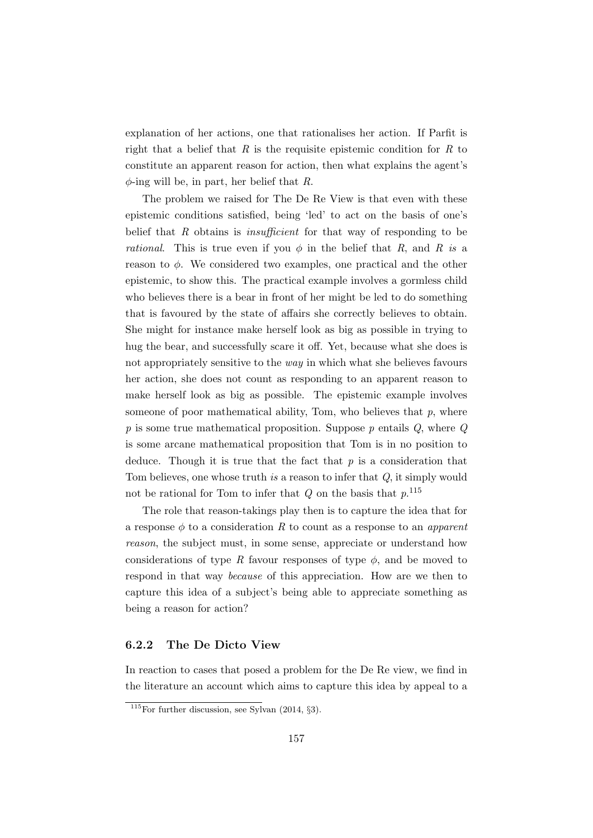explanation of her actions, one that rationalises her action. If Parfit is right that a belief that  $R$  is the requisite epistemic condition for  $R$  to constitute an apparent reason for action, then what explains the agent's  $\phi$ -ing will be, in part, her belief that R.

The problem we raised for The De Re View is that even with these epistemic conditions satisfied, being 'led' to act on the basis of one's belief that R obtains is *insufficient* for that way of responding to be *rational.* This is true even if you  $\phi$  in the belief that R, and R is a reason to  $\phi$ . We considered two examples, one practical and the other epistemic, to show this. The practical example involves a gormless child who believes there is a bear in front of her might be led to do something that is favoured by the state of affairs she correctly believes to obtain. She might for instance make herself look as big as possible in trying to hug the bear, and successfully scare it off. Yet, because what she does is not appropriately sensitive to the way in which what she believes favours her action, she does not count as responding to an apparent reason to make herself look as big as possible. The epistemic example involves someone of poor mathematical ability, Tom, who believes that  $p$ , where  $p$  is some true mathematical proposition. Suppose  $p$  entails  $Q$ , where  $Q$ is some arcane mathematical proposition that Tom is in no position to deduce. Though it is true that the fact that  $p$  is a consideration that Tom believes, one whose truth is a reason to infer that Q, it simply would not be rational for Tom to infer that  $Q$  on the basis that  $p$ <sup>115</sup>

The role that reason-takings play then is to capture the idea that for a response  $\phi$  to a consideration R to count as a response to an apparent reason, the subject must, in some sense, appreciate or understand how considerations of type R favour responses of type  $\phi$ , and be moved to respond in that way because of this appreciation. How are we then to capture this idea of a subject's being able to appreciate something as being a reason for action?

### 6.2.2 The De Dicto View

In reaction to cases that posed a problem for the De Re view, we find in the literature an account which aims to capture this idea by appeal to a

 $115$  For further discussion, see Sylvan (2014, §3).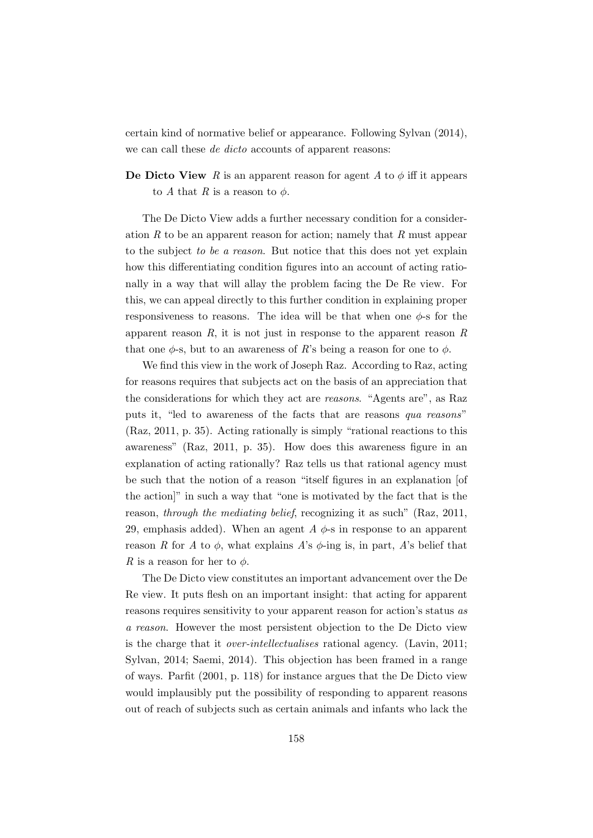certain kind of normative belief or appearance. Following Sylvan (2014), we can call these *de dicto* accounts of apparent reasons:

**De Dicto View** R is an apparent reason for agent A to  $\phi$  iff it appears to A that R is a reason to  $\phi$ .

The De Dicto View adds a further necessary condition for a consideration  $R$  to be an apparent reason for action; namely that  $R$  must appear to the subject to be a reason. But notice that this does not yet explain how this differentiating condition figures into an account of acting rationally in a way that will allay the problem facing the De Re view. For this, we can appeal directly to this further condition in explaining proper responsiveness to reasons. The idea will be that when one  $\phi$ -s for the apparent reason  $R$ , it is not just in response to the apparent reason  $R$ that one  $\phi$ -s, but to an awareness of R's being a reason for one to  $\phi$ .

We find this view in the work of Joseph Raz. According to Raz, acting for reasons requires that subjects act on the basis of an appreciation that the considerations for which they act are reasons. "Agents are", as Raz puts it, "led to awareness of the facts that are reasons qua reasons" (Raz, 2011, p. 35). Acting rationally is simply "rational reactions to this awareness" (Raz, 2011, p. 35). How does this awareness figure in an explanation of acting rationally? Raz tells us that rational agency must be such that the notion of a reason "itself figures in an explanation [of the action]" in such a way that "one is motivated by the fact that is the reason, through the mediating belief, recognizing it as such" (Raz, 2011, 29, emphasis added). When an agent A  $\phi$ -s in response to an apparent reason R for A to  $\phi$ , what explains A's  $\phi$ -ing is, in part, A's belief that R is a reason for her to  $\phi$ .

The De Dicto view constitutes an important advancement over the De Re view. It puts flesh on an important insight: that acting for apparent reasons requires sensitivity to your apparent reason for action's status as a reason. However the most persistent objection to the De Dicto view is the charge that it over-intellectualises rational agency. (Lavin, 2011; Sylvan, 2014; Saemi, 2014). This objection has been framed in a range of ways. Parfit (2001, p. 118) for instance argues that the De Dicto view would implausibly put the possibility of responding to apparent reasons out of reach of subjects such as certain animals and infants who lack the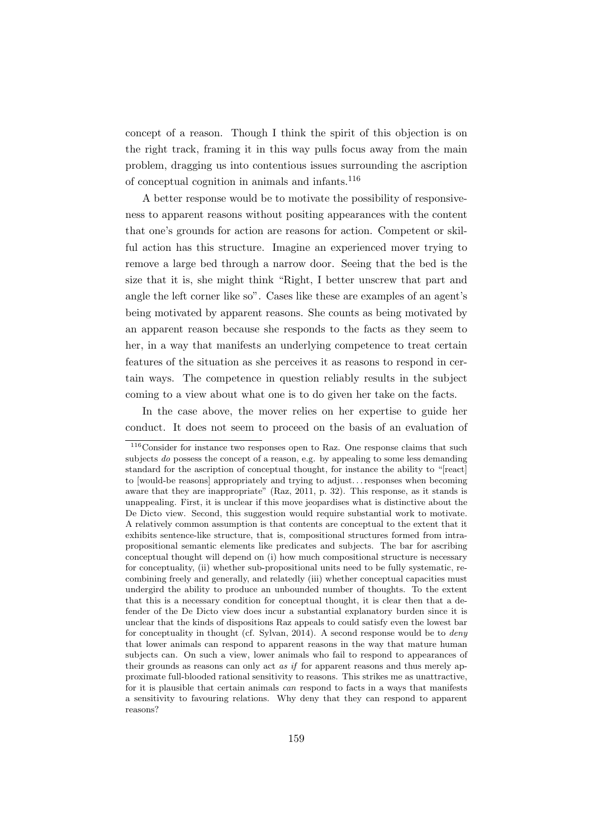concept of a reason. Though I think the spirit of this objection is on the right track, framing it in this way pulls focus away from the main problem, dragging us into contentious issues surrounding the ascription of conceptual cognition in animals and infants.<sup>116</sup>

A better response would be to motivate the possibility of responsiveness to apparent reasons without positing appearances with the content that one's grounds for action are reasons for action. Competent or skilful action has this structure. Imagine an experienced mover trying to remove a large bed through a narrow door. Seeing that the bed is the size that it is, she might think "Right, I better unscrew that part and angle the left corner like so". Cases like these are examples of an agent's being motivated by apparent reasons. She counts as being motivated by an apparent reason because she responds to the facts as they seem to her, in a way that manifests an underlying competence to treat certain features of the situation as she perceives it as reasons to respond in certain ways. The competence in question reliably results in the subject coming to a view about what one is to do given her take on the facts.

In the case above, the mover relies on her expertise to guide her conduct. It does not seem to proceed on the basis of an evaluation of

 $^{116}$  Consider for instance two responses open to Raz. One response claims that such subjects do possess the concept of a reason, e.g. by appealing to some less demanding standard for the ascription of conceptual thought, for instance the ability to "[react] to [would-be reasons] appropriately and trying to adjust. . . responses when becoming aware that they are inappropriate" (Raz, 2011, p. 32). This response, as it stands is unappealing. First, it is unclear if this move jeopardises what is distinctive about the De Dicto view. Second, this suggestion would require substantial work to motivate. A relatively common assumption is that contents are conceptual to the extent that it exhibits sentence-like structure, that is, compositional structures formed from intrapropositional semantic elements like predicates and subjects. The bar for ascribing conceptual thought will depend on (i) how much compositional structure is necessary for conceptuality, (ii) whether sub-propositional units need to be fully systematic, recombining freely and generally, and relatedly (iii) whether conceptual capacities must undergird the ability to produce an unbounded number of thoughts. To the extent that this is a necessary condition for conceptual thought, it is clear then that a defender of the De Dicto view does incur a substantial explanatory burden since it is unclear that the kinds of dispositions Raz appeals to could satisfy even the lowest bar for conceptuality in thought (cf. Sylvan, 2014). A second response would be to deny that lower animals can respond to apparent reasons in the way that mature human subjects can. On such a view, lower animals who fail to respond to appearances of their grounds as reasons can only act as if for apparent reasons and thus merely approximate full-blooded rational sensitivity to reasons. This strikes me as unattractive, for it is plausible that certain animals can respond to facts in a ways that manifests a sensitivity to favouring relations. Why deny that they can respond to apparent reasons?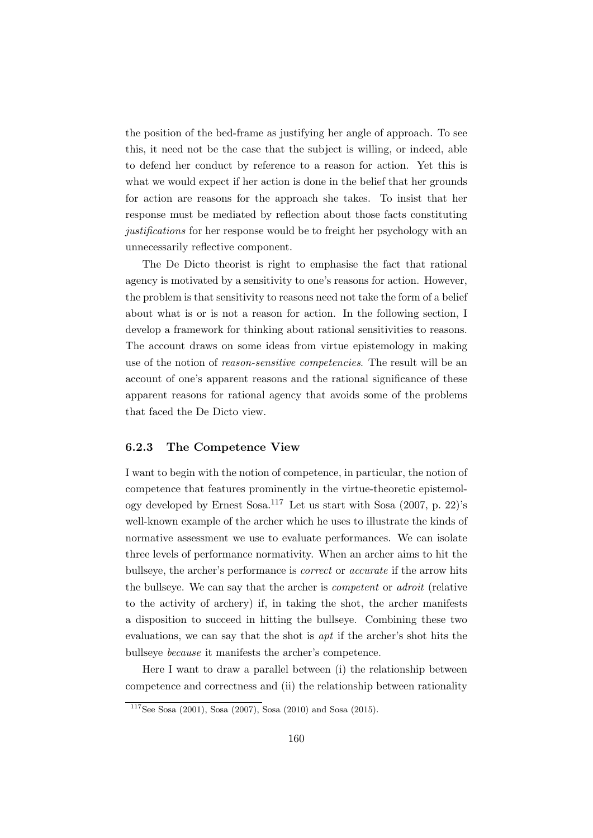the position of the bed-frame as justifying her angle of approach. To see this, it need not be the case that the subject is willing, or indeed, able to defend her conduct by reference to a reason for action. Yet this is what we would expect if her action is done in the belief that her grounds for action are reasons for the approach she takes. To insist that her response must be mediated by reflection about those facts constituting justifications for her response would be to freight her psychology with an unnecessarily reflective component.

The De Dicto theorist is right to emphasise the fact that rational agency is motivated by a sensitivity to one's reasons for action. However, the problem is that sensitivity to reasons need not take the form of a belief about what is or is not a reason for action. In the following section, I develop a framework for thinking about rational sensitivities to reasons. The account draws on some ideas from virtue epistemology in making use of the notion of reason-sensitive competencies. The result will be an account of one's apparent reasons and the rational significance of these apparent reasons for rational agency that avoids some of the problems that faced the De Dicto view.

### 6.2.3 The Competence View

I want to begin with the notion of competence, in particular, the notion of competence that features prominently in the virtue-theoretic epistemology developed by Ernest Sosa.<sup>117</sup> Let us start with Sosa  $(2007, p. 22)$ 's well-known example of the archer which he uses to illustrate the kinds of normative assessment we use to evaluate performances. We can isolate three levels of performance normativity. When an archer aims to hit the bullseye, the archer's performance is correct or accurate if the arrow hits the bullseye. We can say that the archer is competent or adroit (relative to the activity of archery) if, in taking the shot, the archer manifests a disposition to succeed in hitting the bullseye. Combining these two evaluations, we can say that the shot is apt if the archer's shot hits the bullseye because it manifests the archer's competence.

Here I want to draw a parallel between (i) the relationship between competence and correctness and (ii) the relationship between rationality

 $\frac{117}{2}$ See Sosa (2001), Sosa (2007), Sosa (2010) and Sosa (2015).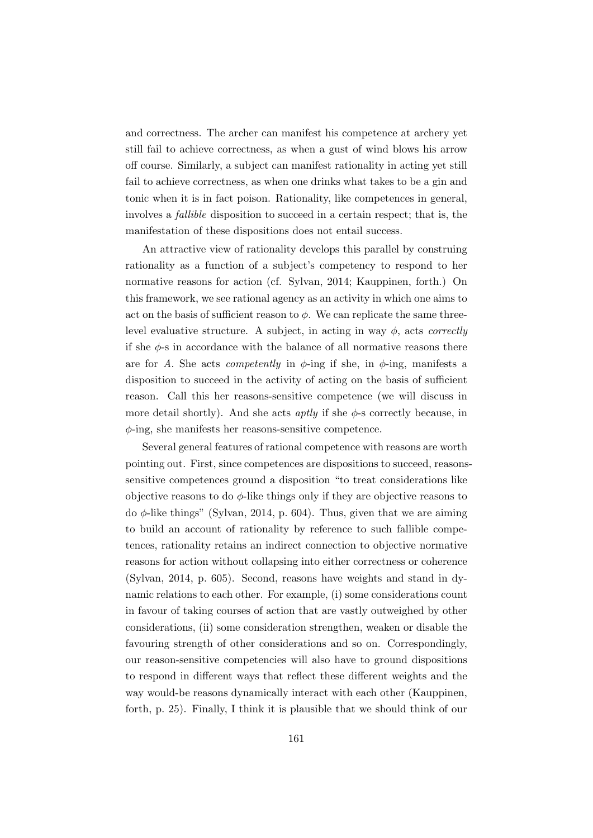and correctness. The archer can manifest his competence at archery yet still fail to achieve correctness, as when a gust of wind blows his arrow off course. Similarly, a subject can manifest rationality in acting yet still fail to achieve correctness, as when one drinks what takes to be a gin and tonic when it is in fact poison. Rationality, like competences in general, involves a fallible disposition to succeed in a certain respect; that is, the manifestation of these dispositions does not entail success.

An attractive view of rationality develops this parallel by construing rationality as a function of a subject's competency to respond to her normative reasons for action (cf. Sylvan, 2014; Kauppinen, forth.) On this framework, we see rational agency as an activity in which one aims to act on the basis of sufficient reason to  $\phi$ . We can replicate the same threelevel evaluative structure. A subject, in acting in way  $\phi$ , acts *correctly* if she  $\phi$ -s in accordance with the balance of all normative reasons there are for A. She acts *competently* in  $\phi$ -ing if she, in  $\phi$ -ing, manifests a disposition to succeed in the activity of acting on the basis of sufficient reason. Call this her reasons-sensitive competence (we will discuss in more detail shortly). And she acts *aptly* if she  $\phi$ -s correctly because, in  $\phi$ -ing, she manifests her reasons-sensitive competence.

Several general features of rational competence with reasons are worth pointing out. First, since competences are dispositions to succeed, reasonssensitive competences ground a disposition "to treat considerations like objective reasons to do  $\phi$ -like things only if they are objective reasons to do φ-like things" (Sylvan, 2014, p. 604). Thus, given that we are aiming to build an account of rationality by reference to such fallible competences, rationality retains an indirect connection to objective normative reasons for action without collapsing into either correctness or coherence (Sylvan, 2014, p. 605). Second, reasons have weights and stand in dynamic relations to each other. For example, (i) some considerations count in favour of taking courses of action that are vastly outweighed by other considerations, (ii) some consideration strengthen, weaken or disable the favouring strength of other considerations and so on. Correspondingly, our reason-sensitive competencies will also have to ground dispositions to respond in different ways that reflect these different weights and the way would-be reasons dynamically interact with each other (Kauppinen, forth, p. 25). Finally, I think it is plausible that we should think of our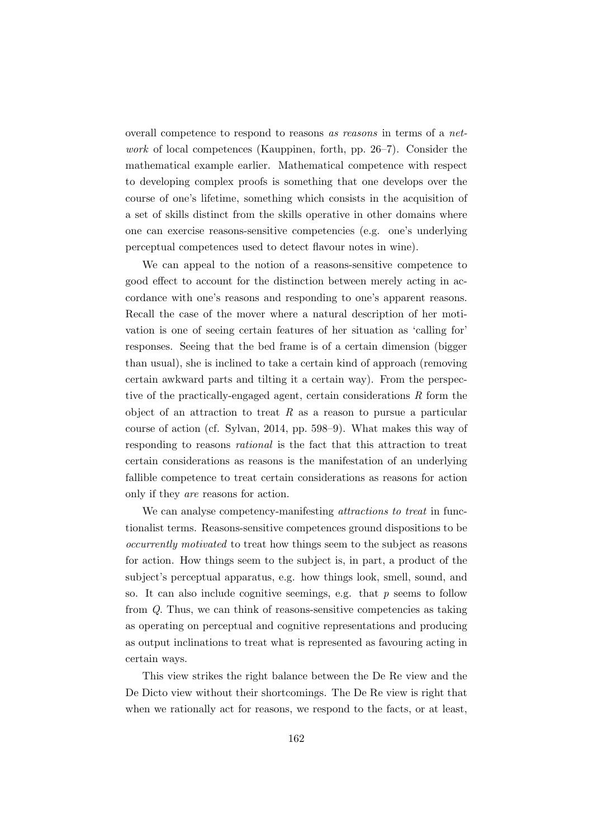overall competence to respond to reasons as reasons in terms of a network of local competences (Kauppinen, forth, pp. 26–7). Consider the mathematical example earlier. Mathematical competence with respect to developing complex proofs is something that one develops over the course of one's lifetime, something which consists in the acquisition of a set of skills distinct from the skills operative in other domains where one can exercise reasons-sensitive competencies (e.g. one's underlying perceptual competences used to detect flavour notes in wine).

We can appeal to the notion of a reasons-sensitive competence to good effect to account for the distinction between merely acting in accordance with one's reasons and responding to one's apparent reasons. Recall the case of the mover where a natural description of her motivation is one of seeing certain features of her situation as 'calling for' responses. Seeing that the bed frame is of a certain dimension (bigger than usual), she is inclined to take a certain kind of approach (removing certain awkward parts and tilting it a certain way). From the perspective of the practically-engaged agent, certain considerations R form the object of an attraction to treat  $R$  as a reason to pursue a particular course of action (cf. Sylvan, 2014, pp. 598–9). What makes this way of responding to reasons rational is the fact that this attraction to treat certain considerations as reasons is the manifestation of an underlying fallible competence to treat certain considerations as reasons for action only if they are reasons for action.

We can analyse competency-manifesting *attractions to treat* in functionalist terms. Reasons-sensitive competences ground dispositions to be occurrently motivated to treat how things seem to the subject as reasons for action. How things seem to the subject is, in part, a product of the subject's perceptual apparatus, e.g. how things look, smell, sound, and so. It can also include cognitive seemings, e.g. that  $p$  seems to follow from Q. Thus, we can think of reasons-sensitive competencies as taking as operating on perceptual and cognitive representations and producing as output inclinations to treat what is represented as favouring acting in certain ways.

This view strikes the right balance between the De Re view and the De Dicto view without their shortcomings. The De Re view is right that when we rationally act for reasons, we respond to the facts, or at least,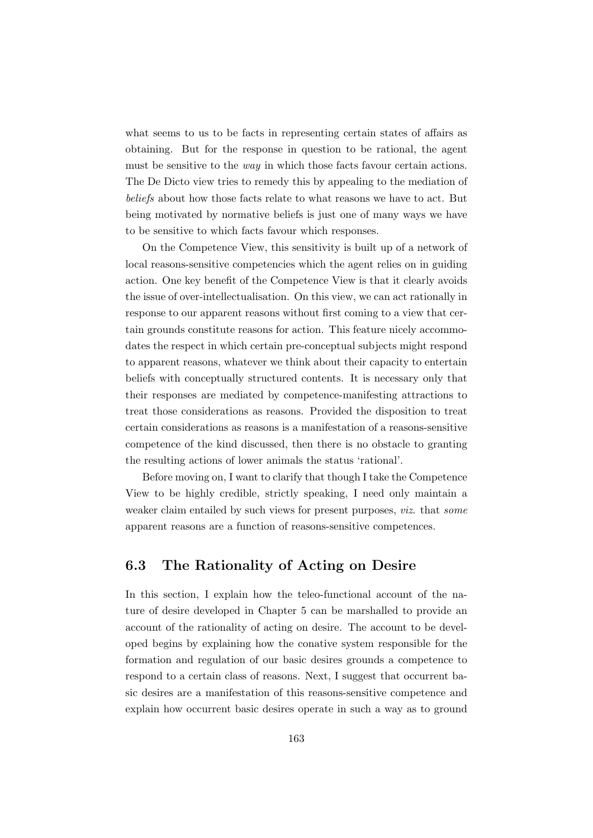what seems to us to be facts in representing certain states of affairs as obtaining. But for the response in question to be rational, the agent must be sensitive to the *way* in which those facts favour certain actions. The De Dicto view tries to remedy this by appealing to the mediation of beliefs about how those facts relate to what reasons we have to act. But being motivated by normative beliefs is just one of many ways we have to be sensitive to which facts favour which responses.

On the Competence View, this sensitivity is built up of a network of local reasons-sensitive competencies which the agent relies on in guiding action. One key benefit of the Competence View is that it clearly avoids the issue of over-intellectualisation. On this view, we can act rationally in response to our apparent reasons without first coming to a view that certain grounds constitute reasons for action. This feature nicely accommodates the respect in which certain pre-conceptual subjects might respond to apparent reasons, whatever we think about their capacity to entertain beliefs with conceptually structured contents. It is necessary only that their responses are mediated by competence-manifesting attractions to treat those considerations as reasons. Provided the disposition to treat certain considerations as reasons is a manifestation of a reasons-sensitive competence of the kind discussed, then there is no obstacle to granting the resulting actions of lower animals the status 'rational'.

Before moving on, I want to clarify that though I take the Competence View to be highly credible, strictly speaking, I need only maintain a weaker claim entailed by such views for present purposes, viz. that some apparent reasons are a function of reasons-sensitive competences.

### 6.3 The Rationality of Acting on Desire

In this section, I explain how the teleo-functional account of the nature of desire developed in Chapter 5 can be marshalled to provide an account of the rationality of acting on desire. The account to be developed begins by explaining how the conative system responsible for the formation and regulation of our basic desires grounds a competence to respond to a certain class of reasons. Next, I suggest that occurrent basic desires are a manifestation of this reasons-sensitive competence and explain how occurrent basic desires operate in such a way as to ground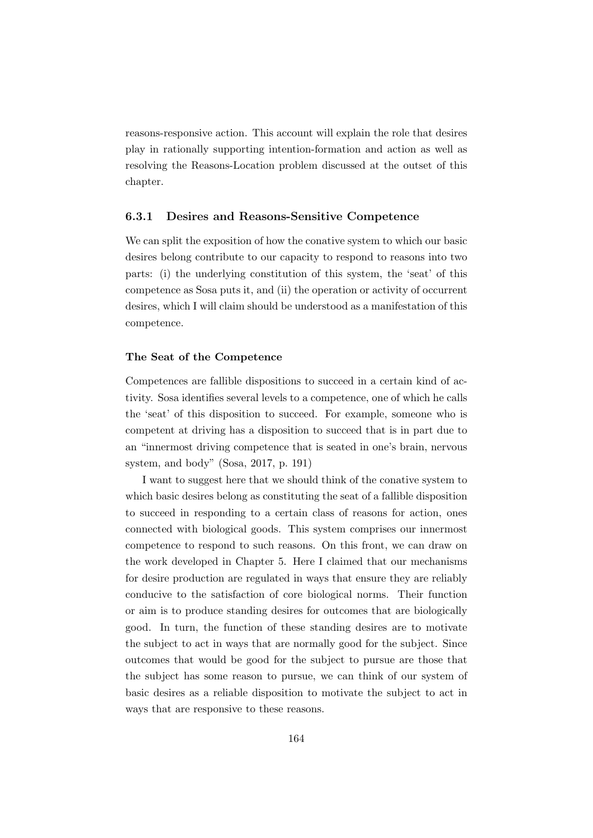reasons-responsive action. This account will explain the role that desires play in rationally supporting intention-formation and action as well as resolving the Reasons-Location problem discussed at the outset of this chapter.

### 6.3.1 Desires and Reasons-Sensitive Competence

We can split the exposition of how the conative system to which our basic desires belong contribute to our capacity to respond to reasons into two parts: (i) the underlying constitution of this system, the 'seat' of this competence as Sosa puts it, and (ii) the operation or activity of occurrent desires, which I will claim should be understood as a manifestation of this competence.

#### The Seat of the Competence

Competences are fallible dispositions to succeed in a certain kind of activity. Sosa identifies several levels to a competence, one of which he calls the 'seat' of this disposition to succeed. For example, someone who is competent at driving has a disposition to succeed that is in part due to an "innermost driving competence that is seated in one's brain, nervous system, and body" (Sosa, 2017, p. 191)

I want to suggest here that we should think of the conative system to which basic desires belong as constituting the seat of a fallible disposition to succeed in responding to a certain class of reasons for action, ones connected with biological goods. This system comprises our innermost competence to respond to such reasons. On this front, we can draw on the work developed in Chapter 5. Here I claimed that our mechanisms for desire production are regulated in ways that ensure they are reliably conducive to the satisfaction of core biological norms. Their function or aim is to produce standing desires for outcomes that are biologically good. In turn, the function of these standing desires are to motivate the subject to act in ways that are normally good for the subject. Since outcomes that would be good for the subject to pursue are those that the subject has some reason to pursue, we can think of our system of basic desires as a reliable disposition to motivate the subject to act in ways that are responsive to these reasons.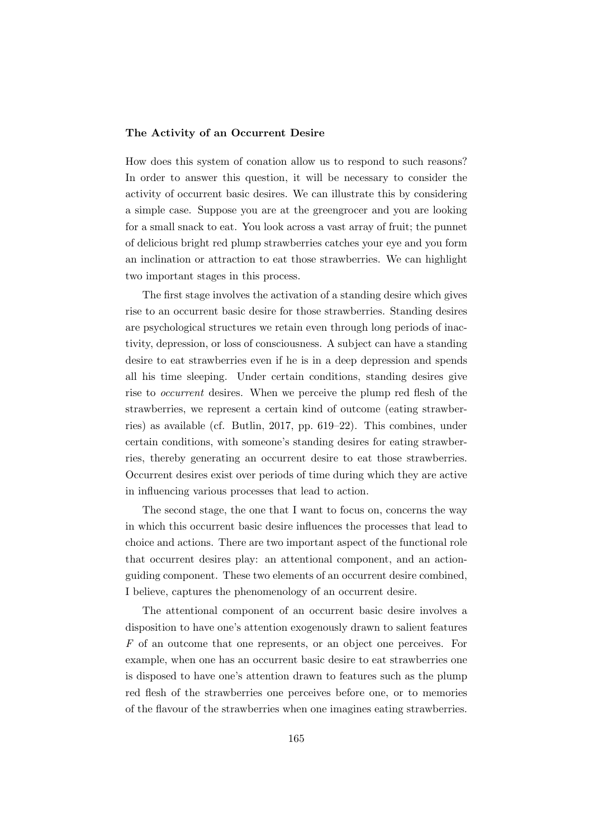#### The Activity of an Occurrent Desire

How does this system of conation allow us to respond to such reasons? In order to answer this question, it will be necessary to consider the activity of occurrent basic desires. We can illustrate this by considering a simple case. Suppose you are at the greengrocer and you are looking for a small snack to eat. You look across a vast array of fruit; the punnet of delicious bright red plump strawberries catches your eye and you form an inclination or attraction to eat those strawberries. We can highlight two important stages in this process.

The first stage involves the activation of a standing desire which gives rise to an occurrent basic desire for those strawberries. Standing desires are psychological structures we retain even through long periods of inactivity, depression, or loss of consciousness. A subject can have a standing desire to eat strawberries even if he is in a deep depression and spends all his time sleeping. Under certain conditions, standing desires give rise to occurrent desires. When we perceive the plump red flesh of the strawberries, we represent a certain kind of outcome (eating strawberries) as available (cf. Butlin, 2017, pp. 619–22). This combines, under certain conditions, with someone's standing desires for eating strawberries, thereby generating an occurrent desire to eat those strawberries. Occurrent desires exist over periods of time during which they are active in influencing various processes that lead to action.

The second stage, the one that I want to focus on, concerns the way in which this occurrent basic desire influences the processes that lead to choice and actions. There are two important aspect of the functional role that occurrent desires play: an attentional component, and an actionguiding component. These two elements of an occurrent desire combined, I believe, captures the phenomenology of an occurrent desire.

The attentional component of an occurrent basic desire involves a disposition to have one's attention exogenously drawn to salient features F of an outcome that one represents, or an object one perceives. For example, when one has an occurrent basic desire to eat strawberries one is disposed to have one's attention drawn to features such as the plump red flesh of the strawberries one perceives before one, or to memories of the flavour of the strawberries when one imagines eating strawberries.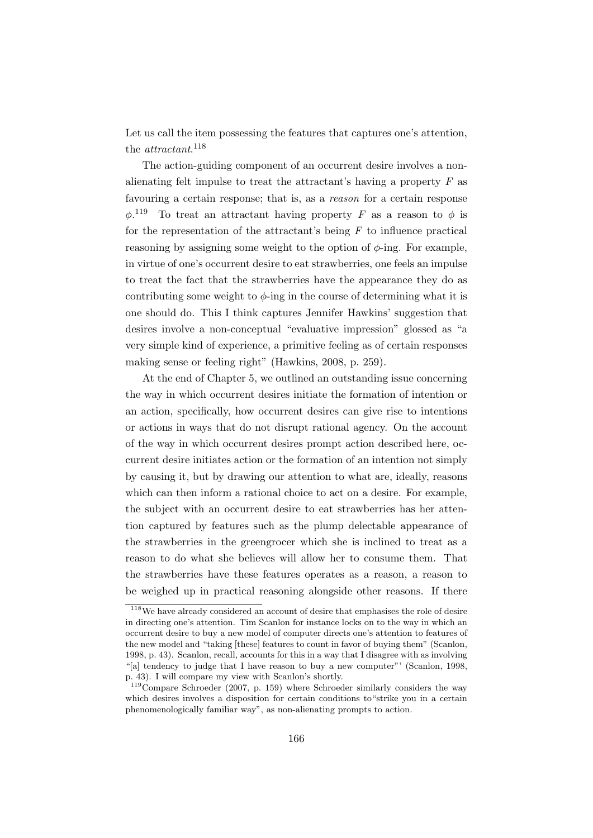Let us call the item possessing the features that captures one's attention, the *attractant*.<sup>118</sup>

The action-guiding component of an occurrent desire involves a nonalienating felt impulse to treat the attractant's having a property  $F$  as favouring a certain response; that is, as a reason for a certain response  $\phi$ <sup>119</sup> To treat an attractant having property F as a reason to  $\phi$  is for the representation of the attractant's being  $F$  to influence practical reasoning by assigning some weight to the option of  $\phi$ -ing. For example, in virtue of one's occurrent desire to eat strawberries, one feels an impulse to treat the fact that the strawberries have the appearance they do as contributing some weight to  $\phi$ -ing in the course of determining what it is one should do. This I think captures Jennifer Hawkins' suggestion that desires involve a non-conceptual "evaluative impression" glossed as "a very simple kind of experience, a primitive feeling as of certain responses making sense or feeling right" (Hawkins, 2008, p. 259).

At the end of Chapter 5, we outlined an outstanding issue concerning the way in which occurrent desires initiate the formation of intention or an action, specifically, how occurrent desires can give rise to intentions or actions in ways that do not disrupt rational agency. On the account of the way in which occurrent desires prompt action described here, occurrent desire initiates action or the formation of an intention not simply by causing it, but by drawing our attention to what are, ideally, reasons which can then inform a rational choice to act on a desire. For example, the subject with an occurrent desire to eat strawberries has her attention captured by features such as the plump delectable appearance of the strawberries in the greengrocer which she is inclined to treat as a reason to do what she believes will allow her to consume them. That the strawberries have these features operates as a reason, a reason to be weighed up in practical reasoning alongside other reasons. If there

<sup>&</sup>lt;sup>118</sup>We have already considered an account of desire that emphasises the role of desire in directing one's attention. Tim Scanlon for instance locks on to the way in which an occurrent desire to buy a new model of computer directs one's attention to features of the new model and "taking [these] features to count in favor of buying them" (Scanlon, 1998, p. 43). Scanlon, recall, accounts for this in a way that I disagree with as involving "[a] tendency to judge that I have reason to buy a new computer"' (Scanlon, 1998, p. 43). I will compare my view with Scanlon's shortly.

<sup>119</sup>Compare Schroeder (2007, p. 159) where Schroeder similarly considers the way which desires involves a disposition for certain conditions to strike you in a certain phenomenologically familiar way", as non-alienating prompts to action.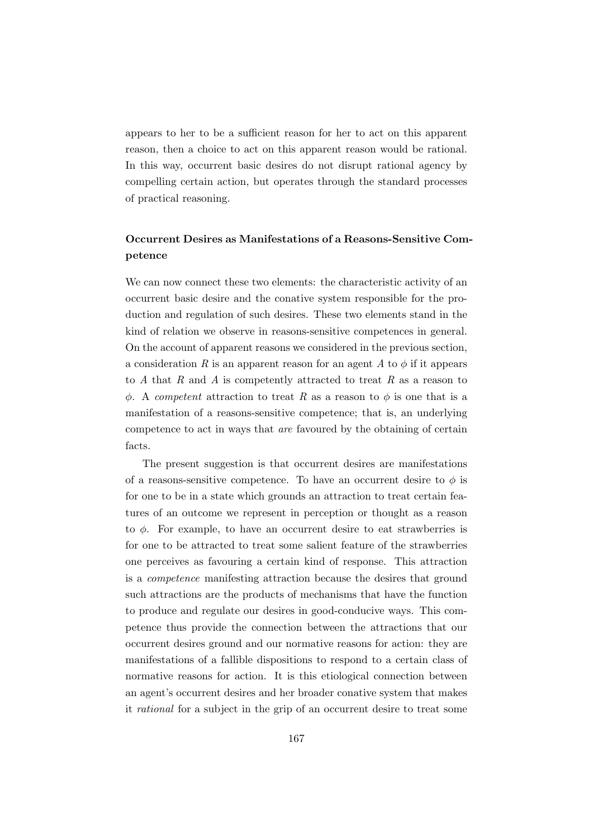appears to her to be a sufficient reason for her to act on this apparent reason, then a choice to act on this apparent reason would be rational. In this way, occurrent basic desires do not disrupt rational agency by compelling certain action, but operates through the standard processes of practical reasoning.

### Occurrent Desires as Manifestations of a Reasons-Sensitive Competence

We can now connect these two elements: the characteristic activity of an occurrent basic desire and the conative system responsible for the production and regulation of such desires. These two elements stand in the kind of relation we observe in reasons-sensitive competences in general. On the account of apparent reasons we considered in the previous section, a consideration R is an apparent reason for an agent A to  $\phi$  if it appears to  $A$  that  $R$  and  $A$  is competently attracted to treat  $R$  as a reason to  $φ. A *compact* attraction to treat R as a reason to *φ* is one that is a$ manifestation of a reasons-sensitive competence; that is, an underlying competence to act in ways that are favoured by the obtaining of certain facts.

The present suggestion is that occurrent desires are manifestations of a reasons-sensitive competence. To have an occurrent desire to  $\phi$  is for one to be in a state which grounds an attraction to treat certain features of an outcome we represent in perception or thought as a reason to  $\phi$ . For example, to have an occurrent desire to eat strawberries is for one to be attracted to treat some salient feature of the strawberries one perceives as favouring a certain kind of response. This attraction is a competence manifesting attraction because the desires that ground such attractions are the products of mechanisms that have the function to produce and regulate our desires in good-conducive ways. This competence thus provide the connection between the attractions that our occurrent desires ground and our normative reasons for action: they are manifestations of a fallible dispositions to respond to a certain class of normative reasons for action. It is this etiological connection between an agent's occurrent desires and her broader conative system that makes it rational for a subject in the grip of an occurrent desire to treat some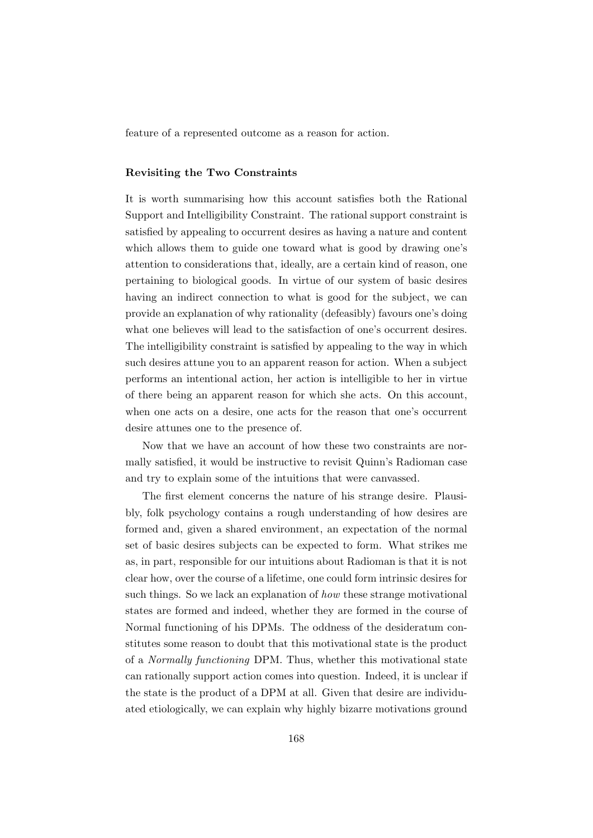feature of a represented outcome as a reason for action.

#### Revisiting the Two Constraints

It is worth summarising how this account satisfies both the Rational Support and Intelligibility Constraint. The rational support constraint is satisfied by appealing to occurrent desires as having a nature and content which allows them to guide one toward what is good by drawing one's attention to considerations that, ideally, are a certain kind of reason, one pertaining to biological goods. In virtue of our system of basic desires having an indirect connection to what is good for the subject, we can provide an explanation of why rationality (defeasibly) favours one's doing what one believes will lead to the satisfaction of one's occurrent desires. The intelligibility constraint is satisfied by appealing to the way in which such desires attune you to an apparent reason for action. When a subject performs an intentional action, her action is intelligible to her in virtue of there being an apparent reason for which she acts. On this account, when one acts on a desire, one acts for the reason that one's occurrent desire attunes one to the presence of.

Now that we have an account of how these two constraints are normally satisfied, it would be instructive to revisit Quinn's Radioman case and try to explain some of the intuitions that were canvassed.

The first element concerns the nature of his strange desire. Plausibly, folk psychology contains a rough understanding of how desires are formed and, given a shared environment, an expectation of the normal set of basic desires subjects can be expected to form. What strikes me as, in part, responsible for our intuitions about Radioman is that it is not clear how, over the course of a lifetime, one could form intrinsic desires for such things. So we lack an explanation of how these strange motivational states are formed and indeed, whether they are formed in the course of Normal functioning of his DPMs. The oddness of the desideratum constitutes some reason to doubt that this motivational state is the product of a Normally functioning DPM. Thus, whether this motivational state can rationally support action comes into question. Indeed, it is unclear if the state is the product of a DPM at all. Given that desire are individuated etiologically, we can explain why highly bizarre motivations ground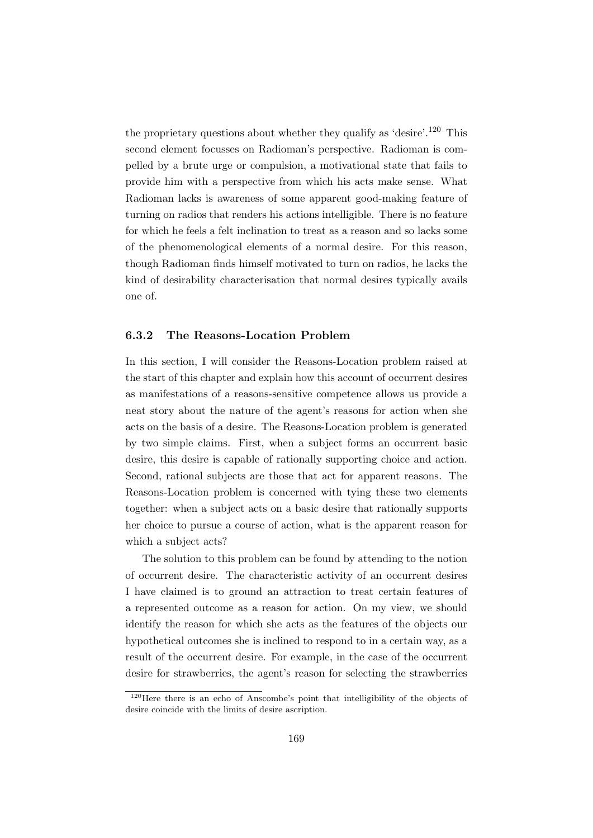the proprietary questions about whether they qualify as 'desire'.<sup>120</sup> This second element focusses on Radioman's perspective. Radioman is compelled by a brute urge or compulsion, a motivational state that fails to provide him with a perspective from which his acts make sense. What Radioman lacks is awareness of some apparent good-making feature of turning on radios that renders his actions intelligible. There is no feature for which he feels a felt inclination to treat as a reason and so lacks some of the phenomenological elements of a normal desire. For this reason, though Radioman finds himself motivated to turn on radios, he lacks the kind of desirability characterisation that normal desires typically avails one of.

### 6.3.2 The Reasons-Location Problem

In this section, I will consider the Reasons-Location problem raised at the start of this chapter and explain how this account of occurrent desires as manifestations of a reasons-sensitive competence allows us provide a neat story about the nature of the agent's reasons for action when she acts on the basis of a desire. The Reasons-Location problem is generated by two simple claims. First, when a subject forms an occurrent basic desire, this desire is capable of rationally supporting choice and action. Second, rational subjects are those that act for apparent reasons. The Reasons-Location problem is concerned with tying these two elements together: when a subject acts on a basic desire that rationally supports her choice to pursue a course of action, what is the apparent reason for which a subject acts?

The solution to this problem can be found by attending to the notion of occurrent desire. The characteristic activity of an occurrent desires I have claimed is to ground an attraction to treat certain features of a represented outcome as a reason for action. On my view, we should identify the reason for which she acts as the features of the objects our hypothetical outcomes she is inclined to respond to in a certain way, as a result of the occurrent desire. For example, in the case of the occurrent desire for strawberries, the agent's reason for selecting the strawberries

<sup>&</sup>lt;sup>120</sup>Here there is an echo of Anscombe's point that intelligibility of the objects of desire coincide with the limits of desire ascription.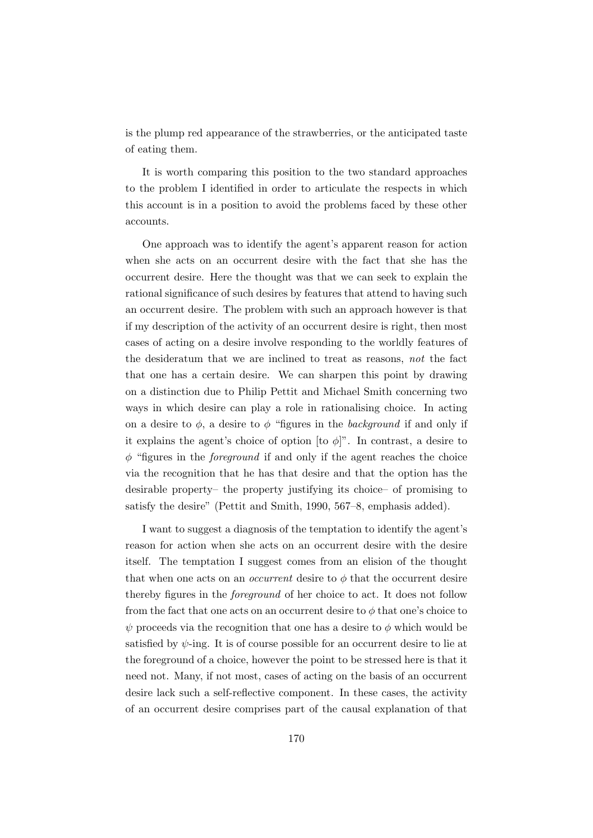is the plump red appearance of the strawberries, or the anticipated taste of eating them.

It is worth comparing this position to the two standard approaches to the problem I identified in order to articulate the respects in which this account is in a position to avoid the problems faced by these other accounts.

One approach was to identify the agent's apparent reason for action when she acts on an occurrent desire with the fact that she has the occurrent desire. Here the thought was that we can seek to explain the rational significance of such desires by features that attend to having such an occurrent desire. The problem with such an approach however is that if my description of the activity of an occurrent desire is right, then most cases of acting on a desire involve responding to the worldly features of the desideratum that we are inclined to treat as reasons, not the fact that one has a certain desire. We can sharpen this point by drawing on a distinction due to Philip Pettit and Michael Smith concerning two ways in which desire can play a role in rationalising choice. In acting on a desire to  $\phi$ , a desire to  $\phi$  "figures in the *background* if and only if it explains the agent's choice of option [to  $\phi$ ]". In contrast, a desire to  $\phi$  "figures in the *foreground* if and only if the agent reaches the choice via the recognition that he has that desire and that the option has the desirable property– the property justifying its choice– of promising to satisfy the desire" (Pettit and Smith, 1990, 567–8, emphasis added).

I want to suggest a diagnosis of the temptation to identify the agent's reason for action when she acts on an occurrent desire with the desire itself. The temptation I suggest comes from an elision of the thought that when one acts on an *occurrent* desire to  $\phi$  that the occurrent desire thereby figures in the foreground of her choice to act. It does not follow from the fact that one acts on an occurrent desire to  $\phi$  that one's choice to  $\psi$  proceeds via the recognition that one has a desire to  $\phi$  which would be satisfied by  $\psi$ -ing. It is of course possible for an occurrent desire to lie at the foreground of a choice, however the point to be stressed here is that it need not. Many, if not most, cases of acting on the basis of an occurrent desire lack such a self-reflective component. In these cases, the activity of an occurrent desire comprises part of the causal explanation of that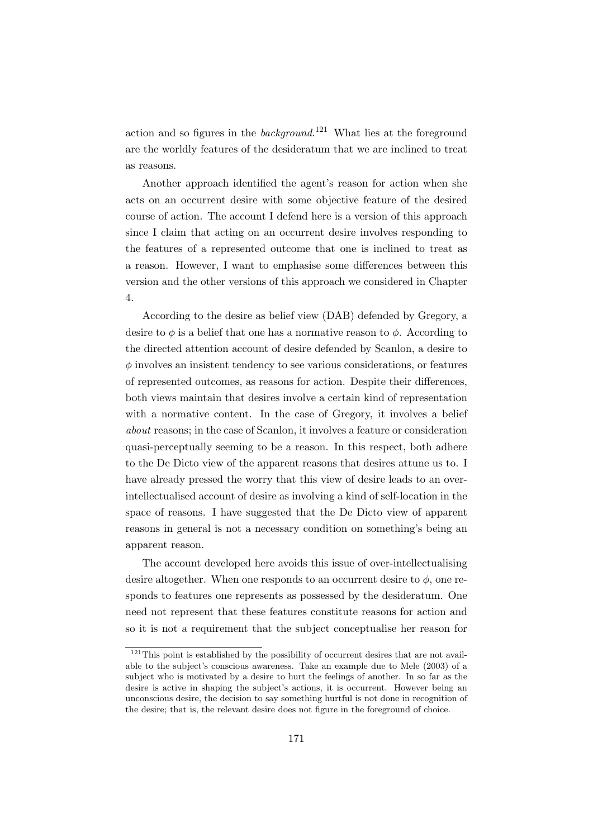action and so figures in the *background*.<sup>121</sup> What lies at the foreground are the worldly features of the desideratum that we are inclined to treat as reasons.

Another approach identified the agent's reason for action when she acts on an occurrent desire with some objective feature of the desired course of action. The account I defend here is a version of this approach since I claim that acting on an occurrent desire involves responding to the features of a represented outcome that one is inclined to treat as a reason. However, I want to emphasise some differences between this version and the other versions of this approach we considered in Chapter 4.

According to the desire as belief view (DAB) defended by Gregory, a desire to  $\phi$  is a belief that one has a normative reason to  $\phi$ . According to the directed attention account of desire defended by Scanlon, a desire to  $\phi$  involves an insistent tendency to see various considerations, or features of represented outcomes, as reasons for action. Despite their differences, both views maintain that desires involve a certain kind of representation with a normative content. In the case of Gregory, it involves a belief about reasons; in the case of Scanlon, it involves a feature or consideration quasi-perceptually seeming to be a reason. In this respect, both adhere to the De Dicto view of the apparent reasons that desires attune us to. I have already pressed the worry that this view of desire leads to an overintellectualised account of desire as involving a kind of self-location in the space of reasons. I have suggested that the De Dicto view of apparent reasons in general is not a necessary condition on something's being an apparent reason.

The account developed here avoids this issue of over-intellectualising desire altogether. When one responds to an occurrent desire to  $\phi$ , one responds to features one represents as possessed by the desideratum. One need not represent that these features constitute reasons for action and so it is not a requirement that the subject conceptualise her reason for

 $121$ This point is established by the possibility of occurrent desires that are not available to the subject's conscious awareness. Take an example due to Mele (2003) of a subject who is motivated by a desire to hurt the feelings of another. In so far as the desire is active in shaping the subject's actions, it is occurrent. However being an unconscious desire, the decision to say something hurtful is not done in recognition of the desire; that is, the relevant desire does not figure in the foreground of choice.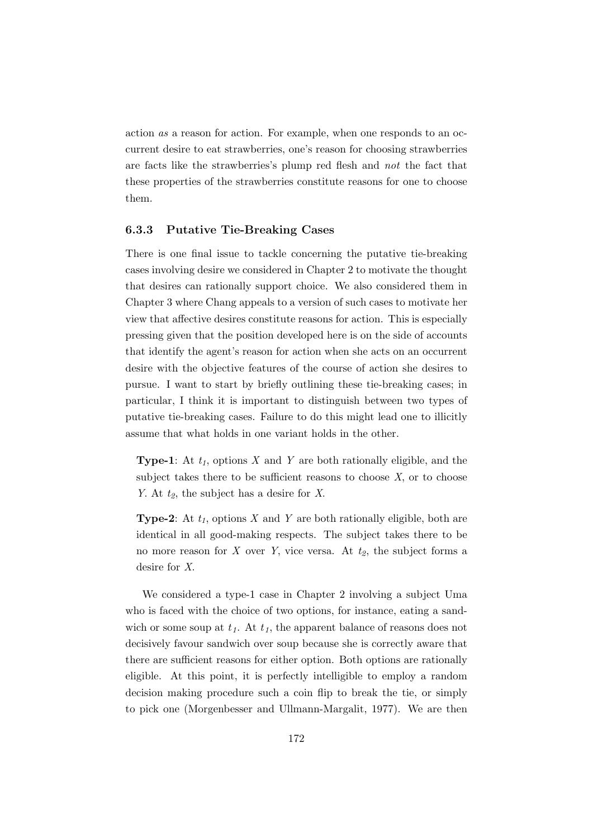action as a reason for action. For example, when one responds to an occurrent desire to eat strawberries, one's reason for choosing strawberries are facts like the strawberries's plump red flesh and not the fact that these properties of the strawberries constitute reasons for one to choose them.

### 6.3.3 Putative Tie-Breaking Cases

There is one final issue to tackle concerning the putative tie-breaking cases involving desire we considered in Chapter 2 to motivate the thought that desires can rationally support choice. We also considered them in Chapter 3 where Chang appeals to a version of such cases to motivate her view that affective desires constitute reasons for action. This is especially pressing given that the position developed here is on the side of accounts that identify the agent's reason for action when she acts on an occurrent desire with the objective features of the course of action she desires to pursue. I want to start by briefly outlining these tie-breaking cases; in particular, I think it is important to distinguish between two types of putative tie-breaking cases. Failure to do this might lead one to illicitly assume that what holds in one variant holds in the other.

**Type-1**: At  $t_1$ , options X and Y are both rationally eligible, and the subject takes there to be sufficient reasons to choose  $X$ , or to choose Y. At  $t_2$ , the subject has a desire for X.

**Type-2:** At  $t_1$ , options X and Y are both rationally eligible, both are identical in all good-making respects. The subject takes there to be no more reason for X over Y, vice versa. At  $t_2$ , the subject forms a desire for X.

We considered a type-1 case in Chapter 2 involving a subject Uma who is faced with the choice of two options, for instance, eating a sandwich or some soup at  $t_1$ . At  $t_1$ , the apparent balance of reasons does not decisively favour sandwich over soup because she is correctly aware that there are sufficient reasons for either option. Both options are rationally eligible. At this point, it is perfectly intelligible to employ a random decision making procedure such a coin flip to break the tie, or simply to pick one (Morgenbesser and Ullmann-Margalit, 1977). We are then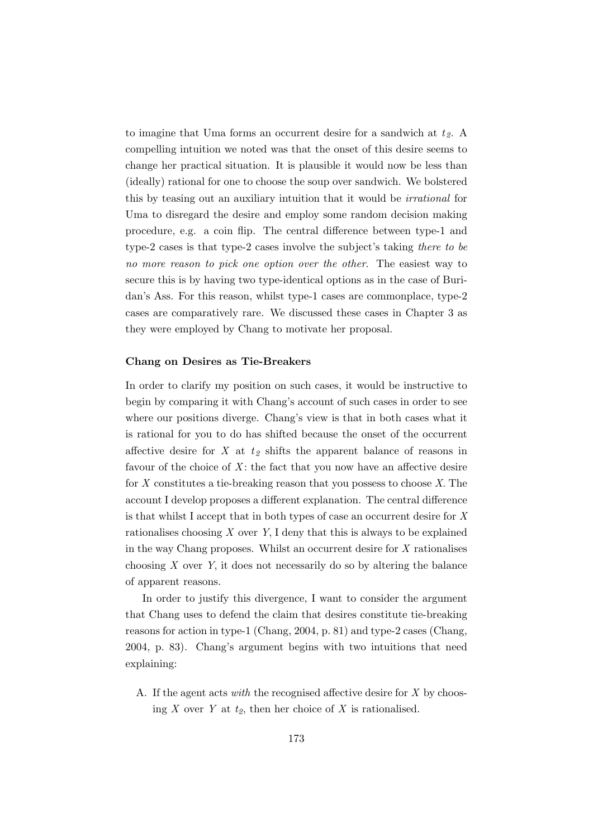to imagine that Uma forms an occurrent desire for a sandwich at  $t<sub>2</sub>$ . A compelling intuition we noted was that the onset of this desire seems to change her practical situation. It is plausible it would now be less than (ideally) rational for one to choose the soup over sandwich. We bolstered this by teasing out an auxiliary intuition that it would be irrational for Uma to disregard the desire and employ some random decision making procedure, e.g. a coin flip. The central difference between type-1 and type-2 cases is that type-2 cases involve the subject's taking there to be no more reason to pick one option over the other. The easiest way to secure this is by having two type-identical options as in the case of Buridan's Ass. For this reason, whilst type-1 cases are commonplace, type-2 cases are comparatively rare. We discussed these cases in Chapter 3 as they were employed by Chang to motivate her proposal.

#### Chang on Desires as Tie-Breakers

In order to clarify my position on such cases, it would be instructive to begin by comparing it with Chang's account of such cases in order to see where our positions diverge. Chang's view is that in both cases what it is rational for you to do has shifted because the onset of the occurrent affective desire for X at  $t_2$  shifts the apparent balance of reasons in favour of the choice of  $X$ : the fact that you now have an affective desire for  $X$  constitutes a tie-breaking reason that you possess to choose  $X$ . The account I develop proposes a different explanation. The central difference is that whilst I accept that in both types of case an occurrent desire for X rationalises choosing  $X$  over  $Y$ , I deny that this is always to be explained in the way Chang proposes. Whilst an occurrent desire for  $X$  rationalises choosing  $X$  over  $Y$ , it does not necessarily do so by altering the balance of apparent reasons.

In order to justify this divergence, I want to consider the argument that Chang uses to defend the claim that desires constitute tie-breaking reasons for action in type-1 (Chang, 2004, p. 81) and type-2 cases (Chang, 2004, p. 83). Chang's argument begins with two intuitions that need explaining:

A. If the agent acts with the recognised affective desire for  $X$  by choosing X over Y at  $t_2$ , then her choice of X is rationalised.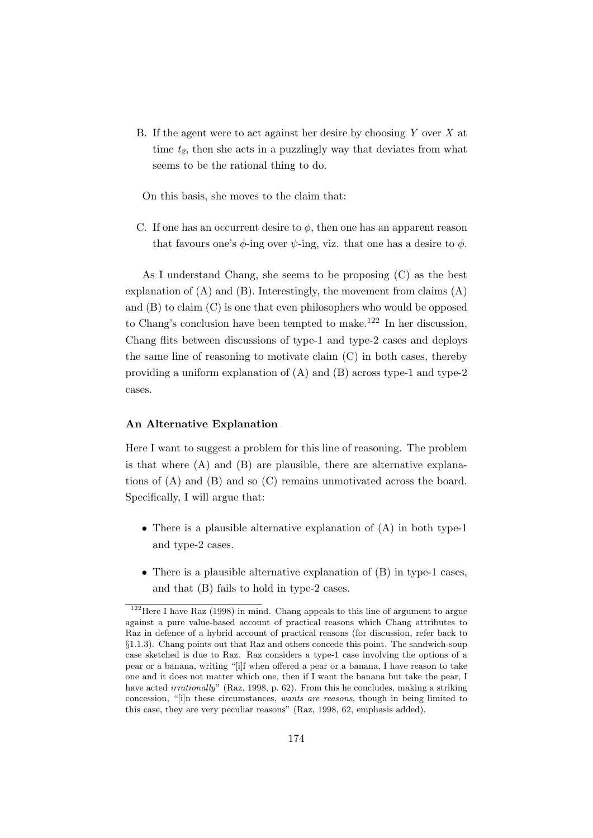B. If the agent were to act against her desire by choosing Y over X at time  $t_2$ , then she acts in a puzzlingly way that deviates from what seems to be the rational thing to do.

On this basis, she moves to the claim that:

C. If one has an occurrent desire to  $\phi$ , then one has an apparent reason that favours one's  $\phi$ -ing over  $\psi$ -ing, viz. that one has a desire to  $\phi$ .

As I understand Chang, she seems to be proposing (C) as the best explanation of  $(A)$  and  $(B)$ . Interestingly, the movement from claims  $(A)$ and  $(B)$  to claim  $(C)$  is one that even philosophers who would be opposed to Chang's conclusion have been tempted to make.<sup>122</sup> In her discussion, Chang flits between discussions of type-1 and type-2 cases and deploys the same line of reasoning to motivate claim (C) in both cases, thereby providing a uniform explanation of (A) and (B) across type-1 and type-2 cases.

#### An Alternative Explanation

Here I want to suggest a problem for this line of reasoning. The problem is that where  $(A)$  and  $(B)$  are plausible, there are alternative explanations of (A) and (B) and so (C) remains unmotivated across the board. Specifically, I will argue that:

- There is a plausible alternative explanation of (A) in both type-1 and type-2 cases.
- There is a plausible alternative explanation of (B) in type-1 cases, and that (B) fails to hold in type-2 cases.

<sup>122</sup>Here I have Raz (1998) in mind. Chang appeals to this line of argument to argue against a pure value-based account of practical reasons which Chang attributes to Raz in defence of a hybrid account of practical reasons (for discussion, refer back to §1.1.3). Chang points out that Raz and others concede this point. The sandwich-soup case sketched is due to Raz. Raz considers a type-1 case involving the options of a pear or a banana, writing "[i]f when offered a pear or a banana, I have reason to take one and it does not matter which one, then if I want the banana but take the pear, I have acted *irrationally*" (Raz, 1998, p. 62). From this he concludes, making a striking concession, "[i]n these circumstances, wants are reasons, though in being limited to this case, they are very peculiar reasons" (Raz, 1998, 62, emphasis added).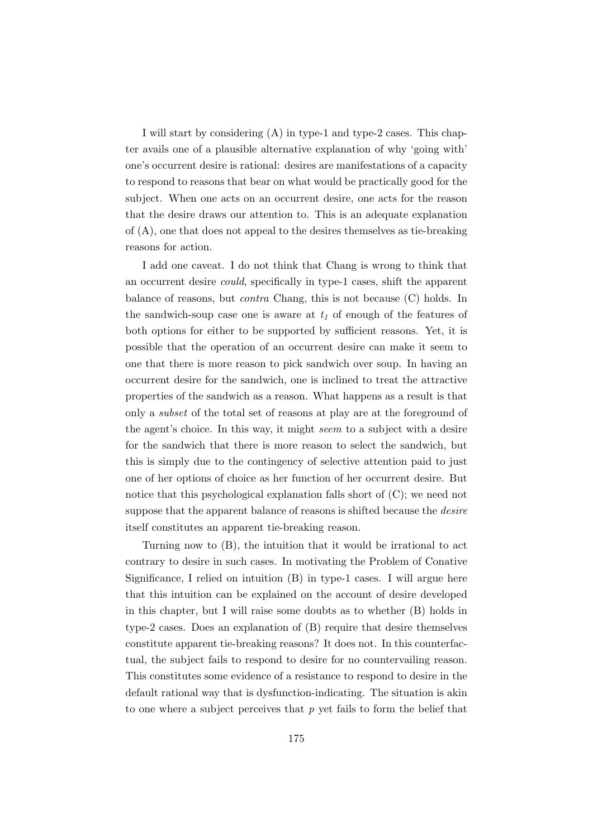I will start by considering (A) in type-1 and type-2 cases. This chapter avails one of a plausible alternative explanation of why 'going with' one's occurrent desire is rational: desires are manifestations of a capacity to respond to reasons that bear on what would be practically good for the subject. When one acts on an occurrent desire, one acts for the reason that the desire draws our attention to. This is an adequate explanation of (A), one that does not appeal to the desires themselves as tie-breaking reasons for action.

I add one caveat. I do not think that Chang is wrong to think that an occurrent desire could, specifically in type-1 cases, shift the apparent balance of reasons, but contra Chang, this is not because (C) holds. In the sandwich-soup case one is aware at  $t_1$  of enough of the features of both options for either to be supported by sufficient reasons. Yet, it is possible that the operation of an occurrent desire can make it seem to one that there is more reason to pick sandwich over soup. In having an occurrent desire for the sandwich, one is inclined to treat the attractive properties of the sandwich as a reason. What happens as a result is that only a subset of the total set of reasons at play are at the foreground of the agent's choice. In this way, it might seem to a subject with a desire for the sandwich that there is more reason to select the sandwich, but this is simply due to the contingency of selective attention paid to just one of her options of choice as her function of her occurrent desire. But notice that this psychological explanation falls short of (C); we need not suppose that the apparent balance of reasons is shifted because the desire itself constitutes an apparent tie-breaking reason.

Turning now to (B), the intuition that it would be irrational to act contrary to desire in such cases. In motivating the Problem of Conative Significance, I relied on intuition (B) in type-1 cases. I will argue here that this intuition can be explained on the account of desire developed in this chapter, but I will raise some doubts as to whether (B) holds in type-2 cases. Does an explanation of (B) require that desire themselves constitute apparent tie-breaking reasons? It does not. In this counterfactual, the subject fails to respond to desire for no countervailing reason. This constitutes some evidence of a resistance to respond to desire in the default rational way that is dysfunction-indicating. The situation is akin to one where a subject perceives that  $p$  yet fails to form the belief that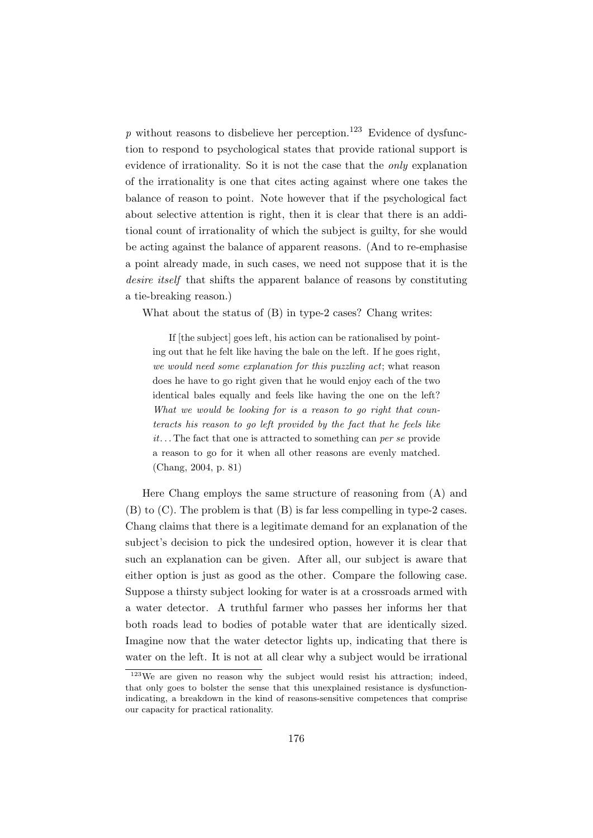p without reasons to disbelieve her perception.<sup>123</sup> Evidence of dysfunction to respond to psychological states that provide rational support is evidence of irrationality. So it is not the case that the only explanation of the irrationality is one that cites acting against where one takes the balance of reason to point. Note however that if the psychological fact about selective attention is right, then it is clear that there is an additional count of irrationality of which the subject is guilty, for she would be acting against the balance of apparent reasons. (And to re-emphasise a point already made, in such cases, we need not suppose that it is the desire itself that shifts the apparent balance of reasons by constituting a tie-breaking reason.)

What about the status of (B) in type-2 cases? Chang writes:

If [the subject] goes left, his action can be rationalised by pointing out that he felt like having the bale on the left. If he goes right, we would need some explanation for this puzzling act; what reason does he have to go right given that he would enjoy each of the two identical bales equally and feels like having the one on the left? What we would be looking for is a reason to go right that counteracts his reason to go left provided by the fact that he feels like  $it...$  The fact that one is attracted to something can per se provide a reason to go for it when all other reasons are evenly matched. (Chang, 2004, p. 81)

Here Chang employs the same structure of reasoning from (A) and (B) to (C). The problem is that (B) is far less compelling in type-2 cases. Chang claims that there is a legitimate demand for an explanation of the subject's decision to pick the undesired option, however it is clear that such an explanation can be given. After all, our subject is aware that either option is just as good as the other. Compare the following case. Suppose a thirsty subject looking for water is at a crossroads armed with a water detector. A truthful farmer who passes her informs her that both roads lead to bodies of potable water that are identically sized. Imagine now that the water detector lights up, indicating that there is water on the left. It is not at all clear why a subject would be irrational

 $123$ We are given no reason why the subject would resist his attraction; indeed, that only goes to bolster the sense that this unexplained resistance is dysfunctionindicating, a breakdown in the kind of reasons-sensitive competences that comprise our capacity for practical rationality.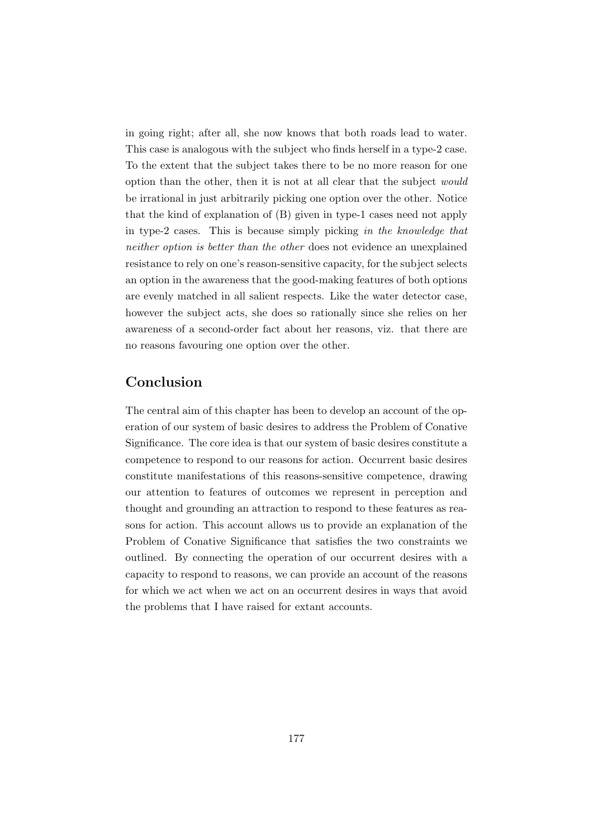in going right; after all, she now knows that both roads lead to water. This case is analogous with the subject who finds herself in a type-2 case. To the extent that the subject takes there to be no more reason for one option than the other, then it is not at all clear that the subject would be irrational in just arbitrarily picking one option over the other. Notice that the kind of explanation of (B) given in type-1 cases need not apply in type-2 cases. This is because simply picking in the knowledge that neither option is better than the other does not evidence an unexplained resistance to rely on one's reason-sensitive capacity, for the subject selects an option in the awareness that the good-making features of both options are evenly matched in all salient respects. Like the water detector case, however the subject acts, she does so rationally since she relies on her awareness of a second-order fact about her reasons, viz. that there are no reasons favouring one option over the other.

### Conclusion

The central aim of this chapter has been to develop an account of the operation of our system of basic desires to address the Problem of Conative Significance. The core idea is that our system of basic desires constitute a competence to respond to our reasons for action. Occurrent basic desires constitute manifestations of this reasons-sensitive competence, drawing our attention to features of outcomes we represent in perception and thought and grounding an attraction to respond to these features as reasons for action. This account allows us to provide an explanation of the Problem of Conative Significance that satisfies the two constraints we outlined. By connecting the operation of our occurrent desires with a capacity to respond to reasons, we can provide an account of the reasons for which we act when we act on an occurrent desires in ways that avoid the problems that I have raised for extant accounts.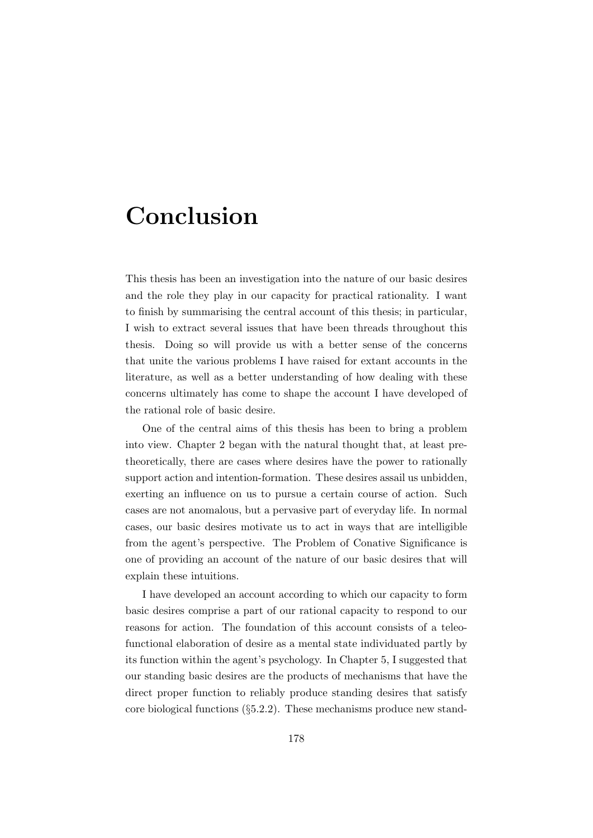# Conclusion

This thesis has been an investigation into the nature of our basic desires and the role they play in our capacity for practical rationality. I want to finish by summarising the central account of this thesis; in particular, I wish to extract several issues that have been threads throughout this thesis. Doing so will provide us with a better sense of the concerns that unite the various problems I have raised for extant accounts in the literature, as well as a better understanding of how dealing with these concerns ultimately has come to shape the account I have developed of the rational role of basic desire.

One of the central aims of this thesis has been to bring a problem into view. Chapter 2 began with the natural thought that, at least pretheoretically, there are cases where desires have the power to rationally support action and intention-formation. These desires assail us unbidden, exerting an influence on us to pursue a certain course of action. Such cases are not anomalous, but a pervasive part of everyday life. In normal cases, our basic desires motivate us to act in ways that are intelligible from the agent's perspective. The Problem of Conative Significance is one of providing an account of the nature of our basic desires that will explain these intuitions.

I have developed an account according to which our capacity to form basic desires comprise a part of our rational capacity to respond to our reasons for action. The foundation of this account consists of a teleofunctional elaboration of desire as a mental state individuated partly by its function within the agent's psychology. In Chapter 5, I suggested that our standing basic desires are the products of mechanisms that have the direct proper function to reliably produce standing desires that satisfy core biological functions (§5.2.2). These mechanisms produce new stand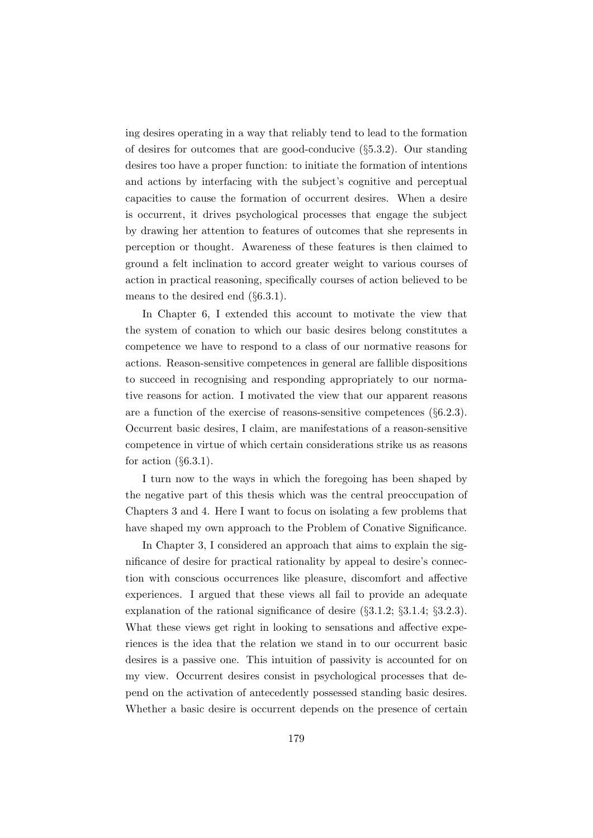ing desires operating in a way that reliably tend to lead to the formation of desires for outcomes that are good-conducive (§5.3.2). Our standing desires too have a proper function: to initiate the formation of intentions and actions by interfacing with the subject's cognitive and perceptual capacities to cause the formation of occurrent desires. When a desire is occurrent, it drives psychological processes that engage the subject by drawing her attention to features of outcomes that she represents in perception or thought. Awareness of these features is then claimed to ground a felt inclination to accord greater weight to various courses of action in practical reasoning, specifically courses of action believed to be means to the desired end (§6.3.1).

In Chapter 6, I extended this account to motivate the view that the system of conation to which our basic desires belong constitutes a competence we have to respond to a class of our normative reasons for actions. Reason-sensitive competences in general are fallible dispositions to succeed in recognising and responding appropriately to our normative reasons for action. I motivated the view that our apparent reasons are a function of the exercise of reasons-sensitive competences  $(\S6.2.3)$ . Occurrent basic desires, I claim, are manifestations of a reason-sensitive competence in virtue of which certain considerations strike us as reasons for action  $(\S 6.3.1)$ .

I turn now to the ways in which the foregoing has been shaped by the negative part of this thesis which was the central preoccupation of Chapters 3 and 4. Here I want to focus on isolating a few problems that have shaped my own approach to the Problem of Conative Significance.

In Chapter 3, I considered an approach that aims to explain the significance of desire for practical rationality by appeal to desire's connection with conscious occurrences like pleasure, discomfort and affective experiences. I argued that these views all fail to provide an adequate explanation of the rational significance of desire (§3.1.2; §3.1.4; §3.2.3). What these views get right in looking to sensations and affective experiences is the idea that the relation we stand in to our occurrent basic desires is a passive one. This intuition of passivity is accounted for on my view. Occurrent desires consist in psychological processes that depend on the activation of antecedently possessed standing basic desires. Whether a basic desire is occurrent depends on the presence of certain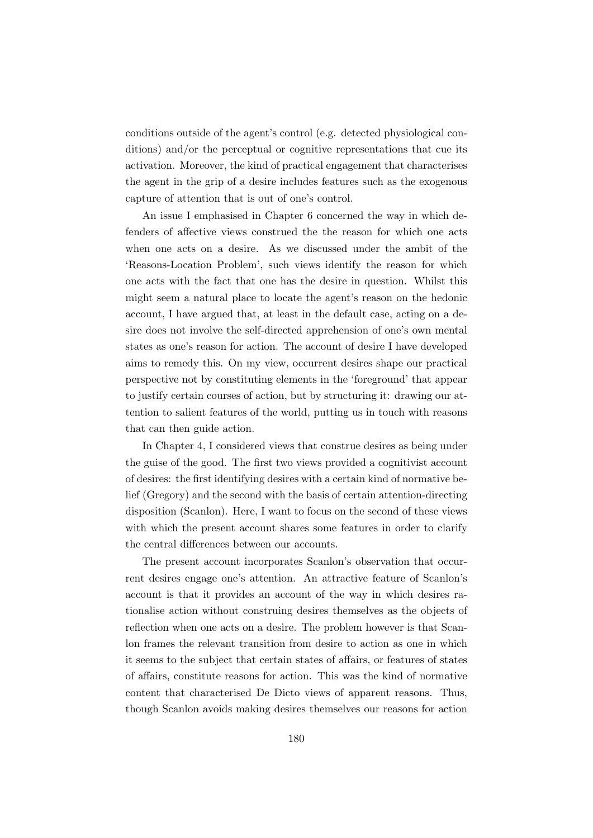conditions outside of the agent's control (e.g. detected physiological conditions) and/or the perceptual or cognitive representations that cue its activation. Moreover, the kind of practical engagement that characterises the agent in the grip of a desire includes features such as the exogenous capture of attention that is out of one's control.

An issue I emphasised in Chapter 6 concerned the way in which defenders of affective views construed the the reason for which one acts when one acts on a desire. As we discussed under the ambit of the 'Reasons-Location Problem', such views identify the reason for which one acts with the fact that one has the desire in question. Whilst this might seem a natural place to locate the agent's reason on the hedonic account, I have argued that, at least in the default case, acting on a desire does not involve the self-directed apprehension of one's own mental states as one's reason for action. The account of desire I have developed aims to remedy this. On my view, occurrent desires shape our practical perspective not by constituting elements in the 'foreground' that appear to justify certain courses of action, but by structuring it: drawing our attention to salient features of the world, putting us in touch with reasons that can then guide action.

In Chapter 4, I considered views that construe desires as being under the guise of the good. The first two views provided a cognitivist account of desires: the first identifying desires with a certain kind of normative belief (Gregory) and the second with the basis of certain attention-directing disposition (Scanlon). Here, I want to focus on the second of these views with which the present account shares some features in order to clarify the central differences between our accounts.

The present account incorporates Scanlon's observation that occurrent desires engage one's attention. An attractive feature of Scanlon's account is that it provides an account of the way in which desires rationalise action without construing desires themselves as the objects of reflection when one acts on a desire. The problem however is that Scanlon frames the relevant transition from desire to action as one in which it seems to the subject that certain states of affairs, or features of states of affairs, constitute reasons for action. This was the kind of normative content that characterised De Dicto views of apparent reasons. Thus, though Scanlon avoids making desires themselves our reasons for action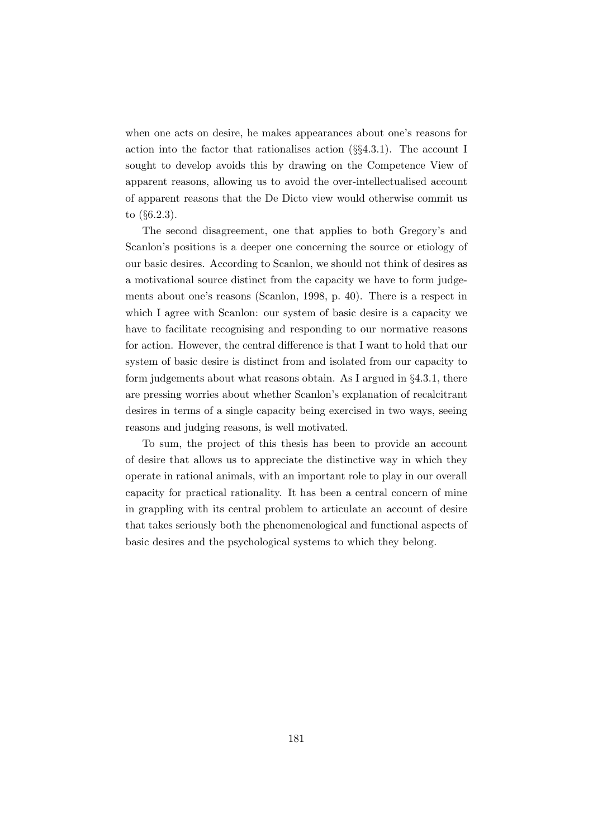when one acts on desire, he makes appearances about one's reasons for action into the factor that rationalises action  $(\S_{4}4.3.1)$ . The account I sought to develop avoids this by drawing on the Competence View of apparent reasons, allowing us to avoid the over-intellectualised account of apparent reasons that the De Dicto view would otherwise commit us to (§6.2.3).

The second disagreement, one that applies to both Gregory's and Scanlon's positions is a deeper one concerning the source or etiology of our basic desires. According to Scanlon, we should not think of desires as a motivational source distinct from the capacity we have to form judgements about one's reasons (Scanlon, 1998, p. 40). There is a respect in which I agree with Scanlon: our system of basic desire is a capacity we have to facilitate recognising and responding to our normative reasons for action. However, the central difference is that I want to hold that our system of basic desire is distinct from and isolated from our capacity to form judgements about what reasons obtain. As I argued in §4.3.1, there are pressing worries about whether Scanlon's explanation of recalcitrant desires in terms of a single capacity being exercised in two ways, seeing reasons and judging reasons, is well motivated.

To sum, the project of this thesis has been to provide an account of desire that allows us to appreciate the distinctive way in which they operate in rational animals, with an important role to play in our overall capacity for practical rationality. It has been a central concern of mine in grappling with its central problem to articulate an account of desire that takes seriously both the phenomenological and functional aspects of basic desires and the psychological systems to which they belong.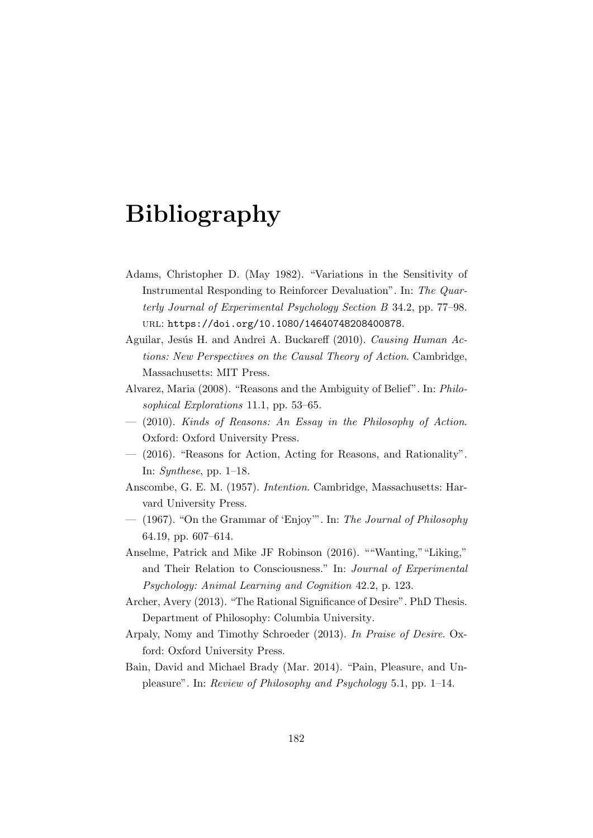## Bibliography

- Adams, Christopher D. (May 1982). "Variations in the Sensitivity of Instrumental Responding to Reinforcer Devaluation". In: The Quarterly Journal of Experimental Psychology Section B 34.2, pp. 77–98. url: https://doi.org/10.1080/14640748208400878.
- Aguilar, Jesús H. and Andrei A. Buckareff (2010). Causing Human Actions: New Perspectives on the Causal Theory of Action. Cambridge, Massachusetts: MIT Press.
- Alvarez, Maria (2008). "Reasons and the Ambiguity of Belief". In: Philosophical Explorations 11.1, pp. 53–65.
- (2010). Kinds of Reasons: An Essay in the Philosophy of Action. Oxford: Oxford University Press.
- (2016). "Reasons for Action, Acting for Reasons, and Rationality". In: Synthese, pp.  $1-18$ .
- Anscombe, G. E. M. (1957). Intention. Cambridge, Massachusetts: Harvard University Press.
- (1967). "On the Grammar of 'Enjoy'". In: The Journal of Philosophy 64.19, pp. 607–614.
- Anselme, Patrick and Mike JF Robinson (2016). ""Wanting,""Liking," and Their Relation to Consciousness." In: Journal of Experimental Psychology: Animal Learning and Cognition 42.2, p. 123.
- Archer, Avery (2013). "The Rational Significance of Desire". PhD Thesis. Department of Philosophy: Columbia University.
- Arpaly, Nomy and Timothy Schroeder (2013). In Praise of Desire. Oxford: Oxford University Press.
- Bain, David and Michael Brady (Mar. 2014). "Pain, Pleasure, and Unpleasure". In: Review of Philosophy and Psychology 5.1, pp. 1–14.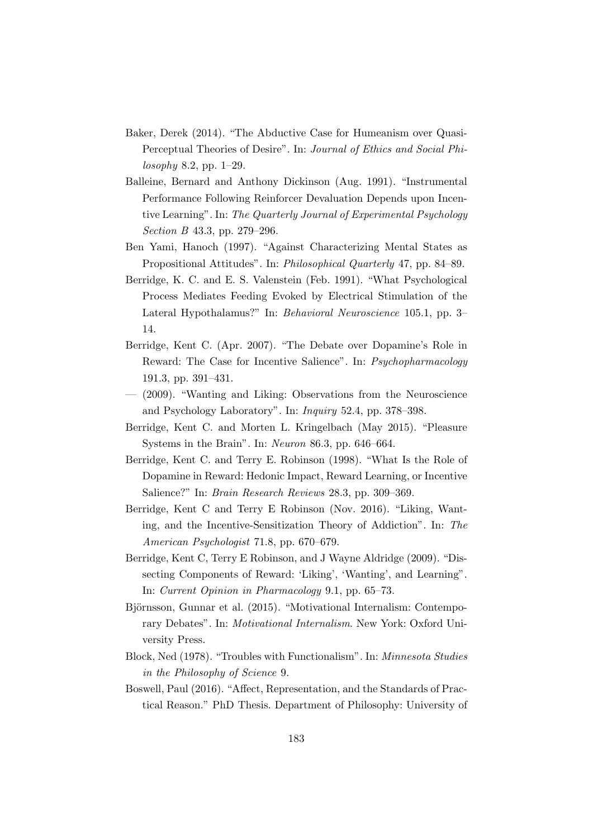- Baker, Derek (2014). "The Abductive Case for Humeanism over Quasi-Perceptual Theories of Desire". In: Journal of Ethics and Social Philosophy 8.2, pp. 1–29.
- Balleine, Bernard and Anthony Dickinson (Aug. 1991). "Instrumental Performance Following Reinforcer Devaluation Depends upon Incentive Learning". In: The Quarterly Journal of Experimental Psychology Section B 43.3, pp. 279–296.
- Ben Yami, Hanoch (1997). "Against Characterizing Mental States as Propositional Attitudes". In: Philosophical Quarterly 47, pp. 84–89.
- Berridge, K. C. and E. S. Valenstein (Feb. 1991). "What Psychological Process Mediates Feeding Evoked by Electrical Stimulation of the Lateral Hypothalamus?" In: Behavioral Neuroscience 105.1, pp. 3– 14.
- Berridge, Kent C. (Apr. 2007). "The Debate over Dopamine's Role in Reward: The Case for Incentive Salience". In: Psychopharmacology 191.3, pp. 391–431.
- (2009). "Wanting and Liking: Observations from the Neuroscience and Psychology Laboratory". In: Inquiry 52.4, pp. 378–398.
- Berridge, Kent C. and Morten L. Kringelbach (May 2015). "Pleasure Systems in the Brain". In: Neuron 86.3, pp. 646–664.
- Berridge, Kent C. and Terry E. Robinson (1998). "What Is the Role of Dopamine in Reward: Hedonic Impact, Reward Learning, or Incentive Salience?" In: Brain Research Reviews 28.3, pp. 309–369.
- Berridge, Kent C and Terry E Robinson (Nov. 2016). "Liking, Wanting, and the Incentive-Sensitization Theory of Addiction". In: The American Psychologist 71.8, pp. 670–679.
- Berridge, Kent C, Terry E Robinson, and J Wayne Aldridge (2009). "Dissecting Components of Reward: 'Liking', 'Wanting', and Learning". In: Current Opinion in Pharmacology 9.1, pp. 65–73.
- Björnsson, Gunnar et al. (2015). "Motivational Internalism: Contemporary Debates". In: Motivational Internalism. New York: Oxford University Press.
- Block, Ned (1978). "Troubles with Functionalism". In: Minnesota Studies in the Philosophy of Science 9.
- Boswell, Paul (2016). "Affect, Representation, and the Standards of Practical Reason." PhD Thesis. Department of Philosophy: University of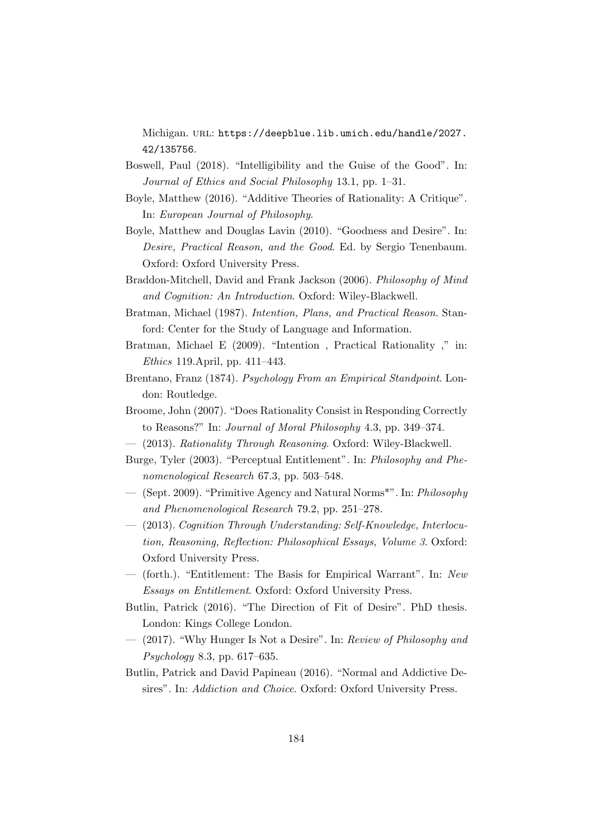Michigan. url: https://deepblue.lib.umich.edu/handle/2027. 42/135756.

- Boswell, Paul (2018). "Intelligibility and the Guise of the Good". In: Journal of Ethics and Social Philosophy 13.1, pp. 1–31.
- Boyle, Matthew (2016). "Additive Theories of Rationality: A Critique". In: European Journal of Philosophy.
- Boyle, Matthew and Douglas Lavin (2010). "Goodness and Desire". In: Desire, Practical Reason, and the Good. Ed. by Sergio Tenenbaum. Oxford: Oxford University Press.
- Braddon-Mitchell, David and Frank Jackson (2006). Philosophy of Mind and Cognition: An Introduction. Oxford: Wiley-Blackwell.
- Bratman, Michael (1987). Intention, Plans, and Practical Reason. Stanford: Center for the Study of Language and Information.
- Bratman, Michael E (2009). "Intention , Practical Rationality ," in: Ethics 119.April, pp. 411–443.
- Brentano, Franz (1874). Psychology From an Empirical Standpoint. London: Routledge.
- Broome, John (2007). "Does Rationality Consist in Responding Correctly to Reasons?" In: Journal of Moral Philosophy 4.3, pp. 349–374.
- (2013). Rationality Through Reasoning. Oxford: Wiley-Blackwell.
- Burge, Tyler (2003). "Perceptual Entitlement". In: Philosophy and Phenomenological Research 67.3, pp. 503–548.
- (Sept. 2009). "Primitive Agency and Natural Norms\*". In: Philosophy and Phenomenological Research 79.2, pp. 251–278.
- (2013). Cognition Through Understanding: Self-Knowledge, Interlocution, Reasoning, Reflection: Philosophical Essays, Volume 3. Oxford: Oxford University Press.
- (forth.). "Entitlement: The Basis for Empirical Warrant". In: New Essays on Entitlement. Oxford: Oxford University Press.
- Butlin, Patrick (2016). "The Direction of Fit of Desire". PhD thesis. London: Kings College London.
- (2017). "Why Hunger Is Not a Desire". In: Review of Philosophy and Psychology 8.3, pp. 617–635.
- Butlin, Patrick and David Papineau (2016). "Normal and Addictive Desires". In: Addiction and Choice. Oxford: Oxford University Press.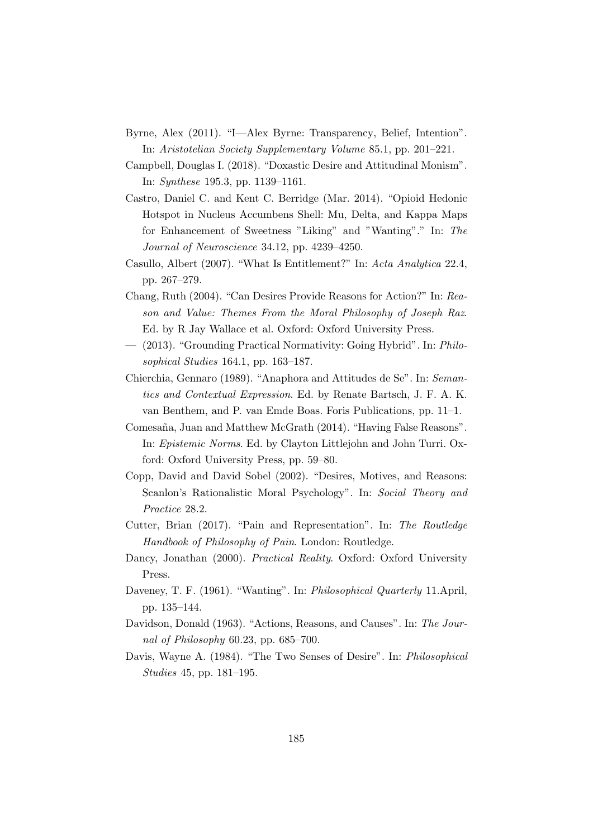- Byrne, Alex (2011). "I—Alex Byrne: Transparency, Belief, Intention". In: Aristotelian Society Supplementary Volume 85.1, pp. 201–221.
- Campbell, Douglas I. (2018). "Doxastic Desire and Attitudinal Monism". In: Synthese 195.3, pp. 1139–1161.
- Castro, Daniel C. and Kent C. Berridge (Mar. 2014). "Opioid Hedonic Hotspot in Nucleus Accumbens Shell: Mu, Delta, and Kappa Maps for Enhancement of Sweetness "Liking" and "Wanting"." In: The Journal of Neuroscience 34.12, pp. 4239–4250.
- Casullo, Albert (2007). "What Is Entitlement?" In: Acta Analytica 22.4, pp. 267–279.
- Chang, Ruth (2004). "Can Desires Provide Reasons for Action?" In: Reason and Value: Themes From the Moral Philosophy of Joseph Raz. Ed. by R Jay Wallace et al. Oxford: Oxford University Press.
- (2013). "Grounding Practical Normativity: Going Hybrid". In: Philosophical Studies 164.1, pp. 163–187.
- Chierchia, Gennaro (1989). "Anaphora and Attitudes de Se". In: Semantics and Contextual Expression. Ed. by Renate Bartsch, J. F. A. K. van Benthem, and P. van Emde Boas. Foris Publications, pp. 11–1.
- Comesaña, Juan and Matthew McGrath (2014). "Having False Reasons". In: Epistemic Norms. Ed. by Clayton Littlejohn and John Turri. Oxford: Oxford University Press, pp. 59–80.
- Copp, David and David Sobel (2002). "Desires, Motives, and Reasons: Scanlon's Rationalistic Moral Psychology". In: Social Theory and Practice 28.2.
- Cutter, Brian (2017). "Pain and Representation". In: The Routledge Handbook of Philosophy of Pain. London: Routledge.
- Dancy, Jonathan (2000). *Practical Reality*. Oxford: Oxford University Press.
- Daveney, T. F. (1961). "Wanting". In: *Philosophical Quarterly* 11.April, pp. 135–144.
- Davidson, Donald (1963). "Actions, Reasons, and Causes". In: The Journal of Philosophy 60.23, pp. 685–700.
- Davis, Wayne A. (1984). "The Two Senses of Desire". In: Philosophical Studies 45, pp. 181–195.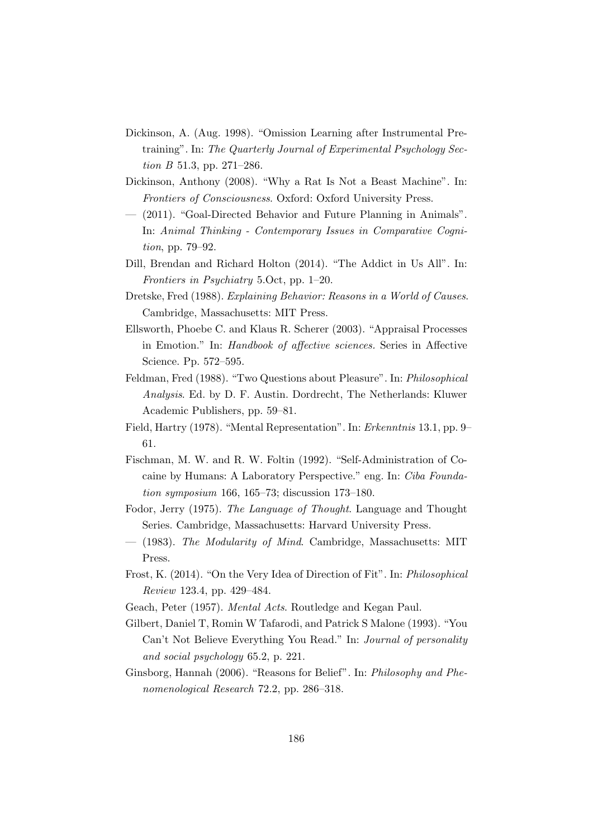- Dickinson, A. (Aug. 1998). "Omission Learning after Instrumental Pretraining". In: The Quarterly Journal of Experimental Psychology Section *B* 51.3, pp. 271–286.
- Dickinson, Anthony (2008). "Why a Rat Is Not a Beast Machine". In: Frontiers of Consciousness. Oxford: Oxford University Press.
- (2011). "Goal-Directed Behavior and Future Planning in Animals". In: Animal Thinking - Contemporary Issues in Comparative Cognition, pp. 79–92.
- Dill, Brendan and Richard Holton (2014). "The Addict in Us All". In: Frontiers in Psychiatry 5.Oct, pp. 1–20.
- Dretske, Fred (1988). Explaining Behavior: Reasons in a World of Causes. Cambridge, Massachusetts: MIT Press.
- Ellsworth, Phoebe C. and Klaus R. Scherer (2003). "Appraisal Processes in Emotion." In: Handbook of affective sciences. Series in Affective Science. Pp. 572–595.
- Feldman, Fred (1988). "Two Questions about Pleasure". In: Philosophical Analysis. Ed. by D. F. Austin. Dordrecht, The Netherlands: Kluwer Academic Publishers, pp. 59–81.
- Field, Hartry (1978). "Mental Representation". In: Erkenntnis 13.1, pp. 9– 61.
- Fischman, M. W. and R. W. Foltin (1992). "Self-Administration of Cocaine by Humans: A Laboratory Perspective." eng. In: Ciba Foundation symposium 166, 165–73; discussion 173–180.
- Fodor, Jerry (1975). The Language of Thought. Language and Thought Series. Cambridge, Massachusetts: Harvard University Press.
- (1983). The Modularity of Mind. Cambridge, Massachusetts: MIT Press.
- Frost, K. (2014). "On the Very Idea of Direction of Fit". In: Philosophical Review 123.4, pp. 429–484.
- Geach, Peter (1957). Mental Acts. Routledge and Kegan Paul.
- Gilbert, Daniel T, Romin W Tafarodi, and Patrick S Malone (1993). "You Can't Not Believe Everything You Read." In: Journal of personality and social psychology 65.2, p. 221.
- Ginsborg, Hannah (2006). "Reasons for Belief". In: Philosophy and Phenomenological Research 72.2, pp. 286–318.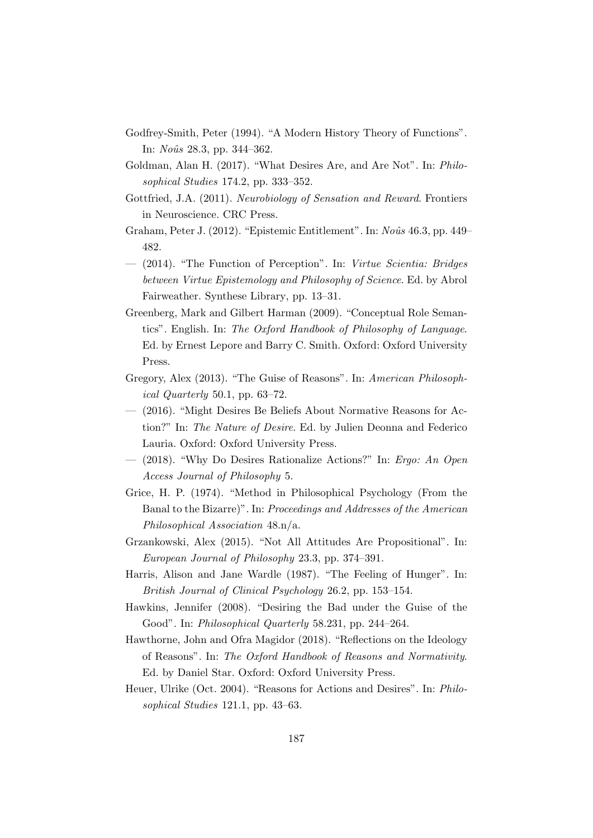- Godfrey-Smith, Peter (1994). "A Modern History Theory of Functions". In: *Noûs* 28.3, pp. 344–362.
- Goldman, Alan H. (2017). "What Desires Are, and Are Not". In: Philosophical Studies 174.2, pp. 333–352.
- Gottfried, J.A. (2011). Neurobiology of Sensation and Reward. Frontiers in Neuroscience. CRC Press.
- Graham, Peter J.  $(2012)$ . "Epistemic Entitlement". In: Noûs 46.3, pp. 449– 482.
- (2014). "The Function of Perception". In: Virtue Scientia: Bridges between Virtue Epistemology and Philosophy of Science. Ed. by Abrol Fairweather. Synthese Library, pp. 13–31.
- Greenberg, Mark and Gilbert Harman (2009). "Conceptual Role Semantics". English. In: The Oxford Handbook of Philosophy of Language. Ed. by Ernest Lepore and Barry C. Smith. Oxford: Oxford University Press.
- Gregory, Alex (2013). "The Guise of Reasons". In: American Philosophical Quarterly 50.1, pp. 63–72.
- (2016). "Might Desires Be Beliefs About Normative Reasons for Action?" In: The Nature of Desire. Ed. by Julien Deonna and Federico Lauria. Oxford: Oxford University Press.
- (2018). "Why Do Desires Rationalize Actions?" In: Ergo: An Open Access Journal of Philosophy 5.
- Grice, H. P. (1974). "Method in Philosophical Psychology (From the Banal to the Bizarre)". In: Proceedings and Addresses of the American Philosophical Association 48.n/a.
- Grzankowski, Alex (2015). "Not All Attitudes Are Propositional". In: European Journal of Philosophy 23.3, pp. 374–391.
- Harris, Alison and Jane Wardle (1987). "The Feeling of Hunger". In: British Journal of Clinical Psychology 26.2, pp. 153–154.
- Hawkins, Jennifer (2008). "Desiring the Bad under the Guise of the Good". In: Philosophical Quarterly 58.231, pp. 244–264.
- Hawthorne, John and Ofra Magidor (2018). "Reflections on the Ideology of Reasons". In: The Oxford Handbook of Reasons and Normativity. Ed. by Daniel Star. Oxford: Oxford University Press.
- Heuer, Ulrike (Oct. 2004). "Reasons for Actions and Desires". In: Philosophical Studies 121.1, pp. 43–63.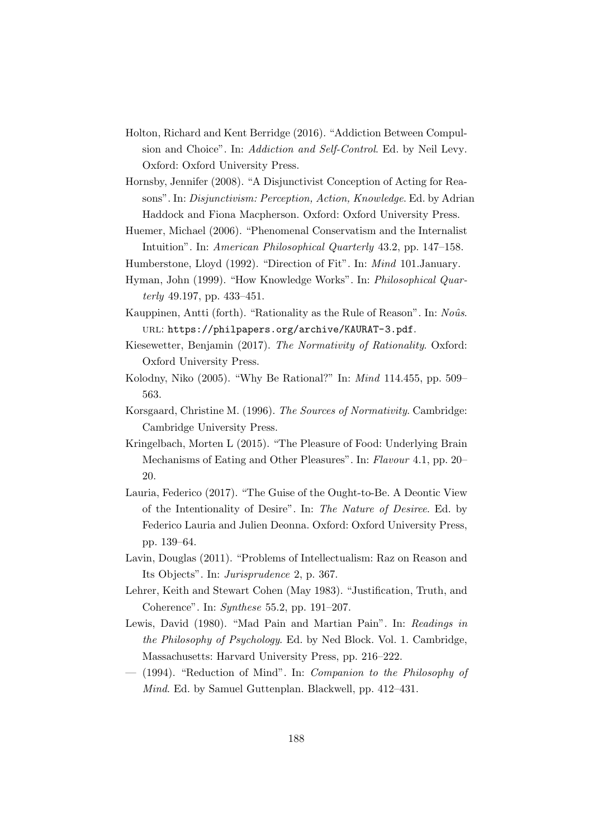- Holton, Richard and Kent Berridge (2016). "Addiction Between Compulsion and Choice". In: Addiction and Self-Control. Ed. by Neil Levy. Oxford: Oxford University Press.
- Hornsby, Jennifer (2008). "A Disjunctivist Conception of Acting for Reasons". In: Disjunctivism: Perception, Action, Knowledge. Ed. by Adrian Haddock and Fiona Macpherson. Oxford: Oxford University Press.
- Huemer, Michael (2006). "Phenomenal Conservatism and the Internalist Intuition". In: American Philosophical Quarterly 43.2, pp. 147–158.
- Humberstone, Lloyd (1992). "Direction of Fit". In: Mind 101.January.
- Hyman, John (1999). "How Knowledge Works". In: Philosophical Quarterly 49.197, pp. 433–451.
- Kauppinen, Antti (forth). "Rationality as the Rule of Reason". In: Noûs. url: https://philpapers.org/archive/KAURAT-3.pdf.
- Kiesewetter, Benjamin (2017). The Normativity of Rationality. Oxford: Oxford University Press.
- Kolodny, Niko (2005). "Why Be Rational?" In: Mind 114.455, pp. 509– 563.
- Korsgaard, Christine M. (1996). The Sources of Normativity. Cambridge: Cambridge University Press.
- Kringelbach, Morten L (2015). "The Pleasure of Food: Underlying Brain Mechanisms of Eating and Other Pleasures". In: Flavour 4.1, pp. 20– 20.
- Lauria, Federico (2017). "The Guise of the Ought-to-Be. A Deontic View of the Intentionality of Desire". In: The Nature of Desiree. Ed. by Federico Lauria and Julien Deonna. Oxford: Oxford University Press, pp. 139–64.
- Lavin, Douglas (2011). "Problems of Intellectualism: Raz on Reason and Its Objects". In: Jurisprudence 2, p. 367.
- Lehrer, Keith and Stewart Cohen (May 1983). "Justification, Truth, and Coherence". In: Synthese 55.2, pp. 191–207.
- Lewis, David (1980). "Mad Pain and Martian Pain". In: Readings in the Philosophy of Psychology. Ed. by Ned Block. Vol. 1. Cambridge, Massachusetts: Harvard University Press, pp. 216–222.
- (1994). "Reduction of Mind". In: Companion to the Philosophy of Mind. Ed. by Samuel Guttenplan. Blackwell, pp. 412–431.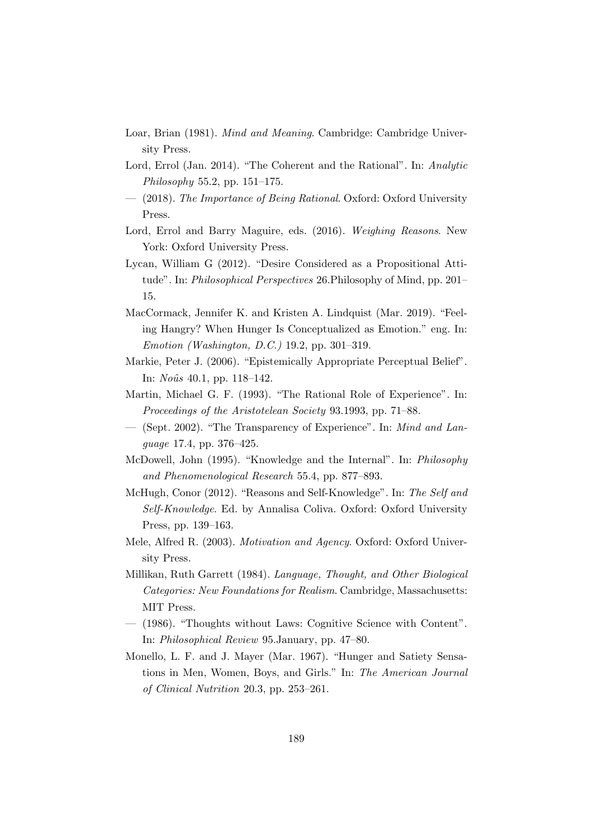- Loar, Brian (1981). Mind and Meaning. Cambridge: Cambridge University Press.
- Lord, Errol (Jan. 2014). "The Coherent and the Rational". In: Analytic Philosophy 55.2, pp. 151–175.
- (2018). The Importance of Being Rational. Oxford: Oxford University Press.
- Lord, Errol and Barry Maguire, eds. (2016). Weighing Reasons. New York: Oxford University Press.
- Lycan, William G (2012). "Desire Considered as a Propositional Attitude". In: Philosophical Perspectives 26.Philosophy of Mind, pp. 201– 15.
- MacCormack, Jennifer K. and Kristen A. Lindquist (Mar. 2019). "Feeling Hangry? When Hunger Is Conceptualized as Emotion." eng. In: Emotion (Washington, D.C.) 19.2, pp. 301–319.
- Markie, Peter J. (2006). "Epistemically Appropriate Perceptual Belief". In:  $No\hat{u}s$  40.1, pp. 118–142.
- Martin, Michael G. F. (1993). "The Rational Role of Experience". In: Proceedings of the Aristotelean Society 93.1993, pp. 71–88.
- (Sept. 2002). "The Transparency of Experience". In: Mind and Language 17.4, pp. 376–425.
- McDowell, John (1995). "Knowledge and the Internal". In: Philosophy and Phenomenological Research 55.4, pp. 877–893.
- McHugh, Conor (2012). "Reasons and Self-Knowledge". In: The Self and Self-Knowledge. Ed. by Annalisa Coliva. Oxford: Oxford University Press, pp. 139–163.
- Mele, Alfred R. (2003). Motivation and Agency. Oxford: Oxford University Press.
- Millikan, Ruth Garrett (1984). Language, Thought, and Other Biological Categories: New Foundations for Realism. Cambridge, Massachusetts: MIT Press.
- (1986). "Thoughts without Laws: Cognitive Science with Content". In: Philosophical Review 95.January, pp. 47–80.
- Monello, L. F. and J. Mayer (Mar. 1967). "Hunger and Satiety Sensations in Men, Women, Boys, and Girls." In: The American Journal of Clinical Nutrition 20.3, pp. 253–261.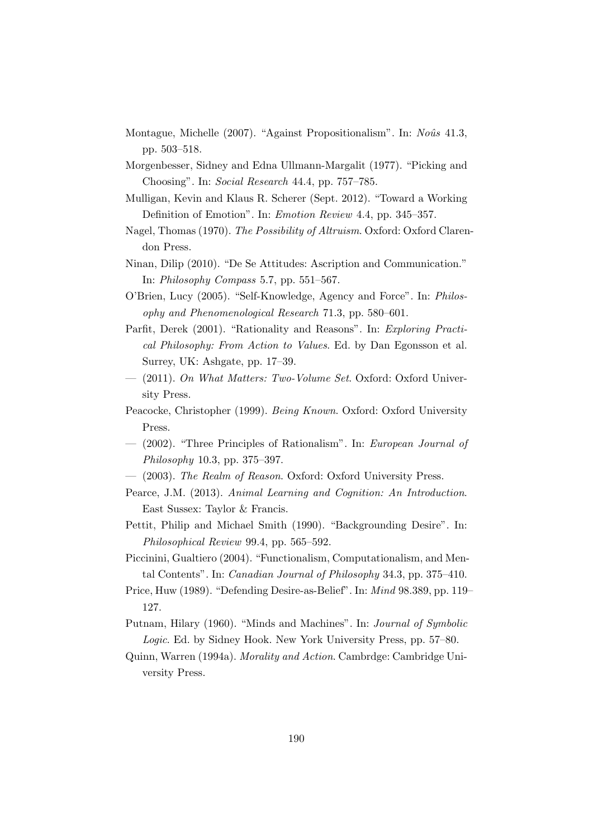- Montague, Michelle (2007). "Against Propositionalism". In: Noûs 41.3, pp. 503–518.
- Morgenbesser, Sidney and Edna Ullmann-Margalit (1977). "Picking and Choosing". In: Social Research 44.4, pp. 757–785.
- Mulligan, Kevin and Klaus R. Scherer (Sept. 2012). "Toward a Working Definition of Emotion". In: Emotion Review 4.4, pp. 345–357.
- Nagel, Thomas (1970). The Possibility of Altruism. Oxford: Oxford Clarendon Press.
- Ninan, Dilip (2010). "De Se Attitudes: Ascription and Communication." In: Philosophy Compass 5.7, pp. 551–567.
- O'Brien, Lucy (2005). "Self-Knowledge, Agency and Force". In: Philosophy and Phenomenological Research 71.3, pp. 580–601.
- Parfit, Derek (2001). "Rationality and Reasons". In: Exploring Practical Philosophy: From Action to Values. Ed. by Dan Egonsson et al. Surrey, UK: Ashgate, pp. 17–39.
- (2011). On What Matters: Two-Volume Set. Oxford: Oxford University Press.
- Peacocke, Christopher (1999). Being Known. Oxford: Oxford University Press.
- (2002). "Three Principles of Rationalism". In: European Journal of Philosophy 10.3, pp. 375–397.
- (2003). The Realm of Reason. Oxford: Oxford University Press.
- Pearce, J.M. (2013). Animal Learning and Cognition: An Introduction. East Sussex: Taylor & Francis.
- Pettit, Philip and Michael Smith (1990). "Backgrounding Desire". In: Philosophical Review 99.4, pp. 565–592.
- Piccinini, Gualtiero (2004). "Functionalism, Computationalism, and Mental Contents". In: Canadian Journal of Philosophy 34.3, pp. 375–410.
- Price, Huw (1989). "Defending Desire-as-Belief". In: Mind 98.389, pp. 119– 127.
- Putnam, Hilary (1960). "Minds and Machines". In: Journal of Symbolic Logic. Ed. by Sidney Hook. New York University Press, pp. 57–80.
- Quinn, Warren (1994a). Morality and Action. Cambrdge: Cambridge University Press.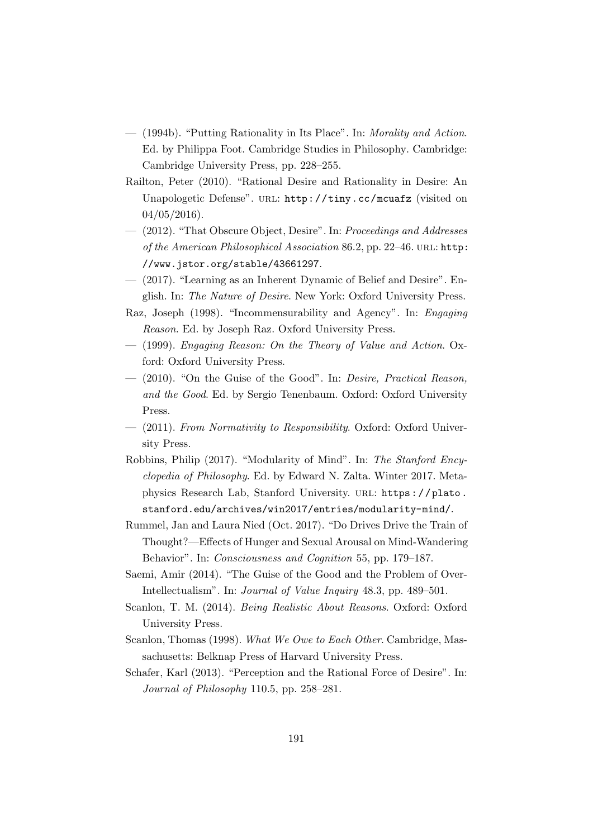- (1994b). "Putting Rationality in Its Place". In: Morality and Action. Ed. by Philippa Foot. Cambridge Studies in Philosophy. Cambridge: Cambridge University Press, pp. 228–255.
- Railton, Peter (2010). "Rational Desire and Rationality in Desire: An Unapologetic Defense". URL: http://tiny.cc/mcuafz (visited on 04/05/2016).
- (2012). "That Obscure Object, Desire". In: Proceedings and Addresses of the American Philosophical Association 86.2, pp. 22–46. url: http: //www.jstor.org/stable/43661297.
- (2017). "Learning as an Inherent Dynamic of Belief and Desire". English. In: The Nature of Desire. New York: Oxford University Press.
- Raz, Joseph (1998). "Incommensurability and Agency". In: Engaging Reason. Ed. by Joseph Raz. Oxford University Press.
- (1999). Engaging Reason: On the Theory of Value and Action. Oxford: Oxford University Press.
- (2010). "On the Guise of the Good". In: Desire, Practical Reason, and the Good. Ed. by Sergio Tenenbaum. Oxford: Oxford University Press.
- (2011). From Normativity to Responsibility. Oxford: Oxford University Press.
- Robbins, Philip (2017). "Modularity of Mind". In: The Stanford Encyclopedia of Philosophy. Ed. by Edward N. Zalta. Winter 2017. Metaphysics Research Lab, Stanford University. url: https : / / plato . stanford.edu/archives/win2017/entries/modularity-mind/.
- Rummel, Jan and Laura Nied (Oct. 2017). "Do Drives Drive the Train of Thought?—Effects of Hunger and Sexual Arousal on Mind-Wandering Behavior". In: Consciousness and Cognition 55, pp. 179–187.
- Saemi, Amir (2014). "The Guise of the Good and the Problem of Over-Intellectualism". In: Journal of Value Inquiry 48.3, pp. 489–501.
- Scanlon, T. M. (2014). Being Realistic About Reasons. Oxford: Oxford University Press.
- Scanlon, Thomas (1998). What We Owe to Each Other. Cambridge, Massachusetts: Belknap Press of Harvard University Press.
- Schafer, Karl (2013). "Perception and the Rational Force of Desire". In: Journal of Philosophy 110.5, pp. 258–281.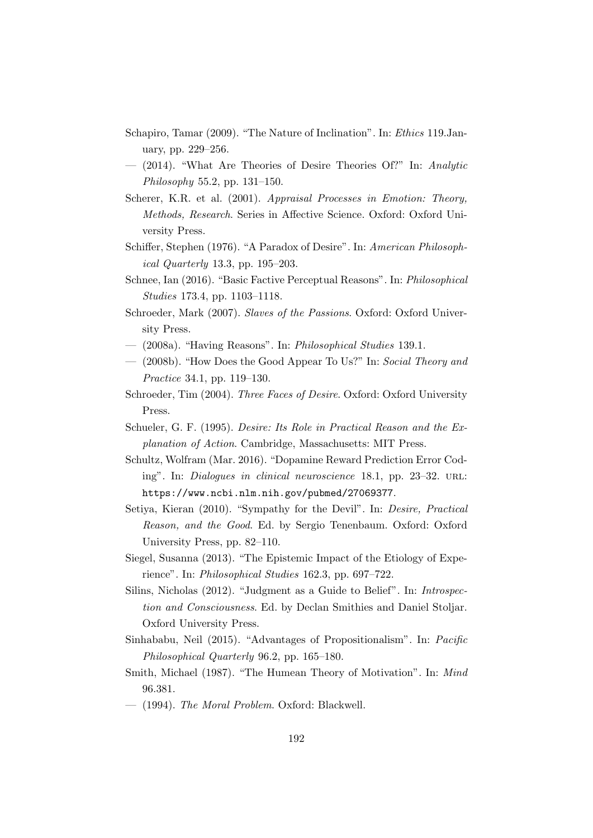- Schapiro, Tamar (2009). "The Nature of Inclination". In: Ethics 119.January, pp. 229–256.
- (2014). "What Are Theories of Desire Theories Of?" In: Analytic Philosophy 55.2, pp. 131–150.
- Scherer, K.R. et al. (2001). Appraisal Processes in Emotion: Theory, Methods, Research. Series in Affective Science. Oxford: Oxford University Press.
- Schiffer, Stephen (1976). "A Paradox of Desire". In: American Philosophical Quarterly 13.3, pp. 195–203.
- Schnee, Ian (2016). "Basic Factive Perceptual Reasons". In: Philosophical Studies 173.4, pp. 1103–1118.
- Schroeder, Mark (2007). Slaves of the Passions. Oxford: Oxford University Press.
- (2008a). "Having Reasons". In: Philosophical Studies 139.1.
- (2008b). "How Does the Good Appear To Us?" In: Social Theory and Practice 34.1, pp. 119–130.
- Schroeder, Tim (2004). Three Faces of Desire. Oxford: Oxford University Press.
- Schueler, G. F. (1995). Desire: Its Role in Practical Reason and the Explanation of Action. Cambridge, Massachusetts: MIT Press.
- Schultz, Wolfram (Mar. 2016). "Dopamine Reward Prediction Error Coding". In: Dialogues in clinical neuroscience 18.1, pp. 23-32. URL: https://www.ncbi.nlm.nih.gov/pubmed/27069377.
- Setiya, Kieran (2010). "Sympathy for the Devil". In: Desire, Practical Reason, and the Good. Ed. by Sergio Tenenbaum. Oxford: Oxford University Press, pp. 82–110.
- Siegel, Susanna (2013). "The Epistemic Impact of the Etiology of Experience". In: Philosophical Studies 162.3, pp. 697–722.
- Silins, Nicholas (2012). "Judgment as a Guide to Belief". In: Introspection and Consciousness. Ed. by Declan Smithies and Daniel Stoljar. Oxford University Press.
- Sinhababu, Neil (2015). "Advantages of Propositionalism". In: Pacific Philosophical Quarterly 96.2, pp. 165–180.
- Smith, Michael (1987). "The Humean Theory of Motivation". In: Mind 96.381.
- (1994). The Moral Problem. Oxford: Blackwell.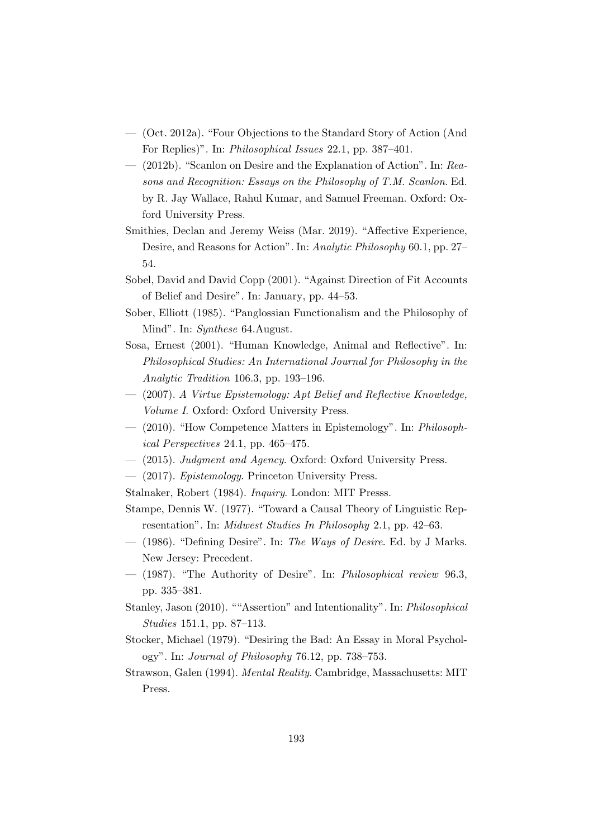- (Oct. 2012a). "Four Objections to the Standard Story of Action (And For Replies)". In: Philosophical Issues 22.1, pp. 387–401.
- (2012b). "Scanlon on Desire and the Explanation of Action". In: Reasons and Recognition: Essays on the Philosophy of T.M. Scanlon. Ed. by R. Jay Wallace, Rahul Kumar, and Samuel Freeman. Oxford: Oxford University Press.
- Smithies, Declan and Jeremy Weiss (Mar. 2019). "Affective Experience, Desire, and Reasons for Action". In: Analytic Philosophy 60.1, pp. 27– 54.
- Sobel, David and David Copp (2001). "Against Direction of Fit Accounts of Belief and Desire". In: January, pp. 44–53.
- Sober, Elliott (1985). "Panglossian Functionalism and the Philosophy of Mind". In: Synthese 64.August.
- Sosa, Ernest (2001). "Human Knowledge, Animal and Reflective". In: Philosophical Studies: An International Journal for Philosophy in the Analytic Tradition 106.3, pp. 193–196.
- (2007). A Virtue Epistemology: Apt Belief and Reflective Knowledge, Volume I. Oxford: Oxford University Press.
- (2010). "How Competence Matters in Epistemology". In: Philosophical Perspectives 24.1, pp. 465–475.
- (2015). Judgment and Agency. Oxford: Oxford University Press.
- (2017). Epistemology. Princeton University Press.
- Stalnaker, Robert (1984). Inquiry. London: MIT Presss.
- Stampe, Dennis W. (1977). "Toward a Causal Theory of Linguistic Representation". In: Midwest Studies In Philosophy 2.1, pp. 42–63.
- $-$  (1986). "Defining Desire". In: The Ways of Desire. Ed. by J Marks. New Jersey: Precedent.
- (1987). "The Authority of Desire". In: Philosophical review 96.3, pp. 335–381.
- Stanley, Jason (2010). ""Assertion" and Intentionality". In: Philosophical Studies 151.1, pp. 87–113.
- Stocker, Michael (1979). "Desiring the Bad: An Essay in Moral Psychology". In: Journal of Philosophy 76.12, pp. 738–753.
- Strawson, Galen (1994). Mental Reality. Cambridge, Massachusetts: MIT Press.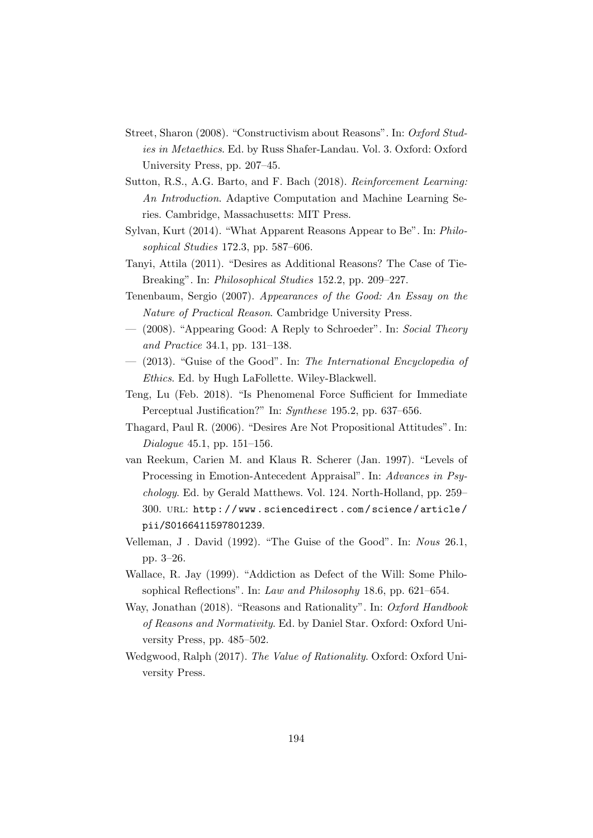- Street, Sharon (2008). "Constructivism about Reasons". In: Oxford Studies in Metaethics. Ed. by Russ Shafer-Landau. Vol. 3. Oxford: Oxford University Press, pp. 207–45.
- Sutton, R.S., A.G. Barto, and F. Bach (2018). Reinforcement Learning: An Introduction. Adaptive Computation and Machine Learning Series. Cambridge, Massachusetts: MIT Press.
- Sylvan, Kurt (2014). "What Apparent Reasons Appear to Be". In: Philosophical Studies 172.3, pp. 587–606.
- Tanyi, Attila (2011). "Desires as Additional Reasons? The Case of Tie-Breaking". In: Philosophical Studies 152.2, pp. 209–227.
- Tenenbaum, Sergio (2007). Appearances of the Good: An Essay on the Nature of Practical Reason. Cambridge University Press.
- (2008). "Appearing Good: A Reply to Schroeder". In: Social Theory and Practice 34.1, pp. 131–138.
- (2013). "Guise of the Good". In: The International Encyclopedia of Ethics. Ed. by Hugh LaFollette. Wiley-Blackwell.
- Teng, Lu (Feb. 2018). "Is Phenomenal Force Sufficient for Immediate Perceptual Justification?" In: Synthese 195.2, pp. 637–656.
- Thagard, Paul R. (2006). "Desires Are Not Propositional Attitudes". In: Dialogue 45.1, pp. 151–156.
- van Reekum, Carien M. and Klaus R. Scherer (Jan. 1997). "Levels of Processing in Emotion-Antecedent Appraisal". In: Advances in Psychology. Ed. by Gerald Matthews. Vol. 124. North-Holland, pp. 259– 300. url: http : / / www . sciencedirect . com / science / article / pii/S0166411597801239.
- Velleman, J . David (1992). "The Guise of the Good". In: Nous 26.1, pp. 3–26.
- Wallace, R. Jay (1999). "Addiction as Defect of the Will: Some Philosophical Reflections". In: Law and Philosophy 18.6, pp. 621–654.
- Way, Jonathan (2018). "Reasons and Rationality". In: Oxford Handbook of Reasons and Normativity. Ed. by Daniel Star. Oxford: Oxford University Press, pp. 485–502.
- Wedgwood, Ralph (2017). The Value of Rationality. Oxford: Oxford University Press.